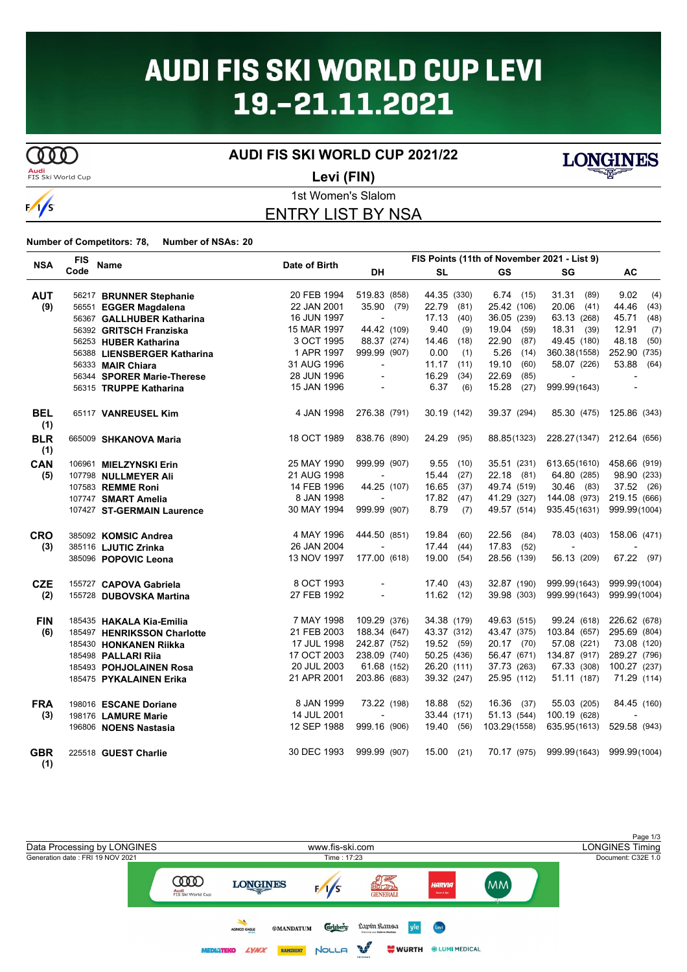# **AUDI FIS SKI WORLD CUP LEVI** 19.-21.11.2021

**COOD** 

 $\frac{1}{s}$ 

**AUDI FIS SKI WORLD CUP 2021/22**



**Levi (FIN)**

### 1st Women's Slalom ENTRY LIST BY NSA

**Number of Competitors: 78, Number of NSAs: 20**

| <b>NSA</b>        | <b>FIS</b> | <b>Name</b>                 | Date of Birth |                          | FIS Points (11th of November 2021 - List 9) |               |              |               |
|-------------------|------------|-----------------------------|---------------|--------------------------|---------------------------------------------|---------------|--------------|---------------|
|                   | Code       |                             |               | <b>DH</b>                | <b>SL</b>                                   | <b>GS</b>     | SG           | <b>AC</b>     |
| <b>AUT</b>        |            | 56217 BRUNNER Stephanie     | 20 FEB 1994   | 519.83 (858)             | 44.35 (330)                                 | 6.74(15)      | 31.31 (89)   | 9.02<br>(4)   |
| (9)               |            | 56551 EGGER Magdalena       | 22 JAN 2001   | 35.90 (79)               | 22.79<br>(81)                               | 25.42 (106)   | $20.06$ (41) | 44.46<br>(43) |
|                   |            | 56367 GALLHUBER Katharina   | 16 JUN 1997   |                          | 17.13<br>(40)                               | 36.05 (239)   | 63.13 (268)  | 45.71<br>(48) |
|                   |            | 56392 GRITSCH Franziska     | 15 MAR 1997   | 44.42 (109)              | 9.40<br>(9)                                 | 19.04<br>(59) | 18.31 (39)   | 12.91<br>(7)  |
|                   |            | 56253 HUBER Katharina       | 3 OCT 1995    | 88.37 (274)              | 14.46<br>(18)                               | 22.90<br>(87) | 49.45 (180)  | 48.18<br>(50) |
|                   |            | 56388 LIENSBERGER Katharina | 1 APR 1997    | 999.99 (907)             | 0.00<br>(1)                                 | 5.26<br>(14)  | 360.38(1558) | 252.90 (735)  |
|                   |            | 56333 MAIR Chiara           | 31 AUG 1996   | $\overline{\phantom{a}}$ | 11.17<br>(11)                               | 19.10<br>(60) | 58.07 (226)  | 53.88<br>(64) |
|                   |            | 56344 SPORER Marie-Therese  | 28 JUN 1996   | $\blacksquare$           | 16.29<br>(34)                               | 22.69<br>(85) |              |               |
|                   |            | 56315 TRUPPE Katharina      | 15 JAN 1996   |                          | 6.37<br>(6)                                 | 15.28 (27)    | 999.99(1643) |               |
| <b>BEL</b><br>(1) |            | 65117 VANREUSEL Kim         | 4 JAN 1998    | 276.38 (791)             | 30.19 (142)                                 | 39.37 (294)   | 85.30 (475)  | 125.86 (343)  |
| <b>BLR</b><br>(1) |            | 665009 SHKANOVA Maria       | 18 OCT 1989   | 838.76 (890)             | 24.29<br>(95)                               | 88.85(1323)   | 228.27(1347) | 212.64 (656)  |
| CAN               |            | 106961 MIELZYNSKI Erin      | 25 MAY 1990   | 999.99 (907)             | 9.55<br>(10)                                | 35.51 (231)   | 613.65(1610) | 458.66 (919)  |
| (5)               |            | 107798 NULLMEYER Ali        | 21 AUG 1998   |                          | 15.44<br>(27)                               | 22.18 (81)    | 64.80 (285)  | 98.90 (233)   |
|                   |            | 107583 REMME Roni           | 14 FEB 1996   | 44.25 (107)              | 16.65<br>(37)                               | 49.74 (519)   | 30.46 (83)   | 37.52 (26)    |
|                   |            | 107747 SMART Amelia         | 8 JAN 1998    |                          | 17.82<br>(47)                               | 41.29 (327)   | 144.08 (973) | 219.15 (666)  |
|                   |            | 107427 ST-GERMAIN Laurence  | 30 MAY 1994   | 999.99 (907)             | 8.79<br>(7)                                 | 49.57 (514)   | 935.45(1631) | 999.99(1004)  |
| <b>CRO</b>        |            | 385092 KOMSIC Andrea        | 4 MAY 1996    | 444.50 (851)             | 19.84<br>(60)                               | 22.56<br>(84) | 78.03 (403)  | 158.06 (471)  |
| (3)               |            | 385116 LJUTIC Zrinka        | 26 JAN 2004   |                          | 17.44<br>(44)                               | 17.83<br>(52) |              |               |
|                   |            | 385096 POPOVIC Leona        | 13 NOV 1997   | 177.00 (618)             | 19.00<br>(54)                               | 28.56 (139)   | 56.13 (209)  | 67.22 (97)    |
| <b>CZE</b>        |            | 155727 CAPOVA Gabriela      | 8 OCT 1993    |                          | 17.40<br>(43)                               | 32.87 (190)   | 999.99(1643) | 999.99(1004)  |
| (2)               |            | 155728 DUBOVSKA Martina     | 27 FEB 1992   | $\overline{\phantom{a}}$ | 11.62<br>(12)                               | 39.98 (303)   | 999.99(1643) | 999.99(1004)  |
| <b>FIN</b>        |            | 185435 HAKALA Kia-Emilia    | 7 MAY 1998    | 109.29 (376)             | 34.38 (179)                                 | 49.63 (515)   | 99.24 (618)  | 226.62 (678)  |
| (6)               |            | 185497 HENRIKSSON Charlotte | 21 FEB 2003   | 188.34 (647)             | 43.37 (312)                                 | 43.47 (375)   | 103.84 (657) | 295.69 (804)  |
|                   |            | 185430 HONKANEN Riikka      | 17 JUL 1998   | 242.87 (752)             | 19.52 (59)                                  | 20.17 (70)    | 57.08 (221)  | 73.08 (120)   |
|                   |            | 185498 PALLARI Riia         | 17 OCT 2003   | 238.09 (740)             | 50.25 (436)                                 | 56.47 (671)   | 134.87 (917) | 289.27 (796)  |
|                   |            | 185493 POHJOLAINEN Rosa     | 20 JUL 2003   | 61.68 (152)              | 26.20 (111)                                 | 37.73 (263)   | 67.33 (308)  | 100.27 (237)  |
|                   |            | 185475 PYKALAINEN Erika     | 21 APR 2001   | 203.86 (683)             | 39.32 (247)                                 | 25.95 (112)   | 51.11 (187)  | 71.29 (114)   |
| <b>FRA</b>        |            | 198016 ESCANE Doriane       | 8 JAN 1999    | 73.22 (198)              | 18.88<br>(52)                               | 16.36 (37)    | 55.03 (205)  | 84.45 (160)   |
| (3)               |            | 198176 LAMURE Marie         | 14 JUL 2001   |                          | 33.44 (171)                                 | 51.13 (544)   | 100.19 (628) |               |
|                   |            | 196806 NOENS Nastasia       | 12 SEP 1988   | 999.16 (906)             | 19.40 (56)                                  | 103.29(1558)  | 635.95(1613) | 529.58 (943)  |
| <b>GBR</b><br>(1) |            | 225518 GUEST Charlie        | 30 DEC 1993   | 999.99 (907)             | 15.00<br>(21)                               | 70.17 (975)   | 999.99(1643) | 999.99(1004)  |

Page 1/3<br>LONGINES Timing Data Processing by LONGINES www.fis-ski.com Generation date : FRI 19 NOV 2021 Time : 17:23 Document: C32E 1.0 93 **COOD** (MM) **LONGINES**  $\frac{1}{s}$ HARVIA Audi<br>FIS Ski World Cup **Carlsberg** Lapín Ransa **®MANDATUM** vle Levi AGNICO EAGLE  $\mathbb{R}^N$ RAMIRENT NOLLA **LYNX WURTH \*LUMI MEDICAL MEDIATEKO** 

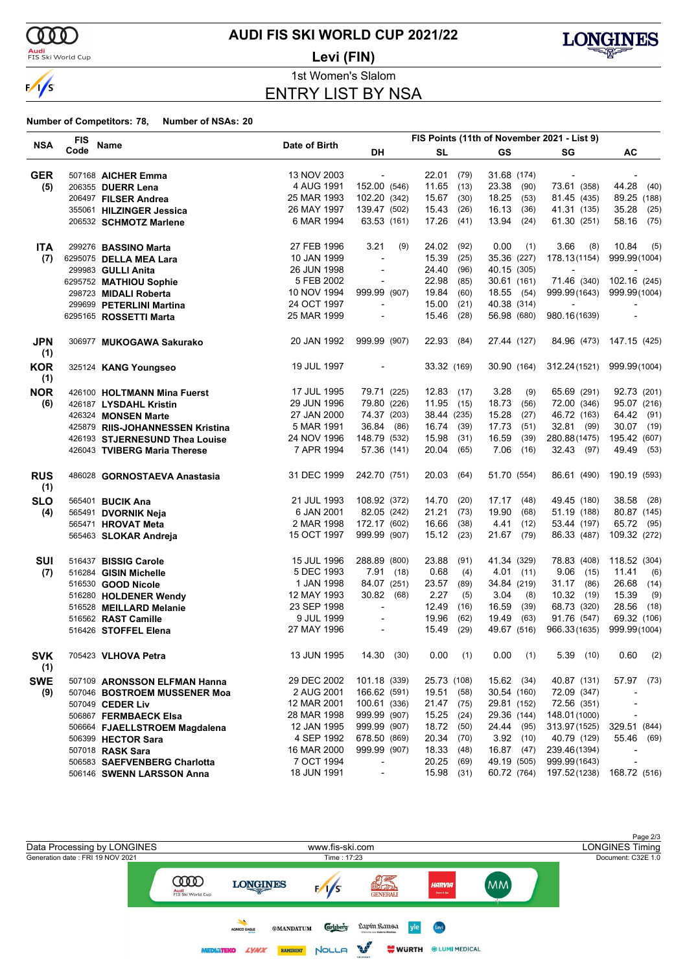

### **Audi**<br>FIS Ski World Cup

## **AUDI FIS SKI WORLD CUP 2021/22**

**Levi (FIN)**



1st Women's Slalom

ENTRY LIST BY NSA

|                   | <b>FIS</b> |                                  |               |                          |          |              |      |             |             | FIS Points (11th of November 2021 - List 9) |                          |
|-------------------|------------|----------------------------------|---------------|--------------------------|----------|--------------|------|-------------|-------------|---------------------------------------------|--------------------------|
| <b>NSA</b>        | Code       | Name                             | Date of Birth | DH                       |          | <b>SL</b>    |      | <b>GS</b>   |             | SG                                          | AC                       |
| <b>GER</b>        |            | 507168 AICHER Emma               | 13 NOV 2003   | $\blacksquare$           |          | 22.01        | (79) | 31.68 (174) |             | $\overline{\phantom{a}}$                    |                          |
| (5)               |            | 206355 DUERR Lena                | 4 AUG 1991    | 152.00 (546)             |          | 11.65        | (13) | 23.38       | (90)        | 73.61 (358)                                 | 44.28<br>(40)            |
|                   |            | 206497 FILSER Andrea             | 25 MAR 1993   | 102.20 (342)             |          | 15.67        | (30) | 18.25       | (53)        | 81.45 (435)                                 | 89.25 (188)              |
|                   |            | 355061 HILZINGER Jessica         | 26 MAY 1997   | 139.47 (502)             |          | 15.43        | (26) | 16.13       | (36)        | 41.31 (135)                                 | 35.28<br>(25)            |
|                   |            | 206532 SCHMOTZ Marlene           | 6 MAR 1994    | 63.53 (161)              |          | 17.26        | (41) | 13.94       | (24)        | 61.30 (251)                                 | 58.16<br>(75)            |
|                   |            |                                  |               |                          |          |              |      |             |             |                                             |                          |
| <b>ITA</b>        |            | 299276 BASSINO Marta             | 27 FEB 1996   | 3.21                     | (9)      | 24.02        | (92) | 0.00        | (1)         | 3.66<br>(8)                                 | 10.84<br>(5)             |
| (7)               |            | 6295075 DELLA MEA Lara           | 10 JAN 1999   | $\overline{\phantom{a}}$ |          | 15.39        | (25) | 35.36 (227) |             | 178.13(1154)                                | 999.99(1004)             |
|                   |            | 299983 GULLI Anita               | 26 JUN 1998   | $\blacksquare$           |          | 24.40        | (96) | 40.15 (305) |             | $\overline{\phantom{a}}$                    |                          |
|                   |            | 6295752 MATHIOU Sophie           | 5 FEB 2002    |                          |          | 22.98        | (85) | 30.61 (161) |             | 71.46 (340)                                 | 102.16 (245)             |
|                   |            | 298723 MIDALI Roberta            | 10 NOV 1994   | 999.99 (907)             |          | 19.84        | (60) | 18.55 (54)  |             | 999.99(1643)                                | 999.99(1004)             |
|                   |            | 299699 PETERLINI Martina         | 24 OCT 1997   | $\overline{\phantom{a}}$ |          | 15.00        | (21) | 40.38 (314) |             | $\sim$                                      | $\overline{a}$           |
|                   |            | 6295165 ROSSETTI Marta           | 25 MAR 1999   | $\overline{\phantom{a}}$ |          | 15.46        | (28) | 56.98 (680) |             | 980.16(1639)                                | $\overline{a}$           |
| <b>JPN</b><br>(1) |            | 306977 MUKOGAWA Sakurako         | 20 JAN 1992   | 999.99 (907)             |          | 22.93        | (84) | 27.44 (127) |             |                                             | 84.96 (473) 147.15 (425) |
| <b>KOR</b><br>(1) |            | 325124 KANG Youngseo             | 19 JUL 1997   | $\overline{\phantom{a}}$ |          | 33.32 (169)  |      | 30.90 (164) |             | 312.24(1521)                                | 999.99(1004)             |
| <b>NOR</b>        |            | 426100 HOLTMANN Mina Fuerst      | 17 JUL 1995   | 79.71 (225)              |          | $12.83$ (17) |      | 3.28        | (9)         | 65.69 (291)                                 | 92.73 (201)              |
| (6)               |            | 426187 LYSDAHL Kristin           | 29 JUN 1996   | 79.80 (226)              |          | $11.95$ (15) |      | 18.73       | (56)        | 72.00 (346)                                 | 95.07 (216)              |
|                   |            | 426324 MONSEN Marte              | 27 JAN 2000   | 74.37 (203)              |          | 38.44 (235)  |      | 15.28       | (27)        | 46.72 (163)                                 | 64.42<br>(91)            |
|                   |            | 425879 RIIS-JOHANNESSEN Kristina | 5 MAR 1991    | 36.84 (86)               |          | 16.74        | (39) | 17.73       | (51)        | 32.81 (99)                                  | 30.07 (19)               |
|                   |            | 426193 STJERNESUND Thea Louise   | 24 NOV 1996   | 148.79 (532)             |          | 15.98        | (31) | 16.59       | (39)        | 280.88(1475)                                | 195.42 (607)             |
|                   |            | 426043 TVIBERG Maria Therese     | 7 APR 1994    | 57.36 (141)              |          | 20.04        | (65) | 7.06        | (16)        | 32.43 (97)                                  | 49.49<br>(53)            |
| <b>RUS</b><br>(1) |            | 486028 GORNOSTAEVA Anastasia     | 31 DEC 1999   | 242.70 (751)             |          | 20.03        | (64) | 51.70 (554) |             | 86.61 (490)                                 | 190.19 (593)             |
| <b>SLO</b>        |            | 565401 BUCIK Ana                 | 21 JUL 1993   | 108.92 (372)             |          | 14.70        | (20) | 17.17       | (48)        | 49.45 (180)                                 | 38.58<br>(28)            |
| (4)               |            | 565491 DVORNIK Neja              | 6 JAN 2001    | 82.05 (242)              |          | 21.21        | (73) | 19.90       | (68)        | 51.19 (188)                                 | 80.87 (145)              |
|                   |            | 565471 HROVAT Meta               | 2 MAR 1998    | 172.17 (602)             |          | 16.66        | (38) | 4.41        | (12)        | 53.44 (197)                                 | 65.72<br>(95)            |
|                   |            | 565463 SLOKAR Andreja            | 15 OCT 1997   | 999.99 (907)             |          | 15.12        | (23) | 21.67       | (79)        | 86.33 (487)                                 | 109.32 (272)             |
|                   |            |                                  |               |                          |          |              |      |             |             |                                             |                          |
| <b>SUI</b>        |            | 516437 BISSIG Carole             | 15 JUL 1996   | 288.89 (800)             |          | 23.88        | (91) | 41.34 (329) |             | 78.83 (408)                                 | 118.52 (304)             |
| (7)               |            | 516284 GISIN Michelle            | 5 DEC 1993    |                          | 7.91(18) | 0.68         | (4)  |             | $4.01$ (11) | $9.06$ (15)                                 | 11.41<br>(6)             |
|                   |            | 516530 GOOD Nicole               | 1 JAN 1998    | 84.07 (251)              |          | 23.57        | (89) | 34.84 (219) |             | 31.17 (86)                                  | 26.68<br>(14)            |
|                   |            | 516280 HOLDENER Wendy            | 12 MAY 1993   | 30.82 (68)               |          | 2.27         | (5)  | 3.04        | (8)         | 10.32(19)                                   | 15.39<br>(9)             |
|                   |            | 516528 MEILLARD Melanie          | 23 SEP 1998   | $\overline{\phantom{a}}$ |          | 12.49        | (16) | 16.59       | (39)        | 68.73 (320)                                 | 28.56<br>(18)            |
|                   |            | 516562 RAST Camille              | 9 JUL 1999    | $\blacksquare$           |          | 19.96        | (62) | 19.49       | (63)        | 91.76 (547)                                 | 69.32 (106)              |
|                   |            | 516426 STOFFEL Elena             | 27 MAY 1996   | $\overline{\phantom{a}}$ |          | 15.49        | (29) | 49.67 (516) |             | 966.33(1635)                                | 999.99(1004)             |
| <b>SVK</b><br>(1) |            | 705423 VLHOVA Petra              | 13 JUN 1995   | 14.30(30)                |          | 0.00         | (1)  | 0.00        | (1)         | $5.39$ (10)                                 | 0.60<br>(2)              |
| <b>SWE</b>        |            | 507109 ARONSSON ELFMAN Hanna     | 29 DEC 2002   | 101.18 (339)             |          | 25.73 (108)  |      | 15.62 (34)  |             | 40.87 (131)                                 | 57.97 (73)               |
| (9)               |            | 507046 BOSTROEM MUSSENER Moa     | 2 AUG 2001    | 166.62 (591)             |          | 19.51        | (58) | 30.54 (160) |             | 72.09 (347)                                 |                          |
|                   |            | 507049 CEDER Liv                 | 12 MAR 2001   | 100.61 (336)             |          | 21.47        | (75) | 29.81 (152) |             | 72.56 (351)                                 |                          |
|                   |            | 506867 FERMBAECK Elsa            | 28 MAR 1998   | 999.99 (907)             |          | 15.25        | (24) | 29.36 (144) |             | 148.01 (1000)                               |                          |
|                   |            | 506664 FJAELLSTROEM Magdalena    | 12 JAN 1995   | 999.99 (907)             |          | 18.72        | (50) | 24.44 (95)  |             | 313.97(1525)                                | 329.51 (844)             |
|                   |            | 506399 HECTOR Sara               | 4 SEP 1992    | 678.50 (869)             |          | 20.34        | (70) |             | $3.92$ (10) | 40.79 (129)                                 | 55.46 (69)               |
|                   |            | 507018 RASK Sara                 | 16 MAR 2000   | 999.99 (907)             |          | 18.33        | (48) | 16.87 (47)  |             | 239.46(1394)                                |                          |
|                   |            | 506583 SAEFVENBERG Charlotta     | 7 OCT 1994    | $\overline{\phantom{a}}$ |          | 20.25        | (69) | 49.19 (505) |             | 999.99(1643)                                |                          |
|                   |            | 506146 SWENN LARSSON Anna        | 18 JUN 1991   | $\blacksquare$           |          | 15.98        | (31) | 60.72 (764) |             | 197.52(1238)                                | 168.72 (516)             |
|                   |            |                                  |               |                          |          |              |      |             |             |                                             |                          |

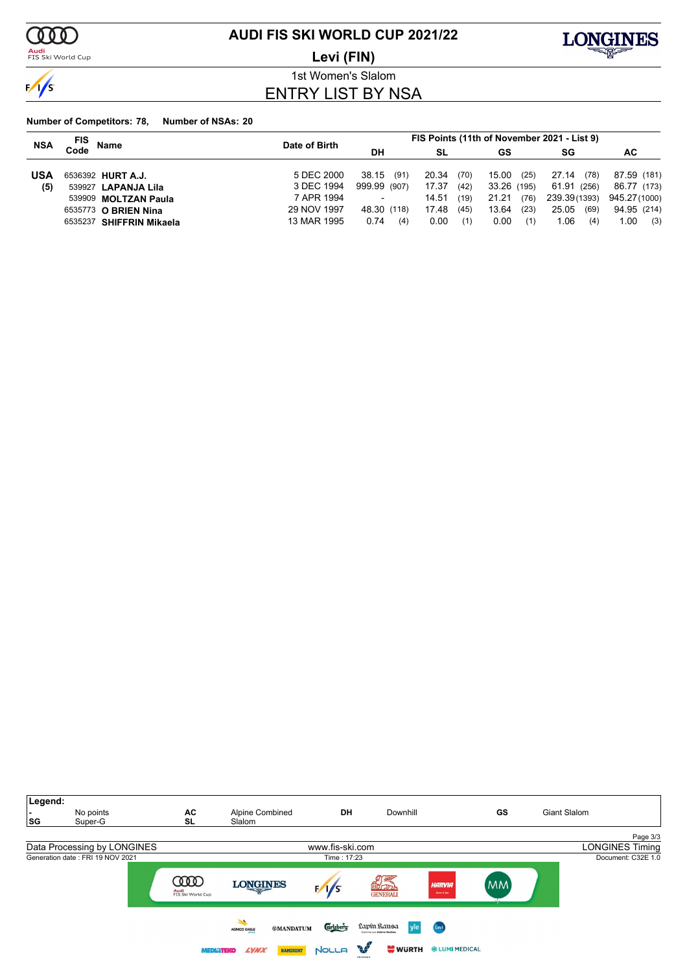

**Audi**<br>FIS Ski World Cup

### **AUDI FIS SKI WORLD CUP 2021/22**

**Levi (FIN)**



1st Women's Slalom ENTRY LIST BY NSA

| <b>NSA</b> | FIS<br><b>Name</b>       | Date of Birth |               | FIS Points (11th of November 2021 - List 9) |               |               |              |
|------------|--------------------------|---------------|---------------|---------------------------------------------|---------------|---------------|--------------|
|            | Code                     |               | <b>DH</b>     | SL                                          | GS            | SG            | AC.          |
| <b>USA</b> | 6536392 HURT A.J.        | 5 DEC 2000    | 38.15<br>(91) | 20.34<br>(70)                               | 15.00<br>(25) | 27.14<br>(78) | 87.59 (181)  |
| (5)        | 539927 LAPANJA Lila      | 3 DEC 1994    | 999.99 (907)  | 17.37<br>(42)                               | 33.26 (195)   | 61.91 (256)   | 86.77 (173)  |
|            | 539909 MOLTZAN Paula     | 7 APR 1994    |               | 14.51<br>(19)                               | 21.21<br>(76) | 239.39(1393)  | 945.27(1000) |
|            | 6535773 O BRIEN Nina     | 29 NOV 1997   | 48.30 (118)   | 17.48<br>(45)                               | 13.64<br>(23) | 25.05<br>(69) | 94.95 (214)  |
|            | 6535237 SHIFFRIN Mikaela | 13 MAR 1995   | 0.74<br>(4)   | 0.00<br>(1)                                 | 0.00<br>(1)   | 1.06<br>(4)   | 1.00<br>(3)  |

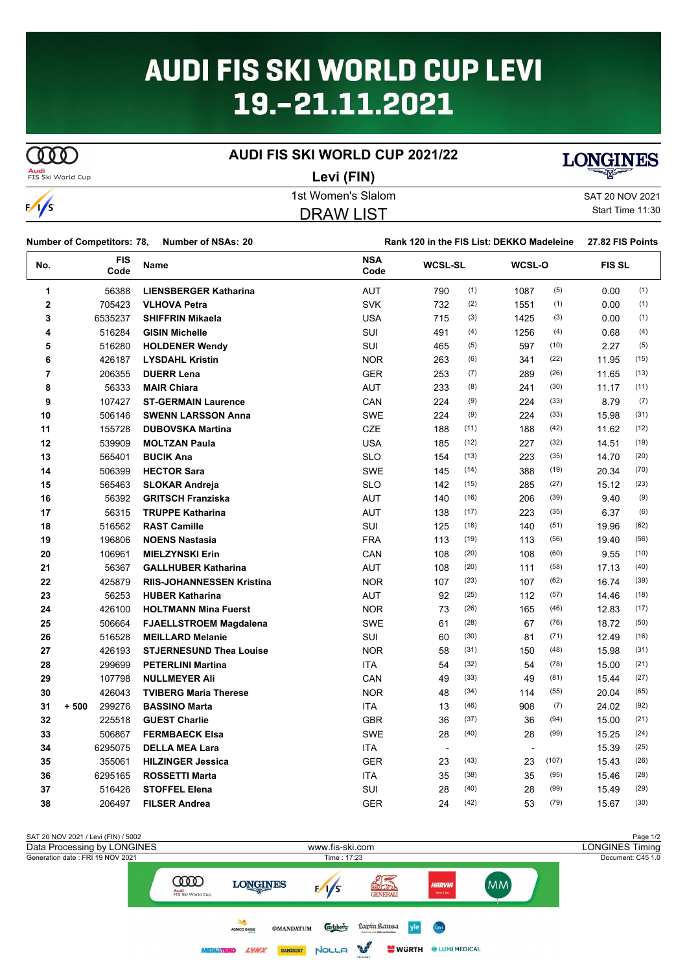# **AUDI FIS SKI WORLD CUP LEVI** 19.-21.11.2021

### **AUDI FIS SKI WORLD CUP 2021/22**

 $\Omega$ **Audi**<br>ETS Ski World C

**Levi (FIN)**



| FIS SKI VVORIG CUD | LEVI (FIN)         | ⋍                |
|--------------------|--------------------|------------------|
|                    | 1st Women's Slalom | SAT 20 NOV 2021  |
| $\sqrt{1}$         | DRAW LIST          | Start Time 11:30 |
|                    |                    |                  |

**Number of Competitors: 78, Number of NSAs: 20 Rank 120 in the FIS List: DEKKO Madeleine 27.82 FIS Points**

| No.            | <b>FIS</b><br>Code | Name                             | <b>NSA</b><br>Code | <b>WCSL-SL</b> |      | WCSL-O                   |       | <b>FISSL</b> |      |
|----------------|--------------------|----------------------------------|--------------------|----------------|------|--------------------------|-------|--------------|------|
| 1              | 56388              | <b>LIENSBERGER Katharina</b>     | <b>AUT</b>         | 790            | (1)  | 1087                     | (5)   | 0.00         | (1)  |
| $\bf{2}$       | 705423             | <b>VLHOVA Petra</b>              | <b>SVK</b>         | 732            | (2)  | 1551                     | (1)   | 0.00         | (1)  |
| 3              | 6535237            | <b>SHIFFRIN Mikaela</b>          | <b>USA</b>         | 715            | (3)  | 1425                     | (3)   | 0.00         | (1)  |
| 4              | 516284             | <b>GISIN Michelle</b>            | <b>SUI</b>         | 491            | (4)  | 1256                     | (4)   | 0.68         | (4)  |
| 5              | 516280             | <b>HOLDENER Wendy</b>            | <b>SUI</b>         | 465            | (5)  | 597                      | (10)  | 2.27         | (5)  |
| 6              | 426187             | <b>LYSDAHL Kristin</b>           | <b>NOR</b>         | 263            | (6)  | 341                      | (22)  | 11.95        | (15) |
| $\overline{7}$ | 206355             | <b>DUERR Lena</b>                | <b>GER</b>         | 253            | (7)  | 289                      | (26)  | 11.65        | (13) |
| 8              | 56333              | <b>MAIR Chiara</b>               | <b>AUT</b>         | 233            | (8)  | 241                      | (30)  | 11.17        | (11) |
| 9              | 107427             | <b>ST-GERMAIN Laurence</b>       | CAN                | 224            | (9)  | 224                      | (33)  | 8.79         | (7)  |
| 10             | 506146             | <b>SWENN LARSSON Anna</b>        | <b>SWE</b>         | 224            | (9)  | 224                      | (33)  | 15.98        | (31) |
| 11             | 155728             | <b>DUBOVSKA Martina</b>          | <b>CZE</b>         | 188            | (11) | 188                      | (42)  | 11.62        | (12) |
| 12             | 539909             | <b>MOLTZAN Paula</b>             | <b>USA</b>         | 185            | (12) | 227                      | (32)  | 14.51        | (19) |
| 13             | 565401             | <b>BUCIK Ana</b>                 | <b>SLO</b>         | 154            | (13) | 223                      | (35)  | 14.70        | (20) |
| 14             | 506399             | <b>HECTOR Sara</b>               | <b>SWE</b>         | 145            | (14) | 388                      | (19)  | 20.34        | (70) |
| 15             | 565463             | <b>SLOKAR Andreja</b>            | <b>SLO</b>         | 142            | (15) | 285                      | (27)  | 15.12        | (23) |
| 16             | 56392              | <b>GRITSCH Franziska</b>         | AUT                | 140            | (16) | 206                      | (39)  | 9.40         | (9)  |
| 17             | 56315              | <b>TRUPPE Katharina</b>          | <b>AUT</b>         | 138            | (17) | 223                      | (35)  | 6.37         | (6)  |
| 18             | 516562             | <b>RAST Camille</b>              | SUI                | 125            | (18) | 140                      | (51)  | 19.96        | (62) |
| 19             | 196806             | <b>NOENS Nastasia</b>            | <b>FRA</b>         | 113            | (19) | 113                      | (56)  | 19.40        | (56) |
| 20             | 106961             | <b>MIELZYNSKI Erin</b>           | CAN                | 108            | (20) | 108                      | (60)  | 9.55         | (10) |
| 21             | 56367              | <b>GALLHUBER Katharina</b>       | <b>AUT</b>         | 108            | (20) | 111                      | (58)  | 17.13        | (40) |
| 22             | 425879             | <b>RIIS-JOHANNESSEN Kristina</b> | <b>NOR</b>         | 107            | (23) | 107                      | (62)  | 16.74        | (39) |
| 23             | 56253              | <b>HUBER Katharina</b>           | <b>AUT</b>         | 92             | (25) | 112                      | (57)  | 14.46        | (18) |
| 24             | 426100             | <b>HOLTMANN Mina Fuerst</b>      | <b>NOR</b>         | 73             | (26) | 165                      | (46)  | 12.83        | (17) |
| 25             | 506664             | <b>FJAELLSTROEM Magdalena</b>    | SWE                | 61             | (28) | 67                       | (76)  | 18.72        | (50) |
| 26             | 516528             | <b>MEILLARD Melanie</b>          | SUI                | 60             | (30) | 81                       | (71)  | 12.49        | (16) |
| 27             | 426193             | <b>STJERNESUND Thea Louise</b>   | <b>NOR</b>         | 58             | (31) | 150                      | (48)  | 15.98        | (31) |
| 28             | 299699             | <b>PETERLINI Martina</b>         | <b>ITA</b>         | 54             | (32) | 54                       | (78)  | 15.00        | (21) |
| 29             | 107798             | <b>NULLMEYER Ali</b>             | CAN                | 49             | (33) | 49                       | (81)  | 15.44        | (27) |
| 30             | 426043             | <b>TVIBERG Maria Therese</b>     | <b>NOR</b>         | 48             | (34) | 114                      | (55)  | 20.04        | (65) |
| 31             | 299276<br>$+500$   | <b>BASSINO Marta</b>             | <b>ITA</b>         | 13             | (46) | 908                      | (7)   | 24.02        | (92) |
| 32             | 225518             | <b>GUEST Charlie</b>             | <b>GBR</b>         | 36             | (37) | 36                       | (94)  | 15.00        | (21) |
| 33             | 506867             | <b>FERMBAECK Elsa</b>            | <b>SWE</b>         | 28             | (40) | 28                       | (99)  | 15.25        | (24) |
| 34             | 6295075            | <b>DELLA MEA Lara</b>            | <b>ITA</b>         | $\blacksquare$ |      | $\overline{\phantom{a}}$ |       | 15.39        | (25) |
| 35             | 355061             | <b>HILZINGER Jessica</b>         | <b>GER</b>         | 23             | (43) | 23                       | (107) | 15.43        | (26) |
| 36             | 6295165            | <b>ROSSETTI Marta</b>            | <b>ITA</b>         | 35             | (38) | 35                       | (95)  | 15.46        | (28) |
| 37             | 516426             | <b>STOFFEL Elena</b>             | SUI                | 28             | (40) | 28                       | (99)  | 15.49        | (29) |
| 38             | 206497             | <b>FILSER Andrea</b>             | <b>GER</b>         | 24             | (42) | 53                       | (79)  | 15.67        | (30) |

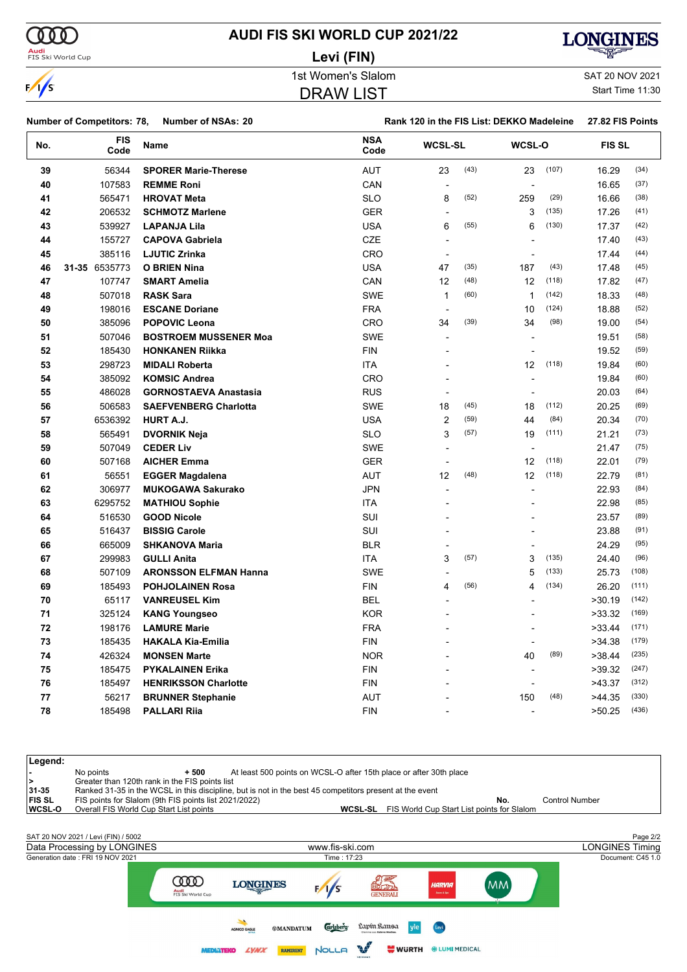**Levi (FIN)**



# $\frac{1}{s}$

**Audi**<br>FIS Ski World Cup

1st Women's Slalom Sattle and SAT 20 NOV 2021

Start Time 11:30

|        |   |          | <b>DRAW LIST</b> |
|--------|---|----------|------------------|
|        |   |          |                  |
| <br>-- | . | $\cdots$ |                  |

#### **Number of Competitors: 78, Number of NSAs: 20 Rank 120 in the FIS List: DEKKO Madeleine 27.82 FIS Points**

| No. | <b>FIS</b><br>Code | Name                         | <b>NSA</b><br>Code | <b>WCSL-SL</b>           |      | <b>WCSL-O</b>            |       | <b>FIS SL</b> |       |
|-----|--------------------|------------------------------|--------------------|--------------------------|------|--------------------------|-------|---------------|-------|
| 39  | 56344              | <b>SPORER Marie-Therese</b>  | <b>AUT</b>         | 23                       | (43) | 23                       | (107) | 16.29         | (34)  |
| 40  | 107583             | <b>REMME Roni</b>            | CAN                | $\overline{\phantom{a}}$ |      | $\overline{\phantom{a}}$ |       | 16.65         | (37)  |
| 41  | 565471             | <b>HROVAT Meta</b>           | <b>SLO</b>         | 8                        | (52) | 259                      | (29)  | 16.66         | (38)  |
| 42  | 206532             | <b>SCHMOTZ Marlene</b>       | <b>GER</b>         | $\overline{\phantom{a}}$ |      | 3                        | (135) | 17.26         | (41)  |
| 43  | 539927             | <b>LAPANJA Lila</b>          | <b>USA</b>         | 6                        | (55) | 6                        | (130) | 17.37         | (42)  |
| 44  | 155727             | <b>CAPOVA Gabriela</b>       | <b>CZE</b>         | $\blacksquare$           |      |                          |       | 17.40         | (43)  |
| 45  | 385116             | <b>LJUTIC Zrinka</b>         | CRO                | $\blacksquare$           |      | $\blacksquare$           |       | 17.44         | (44)  |
| 46  | 31-35 6535773      | <b>O BRIEN Nina</b>          | <b>USA</b>         | 47                       | (35) | 187                      | (43)  | 17.48         | (45)  |
| 47  | 107747             | <b>SMART Amelia</b>          | CAN                | 12                       | (48) | 12                       | (118) | 17.82         | (47)  |
| 48  | 507018             | <b>RASK Sara</b>             | <b>SWE</b>         | $\mathbf{1}$             | (60) | $\mathbf{1}$             | (142) | 18.33         | (48)  |
| 49  | 198016             | <b>ESCANE Doriane</b>        | <b>FRA</b>         | $\blacksquare$           |      | 10                       | (124) | 18.88         | (52)  |
| 50  | 385096             | <b>POPOVIC Leona</b>         | <b>CRO</b>         | 34                       | (39) | 34                       | (98)  | 19.00         | (54)  |
| 51  | 507046             | <b>BOSTROEM MUSSENER Moa</b> | <b>SWE</b>         | $\overline{\phantom{a}}$ |      |                          |       | 19.51         | (58)  |
| 52  | 185430             | <b>HONKANEN Riikka</b>       | <b>FIN</b>         |                          |      |                          |       | 19.52         | (59)  |
| 53  | 298723             | <b>MIDALI Roberta</b>        | <b>ITA</b>         |                          |      | 12                       | (118) | 19.84         | (60)  |
| 54  | 385092             | <b>KOMSIC Andrea</b>         | <b>CRO</b>         |                          |      | ÷,                       |       | 19.84         | (60)  |
| 55  | 486028             | <b>GORNOSTAEVA Anastasia</b> | <b>RUS</b>         | $\blacksquare$           |      |                          |       | 20.03         | (64)  |
| 56  | 506583             | <b>SAEFVENBERG Charlotta</b> | <b>SWE</b>         | 18                       | (45) | 18                       | (112) | 20.25         | (69)  |
| 57  | 6536392            | HURT A.J.                    | <b>USA</b>         | $\overline{c}$           | (59) | 44                       | (84)  | 20.34         | (70)  |
| 58  | 565491             | <b>DVORNIK Neja</b>          | <b>SLO</b>         | 3                        | (57) | 19                       | (111) | 21.21         | (73)  |
| 59  | 507049             | <b>CEDER Liv</b>             | <b>SWE</b>         | ÷,                       |      | $\overline{\phantom{a}}$ |       | 21.47         | (75)  |
| 60  | 507168             | <b>AICHER Emma</b>           | <b>GER</b>         | $\overline{a}$           |      | 12                       | (118) | 22.01         | (79)  |
| 61  | 56551              | <b>EGGER Magdalena</b>       | AUT                | 12                       | (48) | 12                       | (118) | 22.79         | (81)  |
| 62  | 306977             | <b>MUKOGAWA Sakurako</b>     | <b>JPN</b>         | $\overline{\phantom{a}}$ |      |                          |       | 22.93         | (84)  |
| 63  | 6295752            | <b>MATHIOU Sophie</b>        | ITA                |                          |      |                          |       | 22.98         | (85)  |
| 64  | 516530             | <b>GOOD Nicole</b>           | SUI                |                          |      |                          |       | 23.57         | (89)  |
| 65  | 516437             | <b>BISSIG Carole</b>         | SUI                |                          |      |                          |       | 23.88         | (91)  |
| 66  | 665009             | <b>SHKANOVA Maria</b>        | <b>BLR</b>         |                          |      |                          |       | 24.29         | (95)  |
| 67  | 299983             | <b>GULLI Anita</b>           | <b>ITA</b>         | 3                        | (57) | 3                        | (135) | 24.40         | (96)  |
| 68  | 507109             | <b>ARONSSON ELFMAN Hanna</b> | <b>SWE</b>         | $\overline{\phantom{a}}$ |      | 5                        | (133) | 25.73         | (108) |
| 69  | 185493             | <b>POHJOLAINEN Rosa</b>      | <b>FIN</b>         | 4                        | (56) | 4                        | (134) | 26.20         | (111) |
| 70  | 65117              | <b>VANREUSEL Kim</b>         | <b>BEL</b>         | $\overline{a}$           |      |                          |       | >30.19        | (142) |
| 71  | 325124             | <b>KANG Youngseo</b>         | <b>KOR</b>         | $\blacksquare$           |      |                          |       | >33.32        | (169) |
| 72  | 198176             | <b>LAMURE Marie</b>          | <b>FRA</b>         |                          |      | $\overline{\phantom{a}}$ |       | >33.44        | (171) |
| 73  | 185435             | <b>HAKALA Kia-Emilia</b>     | <b>FIN</b>         |                          |      |                          |       | >34.38        | (179) |
| 74  | 426324             | <b>MONSEN Marte</b>          | <b>NOR</b>         |                          |      | 40                       | (89)  | >38.44        | (235) |
| 75  | 185475             | <b>PYKALAINEN Erika</b>      | <b>FIN</b>         |                          |      | $\overline{a}$           |       | >39.32        | (247) |
| 76  | 185497             | <b>HENRIKSSON Charlotte</b>  | <b>FIN</b>         |                          |      |                          |       | >43.37        | (312) |
| 77  | 56217              | <b>BRUNNER Stephanie</b>     | AUT                |                          |      | 150                      | (48)  | >44.35        | (330) |
| 78  | 185498             | <b>PALLARI Rija</b>          | <b>FIN</b>         |                          |      | $\overline{\phantom{a}}$ |       | >50.25        | (436) |

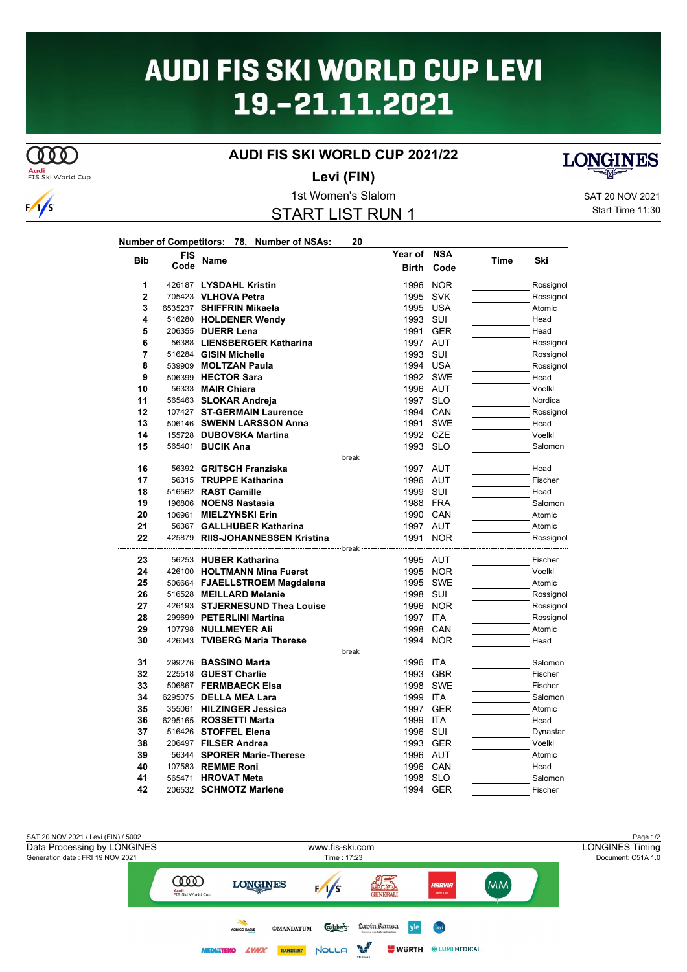# **AUDI FIS SKI WORLD CUP LEVI** 19.-21.11.2021

### **AUDI FIS SKI WORLD CUP 2021/22**

**Audi**<br>FIS Ski World Cup

**COOD** 



Start Time 11:30

**LONGINES** 

| <b>Bib</b>     | <b>FIS</b> | Name                                              | Year of              | <b>NSA</b> |                                                                                                                                                                                                                                                                                                                                                                                                                                                                          |
|----------------|------------|---------------------------------------------------|----------------------|------------|--------------------------------------------------------------------------------------------------------------------------------------------------------------------------------------------------------------------------------------------------------------------------------------------------------------------------------------------------------------------------------------------------------------------------------------------------------------------------|
|                | Code       |                                                   | <b>Birth</b>         | Code       | Ski<br>Time<br>Rossignol<br>Rossignol<br>Atomic<br>Head<br>Head<br>Rossignol<br>Rossignol<br>Rossignol<br>Head<br>Voelkl<br>Nordica<br>Rossignol<br>Head<br>Voelkl<br>Salomon<br>Head<br>Fischer<br>Head<br>Salomon<br>Atomic<br>Atomic<br>Rossignol<br>Fischer<br>Voelkl<br>Atomic<br>Rossignol<br>Rossignol<br>Rossignol<br>Atomic<br>Head<br>Salomon<br>Fischer<br>Fischer<br>Salomon<br>Atomic<br>Head<br>Dynastar<br>Voelkl<br>Atomic<br>Head<br>Salomon<br>Fischer |
| 1              |            | 426187 LYSDAHL Kristin                            |                      | 1996 NOR   |                                                                                                                                                                                                                                                                                                                                                                                                                                                                          |
| $\overline{2}$ |            | 705423 VLHOVA Petra                               | 1995 SVK             |            |                                                                                                                                                                                                                                                                                                                                                                                                                                                                          |
| 3              |            | 6535237 SHIFFRIN Mikaela                          | 1995 USA             |            |                                                                                                                                                                                                                                                                                                                                                                                                                                                                          |
| 4              |            | 516280 HOLDENER Wendy                             | 1993 SUI             |            |                                                                                                                                                                                                                                                                                                                                                                                                                                                                          |
| 5              |            | 206355 DUERR Lena                                 | 1991 GER             |            |                                                                                                                                                                                                                                                                                                                                                                                                                                                                          |
| 6              |            | 56388 LIENSBERGER Katharina                       | 1997 AUT             |            |                                                                                                                                                                                                                                                                                                                                                                                                                                                                          |
| 7              |            | 516284 GISIN Michelle                             | 1993 SUI             |            |                                                                                                                                                                                                                                                                                                                                                                                                                                                                          |
| 8              |            | 539909 MOLTZAN Paula                              | 1994 USA             |            |                                                                                                                                                                                                                                                                                                                                                                                                                                                                          |
| 9              |            | 506399 HECTOR Sara                                |                      | 1992 SWE   |                                                                                                                                                                                                                                                                                                                                                                                                                                                                          |
| 10             |            | 56333 MAIR Chiara                                 | 1996 AUT             |            |                                                                                                                                                                                                                                                                                                                                                                                                                                                                          |
| 11             |            | 565463 SLOKAR Andreja                             | 1997 SLO             |            |                                                                                                                                                                                                                                                                                                                                                                                                                                                                          |
| 12             |            | 107427 ST-GERMAIN Laurence                        | 1994 CAN             |            |                                                                                                                                                                                                                                                                                                                                                                                                                                                                          |
| 13             |            | 506146 SWENN LARSSON Anna                         |                      | 1991 SWE   |                                                                                                                                                                                                                                                                                                                                                                                                                                                                          |
| 14             |            | 155728 DUBOVSKA Martina                           | 1992 CZE             |            |                                                                                                                                                                                                                                                                                                                                                                                                                                                                          |
| 15             |            | 565401 <b>BUCIK Ana</b>                           | 1993 SLO             |            |                                                                                                                                                                                                                                                                                                                                                                                                                                                                          |
|                |            | -----------------                                 | - break              |            |                                                                                                                                                                                                                                                                                                                                                                                                                                                                          |
| 16<br>17       |            | 56392 GRITSCH Franziska<br>56315 TRUPPE Katharina | 1997 AUT<br>1996 AUT |            |                                                                                                                                                                                                                                                                                                                                                                                                                                                                          |
|                |            | 516562 RAST Camille                               |                      |            |                                                                                                                                                                                                                                                                                                                                                                                                                                                                          |
| 18<br>19       |            | 196806 NOENS Nastasia                             | 1999 SUI<br>1988 FRA |            |                                                                                                                                                                                                                                                                                                                                                                                                                                                                          |
| 20             |            | 106961 MIELZYNSKI Erin                            | 1990 CAN             |            |                                                                                                                                                                                                                                                                                                                                                                                                                                                                          |
| 21             |            | 56367 GALLHUBER Katharina                         | 1997 AUT             |            |                                                                                                                                                                                                                                                                                                                                                                                                                                                                          |
| 22             |            | 425879 RIIS-JOHANNESSEN Kristina                  | 1991 NOR             |            |                                                                                                                                                                                                                                                                                                                                                                                                                                                                          |
|                |            |                                                   |                      |            |                                                                                                                                                                                                                                                                                                                                                                                                                                                                          |
| 23             |            | 56253 HUBER Katharina                             | 1995 AUT             |            |                                                                                                                                                                                                                                                                                                                                                                                                                                                                          |
| 24             |            | 426100 HOLTMANN Mina Fuerst                       |                      | 1995 NOR   |                                                                                                                                                                                                                                                                                                                                                                                                                                                                          |
| 25             |            | 506664 FJAELLSTROEM Magdalena                     |                      | 1995 SWE   |                                                                                                                                                                                                                                                                                                                                                                                                                                                                          |
| 26             |            | 516528 MEILLARD Melanie                           | 1998 SUI             |            |                                                                                                                                                                                                                                                                                                                                                                                                                                                                          |
| 27             |            | 426193 STJERNESUND Thea Louise                    |                      | 1996 NOR   |                                                                                                                                                                                                                                                                                                                                                                                                                                                                          |
| 28             |            | 299699 PETERLINI Martina                          | 1997 ITA             |            |                                                                                                                                                                                                                                                                                                                                                                                                                                                                          |
| 29             |            | 107798 NULLMEYER Ali                              | 1998 CAN             |            |                                                                                                                                                                                                                                                                                                                                                                                                                                                                          |
| 30             |            | 426043 TVIBERG Maria Therese                      |                      | 1994 NOR   |                                                                                                                                                                                                                                                                                                                                                                                                                                                                          |
|                |            |                                                   | break                |            |                                                                                                                                                                                                                                                                                                                                                                                                                                                                          |
| 31             |            | 299276 BASSINO Marta                              | 1996 ITA             |            |                                                                                                                                                                                                                                                                                                                                                                                                                                                                          |
| 32             |            | 225518 GUEST Charlie                              |                      | 1993 GBR   |                                                                                                                                                                                                                                                                                                                                                                                                                                                                          |
| 33             |            | 506867 FERMBAECK Elsa                             |                      | 1998 SWE   |                                                                                                                                                                                                                                                                                                                                                                                                                                                                          |
| 34             |            | 6295075 DELLA MEA Lara                            | 1999 ITA             |            |                                                                                                                                                                                                                                                                                                                                                                                                                                                                          |
| 35             |            | 355061 HILZINGER Jessica                          |                      | 1997 GER   |                                                                                                                                                                                                                                                                                                                                                                                                                                                                          |
| 36             |            | 6295165 ROSSETTI Marta                            | 1999 ITA             |            |                                                                                                                                                                                                                                                                                                                                                                                                                                                                          |
| 37             |            | 516426 STOFFEL Elena                              | 1996 SUI             |            |                                                                                                                                                                                                                                                                                                                                                                                                                                                                          |
| 38             |            | 206497 FILSER Andrea                              |                      | 1993 GER   |                                                                                                                                                                                                                                                                                                                                                                                                                                                                          |
| 39             |            | 56344 SPORER Marie-Therese                        | 1996 AUT             |            |                                                                                                                                                                                                                                                                                                                                                                                                                                                                          |
| 40             |            | 107583 REMME Roni                                 | 1996 CAN             |            |                                                                                                                                                                                                                                                                                                                                                                                                                                                                          |
| 41             |            | 565471 HROVAT Meta                                | 1998 SLO             |            |                                                                                                                                                                                                                                                                                                                                                                                                                                                                          |
| 42             |            | 206532 SCHMOTZ Marlene                            |                      | 1994 GER   |                                                                                                                                                                                                                                                                                                                                                                                                                                                                          |



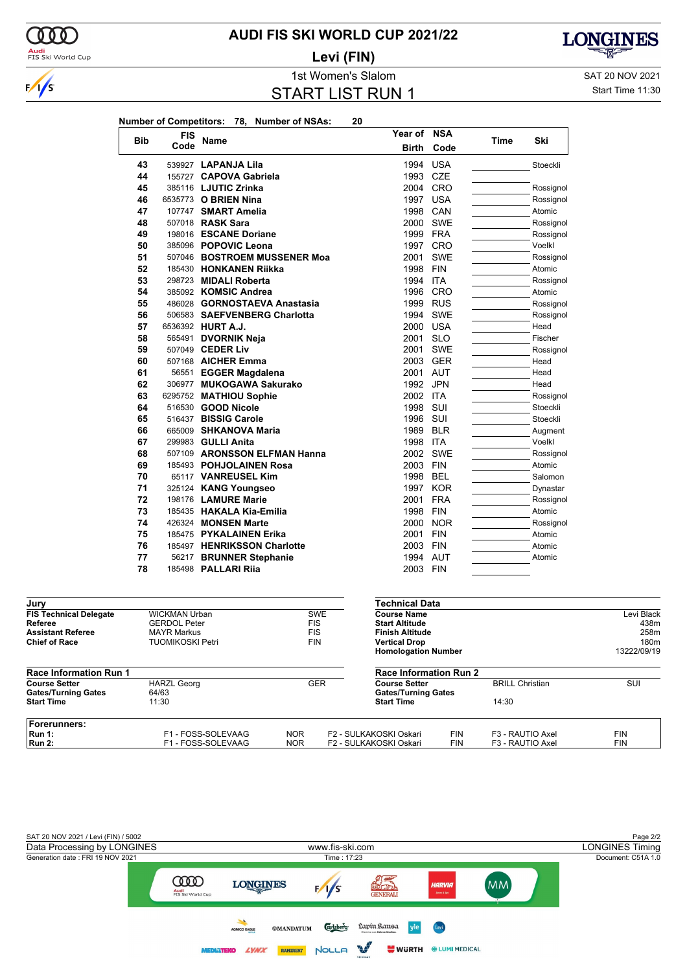

### **AUDI FIS SKI WORLD CUP 2021/22**

**Levi (FIN)**



1st Women's Slalom SAT 20 NOV 2021 START LIST RUN 1

Start Time 11:30

|            | <b>FIS</b> | Name                         | Year of NSA  |            |             |           |
|------------|------------|------------------------------|--------------|------------|-------------|-----------|
| <b>Bib</b> | Code       |                              | <b>Birth</b> | Code       | <b>Time</b> | Ski       |
| 43         |            | 539927 LAPANJA Lila          | 1994         | <b>USA</b> |             | Stoeckli  |
| 44         |            | 155727 CAPOVA Gabriela       | 1993         | <b>CZE</b> |             |           |
| 45         |            | 385116 LJUTIC Zrinka         | 2004         | CRO        |             | Rossignol |
| 46         |            | 6535773 O BRIEN Nina         | 1997         | <b>USA</b> |             | Rossignol |
| 47         |            | 107747 SMART Amelia          | 1998         | CAN        |             | Atomic    |
| 48         |            | 507018 RASK Sara             | 2000         | <b>SWE</b> |             | Rossignol |
| 49         |            | 198016 ESCANE Doriane        | 1999 FRA     |            |             | Rossignol |
| 50         |            | 385096 POPOVIC Leona         | 1997         | <b>CRO</b> |             | Voelkl    |
| 51         |            | 507046 BOSTROEM MUSSENER Moa | 2001         | <b>SWE</b> |             | Rossignol |
| 52         |            | 185430 HONKANEN Riikka       | 1998         | <b>FIN</b> |             | Atomic    |
| 53         |            | 298723 MIDALI Roberta        | 1994         | <b>ITA</b> |             | Rossignol |
| 54         |            | 385092 KOMSIC Andrea         | 1996         | CRO        |             | Atomic    |
| 55         |            | 486028 GORNOSTAEVA Anastasia | 1999         | <b>RUS</b> |             | Rossignol |
| 56         |            | 506583 SAEFVENBERG Charlotta | 1994         | <b>SWE</b> |             | Rossignol |
| 57         |            | 6536392 HURT A.J.            | 2000         | <b>USA</b> |             | Head      |
| 58         | 565491     | <b>DVORNIK Neja</b>          | 2001         | <b>SLO</b> |             | Fischer   |
| 59         |            | 507049 CEDER Liv             | 2001         | <b>SWE</b> |             | Rossignol |
| 60         |            | 507168 AICHER Emma           | 2003         | <b>GER</b> |             | Head      |
| 61         |            | 56551 EGGER Magdalena        | 2001         | <b>AUT</b> |             | Head      |
| 62         |            | 306977 MUKOGAWA Sakurako     | 1992         | <b>JPN</b> |             | Head      |
| 63         |            | 6295752 MATHIOU Sophie       | 2002 ITA     |            |             | Rossignol |
| 64         |            | 516530 <b>GOOD Nicole</b>    | 1998         | SUI        |             | Stoeckli  |
| 65         |            | 516437 BISSIG Carole         | 1996         | SUI        |             | Stoeckli  |
| 66         |            | 665009 SHKANOVA Maria        | 1989         | <b>BLR</b> |             | Augment   |
| 67         |            | 299983 GULLI Anita           | 1998         | <b>ITA</b> |             | Voelkl    |
| 68         |            | 507109 ARONSSON ELFMAN Hanna | 2002         | <b>SWE</b> |             | Rossignol |
| 69         |            | 185493 POHJOLAINEN Rosa      | 2003         | <b>FIN</b> |             | Atomic    |
| 70         |            | 65117 VANREUSEL Kim          | 1998         | <b>BEL</b> |             | Salomon   |
| 71         |            | 325124 KANG Youngseo         | 1997         | <b>KOR</b> |             | Dynastar  |
| 72         |            | 198176 <b>LAMURE Marie</b>   | 2001         | <b>FRA</b> |             | Rossignol |
| 73         |            | 185435 HAKALA Kia-Emilia     | 1998         | <b>FIN</b> |             | Atomic    |
| 74         |            | 426324 MONSEN Marte          | 2000         | <b>NOR</b> |             | Rossignol |
| 75         |            | 185475 PYKALAINEN Erika      | 2001         | <b>FIN</b> |             | Atomic    |
| 76         |            | 185497 HENRIKSSON Charlotte  | 2003         | <b>FIN</b> |             | Atomic    |
| 77         |            | 56217 BRUNNER Stephanie      | 1994         | <b>AUT</b> |             | Atomic    |
| 78         |            | 185498 PALLARI Rija          | 2003         | <b>FIN</b> |             |           |

| Jury                                               |                             |            |            | <b>Technical Data</b>                              |            |                        |                  |  |  |
|----------------------------------------------------|-----------------------------|------------|------------|----------------------------------------------------|------------|------------------------|------------------|--|--|
| <b>FIS Technical Delegate</b>                      | <b>WICKMAN Urban</b>        |            | <b>SWE</b> | <b>Course Name</b>                                 |            |                        | Levi Black       |  |  |
| Referee                                            | <b>GERDOL Peter</b>         |            | <b>FIS</b> | <b>Start Altitude</b>                              |            |                        | 438m             |  |  |
| <b>Assistant Referee</b>                           | <b>MAYR Markus</b>          | <b>FIS</b> |            | <b>Finish Altitude</b>                             |            |                        |                  |  |  |
| <b>Chief of Race</b>                               | <b>TUOMIKOSKI Petri</b>     |            | <b>FIN</b> | <b>Vertical Drop</b>                               |            |                        | 180 <sub>m</sub> |  |  |
|                                                    |                             |            |            | <b>Homologation Number</b>                         |            |                        | 13222/09/19      |  |  |
| <b>Race Information Run 1</b>                      |                             |            |            | <b>Race Information Run 2</b>                      |            |                        |                  |  |  |
| <b>Course Setter</b><br><b>Gates/Turning Gates</b> | <b>HARZL Georg</b><br>64/63 |            | <b>GER</b> | <b>Course Setter</b><br><b>Gates/Turning Gates</b> |            | <b>BRILL Christian</b> | SUI              |  |  |
| <b>Start Time</b>                                  | 11:30                       |            |            | <b>Start Time</b>                                  |            | 14:30                  |                  |  |  |
| <b>Forerunners:</b>                                |                             |            |            |                                                    |            |                        |                  |  |  |
| Run 1:                                             | F1 - FOSS-SOLEVAAG          | <b>NOR</b> |            | F2 - SULKAKOSKI Oskari                             | <b>FIN</b> | F3 - RAUTIO Axel       | <b>FIN</b>       |  |  |
| <b>Run 2:</b>                                      | F1 - FOSS-SOLEVAAG          | <b>NOR</b> |            | F2 - SULKAKOSKI Oskari                             | <b>FIN</b> | F3 - RAUTIO Axel       | <b>FIN</b>       |  |  |

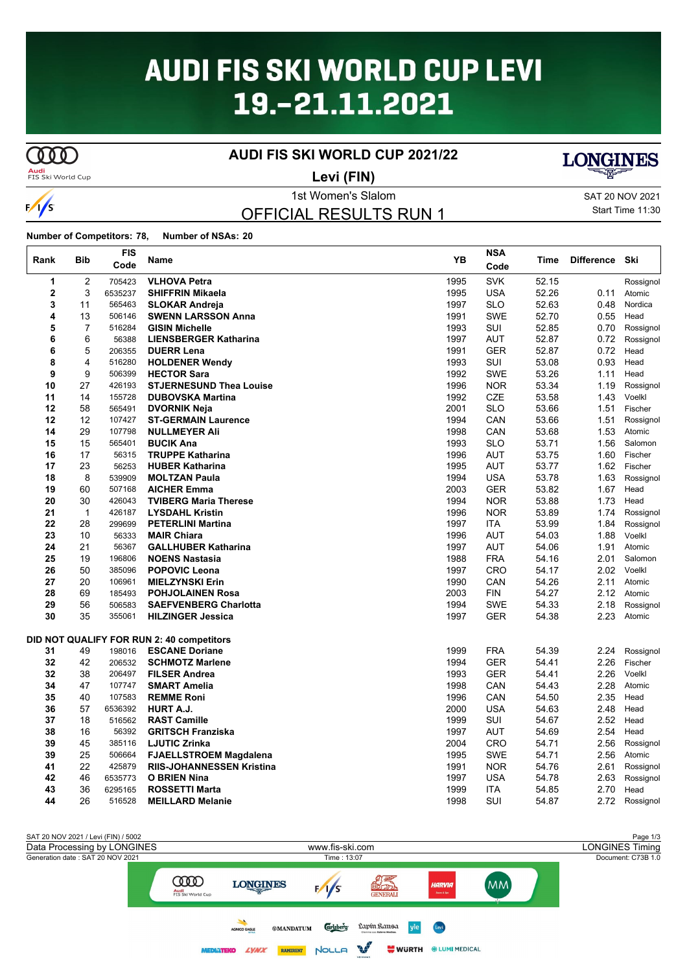# **AUDI FIS SKI WORLD CUP LEVI** 19.-21.11.2021

# **COOD**

 $\frac{1}{s}$ 

 $\mathbf{I}$ 

### **AUDI FIS SKI WORLD CUP 2021/22**

**Audi**<br>FIS Ski World Cup

**Levi (FIN)**



1st Women's Slalom SAT 20 NOV 2021 Start Time 11:30

OFFICIAL RESULTS RUN 1

#### **Number of Competitors: 78, Number of NSAs: 20**

| Rank           | Bib          | FIS<br>Code | Name                                      | YB   | <b>NSA</b><br>Code | Time  | <b>Difference</b> | Ski       |
|----------------|--------------|-------------|-------------------------------------------|------|--------------------|-------|-------------------|-----------|
| 1              | 2            | 705423      | <b>VLHOVA Petra</b>                       | 1995 | <b>SVK</b>         | 52.15 |                   | Rossignol |
| $\overline{2}$ | 3            | 6535237     | <b>SHIFFRIN Mikaela</b>                   | 1995 | <b>USA</b>         | 52.26 | 0.11              | Atomic    |
| 3              | 11           | 565463      | <b>SLOKAR Andreja</b>                     | 1997 | <b>SLO</b>         | 52.63 | 0.48              | Nordica   |
| 4              | 13           | 506146      | <b>SWENN LARSSON Anna</b>                 | 1991 | <b>SWE</b>         | 52.70 | 0.55              | Head      |
| 5              | 7            | 516284      | <b>GISIN Michelle</b>                     | 1993 | SUI                | 52.85 | 0.70              | Rossignol |
| 6              | 6            | 56388       | <b>LIENSBERGER Katharina</b>              | 1997 | <b>AUT</b>         | 52.87 | 0.72              | Rossignol |
| 6              | 5            | 206355      | <b>DUERR Lena</b>                         | 1991 | <b>GER</b>         | 52.87 | 0.72              | Head      |
| 8              | 4            | 516280      | <b>HOLDENER Wendy</b>                     | 1993 | SUI                | 53.08 | 0.93              | Head      |
| 9              | 9            | 506399      | <b>HECTOR Sara</b>                        | 1992 | <b>SWE</b>         | 53.26 | 1.11              | Head      |
| 10             | 27           | 426193      | <b>STJERNESUND Thea Louise</b>            | 1996 | <b>NOR</b>         | 53.34 | 1.19              | Rossignol |
| 11             | 14           | 155728      | <b>DUBOVSKA Martina</b>                   | 1992 | <b>CZE</b>         | 53.58 | 1.43              | Voelkl    |
| 12             | 58           | 565491      | <b>DVORNIK Neja</b>                       | 2001 | <b>SLO</b>         | 53.66 | 1.51              | Fischer   |
| 12             | 12           | 107427      | <b>ST-GERMAIN Laurence</b>                | 1994 | CAN                | 53.66 | 1.51              | Rossignol |
| 14             | 29           | 107798      | <b>NULLMEYER Ali</b>                      | 1998 | CAN                | 53.68 | 1.53              | Atomic    |
| 15             | 15           | 565401      | <b>BUCIK Ana</b>                          | 1993 | <b>SLO</b>         | 53.71 | 1.56              | Salomon   |
| 16             | 17           | 56315       | <b>TRUPPE Katharina</b>                   | 1996 | <b>AUT</b>         | 53.75 | 1.60              | Fischer   |
| 17             | 23           | 56253       | <b>HUBER Katharina</b>                    | 1995 | <b>AUT</b>         | 53.77 | 1.62              | Fischer   |
| 18             | 8            | 539909      | <b>MOLTZAN Paula</b>                      | 1994 | <b>USA</b>         | 53.78 | 1.63              | Rossignol |
| 19             | 60           | 507168      | <b>AICHER Emma</b>                        | 2003 | <b>GER</b>         | 53.82 | 1.67              | Head      |
| 20             | 30           | 426043      | <b>TVIBERG Maria Therese</b>              | 1994 | <b>NOR</b>         | 53.88 | 1.73              | Head      |
| 21             | $\mathbf{1}$ | 426187      | <b>LYSDAHL Kristin</b>                    | 1996 | <b>NOR</b>         | 53.89 | 1.74              | Rossignol |
| 22             | 28           | 299699      | <b>PETERLINI Martina</b>                  | 1997 | <b>ITA</b>         | 53.99 | 1.84              | Rossignol |
| 23             | 10           | 56333       | <b>MAIR Chiara</b>                        | 1996 | AUT                | 54.03 | 1.88              | Voelkl    |
| 24             | 21           | 56367       | <b>GALLHUBER Katharina</b>                | 1997 | <b>AUT</b>         | 54.06 | 1.91              | Atomic    |
| 25             | 19           | 196806      | <b>NOENS Nastasia</b>                     | 1988 | <b>FRA</b>         | 54.16 | 2.01              | Salomon   |
| 26             | 50           | 385096      | <b>POPOVIC Leona</b>                      | 1997 | <b>CRO</b>         | 54.17 | 2.02              | Voelkl    |
| 27             | 20           | 106961      | <b>MIELZYNSKI Erin</b>                    | 1990 | CAN                | 54.26 | 2.11              | Atomic    |
| 28             | 69           | 185493      | <b>POHJOLAINEN Rosa</b>                   | 2003 | <b>FIN</b>         | 54.27 | 2.12              | Atomic    |
| 29             | 56           | 506583      | <b>SAEFVENBERG Charlotta</b>              | 1994 | SWE                | 54.33 | 2.18              | Rossignol |
| 30             | 35           | 355061      | <b>HILZINGER Jessica</b>                  | 1997 | GER                | 54.38 | 2.23              | Atomic    |
|                |              |             | DID NOT QUALIFY FOR RUN 2: 40 competitors |      |                    |       |                   |           |
| 31             | 49           | 198016      | <b>ESCANE Doriane</b>                     | 1999 | <b>FRA</b>         | 54.39 | 2.24              | Rossignol |
| 32             | 42           | 206532      | <b>SCHMOTZ Marlene</b>                    | 1994 | <b>GER</b>         | 54.41 | 2.26              | Fischer   |
| 32             | 38           | 206497      | <b>FILSER Andrea</b>                      | 1993 | <b>GER</b>         | 54.41 | 2.26              | Voelkl    |
| 34             | 47           | 107747      | <b>SMART Amelia</b>                       | 1998 | CAN                | 54.43 | 2.28              | Atomic    |
| 35             | 40           | 107583      | <b>REMME Roni</b>                         | 1996 | CAN                | 54.50 | 2.35              | Head      |
| 36             | 57           | 6536392     | HURT A.J.                                 | 2000 | <b>USA</b>         | 54.63 | 2.48              | Head      |
| 37             | 18           | 516562      | <b>RAST Camille</b>                       | 1999 | SUI                | 54.67 | 2.52              | Head      |
| 38             | 16           | 56392       | <b>GRITSCH Franziska</b>                  | 1997 | <b>AUT</b>         | 54.69 | 2.54              | Head      |
| 39             | 45           | 385116      | <b>LJUTIC Zrinka</b>                      | 2004 | <b>CRO</b>         | 54.71 | 2.56              | Rossignol |
| 39             | 25           | 506664      | <b>FJAELLSTROEM Magdalena</b>             | 1995 | <b>SWE</b>         | 54.71 | 2.56              | Atomic    |
| 41             | 22           | 425879      | <b>RIIS-JOHANNESSEN Kristina</b>          | 1991 | <b>NOR</b>         | 54.76 | 2.61              | Rossignol |
| 42             | 46           | 6535773     | <b>O BRIEN Nina</b>                       | 1997 | <b>USA</b>         | 54.78 | 2.63              | Rossignol |
| 43             | 36           | 6295165     | <b>ROSSETTI Marta</b>                     | 1999 | <b>ITA</b>         | 54.85 | 2.70              | Head      |
| 44             | 26           | 516528      | <b>MEILLARD Melanie</b>                   | 1998 | SUI                | 54.87 | 2.72              | Rossignol |
|                |              |             |                                           |      |                    |       |                   |           |

SAT 20 NOV 2021 / Levi (FIN) / 5002<br>
Data Processing by LONGINES **Page 1/3**<br>
Www.fis-ski.com **Data Processing by LONGINES Timing** Data Processing by LONGINES www.fis-ski.com Generation date : SAT 20 NOV 2021 Time : 13:07 Document: C73B 1.0 *の実*<br>配分 **COOD** (MM) **LONGINES**  $\frac{1}{s}$ HARVIA Audi<br>FIS Ski World Cup **Carlsberg** Lapín Ransa **®MANDATUM** yle AGNICO EAGLE  $\mathbb{R}^n$ **LYNX** RAMIRENT NOLLA **WURTH \*LUMI MEDICAL MEDIATEKO**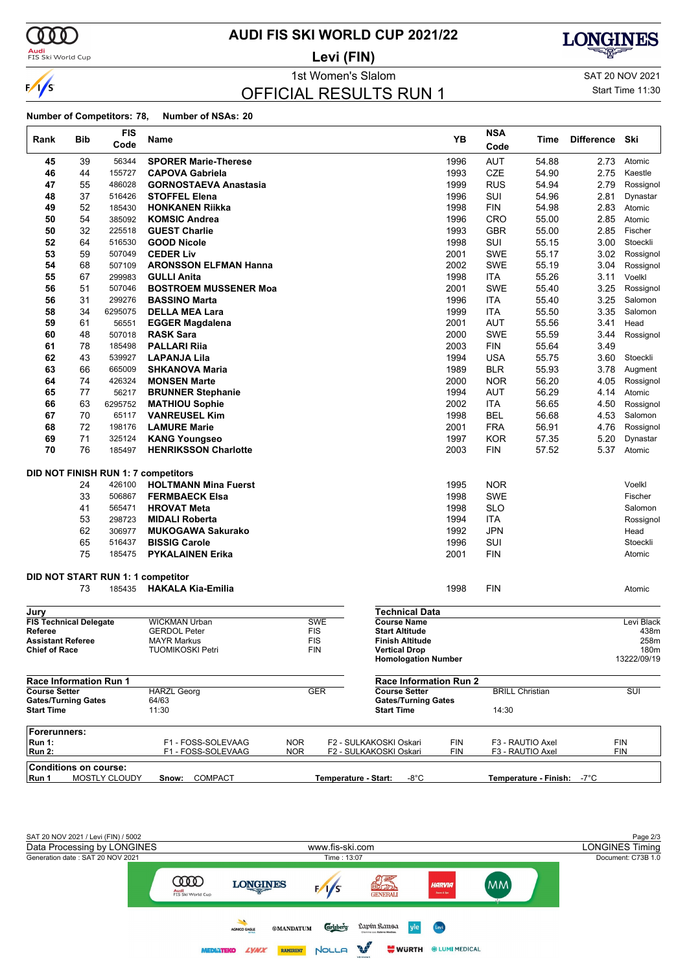

**Audi**<br>FIS Ski World Cup

### **AUDI FIS SKI WORLD CUP 2021/22**

**Levi (FIN)**

1st Women's Slalom Sattle and SAT 20 NOV 2021

**LONGINES** 

### OFFICIAL RESULTS RUN 1

Start Time 11:30

|                                                  |                                        | <b>FIS</b>                                                         |                                                                                                                                                                                                                                  |            |                   |                        |                       |                               |                                                      | <b>NSA</b>                                                                       |                            |                   |                                                                         |
|--------------------------------------------------|----------------------------------------|--------------------------------------------------------------------|----------------------------------------------------------------------------------------------------------------------------------------------------------------------------------------------------------------------------------|------------|-------------------|------------------------|-----------------------|-------------------------------|------------------------------------------------------|----------------------------------------------------------------------------------|----------------------------|-------------------|-------------------------------------------------------------------------|
| Rank                                             | Bib                                    | Code                                                               | Name                                                                                                                                                                                                                             |            |                   |                        |                       |                               | YB                                                   | Code                                                                             | Time                       | <b>Difference</b> | Ski                                                                     |
| 45                                               | 39                                     | 56344                                                              | <b>SPORER Marie-Therese</b>                                                                                                                                                                                                      |            |                   |                        |                       |                               | 1996                                                 | <b>AUT</b>                                                                       | 54.88                      | 2.73              | Atomic                                                                  |
| 46                                               | 44                                     | 155727                                                             | <b>CAPOVA Gabriela</b>                                                                                                                                                                                                           |            |                   |                        |                       |                               | 1993                                                 | <b>CZE</b>                                                                       | 54.90                      | 2.75              | Kaestle                                                                 |
| 47                                               | 55                                     | 486028                                                             | <b>GORNOSTAEVA Anastasia</b>                                                                                                                                                                                                     |            |                   |                        |                       |                               | 1999                                                 | <b>RUS</b>                                                                       | 54.94                      | 2.79              | Rossignol                                                               |
| 48                                               | 37                                     | 516426                                                             | <b>STOFFEL Elena</b>                                                                                                                                                                                                             |            |                   |                        |                       |                               | 1996                                                 | SUI                                                                              | 54.96                      | 2.81              | Dynastar                                                                |
| 49                                               | 52                                     | 185430                                                             | <b>HONKANEN Riikka</b>                                                                                                                                                                                                           |            |                   |                        |                       |                               | 1998                                                 | <b>FIN</b>                                                                       | 54.98                      | 2.83              | Atomic                                                                  |
| 50                                               | 54                                     | 385092                                                             | <b>KOMSIC Andrea</b>                                                                                                                                                                                                             |            |                   |                        |                       |                               | 1996                                                 | CRO                                                                              | 55.00                      | 2.85              | Atomic                                                                  |
| 50                                               | 32                                     | 225518                                                             | <b>GUEST Charlie</b>                                                                                                                                                                                                             |            |                   |                        |                       |                               | 1993                                                 | <b>GBR</b>                                                                       | 55.00                      | 2.85              | Fischer                                                                 |
| 52                                               | 64                                     | 516530                                                             | <b>GOOD Nicole</b>                                                                                                                                                                                                               |            |                   |                        |                       |                               | 1998                                                 | SUI                                                                              | 55.15                      | 3.00              | Stoeckli                                                                |
| 53                                               | 59                                     | 507049                                                             | <b>CEDER Liv</b>                                                                                                                                                                                                                 |            |                   |                        |                       |                               | 2001                                                 | <b>SWE</b>                                                                       | 55.17                      | 3.02              | Rossignol                                                               |
| 54                                               | 68                                     | 507109                                                             | <b>ARONSSON ELFMAN Hanna</b>                                                                                                                                                                                                     |            |                   |                        |                       |                               | 2002                                                 | <b>SWE</b>                                                                       | 55.19                      | 3.04              | Rossignol                                                               |
| 55                                               | 67                                     | 299983                                                             | <b>GULLI Anita</b>                                                                                                                                                                                                               |            |                   |                        |                       |                               | 1998                                                 | <b>ITA</b>                                                                       | 55.26                      | 3.11              | Voelkl                                                                  |
| 56                                               | 51                                     | 507046                                                             | <b>BOSTROEM MUSSENER Moa</b>                                                                                                                                                                                                     |            |                   |                        |                       |                               | 2001                                                 | <b>SWE</b>                                                                       | 55.40                      | 3.25              | Rossignol                                                               |
| 56                                               | 31                                     | 299276                                                             | <b>BASSINO Marta</b>                                                                                                                                                                                                             |            |                   |                        |                       |                               | 1996                                                 | <b>ITA</b>                                                                       | 55.40                      | 3.25              | Salomon                                                                 |
| 58                                               | 34                                     | 6295075                                                            | <b>DELLA MEA Lara</b>                                                                                                                                                                                                            |            |                   |                        |                       |                               | 1999                                                 | <b>ITA</b>                                                                       | 55.50                      | 3.35              | Salomon                                                                 |
| 59                                               | 61                                     | 56551                                                              | <b>EGGER Magdalena</b>                                                                                                                                                                                                           |            |                   |                        |                       |                               | 2001                                                 | <b>AUT</b>                                                                       | 55.56                      | 3.41              | Head                                                                    |
| 60                                               | 48                                     | 507018                                                             | <b>RASK Sara</b>                                                                                                                                                                                                                 |            |                   |                        |                       |                               | 2000                                                 | <b>SWE</b>                                                                       | 55.59                      | 3.44              | Rossignol                                                               |
| 61                                               | 78                                     | 185498                                                             | <b>PALLARI Rija</b>                                                                                                                                                                                                              |            |                   |                        |                       |                               | 2003                                                 | <b>FIN</b>                                                                       | 55.64                      | 3.49              |                                                                         |
| 62                                               | 43                                     | 539927                                                             | <b>LAPANJA Lila</b>                                                                                                                                                                                                              |            |                   |                        |                       |                               | 1994                                                 | <b>USA</b>                                                                       | 55.75                      | 3.60              | Stoeckli                                                                |
| 63<br>64                                         | 66<br>74                               | 665009<br>426324                                                   | <b>SHKANOVA Maria</b>                                                                                                                                                                                                            |            |                   |                        |                       |                               | 1989                                                 | <b>BLR</b>                                                                       | 55.93                      | 3.78              | Augment                                                                 |
| 65                                               | 77                                     | 56217                                                              | <b>MONSEN Marte</b><br><b>BRUNNER Stephanie</b>                                                                                                                                                                                  |            |                   |                        |                       |                               | 2000<br>1994                                         | <b>NOR</b><br>AUT                                                                | 56.20<br>56.29             | 4.05<br>4.14      | Rossignol<br>Atomic                                                     |
| 66                                               | 63                                     | 6295752                                                            | <b>MATHIOU Sophie</b>                                                                                                                                                                                                            |            |                   |                        |                       |                               | 2002                                                 | <b>ITA</b>                                                                       | 56.65                      | 4.50              | Rossignol                                                               |
| 67                                               | 70                                     | 65117                                                              | <b>VANREUSEL Kim</b>                                                                                                                                                                                                             |            |                   |                        |                       |                               | 1998                                                 | <b>BEL</b>                                                                       | 56.68                      | 4.53              | Salomon                                                                 |
| 68                                               | 72                                     | 198176                                                             | <b>LAMURE Marie</b>                                                                                                                                                                                                              |            |                   |                        |                       |                               | 2001                                                 | <b>FRA</b>                                                                       | 56.91                      | 4.76              | Rossignol                                                               |
| 69                                               | 71                                     | 325124                                                             | <b>KANG Youngseo</b>                                                                                                                                                                                                             |            |                   |                        |                       |                               | 1997                                                 | <b>KOR</b>                                                                       | 57.35                      | 5.20              | Dynastar                                                                |
| 70                                               | 76                                     | 185497                                                             | <b>HENRIKSSON Charlotte</b>                                                                                                                                                                                                      |            |                   |                        |                       |                               | 2003                                                 | <b>FIN</b>                                                                       | 57.52                      | 5.37              | Atomic                                                                  |
|                                                  | 24<br>33<br>41<br>53<br>62<br>65<br>75 | 426100<br>506867<br>565471<br>298723<br>306977<br>516437<br>185475 | <b>DID NOT FINISH RUN 1: 7 competitors</b><br><b>HOLTMANN Mina Fuerst</b><br><b>FERMBAECK Elsa</b><br><b>HROVAT Meta</b><br><b>MIDALI Roberta</b><br><b>MUKOGAWA Sakurako</b><br><b>BISSIG Carole</b><br><b>PYKALAINEN Erika</b> |            |                   |                        |                       |                               | 1995<br>1998<br>1998<br>1994<br>1992<br>1996<br>2001 | <b>NOR</b><br>SWE<br><b>SLO</b><br><b>ITA</b><br><b>JPN</b><br>SUI<br><b>FIN</b> |                            |                   | Voelkl<br>Fischer<br>Salomon<br>Rossignol<br>Head<br>Stoeckli<br>Atomic |
|                                                  |                                        |                                                                    | <b>DID NOT START RUN 1: 1 competitor</b>                                                                                                                                                                                         |            |                   |                        |                       |                               |                                                      |                                                                                  |                            |                   |                                                                         |
|                                                  | 73                                     | 185435                                                             | <b>HAKALA Kia-Emilia</b>                                                                                                                                                                                                         |            |                   |                        |                       |                               | 1998                                                 | <b>FIN</b>                                                                       |                            |                   | Atomic                                                                  |
| Jury                                             |                                        |                                                                    |                                                                                                                                                                                                                                  |            |                   |                        |                       | <b>Technical Data</b>         |                                                      |                                                                                  |                            |                   |                                                                         |
| <b>FIS Technical Delegate</b>                    |                                        |                                                                    | WICKMAN Urban                                                                                                                                                                                                                    |            | <b>SWE</b>        |                        |                       | <b>Course Name</b>            |                                                      |                                                                                  |                            |                   | Levi Black                                                              |
| Referee                                          |                                        |                                                                    | <b>GERDOL Peter</b>                                                                                                                                                                                                              |            | <b>FIS</b>        |                        | <b>Start Altitude</b> |                               |                                                      |                                                                                  |                            |                   | 438m                                                                    |
| <b>Assistant Referee</b><br><b>Chief of Race</b> |                                        |                                                                    | <b>MAYR Markus</b><br><b>TUOMIKOSKI Petri</b>                                                                                                                                                                                    |            | <b>FIS</b><br>FIN |                        | <b>Vertical Drop</b>  | <b>Finish Altitude</b>        |                                                      |                                                                                  |                            |                   | 258m<br>180m                                                            |
|                                                  |                                        |                                                                    |                                                                                                                                                                                                                                  |            |                   |                        |                       | <b>Homologation Number</b>    |                                                      |                                                                                  |                            |                   | 13222/09/19                                                             |
| Race Information Run 1                           |                                        |                                                                    |                                                                                                                                                                                                                                  |            |                   |                        |                       | <b>Race Information Run 2</b> |                                                      |                                                                                  |                            |                   |                                                                         |
| <b>Course Setter</b>                             |                                        |                                                                    | <b>HARZL Georg</b>                                                                                                                                                                                                               |            | <b>GER</b>        |                        |                       | <b>Course Setter</b>          |                                                      |                                                                                  | <b>BRILL Christian</b>     |                   | SUI                                                                     |
| <b>Gates/Turning Gates</b><br><b>Start Time</b>  |                                        |                                                                    | 64/63<br>11:30                                                                                                                                                                                                                   |            |                   |                        | <b>Start Time</b>     | <b>Gates/Turning Gates</b>    |                                                      | 14:30                                                                            |                            |                   |                                                                         |
| Forerunners:                                     |                                        |                                                                    |                                                                                                                                                                                                                                  |            |                   |                        |                       |                               |                                                      |                                                                                  |                            |                   |                                                                         |
| <b>Run 1:</b>                                    |                                        |                                                                    | F1 - FOSS-SOLEVAAG                                                                                                                                                                                                               | <b>NOR</b> |                   | F2 - SULKAKOSKI Oskari |                       |                               | <b>FIN</b>                                           |                                                                                  | F3 - RAUTIO Axel           |                   | FIN                                                                     |
| <b>Run 2:</b>                                    |                                        |                                                                    | F1 - FOSS-SOLEVAAG                                                                                                                                                                                                               | NOR.       |                   | F2 - SULKAKOSKI Oskari |                       |                               | FIN                                                  |                                                                                  | F3 - RAUTIO Axel           |                   | <b>FIN</b>                                                              |
| <b>Conditions on course:</b>                     |                                        |                                                                    |                                                                                                                                                                                                                                  |            |                   |                        |                       |                               |                                                      |                                                                                  |                            |                   |                                                                         |
| Run 1                                            |                                        | MOSTLY CLOUDY                                                      | <b>COMPACT</b><br>Snow:                                                                                                                                                                                                          |            |                   | Temperature - Start:   |                       | $-8^{\circ}$ C                |                                                      |                                                                                  | Temperature - Finish: -7°C |                   |                                                                         |

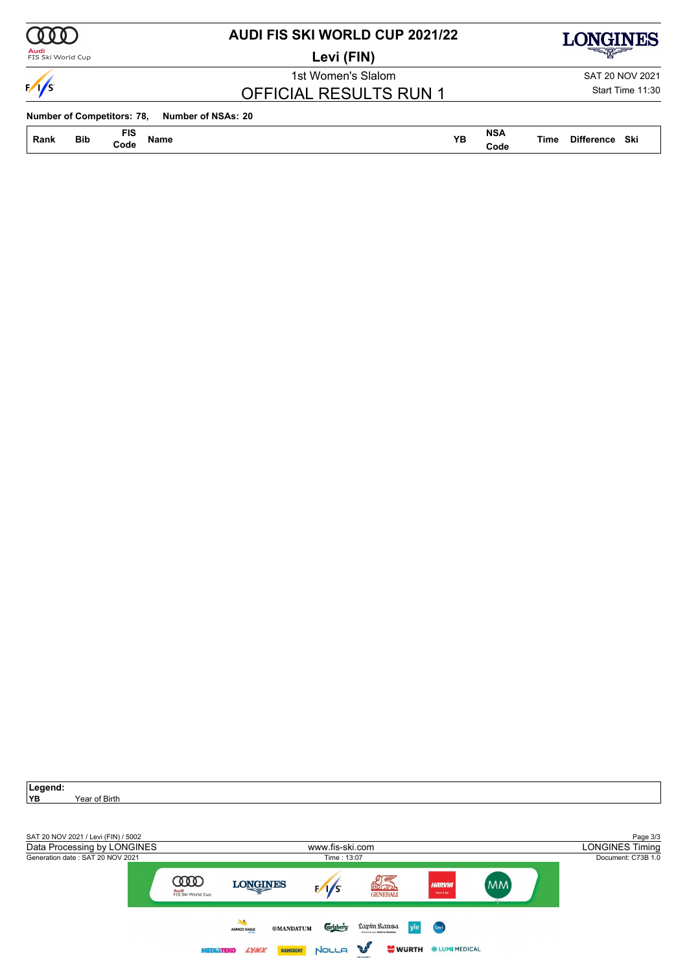

### **AUDI FIS SKI WORLD CUP 2021/22**

**Levi (FIN)**



**LONGINES** 

 $\sqrt{s}$ 

1st Women's Slalom SAT 20 NOV 2021 OFFICIAL RESULTS RUN 1

Start Time 11:30

**Number of Competitors: 78, Number of NSAs: 20**

**Bib FIS Rank Name YB Time Difference Code**

**NSA Code**

**Time Difference Ski** 

| Legend:<br>YB<br>Year of Birth                                                                         |                                       |                                                                           |                                  |                                                                       |                               |                |                                                          |
|--------------------------------------------------------------------------------------------------------|---------------------------------------|---------------------------------------------------------------------------|----------------------------------|-----------------------------------------------------------------------|-------------------------------|----------------|----------------------------------------------------------|
| SAT 20 NOV 2021 / Levi (FIN) / 5002<br>Data Processing by LONGINES<br>Generation date: SAT 20 NOV 2021 |                                       |                                                                           | www.fis-ski.com<br>Time: 13:07   |                                                                       |                               |                | Page 3/3<br><b>LONGINES Timing</b><br>Document: C73B 1.0 |
|                                                                                                        | $\infty$<br>Audi<br>FIS Ski World Cup | <b>LONGINES</b>                                                           |                                  | れ茎<br>SCREE<br><b>GENERALI</b>                                        | HARVIA<br>Secret & Spe        | MM <sup></sup> |                                                          |
|                                                                                                        | <b>MEDIATEKO</b>                      | <b>®MANDATUM</b><br><b>AGNICO EAGLE</b><br><b>LYNX</b><br><b>RAMIRENT</b> | <b>Carlsberg</b><br><b>NOLLA</b> | Lapín Ransa<br>yle<br>Olemma oso Kaleya Mediao<br>불 WURTH<br>VEIKKAUT | Levi<br><b>WELUMI MEDICAL</b> |                |                                                          |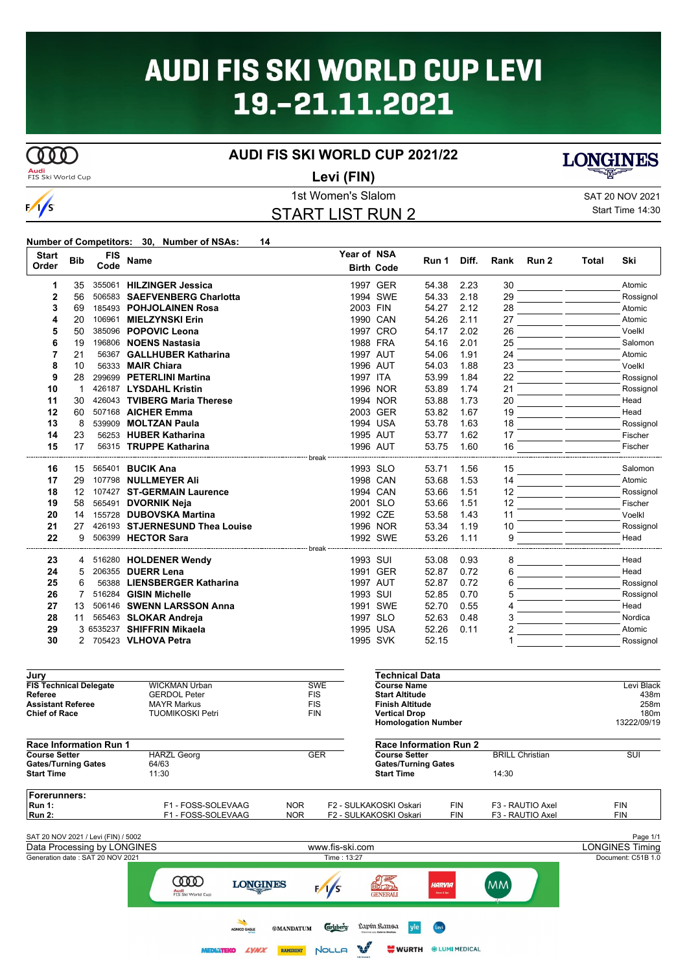# **AUDI FIS SKI WORLD CUP LEVI** 19.-21.11.2021

# $\overline{\text{CD}}$

 $\frac{1}{s}$ 

### **AUDI FIS SKI WORLD CUP 2021/22**



### **Levi (FIN)**

### 1st Women's Slalom SAT 20 NOV 2021 START LIST RUN 2



Start Time 14:30

#### **Number of Competitors: 30, Number of NSAs: 14**

| <b>Start</b><br>Order | <b>Bib</b>     | <b>FIS</b><br>Code | <b>Name</b>                    | Year of NSA | <b>Birth Code</b>     | Run 1 | Diff. | Rank | Run 2 | <b>Total</b> | Ski       |
|-----------------------|----------------|--------------------|--------------------------------|-------------|-----------------------|-------|-------|------|-------|--------------|-----------|
| 1                     | 35             |                    | 355061 HILZINGER Jessica       |             | 1997 GER              | 54.38 | 2.23  | 30   |       |              | Atomic    |
| 2                     | 56             |                    | 506583 SAEFVENBERG Charlotta   |             | 1994 SWE              | 54.33 | 2.18  | 29   |       |              | Rossignol |
| 3                     | 69             |                    | 185493 POHJOLAINEN Rosa        | 2003 FIN    |                       | 54.27 | 2.12  | 28   |       |              | Atomic    |
| 4                     | 20             | 106961             | <b>MIELZYNSKI Erin</b>         |             | 1990 CAN              | 54.26 | 2.11  | 27   |       |              | Atomic    |
| 5                     | 50             |                    | 385096 POPOVIC Leona           |             | 1997 CRO              | 54.17 | 2.02  | 26   |       |              | Voelkl    |
| 6                     | 19             |                    | 196806 NOENS Nastasia          |             | 1988 FRA              | 54.16 | 2.01  | 25   |       |              | Salomon   |
| 7                     | 21             |                    | 56367 GALLHUBER Katharina      |             | 1997 AUT              | 54.06 | 1.91  | 24   |       |              | Atomic    |
| 8                     | 10             |                    | 56333 MAIR Chiara              |             | 1996 AUT              | 54.03 | 1.88  | 23   |       |              | Voelkl    |
| 9                     | 28             |                    | 299699 PETERLINI Martina       | 1997 ITA    |                       | 53.99 | 1.84  | 22   |       |              | Rossignol |
| 10                    | $\overline{1}$ |                    | 426187 LYSDAHL Kristin         |             | 1996 NOR              | 53.89 | 1.74  | 21   |       |              | Rossignol |
| 11                    | 30             |                    | 426043 TVIBERG Maria Therese   |             | 1994 NOR              | 53.88 | 1.73  | 20   |       |              | Head      |
| 12                    | 60             |                    | 507168 AICHER Emma             |             | 2003 GER              | 53.82 | 1.67  | 19   |       |              | Head      |
| 13                    | 8              |                    | 539909 MOLTZAN Paula           |             | 1994 USA              | 53.78 | 1.63  | 18   |       |              | Rossignol |
| 14                    | 23             |                    | 56253 HUBER Katharina          |             | 1995 AUT              | 53.77 | 1.62  | 17   |       |              | Fischer   |
| 15                    | 17             |                    | 56315 TRUPPE Katharina         |             | 1996 AUT              | 53.75 | 1.60  | 16   |       |              | Fischer   |
|                       |                |                    |                                |             |                       |       |       |      |       |              |           |
| 16                    | 15             |                    | 565401 BUCIK Ana               |             | 1993 SLO              | 53.71 | 1.56  | 15   |       |              | Salomon   |
| 17                    | 29             |                    | 107798 NULLMEYER Ali           |             | 1998 CAN              | 53.68 | 1.53  | 14   |       |              | Atomic    |
| 18                    | 12             |                    | 107427 ST-GERMAIN Laurence     |             | 1994 CAN              | 53.66 | 1.51  | 12   |       |              | Rossignol |
| 19                    | 58             |                    | 565491 DVORNIK Neja            |             | 2001 SLO              | 53.66 | 1.51  | 12   |       |              | Fischer   |
| 20                    | 14             |                    | 155728 DUBOVSKA Martina        |             | 1992 CZE              | 53.58 | 1.43  | 11   |       |              | Voelkl    |
| 21                    | 27             |                    | 426193 STJERNESUND Thea Louise |             | 1996 NOR              | 53.34 | 1.19  | 10   |       |              | Rossignol |
| 22                    | 9              |                    | 506399 HECTOR Sara             |             | 1992 SWE              | 53.26 | 1.11  | 9    |       |              | Head      |
|                       |                |                    |                                | break       |                       |       |       |      |       |              |           |
| 23                    | 4              |                    | 516280 HOLDENER Wendy          | 1993 SUI    |                       | 53.08 | 0.93  | 8    |       |              | Head      |
| 24                    | 5              |                    | 206355 DUERR Lena              |             | 1991 GER              | 52.87 | 0.72  | 6    |       |              | Head      |
| 25                    | 6              |                    | 56388 LIENSBERGER Katharina    |             | 1997 AUT              | 52.87 | 0.72  | 6    |       |              | Rossignol |
| 26                    |                |                    | 516284 GISIN Michelle          | 1993 SUI    |                       | 52.85 | 0.70  | 5    |       |              | Rossignol |
| 27                    | 13             |                    | 506146 SWENN LARSSON Anna      |             | 1991 SWE              | 52.70 | 0.55  | 4    |       |              | Head      |
| 28                    | 11             |                    | 565463 SLOKAR Andreja          |             | 1997 SLO              | 52.63 | 0.48  | 3    |       |              | Nordica   |
| 29                    |                |                    | 3 6535237 SHIFFRIN Mikaela     |             | 1995 USA              | 52.26 | 0.11  | 2    |       |              | Atomic    |
| 30                    |                |                    | 2 705423 VLHOVA Petra          |             | 1995 SVK              | 52.15 |       |      |       |              | Rossignol |
| Jury                  |                |                    |                                |             | <b>Technical Data</b> |       |       |      |       |              |           |

| <b>FIS Technical Delegate</b>       | <b>WICKMAN Urban</b>                    | <b>SWE</b>                                                  | <b>Course Name</b>                                                        |                       |                        | Levi Black             |
|-------------------------------------|-----------------------------------------|-------------------------------------------------------------|---------------------------------------------------------------------------|-----------------------|------------------------|------------------------|
| Referee                             | <b>GERDOL Peter</b>                     | <b>FIS</b>                                                  | <b>Start Altitude</b>                                                     |                       |                        | 438m                   |
| <b>Assistant Referee</b>            | <b>MAYR Markus</b>                      | <b>FIS</b>                                                  | <b>Finish Altitude</b>                                                    |                       |                        | 258m                   |
| <b>Chief of Race</b>                | <b>TUOMIKOSKI Petri</b>                 | <b>FIN</b>                                                  | <b>Vertical Drop</b>                                                      |                       |                        | 180 <sub>m</sub>       |
|                                     |                                         |                                                             | <b>Homologation Number</b>                                                |                       |                        | 13222/09/19            |
| <b>Race Information Run 1</b>       |                                         |                                                             | <b>Race Information Run 2</b>                                             |                       |                        |                        |
| <b>Course Setter</b>                | <b>HARZL Georg</b>                      | <b>GER</b>                                                  | <b>Course Setter</b>                                                      |                       | <b>BRILL Christian</b> | SUI                    |
| <b>Gates/Turning Gates</b>          | 64/63                                   |                                                             | <b>Gates/Turning Gates</b>                                                |                       |                        |                        |
| <b>Start Time</b>                   | 11:30                                   |                                                             | <b>Start Time</b>                                                         |                       | 14:30                  |                        |
| <b>Forerunners:</b>                 |                                         |                                                             |                                                                           |                       |                        |                        |
| <b>Run 1:</b>                       | F1 - FOSS-SOLEVAAG                      | <b>NOR</b>                                                  | F2 - SULKAKOSKI Oskari                                                    | <b>FIN</b>            | F3 - RAUTIO Axel       | <b>FIN</b>             |
| <b>Run 2:</b>                       | F1 - FOSS-SOLEVAAG                      | <b>NOR</b>                                                  | F2 - SULKAKOSKI Oskari                                                    | <b>FIN</b>            | F3 - RAUTIO Axel       | <b>FIN</b>             |
|                                     |                                         |                                                             |                                                                           |                       |                        |                        |
| SAT 20 NOV 2021 / Levi (FIN) / 5002 |                                         |                                                             |                                                                           |                       |                        | Page 1/1               |
| Data Processing by LONGINES         |                                         | www.fis-ski.com                                             |                                                                           |                       |                        | <b>LONGINES Timing</b> |
| Generation date: SAT 20 NOV 2021    |                                         | Time: 13:27                                                 |                                                                           |                       |                        | Document: C51B 1.0     |
|                                     | <b>TID</b><br>Audi<br>FIS Ski World Cup | <b>LONGINES</b><br>F/S                                      | りましい かいしょう かいしょう じょうかい じゅうかい じゅうかい りょうしゅう りょうしゃ しゅうしゅう<br><b>GENERALI</b> | HARVIA<br>Seune & Spe | <b>MM</b>              |                        |
|                                     |                                         | <b>Carlsberg</b><br><b>®MANDATUM</b><br><b>AGNICO EAGLE</b> | Lapín Kansa<br>vle                                                        | Levi                  |                        |                        |

**ANY** 

MEDIATEKO ZYWY RAMIRENT NOLLA

**WURTH \*LUMI MEDICAL**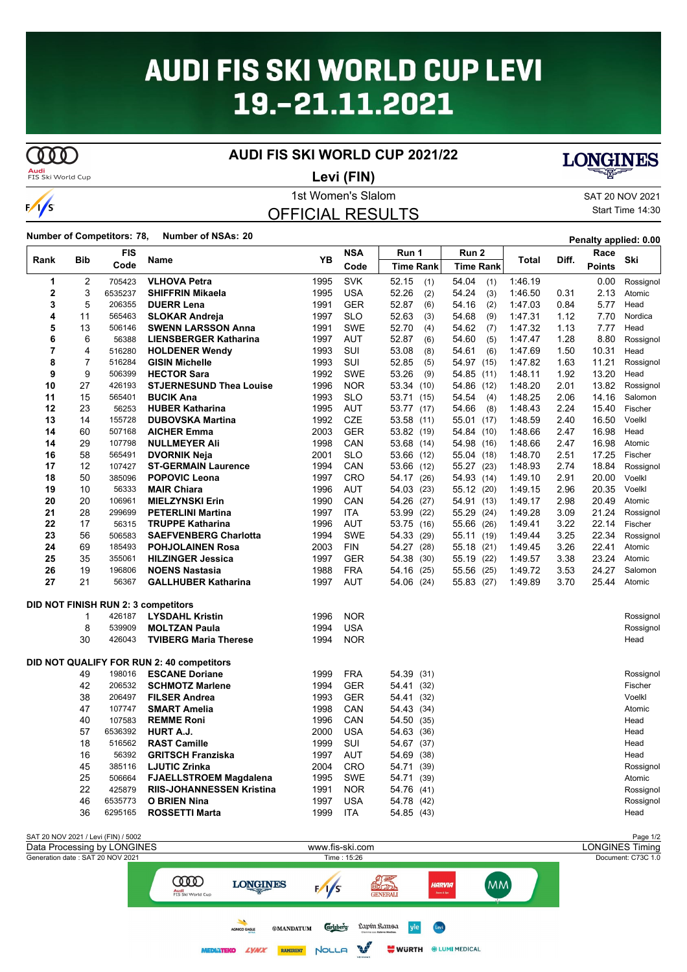# **AUDI FIS SKI WORLD CUP LEVI** 19.-21.11.2021

# **COO**

### **AUDI FIS SKI WORLD CUP 2021/22**

**Audi**<br>FIS Ski World Cup

**Levi (FIN)**

## **LONGINES**

# $\frac{1}{s}$

### 1st Women's Slalom SAT 20 NOV 2021 OFFICIAL RESULTS

Start Time 14:30

### **Number of Competitors: 78, Number of NSAs: <sup>20</sup> Penalty applied: 0.00**

| <b>FIS</b><br>Rank<br>Bib |          |                  | Name                                       | YB   | <b>NSA</b> | Run 1            | Run 2            | Total   | Diff. | Race          | Ski       |
|---------------------------|----------|------------------|--------------------------------------------|------|------------|------------------|------------------|---------|-------|---------------|-----------|
|                           |          | Code             |                                            |      | Code       | <b>Time Rank</b> | <b>Time Rank</b> |         |       | <b>Points</b> |           |
| 1                         | 2        | 705423           | <b>VLHOVA Petra</b>                        | 1995 | <b>SVK</b> | 52.15<br>(1)     | 54.04<br>(1)     | 1:46.19 |       | 0.00          | Rossignol |
| $\mathbf 2$               | 3        | 6535237          | <b>SHIFFRIN Mikaela</b>                    | 1995 | <b>USA</b> | 52.26<br>(2)     | (3)<br>54.24     | 1:46.50 | 0.31  | 2.13          | Atomic    |
| 3                         | 5        | 206355           | <b>DUERR Lena</b>                          | 1991 | <b>GER</b> | 52.87<br>(6)     | (2)<br>54.16     | 1:47.03 | 0.84  | 5.77          | Head      |
| 4                         | 11       | 565463           | <b>SLOKAR Andreja</b>                      | 1997 | <b>SLO</b> | 52.63<br>(3)     | 54.68<br>(9)     | 1 47 31 | 1.12  | 7.70          | Nordica   |
| 5                         | 13       | 506146           | <b>SWENN LARSSON Anna</b>                  | 1991 | <b>SWE</b> | 52.70<br>(4)     | 54.62<br>(7)     | 1:47.32 | 1.13  | 7.77          | Head      |
| 6                         | 6        | 56388            | <b>LIENSBERGER Katharina</b>               | 1997 | <b>AUT</b> | 52.87<br>(6)     | 54.60<br>(5)     | 1:47.47 | 1.28  | 8.80          | Rossignol |
| 7                         | 4        | 516280           | <b>HOLDENER Wendy</b>                      | 1993 | SUI        | 53.08<br>(8)     | 54.61<br>(6)     | 1:47.69 | 1.50  | 10.31         | Head      |
| 8                         | 7        | 516284           | <b>GISIN Michelle</b>                      | 1993 | SUI        | 52.85<br>(5)     | 54.97<br>(15)    | 1:47.82 | 1.63  | 11.21         | Rossignol |
| 9                         | 9        | 506399           | <b>HECTOR Sara</b>                         | 1992 | <b>SWE</b> | 53.26<br>(9)     | 54.85<br>(11)    | 1:48.11 | 1.92  | 13.20         | Head      |
| 10                        | 27       | 426193           | <b>STJERNESUND Thea Louise</b>             | 1996 | <b>NOR</b> | 53.34<br>(10)    | 54.86<br>(12)    | 1:48.20 | 2.01  | 13.82         | Rossignol |
| 11                        | 15       | 565401           | <b>BUCIK Ana</b>                           | 1993 | <b>SLO</b> | 53.71<br>(15)    | 54.54<br>(4)     | 1:48.25 | 2.06  | 14.16         | Salomon   |
| 12                        | 23       | 56253            | <b>HUBER Katharina</b>                     | 1995 | <b>AUT</b> | 53.77<br>(17)    | 54.66<br>(8)     | 1:48.43 | 2.24  | 15.40         | Fischer   |
| 13                        | 14       | 155728           | <b>DUBOVSKA Martina</b>                    | 1992 | <b>CZE</b> | 53.58<br>(11)    | 55.01<br>(17)    | 1:48.59 | 2.40  | 16.50         | Voelkl    |
| 14                        | 60       | 507168           | <b>AICHER Emma</b>                         | 2003 | <b>GER</b> | 53.82 (19)       | 54.84<br>(10)    | 1:48.66 | 2.47  | 16.98         | Head      |
| 14                        | 29       | 107798           | <b>NULLMEYER Ali</b>                       | 1998 | CAN        | 53.68<br>(14)    | 54.98<br>(16)    | 1.48.66 | 2.47  | 16.98         | Atomic    |
| 16                        | 58       | 565491           | <b>DVORNIK Neja</b>                        | 2001 | <b>SLO</b> | 53.66<br>(12)    | 55.04 (18)       | 1:48.70 | 2.51  | 17.25         | Fischer   |
| 17                        | 12       | 107427           | <b>ST-GERMAIN Laurence</b>                 | 1994 | CAN        | 53.66<br>(12)    | 55.27 (23)       | 1.48.93 | 2.74  | 18.84         | Rossignol |
| 18                        | 50       | 385096           | <b>POPOVIC Leona</b>                       | 1997 | <b>CRO</b> | 54.17<br>(26)    | 54.93<br>(14)    | 1:49.10 | 2.91  | 20.00         | Voelkl    |
| 19                        | 10       | 56333            | <b>MAIR Chiara</b>                         | 1996 | <b>AUT</b> | 54.03<br>(23)    | 55.12 (20)       | 1:49.15 | 2.96  | 20.35         | Voelkl    |
| 20                        | 20       | 106961           | <b>MIELZYNSKI Erin</b>                     | 1990 | CAN        | 54.26<br>(27)    | 54.91 (13)       | 1:49.17 | 2.98  | 20.49         | Atomic    |
| 21                        | 28       | 299699           | <b>PETERLINI Martina</b>                   | 1997 | <b>ITA</b> | 53.99<br>(22)    | 55.29<br>(24)    | 1:49.28 | 3.09  | 21.24         | Rossignol |
| 22                        | 17       | 56315            | <b>TRUPPE Katharina</b>                    | 1996 | <b>AUT</b> | 53.75<br>(16)    | 55.66<br>(26)    | 1:49.41 | 3.22  | 22.14         | Fischer   |
| 23                        | 56       | 506583           | <b>SAEFVENBERG Charlotta</b>               | 1994 | <b>SWE</b> | 54.33<br>(29)    | 55.11<br>(19)    | 1:49.44 | 3.25  | 22.34         | Rossignol |
| 24                        | 69       | 185493           | <b>POHJOLAINEN Rosa</b>                    | 2003 | <b>FIN</b> | 54.27<br>(28)    | 55.18 (21)       | 1:49.45 | 3.26  | 22.41         | Atomic    |
| 25                        | 35       | 355061           | <b>HILZINGER Jessica</b>                   | 1997 | <b>GER</b> | 54.38<br>(30)    | (22)<br>55.19    | 1:49.57 | 3.38  | 23.24         | Atomic    |
| 26                        | 19       | 196806           | <b>NOENS Nastasia</b>                      | 1988 | <b>FRA</b> | 54.16<br>(25)    | 55.56<br>(25)    | 1:49.72 | 3.53  | 24.27         | Salomon   |
| 27                        | 21       | 56367            | <b>GALLHUBER Katharina</b>                 | 1997 | <b>AUT</b> | 54.06<br>(24)    | 55.83 (27)       | 1:49.89 | 3.70  | 25.44         | Atomic    |
|                           |          |                  | <b>DID NOT FINISH RUN 2: 3 competitors</b> |      |            |                  |                  |         |       |               |           |
|                           | 1        | 426187           | <b>LYSDAHL Kristin</b>                     | 1996 | <b>NOR</b> |                  |                  |         |       |               | Rossignol |
|                           | 8        | 539909           | <b>MOLTZAN Paula</b>                       | 1994 | USA        |                  |                  |         |       |               | Rossignol |
|                           | 30       | 426043           | <b>TVIBERG Maria Therese</b>               | 1994 | <b>NOR</b> |                  |                  |         |       |               | Head      |
|                           |          |                  |                                            |      |            |                  |                  |         |       |               |           |
|                           |          |                  | DID NOT QUALIFY FOR RUN 2: 40 competitors  |      |            |                  |                  |         |       |               |           |
|                           | 49       | 198016           | <b>ESCANE Doriane</b>                      | 1999 | <b>FRA</b> | 54.39<br>(31)    |                  |         |       |               | Rossignol |
|                           | 42       | 206532           | <b>SCHMOTZ Marlene</b>                     | 1994 | <b>GER</b> | 54.41<br>(32)    |                  |         |       |               | Fischer   |
|                           | 38       | 206497           | <b>FILSER Andrea</b>                       | 1993 | <b>GER</b> | 54.41<br>(32)    |                  |         |       |               | Voelkl    |
|                           | 47       | 107747           | <b>SMART Amelia</b>                        | 1998 | CAN        | 54.43<br>(34)    |                  |         |       |               | Atomic    |
|                           | 40       | 107583           | <b>REMME Roni</b>                          | 1996 | CAN        | 54.50<br>(35)    |                  |         |       |               | Head      |
|                           | 57       | 6536392          | <b>HURT A.J.</b>                           | 2000 | <b>USA</b> | 54.63<br>(36)    |                  |         |       |               | Head      |
|                           | 18       | 516562           | <b>RAST Camille</b>                        | 1999 | SUI        | 54.67<br>(37)    |                  |         |       |               | Head      |
|                           | 16       | 56392            | <b>GRITSCH Franziska</b>                   | 1997 | <b>AUT</b> | 54.69<br>(38)    |                  |         |       |               | Head      |
|                           | 45       | 385116           | <b>LJUTIC Zrinka</b>                       | 2004 | <b>CRO</b> | 54.71<br>(39)    |                  |         |       |               | Rossignol |
|                           | 25<br>22 | 506664<br>425879 | <b>FJAELLSTROEM Magdalena</b>              | 1995 | <b>SWE</b> | 54.71 (39)       |                  |         |       |               | Atomic    |
|                           |          |                  | <b>RIIS-JOHANNESSEN Kristina</b>           | 1991 | <b>NOR</b> | 54.76<br>(41)    |                  |         |       |               | Rossignol |
|                           | 46       | 6535773          | <b>O BRIEN Nina</b>                        | 1997 | USA        | 54.78 (42)       |                  |         |       |               | Rossignol |
|                           | 36       | 6295165          | <b>ROSSETTI Marta</b>                      | 1999 | <b>ITA</b> | 54.85 (43)       |                  |         |       |               | Head      |

| SAT 20 NOV 2021 / Levi (FIN) / 5002 |                                                 |                                             |                                  |                                                               |                               |                 | Page 1/2               |
|-------------------------------------|-------------------------------------------------|---------------------------------------------|----------------------------------|---------------------------------------------------------------|-------------------------------|-----------------|------------------------|
| Data Processing by LONGINES         |                                                 |                                             | www.fis-ski.com                  |                                                               |                               |                 | <b>LONGINES Timing</b> |
| Generation date: SAT 20 NOV 2021    |                                                 |                                             | Time: 15:26                      |                                                               |                               |                 | Document: C73C 1.0     |
|                                     | <b>TIDO</b><br><b>Audi</b><br>FIS Ski World Cup | LONGINES                                    | <b>EZIZS</b>                     | 国力のつ<br><b>GENERALI</b>                                       | HARVIA<br>Second & Spe        | MM <sup>'</sup> |                        |
|                                     | <b>AGNICO EAGLE</b><br><b>MEDIATEKO</b>         | <b>®MANDATUM</b><br>RAMIRENT<br><b>LYNX</b> | <b>Carlsberg</b><br><b>NOLLA</b> | Lapín Ransa<br>vle<br>Olemme oso Kaleya Media<br><b>WURTH</b> | Levi<br><b>WELUMI MEDICAL</b> |                 |                        |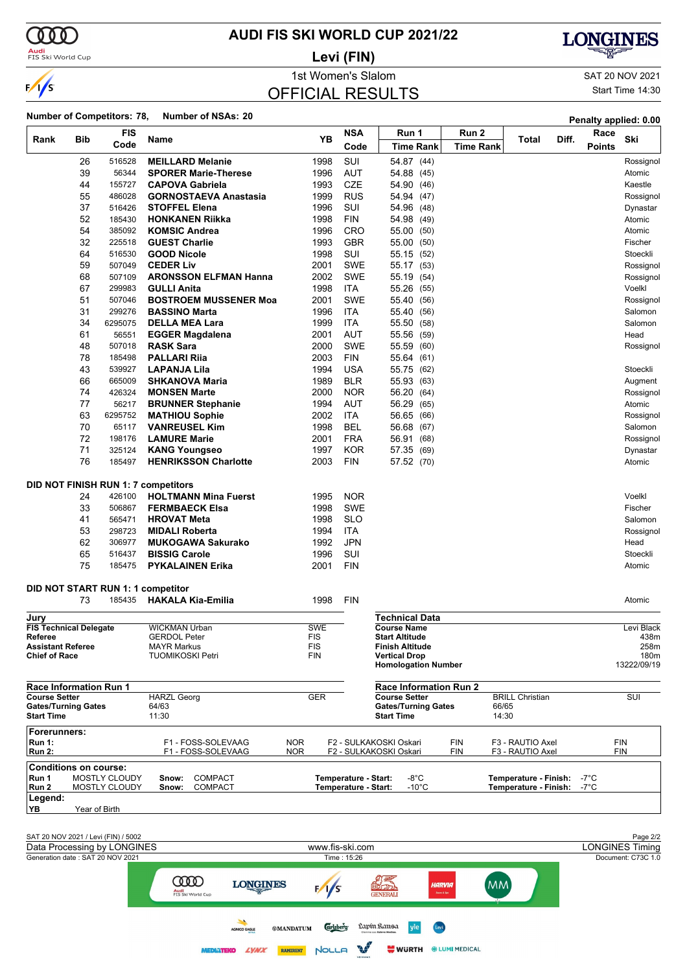

**Audi**<br>FIS Ski World Cup

### **AUDI FIS SKI WORLD CUP 2021/22**

**Levi (FIN)**



1st Women's Slalom SAT 20 NOV 2021 OFFICIAL RESULTS

Start Time 14:30

### **Number of Competitors: 78, Number of NSAs: 20 Penalty applied: 0.00**

|                                                    |               |                                                                    |                                               |                                      |                          |                                                    |                       |                        | Fenany applied. 0.00 |                                    |
|----------------------------------------------------|---------------|--------------------------------------------------------------------|-----------------------------------------------|--------------------------------------|--------------------------|----------------------------------------------------|-----------------------|------------------------|----------------------|------------------------------------|
| Rank                                               | Bib           | <b>FIS</b><br>Code                                                 | Name                                          | YΒ                                   | <b>NSA</b>               | Run 1                                              | Run 2                 | Total                  | Race<br>Diff.        | Ski                                |
|                                                    |               |                                                                    |                                               |                                      | Code                     | <b>Time Rank</b>                                   | <b>Time Rank</b>      |                        | <b>Points</b>        |                                    |
|                                                    | 26            | 516528                                                             | <b>MEILLARD Melanie</b>                       | 1998                                 | SUI                      | 54.87 (44)                                         |                       |                        |                      | Rossignol                          |
|                                                    | 39            | 56344                                                              | <b>SPORER Marie-Therese</b>                   | 1996                                 | <b>AUT</b>               | 54.88 (45)                                         |                       |                        |                      | Atomic                             |
|                                                    | 44            | 155727                                                             | <b>CAPOVA Gabriela</b>                        | 1993                                 | <b>CZE</b>               | 54.90 (46)                                         |                       |                        |                      | Kaestle                            |
|                                                    | 55            | 486028                                                             | <b>GORNOSTAEVA Anastasia</b>                  | 1999                                 | <b>RUS</b>               | 54.94 (47)                                         |                       |                        |                      | Rossignol                          |
|                                                    | 37            | 516426                                                             | <b>STOFFEL Elena</b>                          | 1996                                 | SUI                      | 54.96 (48)                                         |                       |                        |                      | Dynastar                           |
|                                                    | 52            | 185430                                                             | <b>HONKANEN Riikka</b>                        | 1998                                 | <b>FIN</b>               | 54.98 (49)                                         |                       |                        |                      | Atomic                             |
|                                                    | 54            | 385092                                                             | <b>KOMSIC Andrea</b>                          | 1996                                 | CRO                      | 55.00 (50)                                         |                       |                        |                      | Atomic                             |
|                                                    | 32            | 225518                                                             | <b>GUEST Charlie</b>                          | 1993                                 | <b>GBR</b>               | 55.00 (50)                                         |                       |                        |                      | Fischer                            |
|                                                    | 64<br>59      | 516530<br>507049                                                   | <b>GOOD Nicole</b><br><b>CEDER Liv</b>        | 1998<br>2001                         | SUI<br><b>SWE</b>        | 55.15 (52)                                         |                       |                        |                      | Stoeckli                           |
|                                                    | 68            | 507109                                                             | <b>ARONSSON ELFMAN Hanna</b>                  | 2002                                 | <b>SWE</b>               | 55.17 (53)<br>55.19                                |                       |                        |                      | Rossignol<br>Rossignol             |
|                                                    | 67            | 299983                                                             | <b>GULLI Anita</b>                            | 1998                                 | <b>ITA</b>               | (54)<br>55.26 (55)                                 |                       |                        |                      | Voelkl                             |
|                                                    | 51            | 507046                                                             | <b>BOSTROEM MUSSENER Moa</b>                  | 2001                                 | <b>SWE</b>               | 55.40 (56)                                         |                       |                        |                      | Rossignol                          |
|                                                    | 31            | 299276                                                             | <b>BASSINO Marta</b>                          | 1996                                 | <b>ITA</b>               | 55.40<br>(56)                                      |                       |                        |                      | Salomon                            |
|                                                    | 34            | 6295075                                                            | <b>DELLA MEA Lara</b>                         | 1999                                 | <b>ITA</b>               | 55.50 (58)                                         |                       |                        |                      | Salomon                            |
|                                                    | 61            | 56551                                                              | <b>EGGER Magdalena</b>                        | 2001                                 | <b>AUT</b>               | 55.56 (59)                                         |                       |                        |                      | Head                               |
|                                                    | 48            | 507018                                                             | <b>RASK Sara</b>                              | 2000                                 | <b>SWE</b>               | 55.59<br>(60)                                      |                       |                        |                      | Rossignol                          |
|                                                    | 78            | 185498                                                             | PALLARI Rija                                  | 2003                                 | <b>FIN</b>               | 55.64 (61)                                         |                       |                        |                      |                                    |
|                                                    | 43            | 539927                                                             | LAPANJA Lila                                  | 1994                                 | <b>USA</b>               | 55.75 (62)                                         |                       |                        |                      | Stoeckli                           |
|                                                    | 66            | 665009                                                             | <b>SHKANOVA Maria</b>                         | 1989                                 | <b>BLR</b>               | 55.93 (63)                                         |                       |                        |                      | Augment                            |
|                                                    | 74            | 426324                                                             | <b>MONSEN Marte</b>                           | 2000                                 | <b>NOR</b>               | 56.20 (64)                                         |                       |                        |                      | Rossignol                          |
|                                                    | 77            | 56217                                                              | <b>BRUNNER Stephanie</b>                      | 1994                                 | AUT                      | 56.29<br>(65)                                      |                       |                        |                      | Atomic                             |
|                                                    | 63            | 6295752                                                            | <b>MATHIOU Sophie</b>                         | 2002                                 | <b>ITA</b>               | 56.65 (66)                                         |                       |                        |                      | Rossignol                          |
|                                                    | 70            | 65117                                                              | <b>VANREUSEL Kim</b>                          | 1998                                 | BEL                      | 56.68 (67)                                         |                       |                        |                      | Salomon                            |
|                                                    | 72            | 198176                                                             | <b>LAMURE Marie</b>                           | 2001                                 | <b>FRA</b>               | 56.91<br>(68)                                      |                       |                        |                      | Rossignol                          |
|                                                    | 71            | 325124                                                             | <b>KANG Youngseo</b>                          | 1997                                 | <b>KOR</b>               | 57.35 (69)                                         |                       |                        |                      | Dynastar                           |
|                                                    | 76            | 185497                                                             | <b>HENRIKSSON Charlotte</b>                   | 2003                                 | <b>FIN</b>               | 57.52 (70)                                         |                       |                        |                      | Atomic                             |
|                                                    |               |                                                                    |                                               |                                      |                          |                                                    |                       |                        |                      |                                    |
|                                                    |               |                                                                    | DID NOT FINISH RUN 1: 7 competitors           |                                      |                          |                                                    |                       |                        |                      |                                    |
|                                                    | 24            | 426100                                                             | <b>HOLTMANN Mina Fuerst</b>                   | 1995                                 | <b>NOR</b><br><b>SWE</b> |                                                    |                       |                        |                      | Voelkl                             |
|                                                    | 33<br>41      | 506867<br>565471                                                   | <b>FERMBAECK Elsa</b><br><b>HROVAT Meta</b>   | 1998<br>1998                         | <b>SLO</b>               |                                                    |                       |                        |                      | Fischer<br>Salomon                 |
|                                                    | 53            | 298723                                                             | <b>MIDALI Roberta</b>                         | 1994                                 | <b>ITA</b>               |                                                    |                       |                        |                      | Rossignol                          |
|                                                    | 62            | 306977                                                             | <b>MUKOGAWA Sakurako</b>                      | 1992                                 | <b>JPN</b>               |                                                    |                       |                        |                      | Head                               |
|                                                    | 65            | 516437                                                             | <b>BISSIG Carole</b>                          | 1996                                 | SUI                      |                                                    |                       |                        |                      | Stoeckli                           |
|                                                    | 75            | 185475                                                             | <b>PYKALAINEN Erika</b>                       | 2001                                 | <b>FIN</b>               |                                                    |                       |                        |                      | Atomic                             |
|                                                    |               |                                                                    |                                               |                                      |                          |                                                    |                       |                        |                      |                                    |
|                                                    |               |                                                                    | DID NOT START RUN 1: 1 competitor             |                                      |                          |                                                    |                       |                        |                      |                                    |
|                                                    | 73            | 185435                                                             | <b>HAKALA Kia-Emilia</b>                      | 1998                                 | <b>FIN</b>               |                                                    |                       |                        |                      | Atomic                             |
| Jury                                               |               |                                                                    |                                               |                                      |                          | Technical Data                                     |                       |                        |                      |                                    |
| <b>FIS Technical Delegate</b>                      |               |                                                                    | <b>WICKMAN Urban</b>                          | <b>SWE</b>                           |                          | <b>Course Name</b>                                 |                       |                        |                      | Levi Black                         |
| Referee                                            |               |                                                                    | <b>GFRDOL Peter</b>                           | <b>FIS</b>                           |                          | <b>Start Altitude</b>                              |                       |                        |                      | 438m                               |
| <b>Assistant Referee</b><br><b>Chief of Race</b>   |               |                                                                    | <b>MAYR Markus</b><br><b>TUOMIKOSKI Petri</b> | FIS<br><b>FIN</b>                    |                          | <b>Finish Altitude</b><br><b>Vertical Drop</b>     |                       |                        |                      | 258m<br>180m                       |
|                                                    |               |                                                                    |                                               |                                      |                          | <b>Homologation Number</b>                         |                       |                        |                      | 13222/09/19                        |
|                                                    |               |                                                                    |                                               |                                      |                          |                                                    |                       |                        |                      |                                    |
| <b>Race Information Run 1</b>                      |               |                                                                    |                                               |                                      |                          | <b>Race Information Run 2</b>                      |                       |                        |                      |                                    |
| <b>Course Setter</b><br><b>Gates/Turning Gates</b> |               |                                                                    | <b>HARZL Georg</b><br>64/63                   | <b>GER</b>                           |                          | <b>Course Setter</b><br><b>Gates/Turning Gates</b> | 66/65                 | <b>BRILL Christian</b> |                      | SUI                                |
| <b>Start Time</b>                                  |               |                                                                    | 11:30                                         |                                      |                          | <b>Start Time</b>                                  | 14:30                 |                        |                      |                                    |
| <b>Forerunners:</b>                                |               |                                                                    |                                               |                                      |                          |                                                    |                       |                        |                      |                                    |
| <b>Run 1:</b>                                      |               |                                                                    | F1 - FOSS-SOLEVAAG                            | <b>NOR</b>                           |                          | F2 - SULKAKOSKI Oskari                             | <b>FIN</b>            | F3 - RAUTIO Axel       |                      | <b>FIN</b>                         |
| <b>Run 2:</b>                                      |               |                                                                    | F1 - FOSS-SOLEVAAG                            | <b>NOR</b>                           |                          | F2 - SULKAKOSKI Oskari                             | <b>FIN</b>            | F3 - RAUTIO Axel       |                      | <b>FIN</b>                         |
| <b>Conditions on course:</b>                       |               |                                                                    |                                               |                                      |                          |                                                    |                       |                        |                      |                                    |
| Run 1                                              |               | <b>MOSTLY CLOUDY</b>                                               | <b>COMPACT</b><br>Snow:                       |                                      | Temperature - Start:     | -8°C                                               |                       | Temperature - Finish:  | -7°C                 |                                    |
| Run 2                                              |               | MOSTLY CLOUDY                                                      | Snow:<br><b>COMPACT</b>                       |                                      | Temperature - Start:     | $-10^{\circ}$ C                                    |                       | Temperature - Finish:  | -7°C                 |                                    |
| Legend:<br>YB                                      |               |                                                                    |                                               |                                      |                          |                                                    |                       |                        |                      |                                    |
|                                                    | Year of Birth |                                                                    |                                               |                                      |                          |                                                    |                       |                        |                      |                                    |
|                                                    |               |                                                                    |                                               |                                      |                          |                                                    |                       |                        |                      |                                    |
|                                                    |               | SAT 20 NOV 2021 / Levi (FIN) / 5002<br>Data Processing by LONGINES |                                               |                                      | www.fis-ski.com          |                                                    |                       |                        |                      | Page 2/2<br><b>LONGINES Timing</b> |
|                                                    |               | Generation date: SAT 20 NOV 2021                                   |                                               |                                      | Time: 15:26              |                                                    |                       |                        |                      | Document: C73C 1.0                 |
|                                                    |               |                                                                    |                                               |                                      |                          |                                                    |                       |                        |                      |                                    |
|                                                    |               |                                                                    | <b>COOD</b><br><b>LONGINES</b>                |                                      |                          | HARVIA<br><b>SILLER</b>                            | <b>MM</b>             |                        |                      |                                    |
|                                                    |               |                                                                    | Audi<br>FIS Ski World Cup                     | $\sqrt{s}$                           |                          | Seuna & Spa                                        |                       |                        |                      |                                    |
|                                                    |               |                                                                    |                                               |                                      |                          |                                                    |                       |                        |                      |                                    |
|                                                    |               |                                                                    | $\overline{\phantom{a}}$                      |                                      |                          |                                                    |                       |                        |                      |                                    |
|                                                    |               |                                                                    | <b>AGNICO EAGLE</b>                           | <b>Carlsberg</b><br><b>®MANDATUM</b> |                          | Lapín Ransa                                        |                       |                        |                      |                                    |
|                                                    |               |                                                                    | MED RITEKO<br><b>LYNA</b>                     | <b>RAMIRENT</b><br>NOLLA             |                          | <b>WURTH</b>                                       | <b>※ LUMI MEDICAL</b> |                        |                      |                                    |
|                                                    |               |                                                                    |                                               |                                      |                          |                                                    |                       |                        |                      |                                    |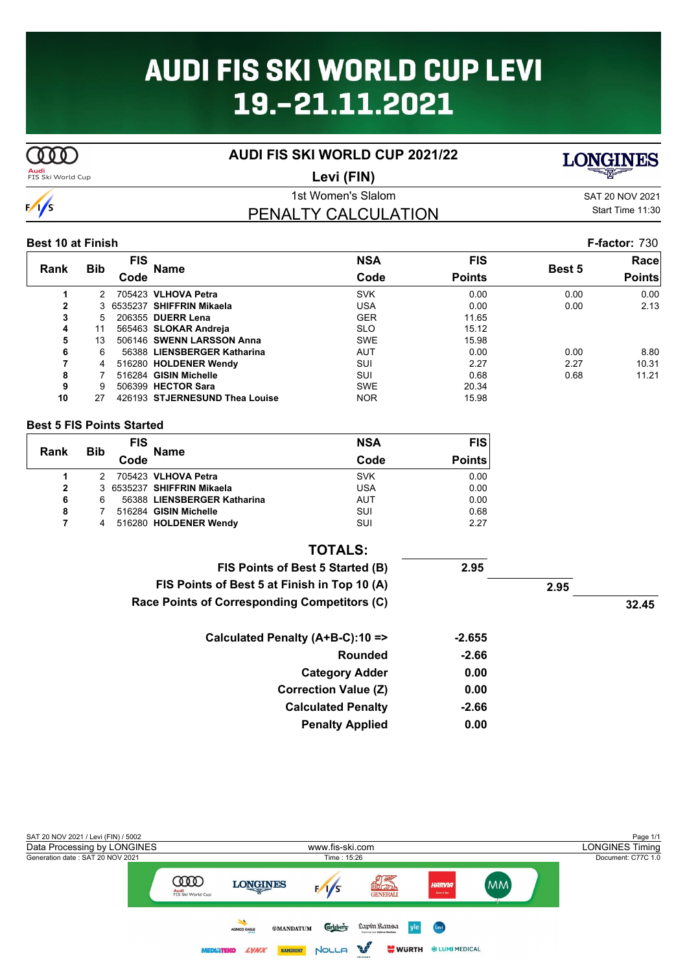# **AUDI FIS SKI WORLD CUP LEVI** 19.-21.11.2021

**AUDI FIS SKI WORLD CUP 2021/22**

### **Audi**<br>FIS Ski World Cup

1st Women's Slalom SAT 20 NOV 2021 PENALTY CALCULATION **Levi (FIN)**

Start Time 11:30

**LONGINES** 

#### **Best 10 at Finish F-factor:** 730

|              | <b>Bib</b> | <b>FIS</b> |                                | <b>NSA</b> | <b>FIS</b>    |               | Racel         |
|--------------|------------|------------|--------------------------------|------------|---------------|---------------|---------------|
| Rank         |            | Code       | <b>Name</b>                    | Code       | <b>Points</b> | <b>Best 5</b> | <b>Points</b> |
|              | 2          |            | 705423 VLHOVA Petra            | <b>SVK</b> | 0.00          | 0.00          | 0.00          |
| $\mathbf{2}$ |            |            | 3 6535237 SHIFFRIN Mikaela     | USA        | 0.00          | 0.00          | 2.13          |
| 3            | 5.         |            | 206355 DUERR Lena              | <b>GER</b> | 11.65         |               |               |
| 4            | 11         |            | 565463 SLOKAR Andreja          | <b>SLO</b> | 15.12         |               |               |
| 5            | 13         |            | 506146 SWENN LARSSON Anna      | <b>SWE</b> | 15.98         |               |               |
| 6            | 6          |            | 56388 LIENSBERGER Katharina    | <b>AUT</b> | 0.00          | 0.00          | 8.80          |
| 7            | 4          |            | 516280 HOLDENER Wendy          | SUI        | 2.27          | 2.27          | 10.31         |
| 8            |            |            | 516284 GISIN Michelle          | SUI        | 0.68          | 0.68          | 11.21         |
| 9            | 9          |            | 506399 HECTOR Sara             | <b>SWE</b> | 20.34         |               |               |
| 10           | 27         |            | 426193 STJERNESUND Thea Louise | <b>NOR</b> | 15.98         |               |               |

#### **Best 5 FIS Points Started**

| Rank         |            | <b>FIS</b> | <b>Name</b>                 | <b>NSA</b> | <b>FIS</b>    |
|--------------|------------|------------|-----------------------------|------------|---------------|
|              | <b>Bib</b> | Code       |                             | Code       | <b>Points</b> |
|              |            |            | 705423 VLHOVA Petra         | <b>SVK</b> | 0.00          |
| $\mathbf{2}$ |            |            | 3 6535237 SHIFFRIN Mikaela  | <b>USA</b> | 0.00          |
| 6            | 6          |            | 56388 LIENSBERGER Katharina | AUT        | 0.00          |
| 8            |            |            | 516284 GISIN Michelle       | SUI        | 0.68          |
|              | 4          |            | 516280 HOLDENER Wendy       | SUI        | 2.27          |

| <b>TOTALS:</b>                               |          |      |       |
|----------------------------------------------|----------|------|-------|
| FIS Points of Best 5 Started (B)             | 2.95     |      |       |
| FIS Points of Best 5 at Finish in Top 10 (A) |          | 2.95 |       |
| Race Points of Corresponding Competitors (C) |          |      | 32.45 |
| Calculated Penalty (A+B-C):10 =>             | $-2.655$ |      |       |
| Rounded                                      | $-2.66$  |      |       |
| <b>Category Adder</b>                        | 0.00     |      |       |
| <b>Correction Value (Z)</b>                  | 0.00     |      |       |
| <b>Calculated Penalty</b>                    | $-2.66$  |      |       |
| <b>Penalty Applied</b>                       | 0.00     |      |       |





 $\overline{\text{CDD}}$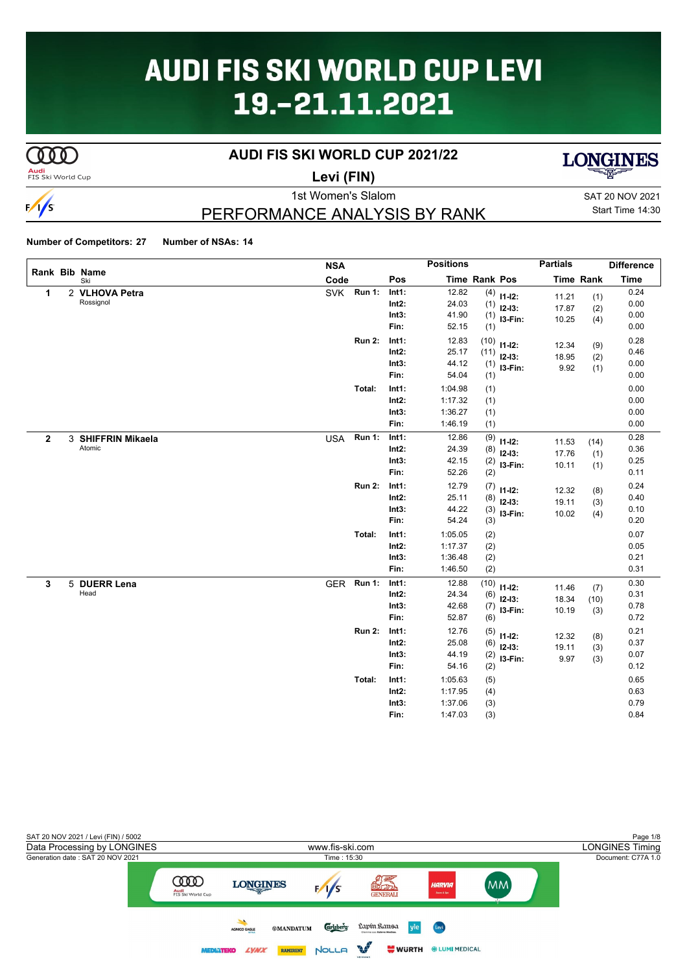# **AUDI FIS SKI WORLD CUP LEVI** 19.-21.11.2021

# $\overline{\text{C00}}$

 $\frac{1}{s}$ 

### **AUDI FIS SKI WORLD CUP 2021/22**



**Audi**<br>FIS Ski World Cup

# **Levi (FIN)**



# PERFORMANCE ANALYSIS BY RANK

|              |                      | <b>NSA</b> |               |          | <b>Positions</b> |               |             | <b>Partials</b> |                  | <b>Difference</b> |
|--------------|----------------------|------------|---------------|----------|------------------|---------------|-------------|-----------------|------------------|-------------------|
|              | Rank Bib Name<br>Ski | Code       |               | Pos      |                  | Time Rank Pos |             |                 | <b>Time Rank</b> | <b>Time</b>       |
| 1            | 2 VLHOVA Petra       | <b>SVK</b> | <b>Run 1:</b> | Int1:    | 12.82            | (4)           | $11 - 12$ : | 11.21           | (1)              | 0.24              |
|              | Rossignol            |            |               | $Int2$ : | 24.03            | (1)           | $12-13:$    | 17.87           | (2)              | 0.00              |
|              |                      |            |               | Int3:    | 41.90            | (1)           | I3-Fin:     | 10.25           | (4)              | 0.00              |
|              |                      |            |               | Fin:     | 52.15            | (1)           |             |                 |                  | 0.00              |
|              |                      |            | <b>Run 2:</b> | Int1:    | 12.83            | (10)          | $11 - 12$ : | 12.34           | (9)              | 0.28              |
|              |                      |            |               | $Int2$ : | 25.17            | (11)          | $12-13:$    | 18.95           | (2)              | 0.46              |
|              |                      |            |               | Int3:    | 44.12            | (1)           | I3-Fin:     | 9.92            | (1)              | 0.00              |
|              |                      |            |               | Fin:     | 54.04            | (1)           |             |                 |                  | 0.00              |
|              |                      |            | Total:        | Int1:    | 1:04.98          | (1)           |             |                 |                  | 0.00              |
|              |                      |            |               | Int2:    | 1:17.32          | (1)           |             |                 |                  | 0.00              |
|              |                      |            |               | Int3:    | 1:36.27          | (1)           |             |                 |                  | 0.00              |
|              |                      |            |               | Fin:     | 1:46.19          | (1)           |             |                 |                  | 0.00              |
| $\mathbf{2}$ | 3 SHIFFRIN Mikaela   | <b>USA</b> | Run 1:        | Int1:    | 12.86            | (9)           | $11 - 12$ : | 11.53           | (14)             | 0.28              |
|              | Atomic               |            |               | $Int2$ : | 24.39            | (8)           | $12-13:$    | 17.76           | (1)              | 0.36              |
|              |                      |            |               | Int3:    | 42.15            | (2)           | I3-Fin:     | 10.11           | (1)              | 0.25              |
|              |                      |            |               | Fin:     | 52.26            | (2)           |             |                 |                  | 0.11              |
|              |                      |            | <b>Run 2:</b> | Int1:    | 12.79            | (7)           | $11 - 12$ : | 12.32           | (8)              | 0.24              |
|              |                      |            |               | $Int2$ : | 25.11            | (8)           | $12-13:$    | 19.11           | (3)              | 0.40              |
|              |                      |            |               | Int3:    | 44.22            | (3)           | I3-Fin:     | 10.02           | (4)              | 0.10              |
|              |                      |            |               | Fin:     | 54.24            | (3)           |             |                 |                  | 0.20              |
|              |                      |            | Total:        | Int1:    | 1:05.05          | (2)           |             |                 |                  | 0.07              |
|              |                      |            |               | Int2:    | 1:17.37          | (2)           |             |                 |                  | 0.05              |
|              |                      |            |               | Int3:    | 1:36.48          | (2)           |             |                 |                  | 0.21              |
|              |                      |            |               | Fin:     | 1:46.50          | (2)           |             |                 |                  | 0.31              |
| 3            | 5 DUERR Lena         | <b>GER</b> | <b>Run 1:</b> | Int1:    | 12.88            | (10)          | $11 - 12$ : | 11.46           | (7)              | 0.30              |
|              | Head                 |            |               | $Int2$ : | 24.34            | (6)           | $12 - 13$ : | 18.34           | (10)             | 0.31              |
|              |                      |            |               | Int3:    | 42.68            | (7)           | I3-Fin:     | 10.19           | (3)              | 0.78              |
|              |                      |            |               | Fin:     | 52.87            | (6)           |             |                 |                  | 0.72              |
|              |                      |            | <b>Run 2:</b> | Int1:    | 12.76            | (5)           | $11 - 12$ : | 12.32           | (8)              | 0.21              |
|              |                      |            |               | $Int2$ : | 25.08            | (6)           | $12 - 13:$  | 19.11           | (3)              | 0.37              |
|              |                      |            |               | Int3:    | 44.19            | (2)           | I3-Fin:     | 9.97            | (3)              | 0.07              |
|              |                      |            |               | Fin:     | 54.16            | (2)           |             |                 |                  | 0.12              |
|              |                      |            | Total:        | Int1:    | 1:05.63          | (5)           |             |                 |                  | 0.65              |
|              |                      |            |               | Int2:    | 1:17.95          | (4)           |             |                 |                  | 0.63              |
|              |                      |            |               | Int3:    | 1:37.06          | (3)           |             |                 |                  | 0.79              |
|              |                      |            |               | Fin:     | 1:47.03          | (3)           |             |                 |                  | 0.84              |

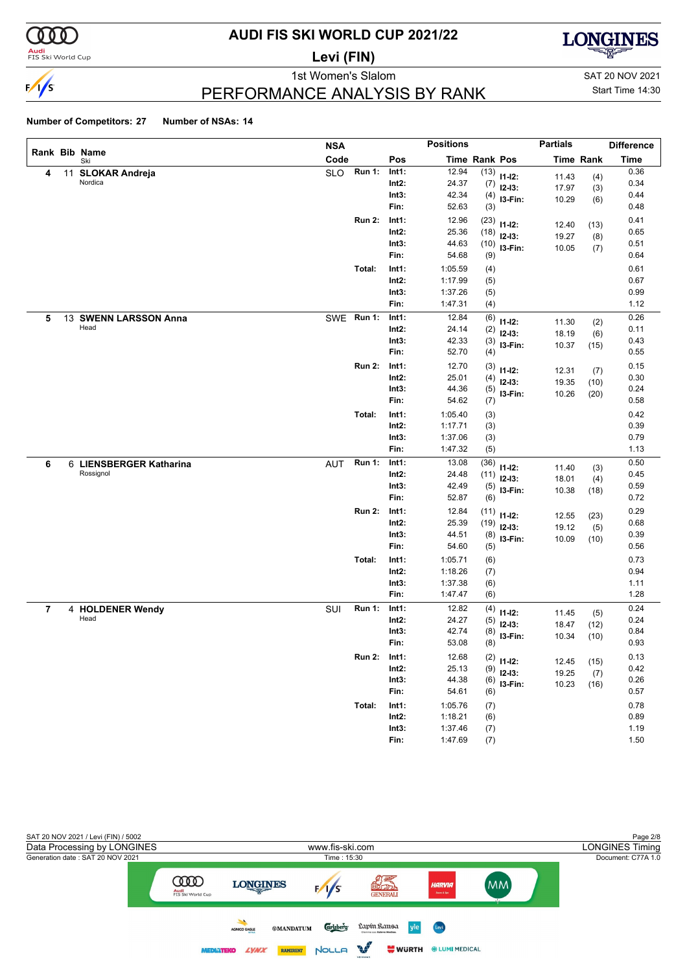

### **Audi**<br>FIS Ski World Cup

# **AUDI FIS SKI WORLD CUP 2021/22**

**Levi (FIN)**



1st Women's Slalom Sattle and SAT 20 NOV 2021

# PERFORMANCE ANALYSIS BY RANK

# Start Time 14:30

|   |    |                           | <b>NSA</b> |               |          | <b>Positions</b> |                      |               | <b>Partials</b> |                  | <b>Difference</b> |
|---|----|---------------------------|------------|---------------|----------|------------------|----------------------|---------------|-----------------|------------------|-------------------|
|   |    | Rank Bib Name<br>Ski      | Code       |               | Pos      |                  | <b>Time Rank Pos</b> |               |                 | <b>Time Rank</b> | <b>Time</b>       |
| 4 | 11 | <b>SLOKAR Andreja</b>     | <b>SLO</b> | Run 1:        | Int1:    | 12.94            |                      | $(13)$ 11-12: | 11.43           | (4)              | 0.36              |
|   |    | Nordica                   |            |               | Int2:    | 24.37            | (7)                  | $12-13:$      | 17.97           | (3)              | 0.34              |
|   |    |                           |            |               | Int3:    | 42.34            | (4)                  | I3-Fin:       | 10.29           | (6)              | 0.44              |
|   |    |                           |            |               | Fin:     | 52.63            | (3)                  |               |                 |                  | 0.48              |
|   |    |                           |            | <b>Run 2:</b> | Int1:    | 12.96            | (23)                 | $11 - 12$ :   | 12.40           | (13)             | 0.41              |
|   |    |                           |            |               | $Int2$ : | 25.36            | (18)                 | $12-13:$      | 19.27           | (8)              | 0.65              |
|   |    |                           |            |               | Int3:    | 44.63            | (10)                 | I3-Fin:       | 10.05           | (7)              | 0.51              |
|   |    |                           |            |               | Fin:     | 54.68            | (9)                  |               |                 |                  | 0.64              |
|   |    |                           |            | Total:        | Int1:    | 1:05.59          | (4)                  |               |                 |                  | 0.61              |
|   |    |                           |            |               | $Int2$ : | 1:17.99          | (5)                  |               |                 |                  | 0.67              |
|   |    |                           |            |               | Int3:    | 1:37.26          | (5)                  |               |                 |                  | 0.99              |
|   |    |                           |            |               | Fin:     | 1:47.31          | (4)                  |               |                 |                  | 1.12              |
| 5 | 13 | <b>SWENN LARSSON Anna</b> | <b>SWE</b> | <b>Run 1:</b> | Int1:    | 12.84            | (6)                  | $11 - 12$ :   | 11.30           | (2)              | 0.26              |
|   |    | Head                      |            |               | Int2:    | 24.14            | (2)                  | $12-13:$      | 18.19           | (6)              | 0.11              |
|   |    |                           |            |               | Int3:    | 42.33            | (3)                  | I3-Fin:       | 10.37           | (15)             | 0.43              |
|   |    |                           |            |               | Fin:     | 52.70            | (4)                  |               |                 |                  | 0.55              |
|   |    |                           |            | <b>Run 2:</b> | Int1:    | 12.70            | (3)                  | $11 - 12$ :   | 12.31           | (7)              | 0.15              |
|   |    |                           |            |               | Int2:    | 25.01            | (4)                  | $12-13:$      | 19.35           | (10)             | 0.30              |
|   |    |                           |            |               | Int3:    | 44.36            | (5)                  | I3-Fin:       | 10.26           | (20)             | 0.24              |
|   |    |                           |            |               | Fin:     | 54.62            | (7)                  |               |                 |                  | 0.58              |
|   |    |                           |            | Total:        | Int1:    | 1:05.40          | (3)                  |               |                 |                  | 0.42              |
|   |    |                           |            |               | Int2:    | 1:17.71          | (3)                  |               |                 |                  | 0.39              |
|   |    |                           |            |               | Int3:    | 1:37.06          | (3)                  |               |                 |                  | 0.79              |
|   |    |                           |            |               | Fin:     | 1:47.32          | (5)                  |               |                 |                  | 1.13              |
| 6 |    | 6 LIENSBERGER Katharina   | <b>AUT</b> | <b>Run 1:</b> | Int1:    | 13.08            | (36)                 | $11 - 12$ :   | 11.40           | (3)              | 0.50              |
|   |    | Rossignol                 |            |               | Int2:    | 24.48            | (11)                 | $12-13:$      | 18.01           | (4)              | 0.45              |
|   |    |                           |            |               | Int3:    | 42.49            | (5)                  | $13-Fin:$     | 10.38           | (18)             | 0.59              |
|   |    |                           |            |               | Fin:     | 52.87            | (6)                  |               |                 |                  | 0.72              |
|   |    |                           |            | <b>Run 2:</b> | Int1:    | 12.84            | (11)                 | $11 - 12$ :   | 12.55           | (23)             | 0.29              |
|   |    |                           |            |               | $Int2$ : | 25.39            | (19)                 | $12-13:$      | 19.12           | (5)              | 0.68              |
|   |    |                           |            |               | Int3:    | 44.51            | (8)                  | I3-Fin:       | 10.09           | (10)             | 0.39              |
|   |    |                           |            |               | Fin:     | 54.60            | (5)                  |               |                 |                  | 0.56              |
|   |    |                           |            | Total:        | Int1:    | 1:05.71          | (6)                  |               |                 |                  | 0.73              |
|   |    |                           |            |               | Int2:    | 1:18.26          | (7)                  |               |                 |                  | 0.94              |
|   |    |                           |            |               | Int3:    | 1:37.38          | (6)                  |               |                 |                  | 1.11              |
|   |    |                           |            |               | Fin:     | 1:47.47          | (6)                  |               |                 |                  | 1.28              |
| 7 |    | 4 HOLDENER Wendy          | SUI        | <b>Run 1:</b> | Int1:    | 12.82            | (4)                  | $11 - 12$ :   | 11.45           | (5)              | 0.24              |
|   |    | Head                      |            |               | Int2:    | 24.27            | (5)                  | $12-13:$      | 18.47           | (12)             | 0.24              |
|   |    |                           |            |               | Int3:    | 42.74            | (8)                  | I3-Fin:       | 10.34           | (10)             | 0.84              |
|   |    |                           |            |               | Fin:     | 53.08            | (8)                  |               |                 |                  | 0.93              |
|   |    |                           |            | <b>Run 2:</b> | Int1:    | 12.68            |                      | $(2)$ 11-12:  | 12.45           | (15)             | 0.13              |
|   |    |                           |            |               | $Int2$ : | 25.13            | (9)                  | $12-13:$      | 19.25           | (7)              | 0.42              |
|   |    |                           |            |               | Int3:    | 44.38            | (6)                  | 13-Fin:       | 10.23           | (16)             | 0.26              |
|   |    |                           |            |               | Fin:     | 54.61            | (6)                  |               |                 |                  | 0.57              |
|   |    |                           |            | Total:        | Int1:    | 1:05.76          | (7)                  |               |                 |                  | 0.78              |
|   |    |                           |            |               | $Int2$ : | 1:18.21          | (6)                  |               |                 |                  | 0.89              |
|   |    |                           |            |               | Int3:    | 1:37.46          | (7)                  |               |                 |                  | 1.19              |
|   |    |                           |            |               | Fin:     | 1:47.69          | (7)                  |               |                 |                  | 1.50              |

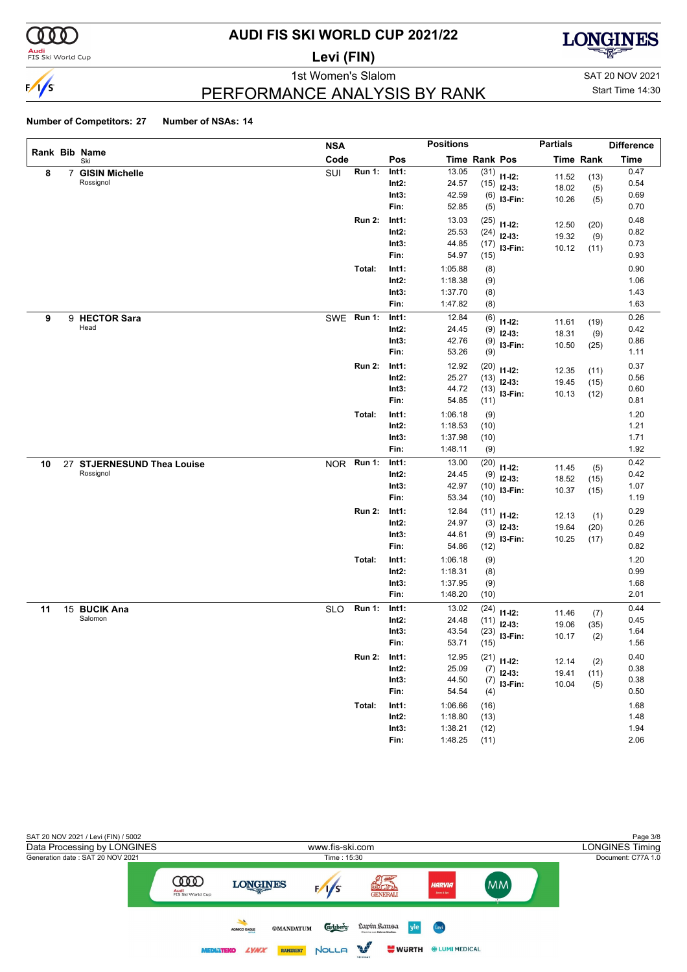

### **Audi**<br>FIS Ski World Cup

# **AUDI FIS SKI WORLD CUP 2021/22**

**Levi (FIN)**



1st Women's Slalom Sattle and SAT 20 NOV 2021

### PERFORMANCE ANALYSIS BY RANK

Start Time 14:30

|    |                |                                | <b>NSA</b> |               |       | <b>Positions</b> |               |               | <b>Partials</b> |                  | <b>Difference</b> |
|----|----------------|--------------------------------|------------|---------------|-------|------------------|---------------|---------------|-----------------|------------------|-------------------|
|    |                | Rank Bib Name<br>Ski           | Code       |               | Pos   |                  | Time Rank Pos |               |                 | <b>Time Rank</b> | <b>Time</b>       |
| 8  | $\overline{7}$ | <b>GISIN Michelle</b>          | SUI        | <b>Run 1:</b> | Int1: | 13.05            |               | $(31)$ 11-12: | 11.52           | (13)             | 0.47              |
|    |                | Rossignol                      |            |               | Int2: | 24.57            |               | $(15)$ 12-13: | 18.02           | (5)              | 0.54              |
|    |                |                                |            |               | Int3: | 42.59            | (6)           | I3-Fin:       | 10.26           | (5)              | 0.69              |
|    |                |                                |            |               | Fin:  | 52.85            | (5)           |               |                 |                  | 0.70              |
|    |                |                                |            | <b>Run 2:</b> | Int1: | 13.03            | (25)          | $11 - 12$ :   | 12.50           | (20)             | 0.48              |
|    |                |                                |            |               | Int2: | 25.53            |               | $(24)$ 12-13: | 19.32           | (9)              | 0.82              |
|    |                |                                |            |               | Int3: | 44.85            | (17)          | I3-Fin:       | 10.12           | (11)             | 0.73              |
|    |                |                                |            |               | Fin:  | 54.97            | (15)          |               |                 |                  | 0.93              |
|    |                |                                |            | Total:        | Int1: | 1:05.88          | (8)           |               |                 |                  | 0.90              |
|    |                |                                |            |               | Int2: | 1:18.38          | (9)           |               |                 |                  | 1.06              |
|    |                |                                |            |               | Int3: | 1:37.70          | (8)           |               |                 |                  | 1.43              |
|    |                |                                |            |               | Fin:  | 1:47.82          | (8)           |               |                 |                  | 1.63              |
| 9  |                | 9 HECTOR Sara                  |            | SWE Run 1:    | Int1: | 12.84            | (6)           | $11 - 12$ :   | 11.61           | (19)             | 0.26              |
|    |                | Head                           |            |               | Int2: | 24.45            | (9)           | $12 - 13$ :   | 18.31           | (9)              | 0.42              |
|    |                |                                |            |               | Int3: | 42.76            | (9)           | I3-Fin:       | 10.50           | (25)             | 0.86              |
|    |                |                                |            |               | Fin:  | 53.26            | (9)           |               |                 |                  | 1.11              |
|    |                |                                |            | <b>Run 2:</b> | Int1: | 12.92            | (20)          | $11 - 12$ :   | 12.35           | (11)             | 0.37              |
|    |                |                                |            |               | Int2: | 25.27            |               | $(13)$ 12-13: | 19.45           | (15)             | 0.56              |
|    |                |                                |            |               | Int3: | 44.72            | (13)          | I3-Fin:       | 10.13           | (12)             | 0.60              |
|    |                |                                |            |               | Fin:  | 54.85            | (11)          |               |                 |                  | 0.81              |
|    |                |                                |            | Total:        | Int1: | 1:06.18          | (9)           |               |                 |                  | 1.20              |
|    |                |                                |            |               | Int2: | 1:18.53          | (10)          |               |                 |                  | 1.21              |
|    |                |                                |            |               | Int3: | 1:37.98          | (10)          |               |                 |                  | 1.71              |
|    |                |                                |            |               | Fin:  | 1:48.11          | (9)           |               |                 |                  | 1.92              |
| 10 | 27             | <b>STJERNESUND Thea Louise</b> | <b>NOR</b> | <b>Run 1:</b> | Int1: | 13.00            | (20)          | $11 - 12$ :   | 11.45           | (5)              | 0.42              |
|    |                | Rossignol                      |            |               | Int2: | 24.45            | (9)           | $12 - 13:$    | 18.52           | (15)             | 0.42              |
|    |                |                                |            |               | Int3: | 42.97            | (10)          | I3-Fin:       | 10.37           | (15)             | 1.07              |
|    |                |                                |            |               | Fin:  | 53.34            | (10)          |               |                 |                  | 1.19              |
|    |                |                                |            | <b>Run 2:</b> | Int1: | 12.84            | (11)          | $11 - 12$ :   | 12.13           |                  | 0.29              |
|    |                |                                |            |               | Int2: | 24.97            | (3)           | $12 - 13$ :   | 19.64           | (1)<br>(20)      | 0.26              |
|    |                |                                |            |               | Int3: | 44.61            | (9)           | I3-Fin:       | 10.25           | (17)             | 0.49              |
|    |                |                                |            |               | Fin:  | 54.86            | (12)          |               |                 |                  | 0.82              |
|    |                |                                |            | Total:        | Int1: | 1:06.18          | (9)           |               |                 |                  | 1.20              |
|    |                |                                |            |               | Int2: | 1:18.31          | (8)           |               |                 |                  | 0.99              |
|    |                |                                |            |               | Int3: | 1:37.95          | (9)           |               |                 |                  | 1.68              |
|    |                |                                |            |               | Fin:  | 1:48.20          | (10)          |               |                 |                  | 2.01              |
| 11 |                | 15 BUCIK Ana                   | <b>SLO</b> | <b>Run 1:</b> | Int1: | 13.02            | (24)          | $11 - 12$ :   |                 |                  | 0.44              |
|    |                | Salomon                        |            |               | Int2: | 24.48            | (11)          | $12 - 13:$    | 11.46<br>19.06  | (7)<br>(35)      | 0.45              |
|    |                |                                |            |               | Int3: | 43.54            | (23)          | I3-Fin:       | 10.17           |                  | 1.64              |
|    |                |                                |            |               | Fin:  | 53.71            | (15)          |               |                 | (2)              | 1.56              |
|    |                |                                |            | <b>Run 2:</b> | Int1: | 12.95            |               | $(21)$ 11-12: |                 |                  | 0.40              |
|    |                |                                |            |               | Int2: | 25.09            |               | $(7)$ 12-13:  | 12.14           | (2)              | 0.38              |
|    |                |                                |            |               | Int3: | 44.50            |               | $(7)$ 13-Fin: | 19.41           | (11)             | 0.38              |
|    |                |                                |            |               | Fin:  | 54.54            | (4)           |               | 10.04           | (5)              | 0.50              |
|    |                |                                |            | Total:        | Int1: | 1:06.66          | (16)          |               |                 |                  | 1.68              |
|    |                |                                |            |               | Int2: | 1:18.80          | (13)          |               |                 |                  | 1.48              |
|    |                |                                |            |               | Int3: | 1:38.21          | (12)          |               |                 |                  | 1.94              |
|    |                |                                |            |               | Fin:  | 1:48.25          | (11)          |               |                 |                  | 2.06              |

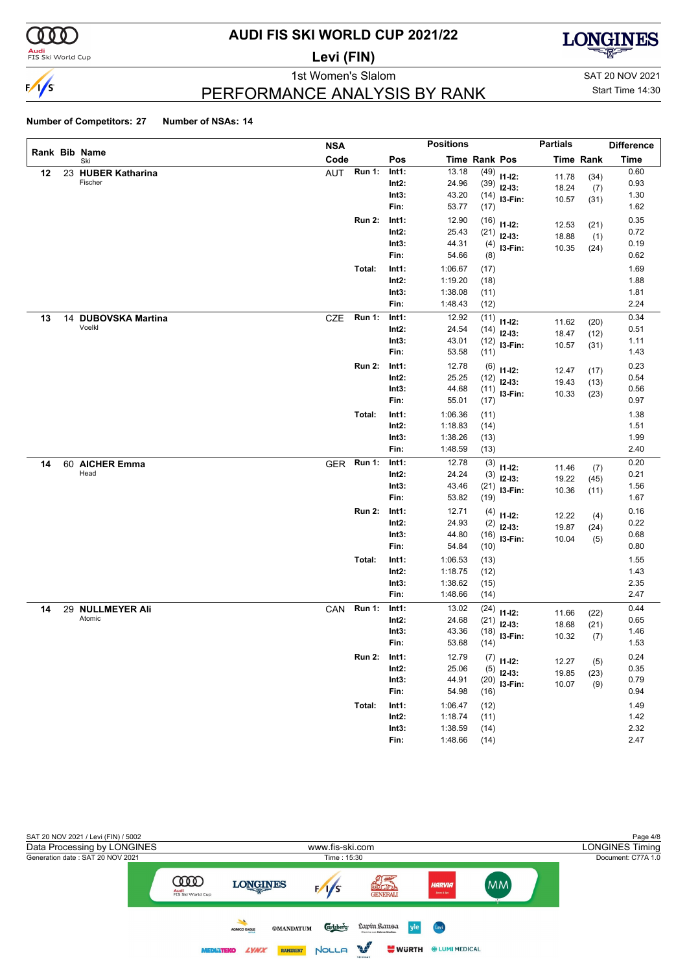

### **Audi**<br>FIS Ski World Cup

# **AUDI FIS SKI WORLD CUP 2021/22**

**Levi (FIN)**



1st Women's Slalom Sattle and SAT 20 NOV 2021

### Start Time 14:30

### PERFORMANCE ANALYSIS BY RANK

|    |                      | <b>NSA</b> |               |                   | <b>Positions</b>   |               |                | <b>Partials</b> |                  | <b>Difference</b> |
|----|----------------------|------------|---------------|-------------------|--------------------|---------------|----------------|-----------------|------------------|-------------------|
|    | Rank Bib Name<br>Ski | Code       |               | Pos               |                    | Time Rank Pos |                |                 | <b>Time Rank</b> | <b>Time</b>       |
| 12 | 23 HUBER Katharina   | AUT        | <b>Run 1:</b> | Int1:             | 13.18              | (49)          | $11 - 12$ :    | 11.78           | (34)             | 0.60              |
|    | Fischer              |            |               | $Int2$ :          | 24.96              | (39)          | $12-13:$       | 18.24           | (7)              | 0.93              |
|    |                      |            |               | Int3:             | 43.20              |               | $(14)$ 13-Fin: | 10.57           | (31)             | 1.30              |
|    |                      |            |               | Fin:              | 53.77              | (17)          |                |                 |                  | 1.62              |
|    |                      |            | <b>Run 2:</b> | Int1:             | 12.90              | (16)          | $11 - 12$ :    | 12.53           | (21)             | 0.35              |
|    |                      |            |               | $Int2$ :          | 25.43              | (21)          | $12-13:$       | 18.88           | (1)              | 0.72              |
|    |                      |            |               | Int3:             | 44.31              | (4)           | I3-Fin:        | 10.35           | (24)             | 0.19              |
|    |                      |            |               | Fin:              | 54.66              | (8)           |                |                 |                  | 0.62              |
|    |                      |            | Total:        | Int1:             | 1:06.67            | (17)          |                |                 |                  | 1.69              |
|    |                      |            |               | $Int2$ :          | 1:19.20            | (18)          |                |                 |                  | 1.88              |
|    |                      |            |               | Int3:             | 1:38.08            | (11)          |                |                 |                  | 1.81              |
|    |                      |            |               | Fin:              | 1:48.43            | (12)          |                |                 |                  | 2.24              |
| 13 | 14 DUBOVSKA Martina  | <b>CZE</b> | <b>Run 1:</b> | Int1:             | 12.92              | (11)          | $11 - 12$ :    | 11.62           | (20)             | 0.34              |
|    | Voelkl               |            |               | $Int2$ :          | 24.54              | (14)          | $12-13:$       | 18.47           | (12)             | 0.51              |
|    |                      |            |               | Int3:             | 43.01              | (12)          | I3-Fin:        | 10.57           | (31)             | 1.11              |
|    |                      |            |               | Fin:              | 53.58              | (11)          |                |                 |                  | 1.43              |
|    |                      |            | <b>Run 2:</b> | Int1:             | 12.78              | (6)           | $11 - 12$ :    | 12.47           | (17)             | 0.23              |
|    |                      |            |               | $Int2$ :          | 25.25              | (12)          | $12-13:$       | 19.43           | (13)             | 0.54              |
|    |                      |            |               | Int3:             | 44.68              | (11)          | I3-Fin:        | 10.33           | (23)             | 0.56              |
|    |                      |            |               | Fin:              | 55.01              | (17)          |                |                 |                  | 0.97              |
|    |                      |            | Total:        | Int1:             | 1:06.36            | (11)          |                |                 |                  | 1.38              |
|    |                      |            |               | $Int2$ :          | 1:18.83            | (14)          |                |                 |                  | 1.51              |
|    |                      |            |               | Int3:             | 1:38.26            | (13)          |                |                 |                  | 1.99              |
|    |                      |            |               | Fin:              | 1:48.59            | (13)          |                |                 |                  | 2.40              |
| 14 | 60 AICHER Emma       |            | GER Run 1:    | Int1:             | 12.78              | (3)           | $11 - 12$ :    | 11.46           | (7)              | 0.20              |
|    | Head                 |            |               | $Int2$ :          | 24.24              | (3)           | $12-13:$       | 19.22           | (45)             | 0.21              |
|    |                      |            |               | Int3:             | 43.46              | (21)          | I3-Fin:        | 10.36           | (11)             | 1.56              |
|    |                      |            |               | Fin:              | 53.82              | (19)          |                |                 |                  | 1.67              |
|    |                      |            | <b>Run 2:</b> | Int1:             | 12.71              | (4)           | $11 - 12$ :    | 12.22           | (4)              | 0.16              |
|    |                      |            |               | $Int2$ :          | 24.93              | (2)           | $12 - 13$ :    | 19.87           | (24)             | 0.22              |
|    |                      |            |               | Int3:<br>Fin:     | 44.80<br>54.84     | (16)<br>(10)  | I3-Fin:        | 10.04           | (5)              | 0.68<br>0.80      |
|    |                      |            |               |                   |                    |               |                |                 |                  |                   |
|    |                      |            | Total:        | Int1:<br>$Int2$ : | 1:06.53<br>1:18.75 | (13)          |                |                 |                  | 1.55<br>1.43      |
|    |                      |            |               | Int3:             | 1:38.62            | (12)<br>(15)  |                |                 |                  | 2.35              |
|    |                      |            |               | Fin:              | 1:48.66            | (14)          |                |                 |                  | 2.47              |
|    | 29 NULLMEYER Ali     |            | <b>Run 1:</b> | Int1:             | 13.02              |               |                |                 |                  | 0.44              |
| 14 | Atomic               | CAN        |               | Int2:             | 24.68              | (24)<br>(21)  | $11 - 12$ :    | 11.66           | (22)             | 0.65              |
|    |                      |            |               | Int3:             | 43.36              | (18)          | $12-13:$       | 18.68           | (21)             | 1.46              |
|    |                      |            |               | Fin:              | 53.68              | (14)          | I3-Fin:        | 10.32           | (7)              | 1.53              |
|    |                      |            | Run 2:        | Int1:             | 12.79              |               |                |                 |                  | 0.24              |
|    |                      |            |               | $Int2$ :          | 25.06              | (5)           | $(7)$ 11-12:   | 12.27           | (5)              | 0.35              |
|    |                      |            |               | Int3:             | 44.91              | (20)          | $12-13:$       | 19.85           | (23)             | 0.79              |
|    |                      |            |               | Fin:              | 54.98              | (16)          | I3-Fin:        | 10.07           | (9)              | 0.94              |
|    |                      |            | Total:        | Int1:             | 1:06.47            | (12)          |                |                 |                  | 1.49              |
|    |                      |            |               | $Int2$ :          | 1:18.74            | (11)          |                |                 |                  | 1.42              |
|    |                      |            |               | Int3:             | 1:38.59            | (14)          |                |                 |                  | 2.32              |
|    |                      |            |               | Fin:              | 1:48.66            | (14)          |                |                 |                  | 2.47              |

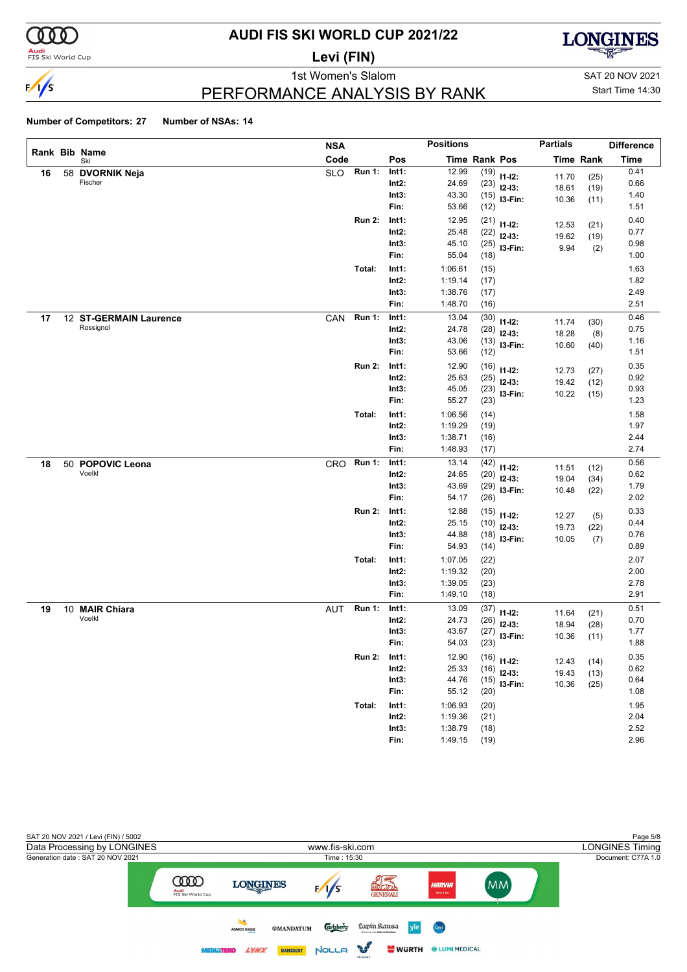

### **Audi**<br>FIS Ski World Cup

# **AUDI FIS SKI WORLD CUP 2021/22**

**Levi (FIN)**



1st Women's Slalom Sattle and SAT 20 NOV 2021

### PERFORMANCE ANALYSIS BY RANK

# Start Time 14:30

|    |                            | <b>NSA</b> |               |                   | <b>Positions</b> |               |                         | <b>Partials</b> |                  | <b>Difference</b> |
|----|----------------------------|------------|---------------|-------------------|------------------|---------------|-------------------------|-----------------|------------------|-------------------|
|    | Rank Bib Name<br>Ski       | Code       |               | Pos               |                  | Time Rank Pos |                         |                 | <b>Time Rank</b> | <b>Time</b>       |
| 16 | 58 DVORNIK Neja            | <b>SLO</b> | <b>Run 1:</b> | Int1:             | 12.99            | (19)          | $11 - 12$ :             | 11.70           | (25)             | 0.41              |
|    | Fischer                    |            |               | $Int2$ :          | 24.69            | (23)          | $12-13:$                | 18.61           | (19)             | 0.66              |
|    |                            |            |               | Int3:             | 43.30            | (15)          | I3-Fin:                 | 10.36           | (11)             | 1.40              |
|    |                            |            |               | Fin:              | 53.66            | (12)          |                         |                 |                  | 1.51              |
|    |                            |            | <b>Run 2:</b> | Int1:             | 12.95            | (21)          | $11 - 12$ :             | 12.53           | (21)             | 0.40              |
|    |                            |            |               | $Int2$ :          | 25.48            | (22)          | $12-13:$                | 19.62           | (19)             | 0.77              |
|    |                            |            |               | Int3:             | 45.10            | (25)          | I3-Fin:                 | 9.94            | (2)              | 0.98              |
|    |                            |            |               | Fin:              | 55.04            | (18)          |                         |                 |                  | 1.00              |
|    |                            |            | Total:        | Int1:             | 1:06.61          | (15)          |                         |                 |                  | 1.63              |
|    |                            |            |               | $Int2$ :          | 1:19.14          | (17)          |                         |                 |                  | 1.82              |
|    |                            |            |               | Int3:             | 1:38.76          | (17)          |                         |                 |                  | 2.49              |
|    |                            |            |               | Fin:              | 1:48.70          | (16)          |                         |                 |                  | 2.51              |
| 17 | 12 ST-GERMAIN Laurence     | CAN        | <b>Run 1:</b> | Int1:             | 13.04            | (30)          | $11 - 12$ :             | 11.74           | (30)             | 0.46              |
|    | Rossignol                  |            |               | $Int2$ :          | 24.78            | (28)          | $12-13:$                | 18.28           | (8)              | 0.75              |
|    |                            |            |               | Int3:             | 43.06            | (13)          | I3-Fin:                 | 10.60           | (40)             | 1.16              |
|    |                            |            |               | Fin:              | 53.66            | (12)          |                         |                 |                  | 1.51              |
|    |                            |            | <b>Run 2:</b> | Int1:             | 12.90            | (16)          | $11 - 12$ :             | 12.73           | (27)             | 0.35              |
|    |                            |            |               | $Int2$ :          | 25.63            | (25)          | $12-13:$                | 19.42           | (12)             | 0.92              |
|    |                            |            |               | Int3:             | 45.05            | (23)          | I3-Fin:                 | 10.22           | (15)             | 0.93              |
|    |                            |            |               | Fin:              | 55.27            | (23)          |                         |                 |                  | 1.23              |
|    |                            |            | Total:        | Int1:             | 1:06.56          | (14)          |                         |                 |                  | 1.58              |
|    |                            |            |               | $Int2$ :          | 1:19.29          | (19)          |                         |                 |                  | 1.97              |
|    |                            |            |               | Int3:             | 1:38.71          | (16)          |                         |                 |                  | 2.44              |
|    |                            |            |               | Fin:              | 1:48.93          | (17)          |                         |                 |                  | 2.74              |
| 18 | 50 POPOVIC Leona<br>Voelkl | <b>CRO</b> | <b>Run 1:</b> | Int1:             | 13.14            | (42)          | $11 - 12$ :             | 11.51           | (12)             | 0.56              |
|    |                            |            |               | $Int2$ :<br>Int3: | 24.65<br>43.69   | (20)          | $12-13:$                | 19.04           | (34)             | 0.62<br>1.79      |
|    |                            |            |               | Fin:              | 54.17            | (29)<br>(26)  | I3-Fin:                 | 10.48           | (22)             | 2.02              |
|    |                            |            | <b>Run 2:</b> | Int1:             | 12.88            |               |                         |                 |                  | 0.33              |
|    |                            |            |               | $Int2$ :          | 25.15            | (15)<br>(10)  | $11 - 12$ :             | 12.27           | (5)              | 0.44              |
|    |                            |            |               | Int3:             | 44.88            | (18)          | $12-13:$                | 19.73           | (22)             | 0.76              |
|    |                            |            |               | Fin:              | 54.93            | (14)          | I3-Fin:                 | 10.05           | (7)              | 0.89              |
|    |                            |            | Total:        | Int1:             | 1:07.05          | (22)          |                         |                 |                  | 2.07              |
|    |                            |            |               | $Int2$ :          | 1:19.32          | (20)          |                         |                 |                  | 2.00              |
|    |                            |            |               | Int3:             | 1:39.05          | (23)          |                         |                 |                  | 2.78              |
|    |                            |            |               | Fin:              | 1:49.10          | (18)          |                         |                 |                  | 2.91              |
| 19 | 10 MAIR Chiara             | AUT        | <b>Run 1:</b> | Int1:             | 13.09            | (37)          |                         |                 |                  | 0.51              |
|    | Voelkl                     |            |               | Int2:             | 24.73            | (26)          | $11 - 12$ :<br>$12-13:$ | 11.64           | (21)             | 0.70              |
|    |                            |            |               | Int3:             | 43.67            | (27)          | I3-Fin:                 | 18.94<br>10.36  | (28)             | 1.77              |
|    |                            |            |               | Fin:              | 54.03            | (23)          |                         |                 | (11)             | 1.88              |
|    |                            |            | <b>Run 2:</b> | Int1:             | 12.90            |               | $(16)$ 11-12:           |                 |                  | 0.35              |
|    |                            |            |               | $Int2$ :          | 25.33            |               | $(16)$ 12-13:           | 12.43<br>19.43  | (14)<br>(13)     | 0.62              |
|    |                            |            |               | Int3:             | 44.76            | (15)          | I3-Fin:                 | 10.36           | (25)             | 0.64              |
|    |                            |            |               | Fin:              | 55.12            | (20)          |                         |                 |                  | 1.08              |
|    |                            |            | Total:        | Int1:             | 1:06.93          | (20)          |                         |                 |                  | 1.95              |
|    |                            |            |               | $Int2$ :          | 1:19.36          | (21)          |                         |                 |                  | 2.04              |
|    |                            |            |               | Int3:             | 1:38.79          | (18)          |                         |                 |                  | 2.52              |
|    |                            |            |               | Fin:              | 1:49.15          | (19)          |                         |                 |                  | 2.96              |

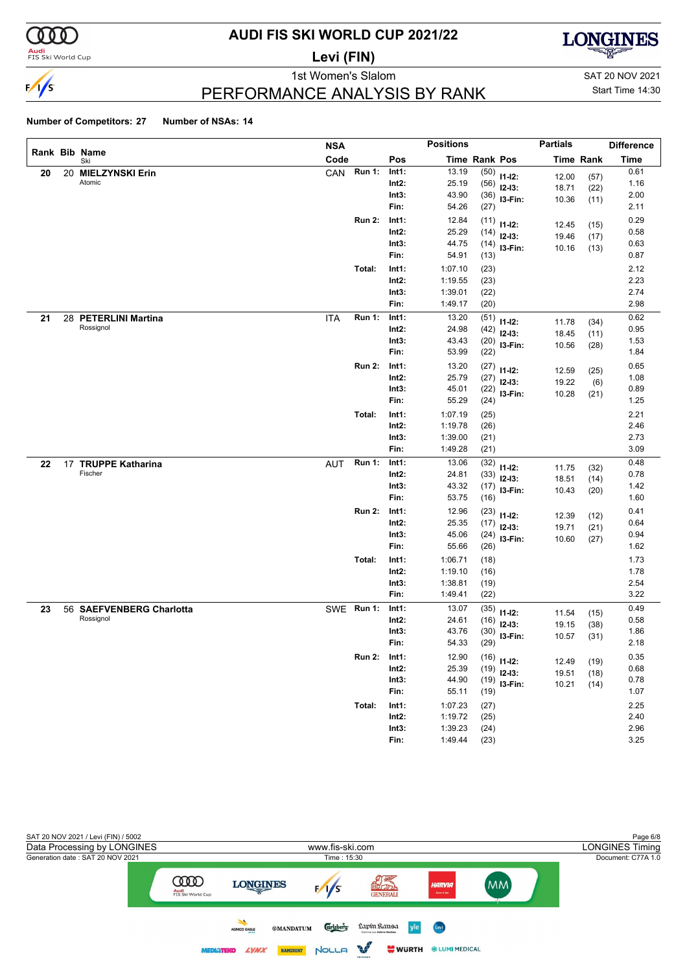

### **Audi**<br>FIS Ski World Cup

# **AUDI FIS SKI WORLD CUP 2021/22**

**Levi (FIN)**



1st Women's Slalom Sattle and SAT 20 NOV 2021

### Start Time 14:30

### PERFORMANCE ANALYSIS BY RANK

|    |                          | <b>NSA</b> |               |          | <b>Positions</b> |               |               | <b>Partials</b> |                  | <b>Difference</b> |
|----|--------------------------|------------|---------------|----------|------------------|---------------|---------------|-----------------|------------------|-------------------|
|    | Rank Bib Name<br>Ski     | Code       |               | Pos      |                  | Time Rank Pos |               |                 | <b>Time Rank</b> | <b>Time</b>       |
| 20 | 20 MIELZYNSKI Erin       | CAN        | <b>Run 1:</b> | Int1:    | 13.19            | (50)          | $11 - 12$ :   | 12.00           | (57)             | 0.61              |
|    | Atomic                   |            |               | $Int2$ : | 25.19            | (56)          | $12-13:$      | 18.71           | (22)             | 1.16              |
|    |                          |            |               | Int3:    | 43.90            | (36)          | I3-Fin:       | 10.36           | (11)             | 2.00              |
|    |                          |            |               | Fin:     | 54.26            | (27)          |               |                 |                  | 2.11              |
|    |                          |            | <b>Run 2:</b> | Int1:    | 12.84            | (11)          | $11 - 12$ :   | 12.45           | (15)             | 0.29              |
|    |                          |            |               | Int2:    | 25.29            | (14)          | $12 - 13:$    | 19.46           | (17)             | 0.58              |
|    |                          |            |               | Int3:    | 44.75            | (14)          | I3-Fin:       | 10.16           | (13)             | 0.63              |
|    |                          |            |               | Fin:     | 54.91            | (13)          |               |                 |                  | 0.87              |
|    |                          |            | Total:        | Int1:    | 1:07.10          | (23)          |               |                 |                  | 2.12              |
|    |                          |            |               | Int2:    | 1:19.55          | (23)          |               |                 |                  | 2.23              |
|    |                          |            |               | Int3:    | 1:39.01          | (22)          |               |                 |                  | 2.74              |
|    |                          |            |               | Fin:     | 1:49.17          | (20)          |               |                 |                  | 2.98              |
| 21 | 28 PETERLINI Martina     | <b>ITA</b> | <b>Run 1:</b> | Int1:    | 13.20            | (51)          | $11 - 12$ :   | 11.78           | (34)             | 0.62              |
|    | Rossignol                |            |               | Int2:    | 24.98            | (42)          | $12-13:$      | 18.45           | (11)             | 0.95              |
|    |                          |            |               | Int3:    | 43.43            | (20)          | I3-Fin:       | 10.56           | (28)             | 1.53              |
|    |                          |            |               | Fin:     | 53.99            | (22)          |               |                 |                  | 1.84              |
|    |                          |            | <b>Run 2:</b> | Int1:    | 13.20            | (27)          | $11 - 12$ :   | 12.59           | (25)             | 0.65              |
|    |                          |            |               | Int2:    | 25.79            | (27)          | $12-13:$      | 19.22           | (6)              | 1.08              |
|    |                          |            |               | Int3:    | 45.01            | (22)          | I3-Fin:       | 10.28           | (21)             | 0.89              |
|    |                          |            |               | Fin:     | 55.29            | (24)          |               |                 |                  | 1.25              |
|    |                          |            | Total:        | Int1:    | 1:07.19          | (25)          |               |                 |                  | 2.21              |
|    |                          |            |               | Int2:    | 1:19.78          | (26)          |               |                 |                  | 2.46              |
|    |                          |            |               | Int3:    | 1:39.00          | (21)          |               |                 |                  | 2.73              |
|    |                          |            |               | Fin:     | 1:49.28          | (21)          |               |                 |                  | 3.09              |
| 22 | 17 TRUPPE Katharina      | <b>AUT</b> | <b>Run 1:</b> | Int1:    | 13.06            | (32)          | $11 - 12$ :   | 11.75           | (32)             | 0.48              |
|    | Fischer                  |            |               | Int2:    | 24.81            | (33)          | $12-13:$      | 18.51           | (14)             | 0.78              |
|    |                          |            |               | Int3:    | 43.32            | (17)          | I3-Fin:       | 10.43           | (20)             | 1.42              |
|    |                          |            |               | Fin:     | 53.75            | (16)          |               |                 |                  | 1.60              |
|    |                          |            | <b>Run 2:</b> | Int1:    | 12.96            | (23)          | $11 - 12$ :   | 12.39           | (12)             | 0.41              |
|    |                          |            |               | Int2:    | 25.35            | (17)          | $12-13:$      | 19.71           | (21)             | 0.64              |
|    |                          |            |               | Int3:    | 45.06            | (24)          | I3-Fin:       | 10.60           | (27)             | 0.94              |
|    |                          |            |               | Fin:     | 55.66            | (26)          |               |                 |                  | 1.62              |
|    |                          |            | Total:        | Int1:    | 1:06.71          | (18)          |               |                 |                  | 1.73              |
|    |                          |            |               | Int2:    | 1:19.10          | (16)          |               |                 |                  | 1.78              |
|    |                          |            |               | Int3:    | 1:38.81          | (19)          |               |                 |                  | 2.54              |
|    |                          |            |               | Fin:     | 1:49.41          | (22)          |               |                 |                  | 3.22              |
| 23 | 56 SAEFVENBERG Charlotta |            | SWE Run 1:    | Int1:    | 13.07            | (35)          | $11 - 12$ :   | 11.54           | (15)             | 0.49              |
|    | Rossignol                |            |               | Int2:    | 24.61            | (16)          | $12-13:$      | 19.15           | (38)             | 0.58              |
|    |                          |            |               | Int3:    | 43.76            | (30)          | I3-Fin:       | 10.57           | (31)             | 1.86              |
|    |                          |            |               | Fin:     | 54.33            | (29)          |               |                 |                  | 2.18              |
|    |                          |            | Run 2: Int1:  |          | 12.90            |               | $(16)$ 11-12: | 12.49           | (19)             | 0.35              |
|    |                          |            |               | Int2:    | 25.39            |               | $(19)$ 12-13: | 19.51           | (18)             | 0.68              |
|    |                          |            |               | Int3:    | 44.90            | (19)          | $13-Fin:$     | 10.21           | (14)             | 0.78              |
|    |                          |            |               | Fin:     | 55.11            | (19)          |               |                 |                  | 1.07              |
|    |                          |            | Total:        | Int1:    | 1:07.23          | (27)          |               |                 |                  | 2.25              |
|    |                          |            |               | $Int2$ : | 1:19.72          | (25)          |               |                 |                  | 2.40              |
|    |                          |            |               | Int3:    | 1:39.23          | (24)          |               |                 |                  | 2.96              |
|    |                          |            |               | Fin:     | 1:49.44          | (23)          |               |                 |                  | 3.25              |

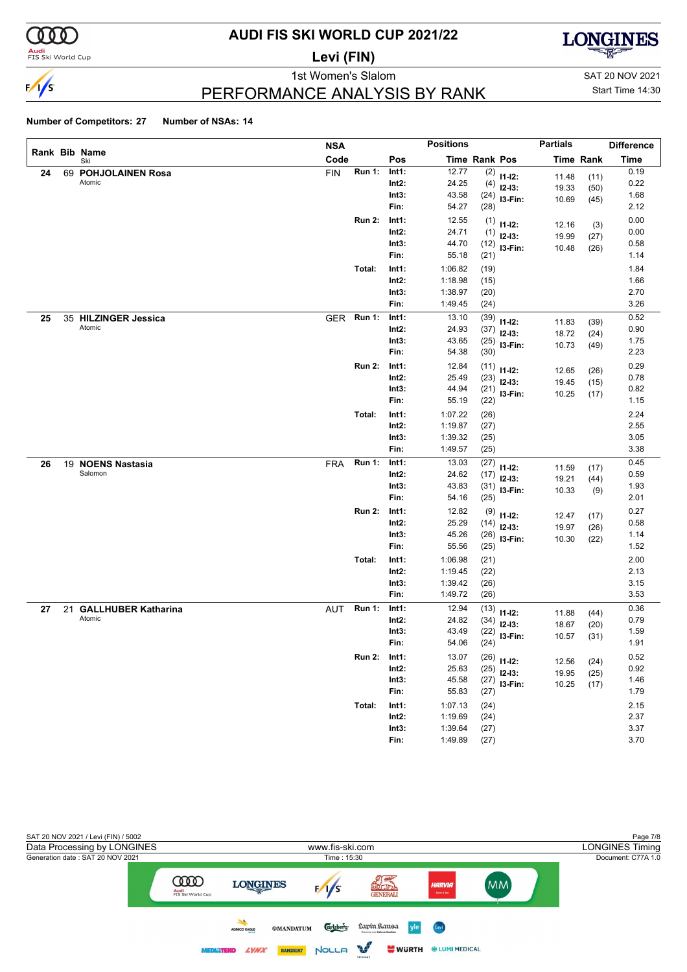

### **Audi**<br>FIS Ski World Cup

# **AUDI FIS SKI WORLD CUP 2021/22**

**Levi (FIN)**



1st Women's Slalom Sattle and SAT 20 NOV 2021

Start Time 14:30

### PERFORMANCE ANALYSIS BY RANK

|    |                        | <b>NSA</b> |               |          | <b>Positions</b> |                      |                | <b>Partials</b> |                  | <b>Difference</b> |
|----|------------------------|------------|---------------|----------|------------------|----------------------|----------------|-----------------|------------------|-------------------|
|    | Rank Bib Name<br>Ski   | Code       |               | Pos      |                  | <b>Time Rank Pos</b> |                |                 | <b>Time Rank</b> | <b>Time</b>       |
| 24 | 69 POHJOLAINEN Rosa    | <b>FIN</b> | <b>Run 1:</b> | Int1:    | 12.77            | (2)                  | $11 - 12$ :    | 11.48           | (11)             | 0.19              |
|    | Atomic                 |            |               | $Int2$ : | 24.25            | (4)                  | $12-13:$       | 19.33           | (50)             | 0.22              |
|    |                        |            |               | Int3:    | 43.58            | (24)                 | I3-Fin:        | 10.69           | (45)             | 1.68              |
|    |                        |            |               | Fin:     | 54.27            | (28)                 |                |                 |                  | 2.12              |
|    |                        |            | <b>Run 2:</b> | Int1:    | 12.55            | (1)                  | $11 - 12$ :    | 12.16           | (3)              | 0.00              |
|    |                        |            |               | $Int2$ : | 24.71            | (1)                  | $12-13:$       | 19.99           | (27)             | 0.00              |
|    |                        |            |               | Int3:    | 44.70            | (12)                 | I3-Fin:        | 10.48           | (26)             | 0.58              |
|    |                        |            |               | Fin:     | 55.18            | (21)                 |                |                 |                  | 1.14              |
|    |                        |            | Total:        | Int1:    | 1:06.82          | (19)                 |                |                 |                  | 1.84              |
|    |                        |            |               | $Int2$ : | 1:18.98          | (15)                 |                |                 |                  | 1.66              |
|    |                        |            |               | Int3:    | 1:38.97          | (20)                 |                |                 |                  | 2.70              |
|    |                        |            |               | Fin:     | 1:49.45          | (24)                 |                |                 |                  | 3.26              |
| 25 | 35 HILZINGER Jessica   | <b>GER</b> | Run 1:        | Int1:    | 13.10            | (39)                 | $11 - 12$ :    | 11.83           | (39)             | 0.52              |
|    | Atomic                 |            |               | Int2:    | 24.93            | (37)                 | $12-13:$       | 18.72           | (24)             | 0.90              |
|    |                        |            |               | Int3:    | 43.65            | (25)                 | I3-Fin:        | 10.73           | (49)             | 1.75              |
|    |                        |            |               | Fin:     | 54.38            | (30)                 |                |                 |                  | 2.23              |
|    |                        |            | <b>Run 2:</b> | Int1:    | 12.84            | (11)                 | $11 - 12$ :    | 12.65           | (26)             | 0.29              |
|    |                        |            |               | $Int2$ : | 25.49            | (23)                 | $12-13:$       | 19.45           | (15)             | 0.78              |
|    |                        |            |               | Int3:    | 44.94            | (21)                 | I3-Fin:        | 10.25           | (17)             | 0.82              |
|    |                        |            |               | Fin:     | 55.19            | (22)                 |                |                 |                  | 1.15              |
|    |                        |            | Total:        | Int1:    | 1:07.22          | (26)                 |                |                 |                  | 2.24              |
|    |                        |            |               | Int2:    | 1:19.87          | (27)                 |                |                 |                  | 2.55              |
|    |                        |            |               | Int3:    | 1:39.32          | (25)                 |                |                 |                  | 3.05              |
|    |                        |            |               | Fin:     | 1:49.57          | (25)                 |                |                 |                  | 3.38              |
| 26 | 19 NOENS Nastasia      | <b>FRA</b> | <b>Run 1:</b> | Int1:    | 13.03            | (27)                 | $11 - 12$ :    | 11.59           | (17)             | 0.45              |
|    | Salomon                |            |               | $Int2$ : | 24.62            | (17)                 | $12-13:$       | 19.21           | (44)             | 0.59              |
|    |                        |            |               | Int3:    | 43.83            | (31)                 | I3-Fin:        | 10.33           | (9)              | 1.93              |
|    |                        |            |               | Fin:     | 54.16            | (25)                 |                |                 |                  | 2.01              |
|    |                        |            | <b>Run 2:</b> | Int1:    | 12.82            | (9)                  | $11 - 12$ :    | 12.47           | (17)             | 0.27              |
|    |                        |            |               | Int2:    | 25.29            | (14)                 | $12-13:$       | 19.97           | (26)             | 0.58              |
|    |                        |            |               | Int3:    | 45.26            | (26)                 | I3-Fin:        | 10.30           | (22)             | 1.14              |
|    |                        |            |               | Fin:     | 55.56            | (25)                 |                |                 |                  | 1.52              |
|    |                        |            | Total:        | Int1:    | 1:06.98          | (21)                 |                |                 |                  | 2.00              |
|    |                        |            |               | $Int2$ : | 1:19.45          | (22)                 |                |                 |                  | 2.13              |
|    |                        |            |               | Int3:    | 1:39.42          | (26)                 |                |                 |                  | 3.15              |
|    |                        |            |               | Fin:     | 1:49.72          | (26)                 |                |                 |                  | 3.53              |
| 27 | 21 GALLHUBER Katharina | AUT        | <b>Run 1:</b> | Int1:    | 12.94            | (13)                 | $11 - 12$ :    | 11.88           | (44)             | 0.36              |
|    | Atomic                 |            |               | Int2:    | 24.82            | (34)                 | $12-13:$       | 18.67           | (20)             | 0.79              |
|    |                        |            |               | Int3:    | 43.49            | (22)                 | I3-Fin:        | 10.57           | (31)             | 1.59              |
|    |                        |            |               | Fin:     | 54.06            | (24)                 |                |                 |                  | 1.91              |
|    |                        |            | <b>Run 2:</b> | Int1:    | 13.07            |                      | $(26)$ 11-12:  | 12.56           | (24)             | 0.52              |
|    |                        |            |               | Int2:    | 25.63            | (25)                 | $12-13:$       | 19.95           | (25)             | 0.92              |
|    |                        |            |               | Int3:    | 45.58            |                      | $(27)$ 13-Fin: | 10.25           | (17)             | 1.46              |
|    |                        |            |               | Fin:     | 55.83            | (27)                 |                |                 |                  | 1.79              |
|    |                        |            | Total:        | Int1:    | 1:07.13          | (24)                 |                |                 |                  | 2.15              |
|    |                        |            |               | $Int2$ : | 1:19.69          | (24)                 |                |                 |                  | 2.37              |
|    |                        |            |               | Int3:    | 1:39.64          | (27)                 |                |                 |                  | 3.37              |
|    |                        |            |               | Fin:     | 1:49.89          | (27)                 |                |                 |                  | 3.70              |

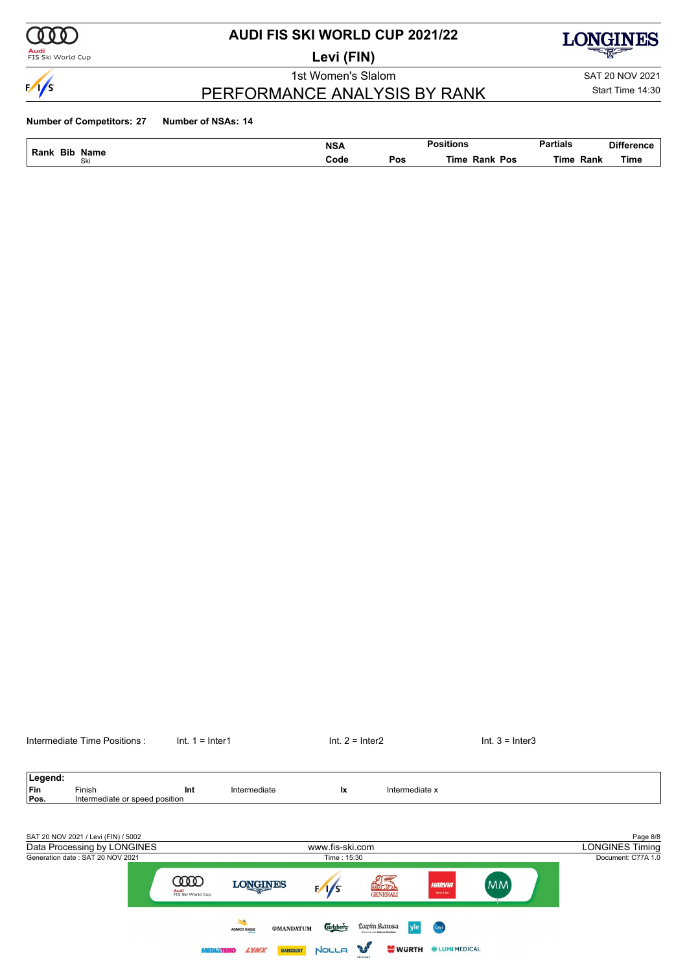

#### **Audi**<br>FIS Ski World Cup

## **AUDI FIS SKI WORLD CUP 2021/22**

**Levi (FIN)**

PERFORMANCE ANALYSIS BY RANK

1st Women's Slalom Sattle and SAT 20 NOV 2021



Start Time 14:30

| Bib                                  | <b>NSA</b><br>_____ |     | $\cdots$<br><sub>ື</sub> ∘itions | Partials<br>. | <b>Difference</b> |
|--------------------------------------|---------------------|-----|----------------------------------|---------------|-------------------|
| Rank<br>Name<br>$\sim$ $\sim$<br>Ski | Code                | Pos | Pos<br>⊤im⊾<br>Rank              | Rank<br>'imr  | Time<br>__        |

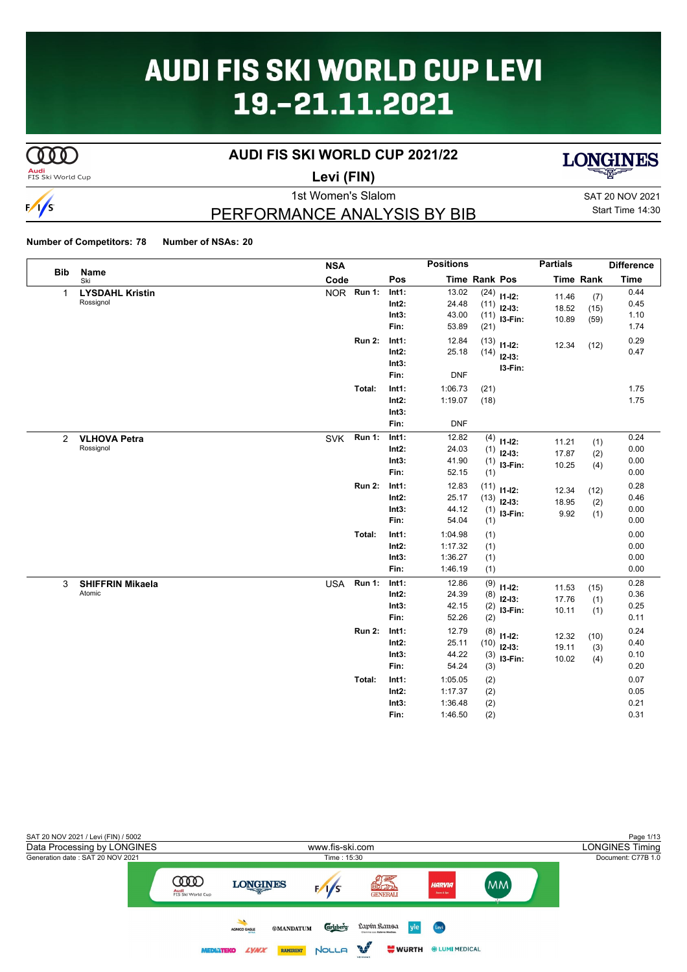# **AUDI FIS SKI WORLD CUP LEVI** 19.-21.11.2021

# $\overline{\text{C00}}$

### **AUDI FIS SKI WORLD CUP 2021/22**





**Levi (FIN)**

# $\frac{1}{s}$

# PERFORMANCE ANALYSIS BY BIB

1st Women's Slalom SAT 20 NOV 2021 Start Time 14:30

|              |                         | <b>NSA</b> |               |               | <b>Positions</b> |               |               | <b>Partials</b> |                  | <b>Difference</b> |
|--------------|-------------------------|------------|---------------|---------------|------------------|---------------|---------------|-----------------|------------------|-------------------|
| <b>Bib</b>   | Name<br>Ski             | Code       |               | Pos           |                  | Time Rank Pos |               |                 | <b>Time Rank</b> | <b>Time</b>       |
| $\mathbf{1}$ | <b>LYSDAHL Kristin</b>  | NOR Run 1: |               | Int1:         | 13.02            |               | $(24)$ 11-12: | 11.46           | (7)              | 0.44              |
|              | Rossignol               |            |               | $Int2$ :      | 24.48            | (11)          | $12-13:$      | 18.52           | (15)             | 0.45              |
|              |                         |            |               | Int3:         | 43.00            | (11)          | I3-Fin:       | 10.89           | (59)             | 1.10              |
|              |                         |            |               | Fin:          | 53.89            | (21)          |               |                 |                  | 1.74              |
|              |                         |            | <b>Run 2:</b> | Int1:         | 12.84            | (13)          | $11 - 12$ :   | 12.34           | (12)             | 0.29              |
|              |                         |            |               | $Int2$ :      | 25.18            | (14)          | $12 - 13$ :   |                 |                  | 0.47              |
|              |                         |            |               | Int3:         |                  |               | I3-Fin:       |                 |                  |                   |
|              |                         |            |               | Fin:          | <b>DNF</b>       |               |               |                 |                  |                   |
|              |                         |            | Total:        | Int1:         | 1:06.73          | (21)          |               |                 |                  | 1.75              |
|              |                         |            |               | Int2:         | 1:19.07          | (18)          |               |                 |                  | 1.75              |
|              |                         |            |               | Int3:         |                  |               |               |                 |                  |                   |
|              |                         |            |               | Fin:          | <b>DNF</b>       |               |               |                 |                  |                   |
| $\mathbf{2}$ | <b>VLHOVA Petra</b>     | <b>SVK</b> | <b>Run 1:</b> | Int1:         | 12.82            |               | $(4)$ 11-12:  | 11.21           | (1)              | 0.24              |
|              | Rossignol               |            |               | $Int2$ :      | 24.03            | (1)           | $12-13:$      | 17.87           | (2)              | 0.00              |
|              |                         |            |               | Int3:         | 41.90            | (1)           | $13-Fin:$     | 10.25           | (4)              | 0.00              |
|              |                         |            |               | Fin:          | 52.15            | (1)           |               |                 |                  | 0.00              |
|              |                         |            | <b>Run 2:</b> | Int1:         | 12.83            | (11)          | $11 - 12$ :   | 12.34           | (12)             | 0.28              |
|              |                         |            |               | $Int2$ :      | 25.17            | (13)          | $12-13:$      | 18.95           | (2)              | 0.46              |
|              |                         |            |               | Int3:         | 44.12            |               | $(1)$ 13-Fin: | 9.92            | (1)              | 0.00              |
|              |                         |            |               | Fin:          | 54.04            | (1)           |               |                 |                  | 0.00              |
|              |                         |            | Total:        | Int1:         | 1:04.98          | (1)           |               |                 |                  | 0.00              |
|              |                         |            |               | $Int2$ :      | 1:17.32          | (1)           |               |                 |                  | 0.00              |
|              |                         |            |               | Int3:         | 1:36.27          | (1)           |               |                 |                  | 0.00              |
|              |                         |            |               | Fin:          | 1:46.19          | (1)           |               |                 |                  | 0.00              |
| 3            | <b>SHIFFRIN Mikaela</b> | <b>USA</b> | <b>Run 1:</b> | Int1:         | 12.86            | (9)           | $11 - 12$ :   | 11.53           | (15)             | 0.28              |
|              | Atomic                  |            |               | $Int2$ :      | 24.39            | (8)           | $12-13:$      | 17.76           | (1)              | 0.36              |
|              |                         |            |               | Int3:<br>Fin: | 42.15<br>52.26   | (2)           | I3-Fin:       | 10.11           | (1)              | 0.25<br>0.11      |
|              |                         |            |               |               |                  | (2)           |               |                 |                  |                   |
|              |                         |            | <b>Run 2:</b> | Int1:         | 12.79            | (8)           | $11 - 12$ :   | 12.32           | (10)             | 0.24              |
|              |                         |            |               | $Int2$ :      | 25.11            | (10)          | $12 - 13$ :   | 19.11           | (3)              | 0.40              |
|              |                         |            |               | Int3:<br>Fin: | 44.22            | (3)           | I3-Fin:       | 10.02           | (4)              | 0.10              |
|              |                         |            |               |               | 54.24            | (3)           |               |                 |                  | 0.20              |
|              |                         |            | Total:        | Int1:         | 1:05.05          | (2)           |               |                 |                  | 0.07              |
|              |                         |            |               | Int2:         | 1:17.37          | (2)           |               |                 |                  | 0.05              |
|              |                         |            |               | Int3:<br>Fin: | 1:36.48          | (2)           |               |                 |                  | 0.21<br>0.31      |
|              |                         |            |               |               | 1:46.50          | (2)           |               |                 |                  |                   |

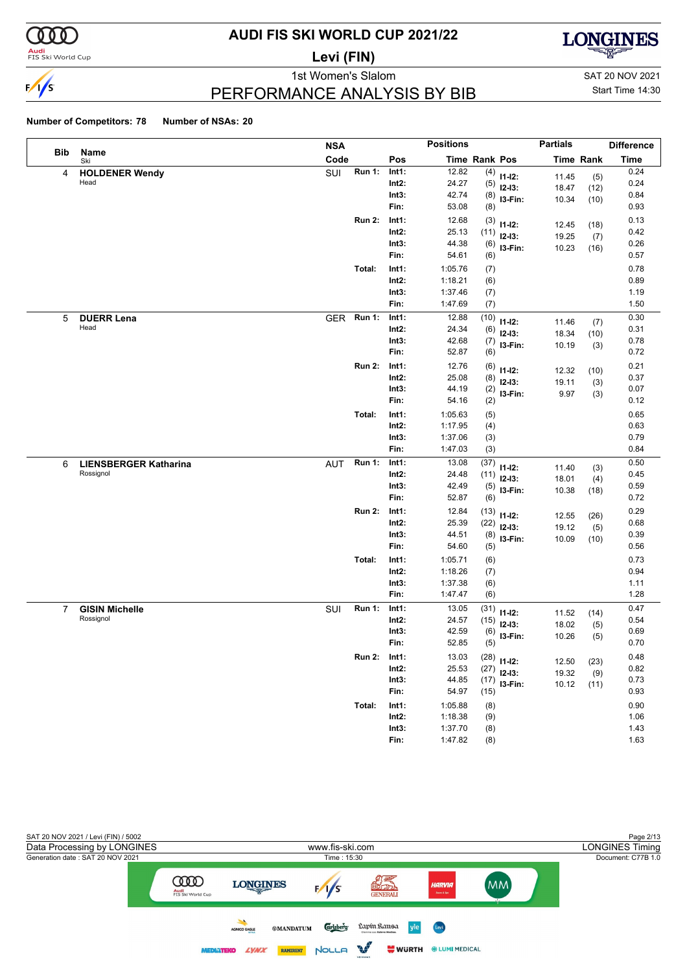

### **Audi**<br>FIS Ski World Cup

# **AUDI FIS SKI WORLD CUP 2021/22**

**Levi (FIN)**



PERFORMANCE ANALYSIS BY BIB

1st Women's Slalom Sattle and SAT 20 NOV 2021 Start Time 14:30

|                |                                    | <b>NSA</b> |               |          | <b>Positions</b> |               |                | <b>Partials</b> |                  | <b>Difference</b> |
|----------------|------------------------------------|------------|---------------|----------|------------------|---------------|----------------|-----------------|------------------|-------------------|
| Bib            | Name<br>Ski                        | Code       |               | Pos      |                  | Time Rank Pos |                |                 | <b>Time Rank</b> | <b>Time</b>       |
| 4              | <b>HOLDENER Wendy</b>              | SUI        | <b>Run 1:</b> | Int1:    | 12.82            | (4)           | $11 - 12$ :    | 11.45           | (5)              | 0.24              |
|                | Head                               |            |               | $Int2$ : | 24.27            | (5)           | $12-13:$       | 18.47           | (12)             | 0.24              |
|                |                                    |            |               | Int3:    | 42.74            | (8)           | I3-Fin:        | 10.34           | (10)             | 0.84              |
|                |                                    |            |               | Fin:     | 53.08            | (8)           |                |                 |                  | 0.93              |
|                |                                    |            | <b>Run 2:</b> | Int1:    | 12.68            | (3)           | $11 - 12$ :    | 12.45           | (18)             | 0.13              |
|                |                                    |            |               | $Int2$ : | 25.13            | (11)          | $12-13:$       | 19.25           | (7)              | 0.42              |
|                |                                    |            |               | Int3:    | 44.38            | (6)           | I3-Fin:        | 10.23           | (16)             | 0.26              |
|                |                                    |            |               | Fin:     | 54.61            | (6)           |                |                 |                  | 0.57              |
|                |                                    |            | Total:        | Int1:    | 1:05.76          | (7)           |                |                 |                  | 0.78              |
|                |                                    |            |               | $Int2$ : | 1:18.21          | (6)           |                |                 |                  | 0.89              |
|                |                                    |            |               | Int3:    | 1:37.46          | (7)           |                |                 |                  | 1.19              |
|                |                                    |            |               | Fin:     | 1:47.69          | (7)           |                |                 |                  | 1.50              |
| 5              | <b>DUERR Lena</b>                  | <b>GER</b> | <b>Run 1:</b> | Int1:    | 12.88            | (10)          | $11 - 12$ :    | 11.46           | (7)              | 0.30              |
|                | Head                               |            |               | $Int2$ : | 24.34            | (6)           | $12 - 13$ :    | 18.34           | (10)             | 0.31              |
|                |                                    |            |               | Int3:    | 42.68            | (7)           | I3-Fin:        | 10.19           | (3)              | 0.78              |
|                |                                    |            |               | Fin:     | 52.87            | (6)           |                |                 |                  | 0.72              |
|                |                                    |            | <b>Run 2:</b> | Int1:    | 12.76            | (6)           | $11 - 12$ :    |                 |                  | 0.21              |
|                |                                    |            |               | $Int2$ : | 25.08            | (8)           | $12 - 13$ :    | 12.32<br>19.11  | (10)             | 0.37              |
|                |                                    |            |               | Int3:    | 44.19            | (2)           | I3-Fin:        | 9.97            | (3)              | 0.07              |
|                |                                    |            |               | Fin:     | 54.16            | (2)           |                |                 | (3)              | 0.12              |
|                |                                    |            | Total:        | Int1:    | 1:05.63          | (5)           |                |                 |                  | 0.65              |
|                |                                    |            |               | $Int2$ : | 1:17.95          | (4)           |                |                 |                  | 0.63              |
|                |                                    |            |               | Int3:    | 1:37.06          | (3)           |                |                 |                  | 0.79              |
|                |                                    |            |               | Fin:     | 1:47.03          | (3)           |                |                 |                  | 0.84              |
| 6              | <b>LIENSBERGER Katharina</b>       | <b>AUT</b> | <b>Run 1:</b> | Int1:    | 13.08            | (37)          |                |                 |                  | 0.50              |
|                | Rossignol                          |            |               | $Int2$ : | 24.48            | (11)          | $11 - 12$ :    | 11.40           | (3)              | 0.45              |
|                |                                    |            |               | Int3:    | 42.49            | (5)           | $12-13:$       | 18.01           | (4)              | 0.59              |
|                |                                    |            |               | Fin:     | 52.87            | (6)           | I3-Fin:        | 10.38           | (18)             | 0.72              |
|                |                                    |            | <b>Run 2:</b> | Int1:    | 12.84            | (13)          |                |                 |                  | 0.29              |
|                |                                    |            |               | $Int2$ : | 25.39            | (22)          | $11 - 12$ :    | 12.55           | (26)             | 0.68              |
|                |                                    |            |               | Int3:    | 44.51            | (8)           | $12-13:$       | 19.12           | (5)              | 0.39              |
|                |                                    |            |               | Fin:     | 54.60            | (5)           | I3-Fin:        | 10.09           | (10)             | 0.56              |
|                |                                    |            | Total:        | Int1:    | 1:05.71          |               |                |                 |                  | 0.73              |
|                |                                    |            |               | $Int2$ : | 1:18.26          | (6)           |                |                 |                  | 0.94              |
|                |                                    |            |               | Int3:    | 1:37.38          | (7)<br>(6)    |                |                 |                  | 1.11              |
|                |                                    |            |               | Fin:     | 1:47.47          | (6)           |                |                 |                  | 1.28              |
|                |                                    |            | <b>Run 1:</b> | Int1:    | 13.05            |               |                |                 |                  | 0.47              |
| $\overline{7}$ | <b>GISIN Michelle</b><br>Rossignol | SUI        |               | $Int2$ : | 24.57            | (31)          | $11 - 12$ :    | 11.52           | (14)             | 0.54              |
|                |                                    |            |               | Int3:    | 42.59            | (15)          | $12 - 13$ :    | 18.02           | (5)              | 0.69              |
|                |                                    |            |               | Fin:     | 52.85            | (6)<br>(5)    | I3-Fin:        | 10.26           | (5)              | 0.70              |
|                |                                    |            |               |          |                  |               |                |                 |                  |                   |
|                |                                    |            | <b>Run 2:</b> | Int1:    | 13.03            |               | $(28)$ 11-12:  | 12.50           | (23)             | 0.48              |
|                |                                    |            |               | $Int2$ : | 25.53            | (27)          | $12-13:$       | 19.32           | (9)              | 0.82<br>0.73      |
|                |                                    |            |               | Int3:    | 44.85            |               | $(17)$ 13-Fin: | 10.12           | (11)             |                   |
|                |                                    |            |               | Fin:     | 54.97            | (15)          |                |                 |                  | 0.93              |
|                |                                    |            | Total:        | Int1:    | 1:05.88          | (8)           |                |                 |                  | 0.90              |
|                |                                    |            |               | $Int2$ : | 1:18.38          | (9)           |                |                 |                  | 1.06              |
|                |                                    |            |               | Int3:    | 1:37.70          | (8)           |                |                 |                  | 1.43              |
|                |                                    |            |               | Fin:     | 1:47.82          | (8)           |                |                 |                  | 1.63              |

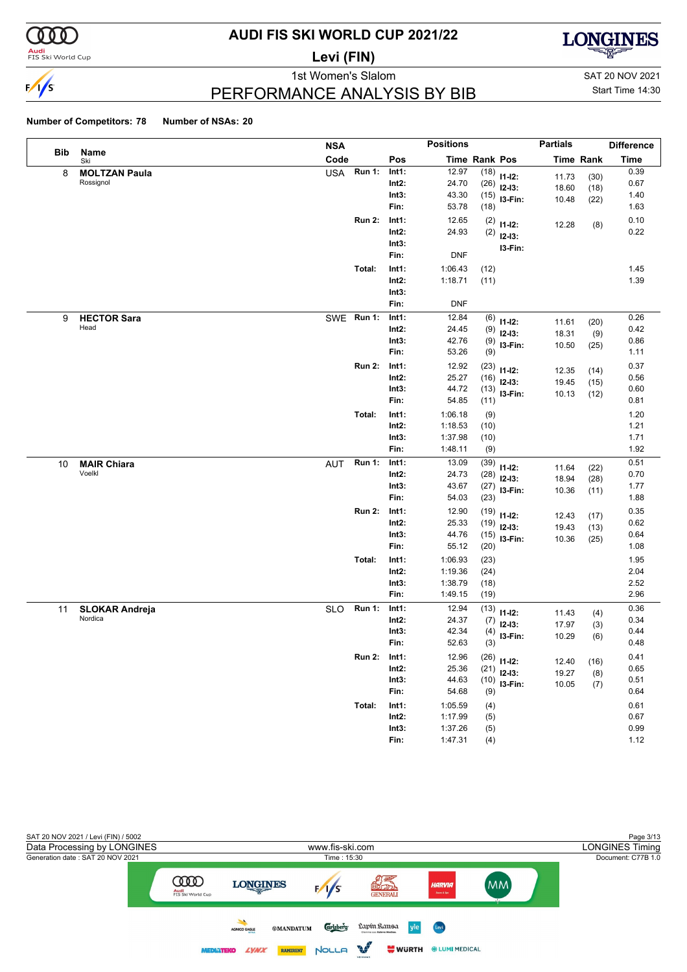

### **Audi**<br>FIS Ski World Cup

# **AUDI FIS SKI WORLD CUP 2021/22**

**Levi (FIN)**



PERFORMANCE ANALYSIS BY BIB

1st Women's Slalom Sattle and SAT 20 NOV 2021 Start Time 14:30

|     |                                   | <b>NSA</b>                  |                                    | <b>Positions</b>                         |                              |                                                  | <b>Partials</b>         |                      | <b>Difference</b>            |
|-----|-----------------------------------|-----------------------------|------------------------------------|------------------------------------------|------------------------------|--------------------------------------------------|-------------------------|----------------------|------------------------------|
| Bib | Name<br>Ski                       | Code                        | Pos                                | Time Rank Pos                            |                              |                                                  |                         | <b>Time Rank</b>     | <b>Time</b>                  |
| 8   | <b>MOLTZAN Paula</b><br>Rossignol | Run $1$ :<br><b>USA</b>     | Int1:<br>$Int2$ :<br>Int3:<br>Fin: | 12.97<br>24.70<br>43.30<br>53.78         | (18)                         | $(18)$ 11-12:<br>$(26)$ 12-13:<br>$(15)$ 13-Fin: | 11.73<br>18.60<br>10.48 | (30)<br>(18)<br>(22) | 0.39<br>0.67<br>1.40<br>1.63 |
|     |                                   | <b>Run 2:</b>               | Int1:<br>Int2:<br>Int3:<br>Fin:    | 12.65<br>24.93<br><b>DNF</b>             |                              | $(2)$ 11-12:<br>$(2)$ 12-13:<br>I3-Fin:          | 12.28                   | (8)                  | 0.10<br>0.22                 |
|     |                                   | Total:                      | Int1:<br>$Int2$ :<br>Int3:<br>Fin: | 1:06.43<br>1:18.71<br><b>DNF</b>         | (12)<br>(11)                 |                                                  |                         |                      | 1.45<br>1.39                 |
| 9   | <b>HECTOR Sara</b><br>Head        | <b>Run 1:</b><br>SWE        | Int1:<br>$Int2$ :<br>Int3:<br>Fin: | 12.84<br>24.45<br>42.76<br>53.26         | (9)                          | $(6)$ 11-12:<br>$(9)$ 12-13:<br>$(9)$ 13-Fin:    | 11.61<br>18.31<br>10.50 | (20)<br>(9)<br>(25)  | 0.26<br>0.42<br>0.86<br>1.11 |
|     |                                   | <b>Run 2:</b>               | Int1:<br>$Int2$ :<br>Int3:<br>Fin: | 12.92<br>25.27<br>44.72<br>54.85         | (11)                         | $(23)$ 11-12:<br>$(16)$ 12-13:<br>$(13)$ 13-Fin: | 12.35<br>19.45<br>10.13 | (14)<br>(15)<br>(12) | 0.37<br>0.56<br>0.60<br>0.81 |
|     |                                   | Total:                      | Int1:<br>Int2:<br>Int3:<br>Fin:    | 1:06.18<br>1:18.53<br>1:37.98<br>1:48.11 | (9)<br>(10)<br>(10)<br>(9)   |                                                  |                         |                      | 1.20<br>1.21<br>1.71<br>1.92 |
| 10  | <b>MAIR Chiara</b><br>Voelkl      | <b>Run 1:</b><br>AUT        | Int1:<br>$Int2$ :<br>Int3:<br>Fin: | 13.09<br>24.73<br>43.67<br>54.03         | (39)<br>(28)<br>(23)         | $11 - 12$ :<br>$12-13:$<br>$(27)$ 13-Fin:        | 11.64<br>18.94<br>10.36 | (22)<br>(28)<br>(11) | 0.51<br>0.70<br>1.77<br>1.88 |
|     |                                   | <b>Run 2:</b>               | Int1:<br>Int2:<br>Int3:<br>Fin:    | 12.90<br>25.33<br>44.76<br>55.12         | (20)                         | $(19)$ 11-12:<br>$(19)$ 12-13:<br>$(15)$ 13-Fin: | 12.43<br>19.43<br>10.36 | (17)<br>(13)<br>(25) | 0.35<br>0.62<br>0.64<br>1.08 |
|     |                                   | Total:                      | Int1:<br>$Int2$ :<br>Int3:<br>Fin: | 1:06.93<br>1:19.36<br>1:38.79<br>1:49.15 | (23)<br>(24)<br>(18)<br>(19) |                                                  |                         |                      | 1.95<br>2.04<br>2.52<br>2.96 |
| 11  | <b>SLOKAR Andreja</b><br>Nordica  | <b>Run 1:</b><br><b>SLO</b> | Int1:<br>$Int2$ :<br>Int3:<br>Fin: | 12.94<br>24.37<br>42.34<br>52.63         | (7)<br>(4)<br>(3)            | $(13)$ 11-12:<br>$12 - 13$ :<br>I3-Fin:          | 11.43<br>17.97<br>10.29 | (4)<br>(3)<br>(6)    | 0.36<br>0.34<br>0.44<br>0.48 |
|     |                                   | <b>Run 2:</b>               | Int1:<br>Int2:<br>Int3:<br>Fin:    | 12.96<br>25.36<br>44.63<br>54.68         | (9)                          | $(26)$ 11-12:<br>$(21)$ 12-13:<br>$(10)$ 13-Fin: | 12.40<br>19.27<br>10.05 | (16)<br>(8)<br>(7)   | 0.41<br>0.65<br>0.51<br>0.64 |
|     |                                   | Total:                      | Int1:<br>$Int2$ :<br>Int3:<br>Fin: | 1:05.59<br>1:17.99<br>1:37.26<br>1:47.31 | (4)<br>(5)<br>(5)<br>(4)     |                                                  |                         |                      | 0.61<br>0.67<br>0.99<br>1.12 |

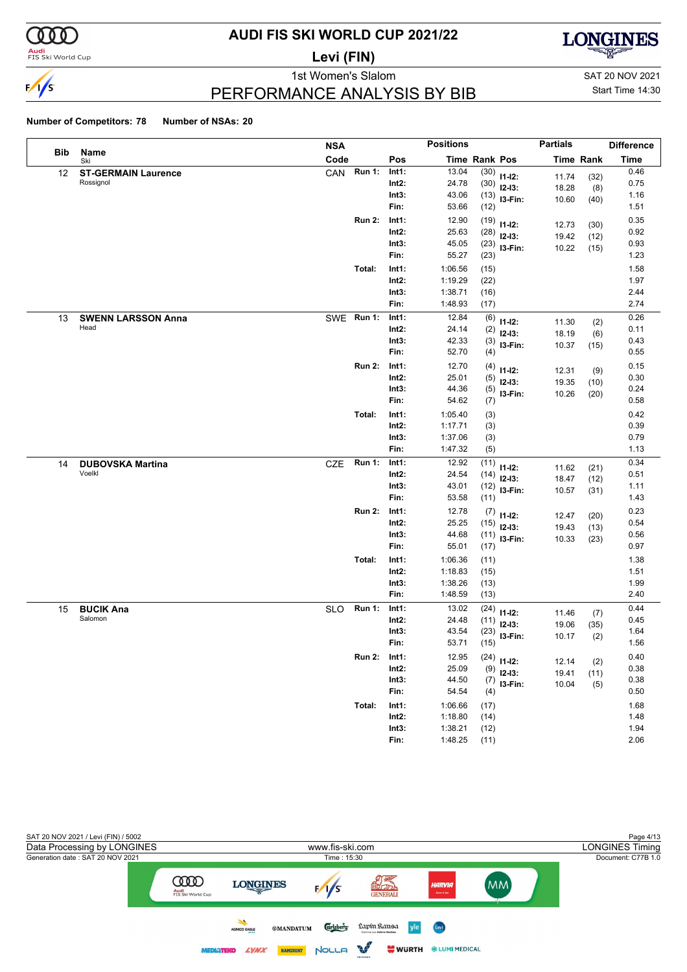

### **Audi**<br>FIS Ski World Cup

# **AUDI FIS SKI WORLD CUP 2021/22**

**Levi (FIN)**



### PERFORMANCE ANALYSIS BY BIB

1st Women's Slalom Sattle and SAT 20 NOV 2021 Start Time 14:30

|     |                            | <b>NSA</b> |               |          | <b>Positions</b> |               |               | <b>Partials</b> |                  | <b>Difference</b> |
|-----|----------------------------|------------|---------------|----------|------------------|---------------|---------------|-----------------|------------------|-------------------|
| Bib | Name<br>Ski                | Code       |               | Pos      |                  | Time Rank Pos |               |                 | <b>Time Rank</b> | <b>Time</b>       |
| 12  | <b>ST-GERMAIN Laurence</b> | CAN        | <b>Run 1:</b> | Int1:    | 13.04            | (30)          | $11 - 12$ :   | 11.74           | (32)             | 0.46              |
|     | Rossignol                  |            |               | $Int2$ : | 24.78            | (30)          | $12-13:$      | 18.28           | (8)              | 0.75              |
|     |                            |            |               | Int3:    | 43.06            | (13)          | I3-Fin:       | 10.60           | (40)             | 1.16              |
|     |                            |            |               | Fin:     | 53.66            | (12)          |               |                 |                  | 1.51              |
|     |                            |            | <b>Run 2:</b> | Int1:    | 12.90            | (19)          | $11 - 12$ :   | 12.73           | (30)             | 0.35              |
|     |                            |            |               | $Int2$ : | 25.63            | (28)          | $12-13:$      | 19.42           | (12)             | 0.92              |
|     |                            |            |               | Int3:    | 45.05            | (23)          | I3-Fin:       | 10.22           | (15)             | 0.93              |
|     |                            |            |               | Fin:     | 55.27            | (23)          |               |                 |                  | 1.23              |
|     |                            |            | Total:        | Int1:    | 1:06.56          | (15)          |               |                 |                  | 1.58              |
|     |                            |            |               | $Int2$ : | 1:19.29          | (22)          |               |                 |                  | 1.97              |
|     |                            |            |               | Int3:    | 1:38.71          | (16)          |               |                 |                  | 2.44              |
|     |                            |            |               | Fin:     | 1:48.93          | (17)          |               |                 |                  | 2.74              |
| 13  | <b>SWENN LARSSON Anna</b>  | <b>SWE</b> | <b>Run 1:</b> | Int1:    | 12.84            | (6)           | $11 - 12$ :   | 11.30           | (2)              | 0.26              |
|     | Head                       |            |               | Int2:    | 24.14            | (2)           | $12 - 13:$    | 18.19           | (6)              | 0.11              |
|     |                            |            |               | Int3:    | 42.33            | (3)           | I3-Fin:       | 10.37           | (15)             | 0.43              |
|     |                            |            |               | Fin:     | 52.70            | (4)           |               |                 |                  | 0.55              |
|     |                            |            | <b>Run 2:</b> | Int1:    | 12.70            | (4)           | $11 - 12$ :   | 12.31           | (9)              | 0.15              |
|     |                            |            |               | $Int2$ : | 25.01            | (5)           | $12 - 13:$    | 19.35           | (10)             | 0.30              |
|     |                            |            |               | Int3:    | 44.36            | (5)           | I3-Fin:       | 10.26           | (20)             | 0.24              |
|     |                            |            |               | Fin:     | 54.62            | (7)           |               |                 |                  | 0.58              |
|     |                            |            | Total:        | Int1:    | 1:05.40          | (3)           |               |                 |                  | 0.42              |
|     |                            |            |               | Int2:    | 1:17.71          | (3)           |               |                 |                  | 0.39              |
|     |                            |            |               | Int3:    | 1:37.06          | (3)           |               |                 |                  | 0.79              |
|     |                            |            |               | Fin:     | 1:47.32          | (5)           |               |                 |                  | 1.13              |
| 14  | <b>DUBOVSKA Martina</b>    | <b>CZE</b> | <b>Run 1:</b> | Int1:    | 12.92            | (11)          | $11-12:$      | 11.62           | (21)             | 0.34              |
|     | Voelkl                     |            |               | Int2:    | 24.54            | (14)          | $12-13:$      | 18.47           | (12)             | 0.51              |
|     |                            |            |               | Int3:    | 43.01            | (12)          | I3-Fin:       | 10.57           | (31)             | 1.11              |
|     |                            |            |               | Fin:     | 53.58            | (11)          |               |                 |                  | 1.43              |
|     |                            |            | <b>Run 2:</b> | Int1:    | 12.78            | (7)           | $11 - 12$ :   | 12.47           | (20)             | 0.23              |
|     |                            |            |               | $Int2$ : | 25.25            | (15)          | $12-13:$      | 19.43           | (13)             | 0.54              |
|     |                            |            |               | Int3:    | 44.68            | (11)          | I3-Fin:       | 10.33           | (23)             | 0.56              |
|     |                            |            |               | Fin:     | 55.01            | (17)          |               |                 |                  | 0.97              |
|     |                            |            | Total:        | Int1:    | 1:06.36          | (11)          |               |                 |                  | 1.38              |
|     |                            |            |               | Int2:    | 1:18.83          | (15)          |               |                 |                  | 1.51              |
|     |                            |            |               | Int3:    | 1:38.26          | (13)          |               |                 |                  | 1.99              |
|     |                            |            |               | Fin:     | 1:48.59          | (13)          |               |                 |                  | 2.40              |
| 15  | <b>BUCIK Ana</b>           | <b>SLO</b> | <b>Run 1:</b> | Int1:    | 13.02            | (24)          | $11 - 12$ :   | 11.46           | (7)              | 0.44              |
|     | Salomon                    |            |               | Int2:    | 24.48            | (11)          | $12-13:$      | 19.06           | (35)             | 0.45              |
|     |                            |            |               | Int3:    | 43.54            | (23)          | I3-Fin:       | 10.17           | (2)              | 1.64              |
|     |                            |            |               | Fin:     | 53.71            | (15)          |               |                 |                  | 1.56              |
|     |                            |            | <b>Run 2:</b> | Int1:    | 12.95            |               | $(24)$ 11-12: | 12.14           | (2)              | 0.40              |
|     |                            |            |               | Int2:    | 25.09            | (9)           | $12-13:$      | 19.41           | (11)             | 0.38              |
|     |                            |            |               | Int3:    | 44.50            |               | $(7)$ 13-Fin: | 10.04           | (5)              | 0.38              |
|     |                            |            |               | Fin:     | 54.54            | (4)           |               |                 |                  | 0.50              |
|     |                            |            | Total:        | Int1:    | 1:06.66          | (17)          |               |                 |                  | 1.68              |
|     |                            |            |               | $Int2$ : | 1:18.80          | (14)          |               |                 |                  | 1.48              |
|     |                            |            |               | Int3:    | 1:38.21          | (12)          |               |                 |                  | 1.94              |
|     |                            |            |               | Fin:     | 1:48.25          | (11)          |               |                 |                  | 2.06              |

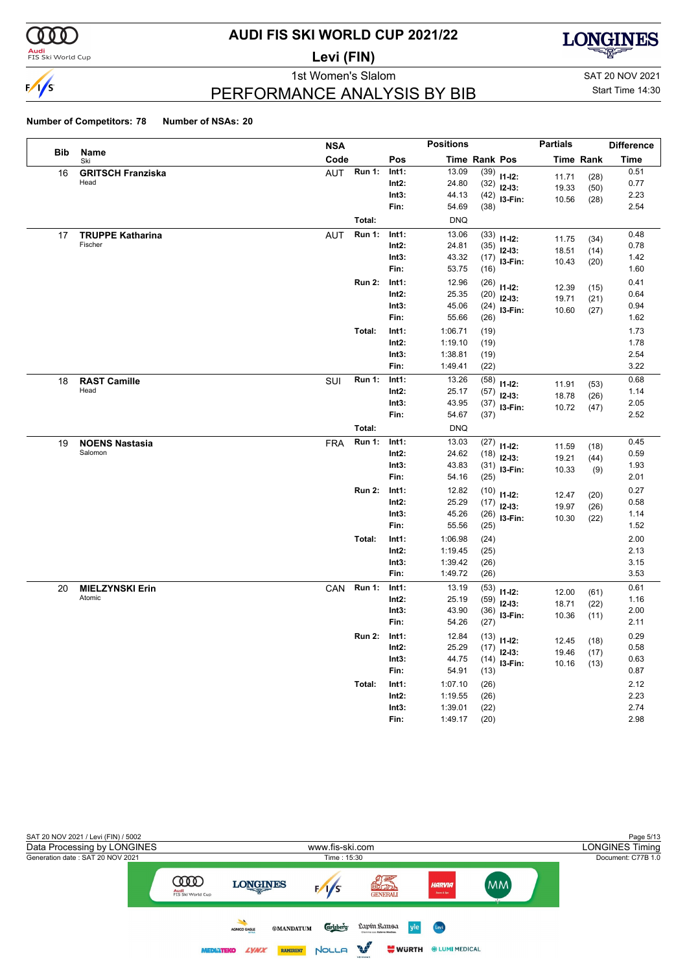

### **Audi**<br>FIS Ski World Cup

# **AUDI FIS SKI WORLD CUP 2021/22**

**Levi (FIN)**



PERFORMANCE ANALYSIS BY BIB

1st Women's Slalom Sattle and SAT 20 NOV 2021 Start Time 14:30

| <b>Positions</b><br><b>NSA</b>                                                          | <b>Partials</b>          |                  | <b>Difference</b> |
|-----------------------------------------------------------------------------------------|--------------------------|------------------|-------------------|
| Bib<br>Name<br>Code<br>Pos<br>Time Rank Pos<br>Ski                                      |                          | <b>Time Rank</b> | Time              |
| <b>Run 1:</b><br>13.09<br>Int1:<br><b>GRITSCH Franziska</b><br><b>AUT</b><br>16         | $(39)$ 11-12:            | 11.71<br>(28)    | 0.51              |
| Head<br>Int2:<br>24.80                                                                  | $(32)$ 12-13:            | 19.33<br>(50)    | 0.77              |
| Int3:<br>44.13                                                                          | $(42)$ 13-Fin:           | 10.56<br>(28)    | 2.23              |
| Fin:<br>54.69                                                                           | (38)                     |                  | 2.54              |
| Total:<br><b>DNQ</b>                                                                    |                          |                  |                   |
| 13.06<br><b>Run 1:</b><br>Int1:<br><b>TRUPPE Katharina</b><br><b>AUT</b><br>17          | $(33)$ 11-12:            | 11.75<br>(34)    | 0.48              |
| Fischer<br>$Int2$ :<br>24.81                                                            | (35)<br>$12 - 13:$       | 18.51<br>(14)    | 0.78              |
| 43.32<br>Int3:                                                                          | $(17)$ 13-Fin:           | 10.43<br>(20)    | 1.42              |
| Fin:<br>53.75                                                                           | (16)                     |                  | 1.60              |
| 12.96<br><b>Run 2:</b><br>Int1:                                                         | $(26)$ 11-12:            | 12.39<br>(15)    | 0.41              |
| $Int2$ :<br>25.35                                                                       | $(20)$ 12-13:            | 19.71<br>(21)    | 0.64              |
| Int3:<br>45.06                                                                          | $(24)$ 13-Fin:           | 10.60<br>(27)    | 0.94              |
| Fin:<br>55.66                                                                           | (26)                     |                  | 1.62              |
| Total:<br>1:06.71<br>Int1:                                                              | (19)                     |                  | 1.73              |
| 1:19.10<br>$Int2$ :                                                                     | (19)                     |                  | 1.78              |
| 1:38.81<br>Int3:                                                                        | (19)                     |                  | 2.54              |
| Fin:<br>1:49.41                                                                         | (22)                     |                  | 3.22              |
| 13.26<br><b>Run 1:</b><br>SUI<br>Int1:<br>18<br><b>RAST Camille</b><br>Head             | (58)<br>$11 - 12$ :      | 11.91<br>(53)    | 0.68              |
| $Int2$ :<br>25.17                                                                       | (57)<br>$12 - 13:$       | 18.78<br>(26)    | 1.14              |
| Int3:<br>43.95                                                                          | $(37)$ 13-Fin:           | 10.72<br>(47)    | 2.05<br>2.52      |
| Fin:<br>54.67                                                                           | (37)                     |                  |                   |
| Total:<br><b>DNQ</b>                                                                    |                          |                  |                   |
| 13.03<br><b>Run 1:</b><br>Int1:<br><b>NOENS Nastasia</b><br><b>FRA</b><br>19<br>Salomon | (27)<br>$11 - 12$ :      | 11.59<br>(18)    | 0.45              |
| 24.62<br>$Int2$ :                                                                       | $(18)$ 12-13:            | 19.21<br>(44)    | 0.59              |
| Int3:<br>43.83<br>Fin:<br>54.16                                                         | (31)<br>$13-Fin:$        | 10.33<br>(9)     | 1.93<br>2.01      |
|                                                                                         | (25)                     |                  |                   |
| <b>Run 2:</b><br>12.82<br>Int1:                                                         | (10)<br>$11 - 12$ :      | 12.47<br>(20)    | 0.27              |
| 25.29<br>$Int2$ :<br>Int3:<br>45.26                                                     | $(17)$ 12-13:            | 19.97<br>(26)    | 0.58<br>1.14      |
| 55.56<br>Fin:                                                                           | $(26)$ 13-Fin:<br>(25)   | 10.30<br>(22)    | 1.52              |
| Total:                                                                                  |                          |                  |                   |
| Int1:<br>1:06.98<br>Int2:<br>1:19.45                                                    | (24)                     |                  | 2.00<br>2.13      |
| Int3:<br>1:39.42                                                                        | (25)<br>(26)             |                  | 3.15              |
| Fin:<br>1:49.72                                                                         | (26)                     |                  | 3.53              |
| <b>CAN</b><br><b>Run 1:</b><br>Int1:<br>13.19<br>20                                     |                          |                  | 0.61              |
| <b>MIELZYNSKI Erin</b><br>Atomic<br>25.19<br>$Int2$ :                                   | (53)<br>$11-12:$<br>(59) | 12.00<br>(61)    | 1.16              |
| 43.90<br>Int3:                                                                          | $12 - 13:$<br>(36)       | 18.71<br>(22)    | 2.00              |
| Fin:<br>54.26                                                                           | I3-Fin:<br>(27)          | 10.36<br>(11)    | 2.11              |
| 12.84<br><b>Run 2:</b><br>Int1:                                                         |                          |                  | 0.29              |
| $Int2$ :<br>25.29                                                                       | $(13)$ 11-12:            | 12.45<br>(18)    | 0.58              |
| 44.75<br>Int3:                                                                          | $(17)$ 12-13:            | 19.46<br>(17)    | 0.63              |
| 54.91<br>Fin:                                                                           | $(14)$ 13-Fin:<br>(13)   | 10.16<br>(13)    | 0.87              |
| Total:<br>1:07.10<br>Int1:                                                              | (26)                     |                  | 2.12              |
| Int2:<br>1:19.55                                                                        | (26)                     |                  | 2.23              |
| 1:39.01<br>Int3:                                                                        | (22)                     |                  | 2.74              |
| 1:49.17<br>Fin:                                                                         | (20)                     |                  | 2.98              |

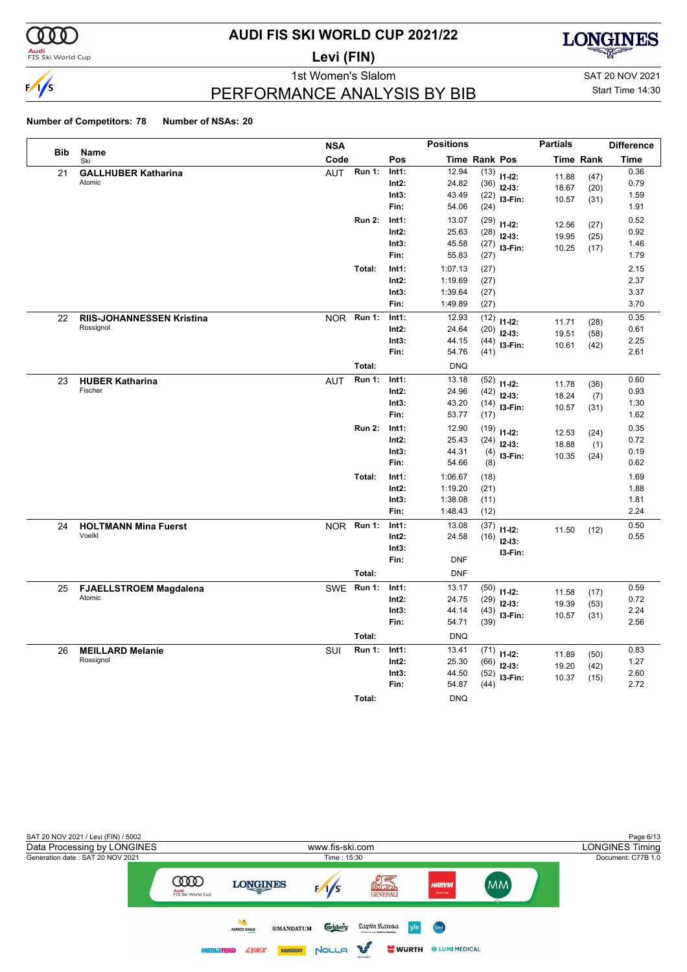

### **Audi**<br>FIS Ski World Cup

# **AUDI FIS SKI WORLD CUP 2021/22**

**Levi (FIN)**



1st Women's Slalom Sattle and SAT 20 NOV 2021

### PERFORMANCE ANALYSIS BY BIB

Start Time 14:30

|            |                                         | <b>NSA</b>                  |                   | <b>Positions</b>    |                      |                         | <b>Partials</b> |                  | <b>Difference</b> |
|------------|-----------------------------------------|-----------------------------|-------------------|---------------------|----------------------|-------------------------|-----------------|------------------|-------------------|
| <b>Bib</b> | Name<br>Ski                             | Code                        | Pos               |                     | <b>Time Rank Pos</b> |                         |                 | <b>Time Rank</b> | Time              |
| 21         | <b>GALLHUBER Katharina</b>              | <b>Run 1:</b><br><b>AUT</b> | Int1:             | 12.94               |                      | $(13)$ 11-12:           | 11.88           | (47)             | 0.36              |
|            | Atomic                                  |                             | $Int2$ :          | 24.82               | (36)                 | $12-13:$                | 18.67           | (20)             | 0.79              |
|            |                                         |                             | Int3:             | 43.49               | (22)                 | I3-Fin:                 | 10.57           | (31)             | 1.59              |
|            |                                         |                             | Fin:              | 54.06               | (24)                 |                         |                 |                  | 1.91              |
|            |                                         | <b>Run 2:</b>               | Int1:             | 13.07               | (29)                 | $11 - 12$ :             | 12.56           | (27)             | 0.52              |
|            |                                         |                             | Int2:             | 25.63               |                      | $(28)$ 12-13:           | 19.95           | (25)             | 0.92              |
|            |                                         |                             | Int3:             | 45.58               |                      | $(27)$ 13-Fin:          | 10.25           | (17)             | 1.46              |
|            |                                         |                             | Fin:              | 55.83               | (27)                 |                         |                 |                  | 1.79              |
|            |                                         | Total:                      | Int1:<br>$Int2$ : | 1:07.13<br>1:19.69  | (27)<br>(27)         |                         |                 |                  | 2.15<br>2.37      |
|            |                                         |                             | Int3:             | 1:39.64             | (27)                 |                         |                 |                  | 3.37              |
|            |                                         |                             | Fin:              | 1:49.89             | (27)                 |                         |                 |                  | 3.70              |
| 22         | <b>RIIS-JOHANNESSEN Kristina</b>        | NOR Run 1:                  | Int1:             | 12.93               | (12)                 |                         |                 |                  | 0.35              |
|            | Rossignol                               |                             | $Int2$ :          | 24.64               | (20)                 | $11 - 12$ :<br>$12-13:$ | 11.71           | (28)             | 0.61              |
|            |                                         |                             | Int3:             | 44.15               | (44)                 | I3-Fin:                 | 19.51<br>10.61  | (58)             | 2.25              |
|            |                                         |                             | Fin:              | 54.76               | (41)                 |                         |                 | (42)             | 2.61              |
|            |                                         | Total:                      |                   | <b>DNQ</b>          |                      |                         |                 |                  |                   |
| 23         | <b>HUBER Katharina</b>                  | <b>Run 1:</b><br><b>AUT</b> | Int1:             | 13.18               | (52)                 | $11 - 12$ :             | 11.78           | (36)             | 0.60              |
|            | Fischer                                 |                             | $Int2$ :          | 24.96               | (42)                 | $12-13:$                | 18.24           | (7)              | 0.93              |
|            |                                         |                             | Int3:             | 43.20               |                      | $(14)$ 13-Fin:          | 10.57           | (31)             | 1.30              |
|            |                                         |                             | Fin:              | 53.77               | (17)                 |                         |                 |                  | 1.62              |
|            |                                         | <b>Run 2:</b>               | Int1:             | 12.90               |                      | $(19)$ 11-12:           | 12.53           | (24)             | 0.35              |
|            |                                         |                             | Int2:             | 25.43               | (24)                 | $12-13:$                | 18.88           | (1)              | 0.72              |
|            |                                         |                             | Int3:             | 44.31               |                      | $(4)$ 13-Fin:           | 10.35           | (24)             | 0.19              |
|            |                                         |                             | Fin:              | 54.66               | (8)                  |                         |                 |                  | 0.62              |
|            |                                         | Total:                      | Int1:             | 1:06.67             | (18)                 |                         |                 |                  | 1.69              |
|            |                                         |                             | $Int2$ :          | 1:19.20             | (21)                 |                         |                 |                  | 1.88              |
|            |                                         |                             | Int3:             | 1:38.08             | (11)                 |                         |                 |                  | 1.81              |
|            |                                         |                             | Fin:              | 1:48.43             | (12)                 |                         |                 |                  | 2.24              |
| 24         | <b>HOLTMANN Mina Fuerst</b>             | NOR Run 1:                  | Int1:             | 13.08               | (37)                 | $11 - 12$ :             | 11.50           | (12)             | 0.50              |
|            | Voelkl                                  |                             | $Int2$ :          | 24.58               | (16)                 | $12-13:$                |                 |                  | 0.55              |
|            |                                         |                             | Int3:             |                     |                      | I3-Fin:                 |                 |                  |                   |
|            |                                         |                             | Fin:              | <b>DNF</b>          |                      |                         |                 |                  |                   |
|            |                                         | Total:<br>SWE Run 1:        | Int1:             | <b>DNF</b><br>13.17 |                      |                         |                 |                  | 0.59              |
| 25         | <b>FJAELLSTROEM Magdalena</b><br>Atomic |                             | $Int2$ :          | 24.75               | (50)<br>(29)         | $11 - 12$ :             | 11.58           | (17)             | 0.72              |
|            |                                         |                             | Int3:             | 44.14               | (43)                 | $12-13:$                | 19.39           | (53)             | 2.24              |
|            |                                         |                             | Fin:              | 54.71               | (39)                 | I3-Fin:                 | 10.57           | (31)             | 2.56              |
|            |                                         | Total:                      |                   | <b>DNQ</b>          |                      |                         |                 |                  |                   |
| 26         | <b>MEILLARD Melanie</b>                 | <b>Run 1:</b><br>SUI        | Int1:             | 13.41               | (71)                 | $11 - 12$ :             | 11.89           |                  | 0.83              |
|            | Rossignol                               |                             | Int2:             | 25.30               | (66)                 | $12-13:$                | 19.20           | (50)<br>(42)     | 1.27              |
|            |                                         |                             | Int3:             | 44.50               | (52)                 | I3-Fin:                 | 10.37           | (15)             | 2.60              |
|            |                                         |                             | Fin:              | 54.87               | (44)                 |                         |                 |                  | 2.72              |
|            |                                         | Total:                      |                   | <b>DNQ</b>          |                      |                         |                 |                  |                   |

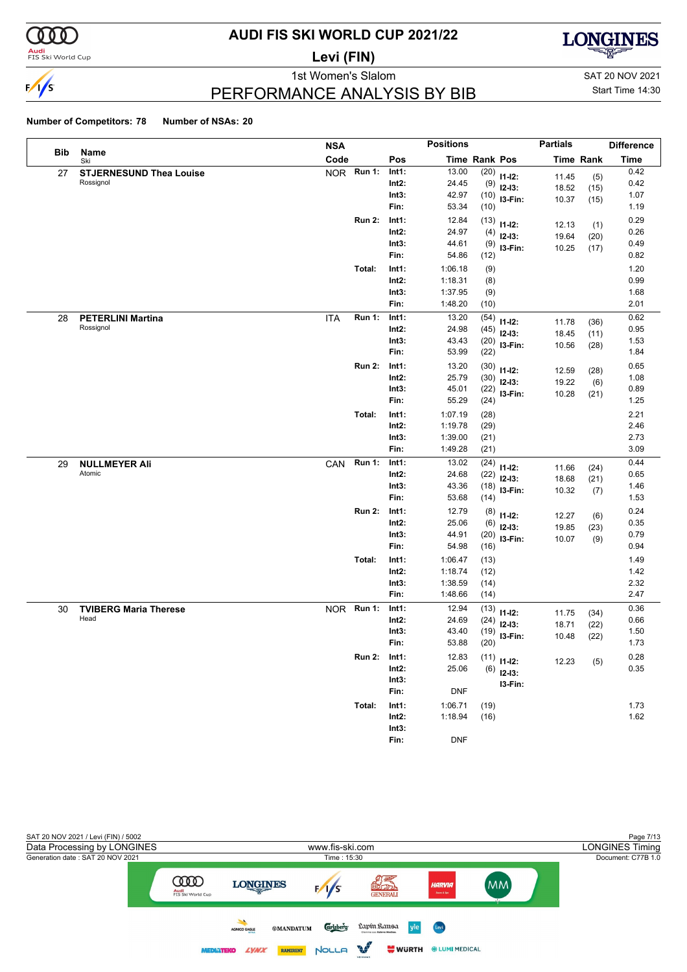

### **Audi**<br>FIS Ski World Cup

# **AUDI FIS SKI WORLD CUP 2021/22**

**Levi (FIN)**



### PERFORMANCE ANALYSIS BY BIB

1st Women's Slalom Sattle and SAT 20 NOV 2021 Start Time 14:30

|     |                                | <b>NSA</b> |               |          | <b>Positions</b> |               |             | <b>Partials</b> |                  | <b>Difference</b> |
|-----|--------------------------------|------------|---------------|----------|------------------|---------------|-------------|-----------------|------------------|-------------------|
| Bib | <b>Name</b><br>Ski             | Code       |               | Pos      |                  | Time Rank Pos |             |                 | <b>Time Rank</b> | <b>Time</b>       |
| 27  | <b>STJERNESUND Thea Louise</b> |            | NOR Run 1:    | Int1:    | 13.00            | (20)          | $11 - 12$ : | 11.45           | (5)              | 0.42              |
|     | Rossignol                      |            |               | $Int2$ : | 24.45            | (9)           | $12-13:$    | 18.52           | (15)             | 0.42              |
|     |                                |            |               | Int3:    | 42.97            | (10)          | I3-Fin:     | 10.37           | (15)             | 1.07              |
|     |                                |            |               | Fin:     | 53.34            | (10)          |             |                 |                  | 1.19              |
|     |                                |            | <b>Run 2:</b> | Int1:    | 12.84            | (13)          | $11 - 12$ : | 12.13           | (1)              | 0.29              |
|     |                                |            |               | $Int2$ : | 24.97            | (4)           | $12-13:$    | 19.64           | (20)             | 0.26              |
|     |                                |            |               | Int3:    | 44.61            | (9)           | I3-Fin:     | 10.25           | (17)             | 0.49              |
|     |                                |            |               | Fin:     | 54.86            | (12)          |             |                 |                  | 0.82              |
|     |                                |            | Total:        | Int1:    | 1:06.18          | (9)           |             |                 |                  | 1.20              |
|     |                                |            |               | $Int2$ : | 1:18.31          | (8)           |             |                 |                  | 0.99              |
|     |                                |            |               | Int3:    | 1:37.95          | (9)           |             |                 |                  | 1.68              |
|     |                                |            |               | Fin:     | 1:48.20          | (10)          |             |                 |                  | 2.01              |
| 28  | <b>PETERLINI Martina</b>       | <b>ITA</b> | <b>Run 1:</b> | Int1:    | 13.20            | (54)          | $11 - 12$ : | 11.78           | (36)             | 0.62              |
|     | Rossignol                      |            |               | $Int2$ : | 24.98            | (45)          | $12-13:$    | 18.45           | (11)             | 0.95              |
|     |                                |            |               | Int3:    | 43.43            | (20)          | I3-Fin:     | 10.56           | (28)             | 1.53              |
|     |                                |            |               | Fin:     | 53.99            | (22)          |             |                 |                  | 1.84              |
|     |                                |            | <b>Run 2:</b> | Int1:    | 13.20            | (30)          | $11 - 12$ : | 12.59           | (28)             | 0.65              |
|     |                                |            |               | $Int2$ : | 25.79            | (30)          | $12-13:$    | 19.22           | (6)              | 1.08              |
|     |                                |            |               | Int3:    | 45.01            | (22)          | I3-Fin:     | 10.28           | (21)             | 0.89              |
|     |                                |            |               | Fin:     | 55.29            | (24)          |             |                 |                  | 1.25              |
|     |                                |            | Total:        | Int1:    | 1:07.19          | (28)          |             |                 |                  | 2.21              |
|     |                                |            |               | $Int2$ : | 1:19.78          | (29)          |             |                 |                  | 2.46              |
|     |                                |            |               | Int3:    | 1:39.00          | (21)          |             |                 |                  | 2.73              |
|     |                                |            |               | Fin:     | 1:49.28          | (21)          |             |                 |                  | 3.09              |
| 29  | <b>NULLMEYER Ali</b>           | CAN        | <b>Run 1:</b> | Int1:    | 13.02            | (24)          | $11 - 12$ : | 11.66           | (24)             | 0.44              |
|     | Atomic                         |            |               | $Int2$ : | 24.68            | (22)          | $12-13:$    | 18.68           | (21)             | 0.65              |
|     |                                |            |               | Int3:    | 43.36            | (18)          | I3-Fin:     | 10.32           | (7)              | 1.46              |
|     |                                |            |               | Fin:     | 53.68            | (14)          |             |                 |                  | 1.53              |
|     |                                |            | <b>Run 2:</b> | Int1:    | 12.79            | (8)           | $11 - 12$ : | 12.27           | (6)              | 0.24              |
|     |                                |            |               | $Int2$ : | 25.06            | (6)           | $12-13:$    | 19.85           | (23)             | 0.35              |
|     |                                |            |               | Int3:    | 44.91            | (20)          | I3-Fin:     | 10.07           | (9)              | 0.79              |
|     |                                |            |               | Fin:     | 54.98            | (16)          |             |                 |                  | 0.94              |
|     |                                |            | Total:        | Int1:    | 1:06.47          | (13)          |             |                 |                  | 1.49              |
|     |                                |            |               | $Int2$ : | 1:18.74          | (12)          |             |                 |                  | 1.42              |
|     |                                |            |               | Int3:    | 1:38.59          | (14)          |             |                 |                  | 2.32              |
|     |                                |            |               | Fin:     | 1:48.66          | (14)          |             |                 |                  | 2.47              |
| 30  | <b>TVIBERG Maria Therese</b>   |            | NOR Run 1:    | Int1:    | 12.94            | (13)          | $11 - 12$ : | 11.75           | (34)             | 0.36              |
|     | Head                           |            |               | $Int2$ : | 24.69            | (24)          | $12-13:$    | 18.71           | (22)             | 0.66              |
|     |                                |            |               | Int3:    | 43.40            | (19)          | I3-Fin:     | 10.48           | (22)             | 1.50              |
|     |                                |            |               | Fin:     | 53.88            | (20)          |             |                 |                  | 1.73              |
|     |                                |            | <b>Run 2:</b> | Int1:    | 12.83            | (11)          | $11 - 12$ : | 12.23           | (5)              | 0.28              |
|     |                                |            |               | $Int2$ : | 25.06            | (6)           | $12-13:$    |                 |                  | 0.35              |
|     |                                |            |               | Int3:    |                  |               | I3-Fin:     |                 |                  |                   |
|     |                                |            |               | Fin:     | <b>DNF</b>       |               |             |                 |                  |                   |
|     |                                |            | Total:        | Int1:    | 1:06.71          | (19)          |             |                 |                  | 1.73              |
|     |                                |            |               | $Int2$ : | 1:18.94          | (16)          |             |                 |                  | 1.62              |
|     |                                |            |               | Int3:    |                  |               |             |                 |                  |                   |
|     |                                |            |               | Fin:     | <b>DNF</b>       |               |             |                 |                  |                   |

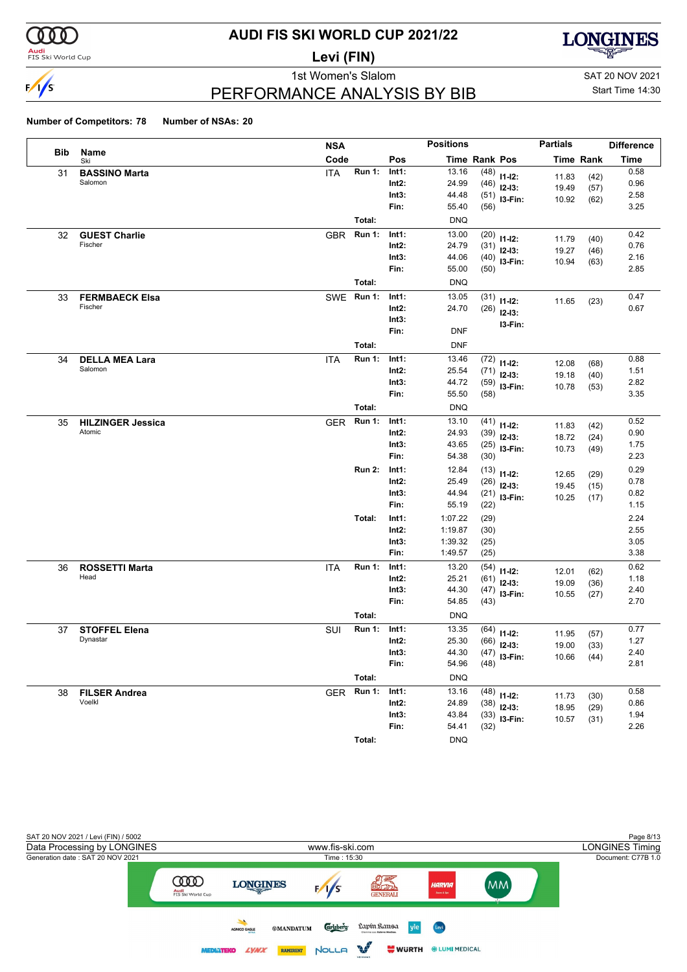

### **Audi**<br>FIS Ski World Cup

# **AUDI FIS SKI WORLD CUP 2021/22**

**Levi (FIN)**



PERFORMANCE ANALYSIS BY BIB

1st Women's Slalom Sattle and SAT 20 NOV 2021 Start Time 14:30

|            |                          | <b>NSA</b> |               |          | <b>Positions</b> |                      |                | <b>Partials</b> |                  | <b>Difference</b> |
|------------|--------------------------|------------|---------------|----------|------------------|----------------------|----------------|-----------------|------------------|-------------------|
| <b>Bib</b> | Name<br>Ski              | Code       |               | Pos      |                  | <b>Time Rank Pos</b> |                |                 | <b>Time Rank</b> | <b>Time</b>       |
| 31         | <b>BASSINO Marta</b>     | <b>ITA</b> | Run 1:        | Int1:    | 13.16            |                      | $(48)$ 11-12:  | 11.83           | (42)             | 0.58              |
|            | Salomon                  |            |               | Int2:    | 24.99            |                      | $(46)$ 12-13:  | 19.49           | (57)             | 0.96              |
|            |                          |            |               | Int3:    | 44.48            |                      | $(51)$ 13-Fin: | 10.92           | (62)             | 2.58              |
|            |                          |            |               | Fin:     | 55.40            | (56)                 |                |                 |                  | 3.25              |
|            |                          |            | Total:        |          | <b>DNQ</b>       |                      |                |                 |                  |                   |
| 32         | <b>GUEST Charlie</b>     | <b>GBR</b> | <b>Run 1:</b> | Int1:    | 13.00            | (20)                 | $11 - 12$ :    | 11.79           | (40)             | 0.42              |
|            | Fischer                  |            |               | Int2:    | 24.79            |                      | $(31)$ 12-13:  | 19.27           | (46)             | 0.76              |
|            |                          |            |               | Int3:    | 44.06            |                      | $(40)$ 13-Fin: | 10.94           | (63)             | 2.16              |
|            |                          |            |               | Fin:     | 55.00            | (50)                 |                |                 |                  | 2.85              |
|            |                          |            | Total:        |          | <b>DNQ</b>       |                      |                |                 |                  |                   |
| 33         | <b>FERMBAECK Elsa</b>    | SWE        | <b>Run 1:</b> | Int1:    | 13.05            | (31)                 | $11 - 12$ :    | 11.65           | (23)             | 0.47              |
|            | Fischer                  |            |               | Int2:    | 24.70            | (26)                 | $12-13:$       |                 |                  | 0.67              |
|            |                          |            |               | Int3:    |                  |                      | I3-Fin:        |                 |                  |                   |
|            |                          |            |               | Fin:     | <b>DNF</b>       |                      |                |                 |                  |                   |
|            |                          |            | Total:        |          | <b>DNF</b>       |                      |                |                 |                  |                   |
| 34         | <b>DELLA MEA Lara</b>    | <b>ITA</b> | <b>Run 1:</b> | Int1:    | 13.46            | (72)                 | $11 - 12$ :    | 12.08           | (68)             | 0.88              |
|            | Salomon                  |            |               | Int2:    | 25.54            | (71)                 | $12-13:$       | 19.18           | (40)             | 1.51              |
|            |                          |            |               | Int3:    | 44.72            |                      | $(59)$ 13-Fin: | 10.78           | (53)             | 2.82              |
|            |                          |            |               | Fin:     | 55.50            | (58)                 |                |                 |                  | 3.35              |
|            |                          |            | Total:        |          | <b>DNQ</b>       |                      |                |                 |                  |                   |
| 35         | <b>HILZINGER Jessica</b> | <b>GER</b> | <b>Run 1:</b> | Int1:    | 13.10            |                      | $(41)$ 11-12:  | 11.83           | (42)             | 0.52              |
|            | Atomic                   |            |               | Int2:    | 24.93            |                      | $(39)$ 12-13:  | 18.72           | (24)             | 0.90              |
|            |                          |            |               | Int3:    | 43.65            |                      | $(25)$ 13-Fin: | 10.73           | (49)             | 1.75              |
|            |                          |            |               | Fin:     | 54.38            | (30)                 |                |                 |                  | 2.23              |
|            |                          |            | <b>Run 2:</b> | Int1:    | 12.84            |                      | $(13)$ 11-12:  | 12.65           | (29)             | 0.29              |
|            |                          |            |               | $Int2$ : | 25.49            | (26)                 | $12-13:$       | 19.45           | (15)             | 0.78              |
|            |                          |            |               | Int3:    | 44.94            |                      | $(21)$ 13-Fin: | 10.25           | (17)             | 0.82              |
|            |                          |            |               | Fin:     | 55.19            | (22)                 |                |                 |                  | 1.15              |
|            |                          |            | Total:        | Int1:    | 1:07.22          | (29)                 |                |                 |                  | 2.24              |
|            |                          |            |               | $Int2$ : | 1:19.87          | (30)                 |                |                 |                  | 2.55              |
|            |                          |            |               | Int3:    | 1:39.32          | (25)                 |                |                 |                  | 3.05              |
|            |                          |            |               | Fin:     | 1:49.57          | (25)                 |                |                 |                  | 3.38              |
| 36         | <b>ROSSETTI Marta</b>    | <b>ITA</b> | <b>Run 1:</b> | Int1:    | 13.20            | (54)                 | $11 - 12$ :    | 12.01           | (62)             | 0.62              |
|            | Head                     |            |               | Int2:    | 25.21            | (61)                 | $12-13:$       | 19.09           | (36)             | 1.18              |
|            |                          |            |               | Int3:    | 44.30            |                      | $(47)$ 13-Fin: | 10.55           | (27)             | 2.40              |
|            |                          |            |               | Fin:     | 54.85            | (43)                 |                |                 |                  | 2.70              |
|            |                          |            | Total:        |          | <b>DNQ</b>       |                      |                |                 |                  |                   |
| 37         | <b>STOFFEL Elena</b>     | SUI        | <b>Run 1:</b> | Int1:    | 13.35            |                      | $(64)$ 11-12:  | 11.95           | (57)             | 0.77              |
|            | Dynastar                 |            |               | Int2:    | 25.30            | (66)                 | $12-13:$       | 19.00           | (33)             | 1.27              |
|            |                          |            |               | Int3:    | 44.30            |                      | $(47)$ 13-Fin: |                 | $10.66$ (44)     | 2.40              |
|            |                          |            |               | Fin:     | 54.96            | (48)                 |                |                 |                  | 2.81              |
|            |                          |            | Total:        |          | <b>DNQ</b>       |                      |                |                 |                  |                   |
| 38         | <b>FILSER Andrea</b>     | GER        | Run 1:        | Int1:    | 13.16            |                      | $(48)$ 11-12:  | 11.73           | (30)             | 0.58              |
|            | Voelkl                   |            |               | Int2:    | 24.89            |                      | $(38)$ 12-13:  | 18.95           | (29)             | 0.86              |
|            |                          |            |               | Int3:    | 43.84            |                      | $(33)$ 13-Fin: | 10.57           | (31)             | 1.94              |
|            |                          |            |               | Fin:     | 54.41            | (32)                 |                |                 |                  | 2.26              |
|            |                          |            | Total:        |          | <b>DNQ</b>       |                      |                |                 |                  |                   |

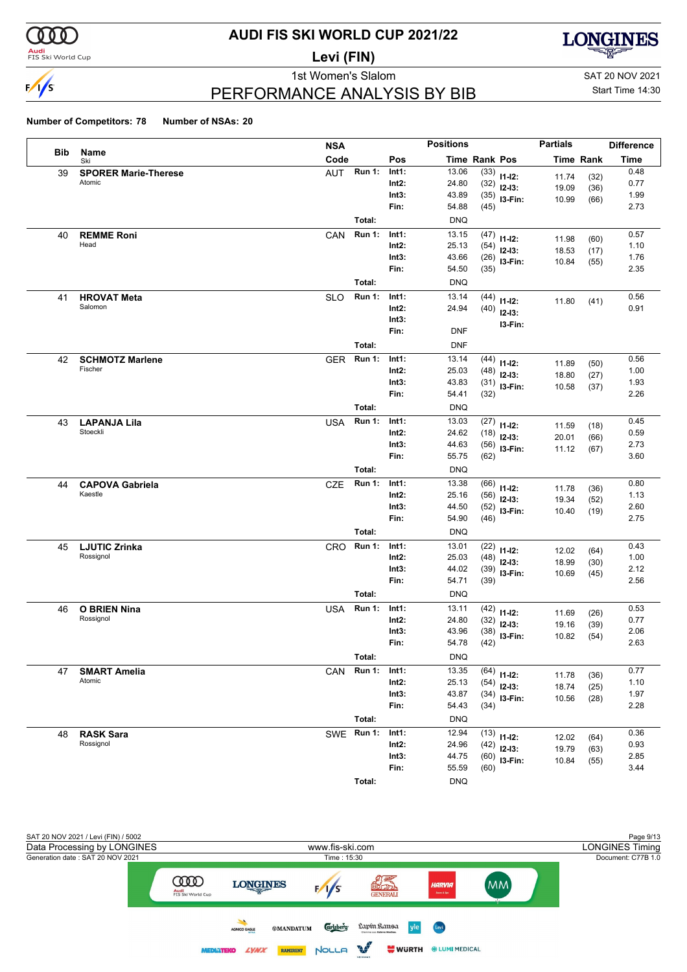

### **Audi**<br>FIS Ski World Cup

## **AUDI FIS SKI WORLD CUP 2021/22**

**Levi (FIN)**



PERFORMANCE ANALYSIS BY BIB

1st Women's Slalom Sattle and SAT 20 NOV 2021 Start Time 14:30

|     |                                  | <b>NSA</b> |               |                | <b>Positions</b>     |              |                         | <b>Partials</b>  |              | <b>Difference</b> |
|-----|----------------------------------|------------|---------------|----------------|----------------------|--------------|-------------------------|------------------|--------------|-------------------|
| Bib | Name<br>Ski                      | Code       |               | Pos            | <b>Time Rank Pos</b> |              |                         | <b>Time Rank</b> |              | <b>Time</b>       |
| 39  | <b>SPORER Marie-Therese</b>      | <b>AUT</b> | <b>Run 1:</b> | Int1:          | 13.06                | (33)         | $11 - 12$ :             | 11.74            | (32)         | 0.48              |
|     | Atomic                           |            |               | $Int2$ :       | 24.80                | (32)         | $12-13:$                | 19.09            | (36)         | 0.77              |
|     |                                  |            |               | Int3:          | 43.89                | (35)         | I3-Fin:                 | 10.99            | (66)         | 1.99              |
|     |                                  |            |               | Fin:           | 54.88                | (45)         |                         |                  |              | 2.73              |
|     |                                  | Total:     |               |                | <b>DNQ</b>           |              |                         |                  |              |                   |
| 40  | <b>REMME Roni</b><br>Head        | CAN        | <b>Run 1:</b> | Int1:          | 13.15                | (47)         | $11 - 12$ :             | 11.98            | (60)         | 0.57              |
|     |                                  |            |               | Int2:<br>Int3: | 25.13<br>43.66       | (54)         | $12-13:$                | 18.53            | (17)         | 1.10<br>1.76      |
|     |                                  |            |               | Fin:           | 54.50                | (26)<br>(35) | $13-Fin:$               | 10.84            | (55)         | 2.35              |
|     |                                  | Total:     |               |                | <b>DNQ</b>           |              |                         |                  |              |                   |
| 41  | <b>HROVAT Meta</b>               | <b>SLO</b> | <b>Run 1:</b> | Int1:          | 13.14                | (44)         |                         |                  |              | 0.56              |
|     | Salomon                          |            |               | Int2:          | 24.94                | (40)         | $11 - 12$ :             | 11.80            | (41)         | 0.91              |
|     |                                  |            |               | Int3:          |                      |              | $12-13:$                |                  |              |                   |
|     |                                  |            |               | Fin:           | <b>DNF</b>           |              | I3-Fin:                 |                  |              |                   |
|     |                                  | Total:     |               |                | <b>DNF</b>           |              |                         |                  |              |                   |
| 42  | <b>SCHMOTZ Marlene</b>           | <b>GER</b> | <b>Run 1:</b> | Int1:          | 13.14                | (44)         |                         |                  |              | 0.56              |
|     | Fischer                          |            |               | $Int2$ :       | 25.03                | (48)         | $11 - 12$ :<br>$12-13:$ | 11.89            | (50)         | 1.00              |
|     |                                  |            |               | Int3:          | 43.83                | (31)         | I3-Fin:                 | 18.80<br>10.58   | (27)<br>(37) | 1.93              |
|     |                                  |            |               | Fin:           | 54.41                | (32)         |                         |                  |              | 2.26              |
|     |                                  | Total:     |               |                | <b>DNQ</b>           |              |                         |                  |              |                   |
| 43  | <b>LAPANJA Lila</b>              | <b>USA</b> | <b>Run 1:</b> | Int1:          | 13.03                | (27)         | $11 - 12$ :             | 11.59            | (18)         | 0.45              |
|     | Stoeckli                         |            |               | Int2:          | 24.62                | (18)         | $12-13:$                | 20.01            | (66)         | 0.59              |
|     |                                  |            |               | Int3:          | 44.63                | (56)         | I3-Fin:                 | 11.12            | (67)         | 2.73              |
|     |                                  |            |               | Fin:           | 55.75                | (62)         |                         |                  |              | 3.60              |
|     |                                  | Total:     |               |                | <b>DNQ</b>           |              |                         |                  |              |                   |
| 44  | <b>CAPOVA Gabriela</b>           | <b>CZE</b> | <b>Run 1:</b> | Int1:          | 13.38                | (66)         | $11 - 12$ :             | 11.78            | (36)         | 0.80              |
|     | Kaestle                          |            |               | $Int2$ :       | 25.16                | (56)         | $12-13:$                | 19.34            | (52)         | 1.13              |
|     |                                  |            |               | Int3:          | 44.50                | (52)         | I3-Fin:                 | 10.40            | (19)         | 2.60              |
|     |                                  |            |               | Fin:           | 54.90                | (46)         |                         |                  |              | 2.75              |
|     |                                  | Total:     |               |                | <b>DNQ</b>           |              |                         |                  |              |                   |
| 45  | <b>LJUTIC Zrinka</b>             | <b>CRO</b> | <b>Run 1:</b> | Int1:          | 13.01                | (22)         | $11 - 12$ :             | 12.02            | (64)         | 0.43              |
|     | Rossignol                        |            |               | Int2:<br>Int3: | 25.03<br>44.02       | (48)         | $12-13:$                | 18.99            | (30)         | 1.00<br>2.12      |
|     |                                  |            |               | Fin:           | 54.71                | (39)<br>(39) | I3-Fin:                 | 10.69            | (45)         | 2.56              |
|     |                                  | Total:     |               |                | <b>DNQ</b>           |              |                         |                  |              |                   |
|     |                                  |            | <b>Run 1:</b> | Int1:          | 13.11                |              |                         |                  |              | 0.53              |
| 46  | <b>O BRIEN Nina</b><br>Rossignol | <b>USA</b> |               | $Int2$ :       | 24.80                | (42)<br>(32) | $11 - 12$ :             | 11.69            | (26)         | 0.77              |
|     |                                  |            |               | Int3:          | 43.96                | (38)         | $12-13:$                | 19.16            | (39)         | 2.06              |
|     |                                  |            |               | Fin:           | 54.78                | (42)         | I3-Fin:                 | 10.82            | (54)         | 2.63              |
|     |                                  | Total:     |               |                | <b>DNQ</b>           |              |                         |                  |              |                   |
| 47  | <b>SMART Amelia</b>              | CAN        | <b>Run 1:</b> | Int1:          | 13.35                | (64)         |                         |                  |              | 0.77              |
|     | Atomic                           |            |               | Int2:          | 25.13                | (54)         | $11 - 12$ :<br>$12-13:$ | 11.78            | (36)         | 1.10              |
|     |                                  |            |               | Int3:          | 43.87                | (34)         | I3-Fin:                 | 18.74<br>10.56   | (25)<br>(28) | 1.97              |
|     |                                  |            |               | Fin:           | 54.43                | (34)         |                         |                  |              | 2.28              |
|     |                                  | Total:     |               |                | <b>DNQ</b>           |              |                         |                  |              |                   |
| 48  | <b>RASK Sara</b>                 | SWE Run 1: |               | Int1:          | 12.94                | (13)         | $11 - 12$ :             | 12.02            | (64)         | 0.36              |
|     | Rossignol                        |            |               | $Int2$ :       | 24.96                | (42)         | $12-13:$                | 19.79            | (63)         | 0.93              |
|     |                                  |            |               | Int3:          | 44.75                | (60)         | I3-Fin:                 | 10.84            | (55)         | 2.85              |
|     |                                  |            |               | Fin:           | 55.59                | (60)         |                         |                  |              | 3.44              |
|     |                                  | Total:     |               |                | <b>DNQ</b>           |              |                         |                  |              |                   |

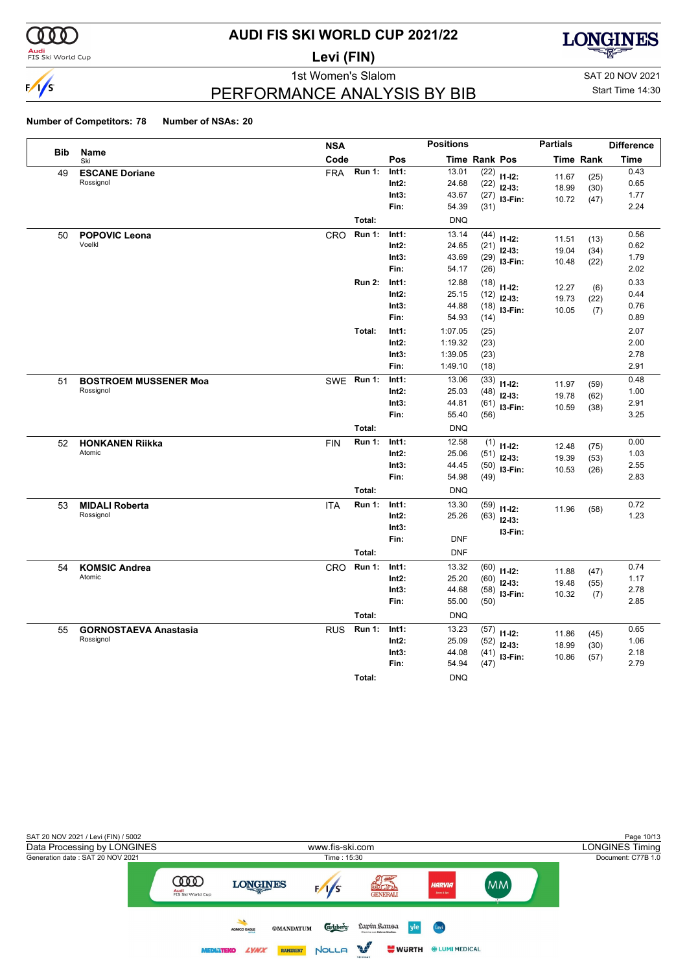

### **Audi**<br>FIS Ski World Cup

# **AUDI FIS SKI WORLD CUP 2021/22**

**Levi (FIN)**



1st Women's Slalom Sattle and SAT 20 NOV 2021

### PERFORMANCE ANALYSIS BY BIB

Start Time 14:30

|            |                              | <b>NSA</b> |               |          | <b>Positions</b> |                      |                | <b>Partials</b>  |      | <b>Difference</b> |
|------------|------------------------------|------------|---------------|----------|------------------|----------------------|----------------|------------------|------|-------------------|
| <b>Bib</b> | Name<br>Ski                  | Code       |               | Pos      |                  | <b>Time Rank Pos</b> |                | <b>Time Rank</b> |      | <b>Time</b>       |
| 49         | <b>ESCANE Doriane</b>        | <b>FRA</b> | <b>Run 1:</b> | Int1:    | 13.01            | (22)                 | $11 - 12$ :    | 11.67            | (25) | 0.43              |
|            | Rossignol                    |            |               | $Int2$ : | 24.68            | (22)                 | $12 - 13:$     | 18.99            | (30) | 0.65              |
|            |                              |            |               | Int3:    | 43.67            | (27)                 | $13-Fin:$      | 10.72            | (47) | 1.77              |
|            |                              |            |               | Fin:     | 54.39            | (31)                 |                |                  |      | 2.24              |
|            |                              |            | Total:        |          | <b>DNQ</b>       |                      |                |                  |      |                   |
| 50         | <b>POPOVIC Leona</b>         | CRO        | <b>Run 1:</b> | Int1:    | 13.14            | (44)                 | $11 - 12$ :    | 11.51            | (13) | 0.56              |
|            | Voelkl                       |            |               | $Int2$ : | 24.65            | (21)                 | $12-13:$       | 19.04            | (34) | 0.62              |
|            |                              |            |               | Int3:    | 43.69            |                      | $(29)$ 13-Fin: | 10.48            | (22) | 1.79              |
|            |                              |            |               | Fin:     | 54.17            | (26)                 |                |                  |      | 2.02              |
|            |                              |            | <b>Run 2:</b> | Int1:    | 12.88            | (18)                 | $11 - 12$ :    | 12.27            | (6)  | 0.33              |
|            |                              |            |               | $Int2$ : | 25.15            | (12)                 | $12 - 13:$     | 19.73            | (22) | 0.44              |
|            |                              |            |               | Int3:    | 44.88            | (18)                 | I3-Fin:        | 10.05            | (7)  | 0.76              |
|            |                              |            |               | Fin:     | 54.93            | (14)                 |                |                  |      | 0.89              |
|            |                              |            | Total:        | Int1:    | 1:07.05          | (25)                 |                |                  |      | 2.07              |
|            |                              |            |               | $Int2$ : | 1:19.32          | (23)                 |                |                  |      | 2.00              |
|            |                              |            |               | Int3:    | 1:39.05          | (23)                 |                |                  |      | 2.78              |
|            |                              |            |               | Fin:     | 1:49.10          | (18)                 |                |                  |      | 2.91              |
| 51         | <b>BOSTROEM MUSSENER Moa</b> | SWE Run 1: |               | Int1:    | 13.06            | (33)                 | $11 - 12$ :    | 11.97            | (59) | 0.48              |
|            | Rossignol                    |            |               | Int2:    | 25.03            | (48)                 | $12-13:$       | 19.78            | (62) | 1.00              |
|            |                              |            |               | Int3:    | 44.81            | (61)                 | I3-Fin:        | 10.59            | (38) | 2.91              |
|            |                              |            |               | Fin:     | 55.40            | (56)                 |                |                  |      | 3.25              |
|            |                              |            | Total:        |          | <b>DNQ</b>       |                      |                |                  |      |                   |
| 52         | <b>HONKANEN Riikka</b>       | <b>FIN</b> | <b>Run 1:</b> | Int1:    | 12.58            | (1)                  | $11-12:$       | 12.48            | (75) | 0.00              |
|            | Atomic                       |            |               | $Int2$ : | 25.06            | (51)                 | $12 - 13:$     | 19.39            | (53) | 1.03              |
|            |                              |            |               | Int3:    | 44.45            | (50)                 | $13-Fin:$      | 10.53            | (26) | 2.55              |
|            |                              |            |               | Fin:     | 54.98            | (49)                 |                |                  |      | 2.83              |
|            |                              |            | Total:        |          | <b>DNQ</b>       |                      |                |                  |      |                   |
| 53         | <b>MIDALI Roberta</b>        | <b>ITA</b> | <b>Run 1:</b> | Int1:    | 13.30            | (59)                 | $11-12:$       | 11.96            | (58) | 0.72              |
|            | Rossignol                    |            |               | $Int2$ : | 25.26            | (63)                 | $12-13:$       |                  |      | 1.23              |
|            |                              |            |               | Int3:    |                  |                      | I3-Fin:        |                  |      |                   |
|            |                              |            |               | Fin:     | <b>DNF</b>       |                      |                |                  |      |                   |
|            |                              |            | Total:        |          | <b>DNF</b>       |                      |                |                  |      |                   |
| 54         | <b>KOMSIC Andrea</b>         | CRO        | <b>Run 1:</b> | Int1:    | 13.32            | (60)                 | $11 - 12$ :    | 11.88            | (47) | 0.74              |
|            | Atomic                       |            |               | $Int2$ : | 25.20            | (60)                 | $12 - 13:$     | 19.48            | (55) | 1.17              |
|            |                              |            |               | Int3:    | 44.68            | (58)                 | I3-Fin:        | 10.32            | (7)  | 2.78              |
|            |                              |            |               | Fin:     | 55.00            | (50)                 |                |                  |      | 2.85              |
|            |                              |            | Total:        |          | <b>DNQ</b>       |                      |                |                  |      |                   |
| 55         | <b>GORNOSTAEVA Anastasia</b> | <b>RUS</b> | <b>Run 1:</b> | Int1:    | 13.23            | (57)                 | $11 - 12$ :    | 11.86            | (45) | 0.65              |
|            | Rossignol                    |            |               | $Int2$ : | 25.09            | (52)                 | $12-13:$       | 18.99            | (30) | 1.06              |
|            |                              |            |               | Int3:    | 44.08            | (41)                 | I3-Fin:        | 10.86            | (57) | 2.18              |
|            |                              |            |               | Fin:     | 54.94            | (47)                 |                |                  |      | 2.79              |
|            |                              |            | Total:        |          | <b>DNQ</b>       |                      |                |                  |      |                   |

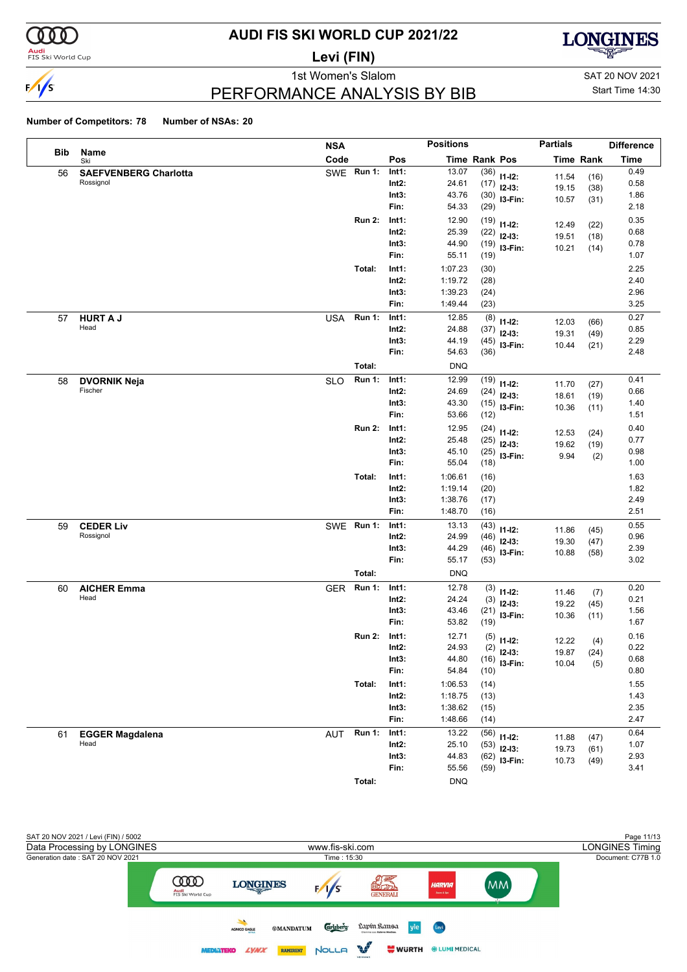

### **Audi**<br>FIS Ski World Cup

# **AUDI FIS SKI WORLD CUP 2021/22**

**Levi (FIN)**



### PERFORMANCE ANALYSIS BY BIB

1st Women's Slalom Sattle and SAT 20 NOV 2021 Start Time 14:30

|            |                              | <b>NSA</b> |               |                | <b>Positions</b>   |               |              | <b>Partials</b>  |              | <b>Difference</b> |
|------------|------------------------------|------------|---------------|----------------|--------------------|---------------|--------------|------------------|--------------|-------------------|
| <b>Bib</b> | Name<br>Ski                  | Code       |               | Pos            |                    | Time Rank Pos |              | <b>Time Rank</b> |              | <b>Time</b>       |
| 56         | <b>SAEFVENBERG Charlotta</b> |            | SWE Run 1:    | Int1:          | 13.07              | (36)          | $11 - 12$ :  | 11.54            | (16)         | 0.49              |
|            | Rossignol                    |            |               | Int2:          | 24.61              | (17)          | $12-13:$     | 19.15            | (38)         | 0.58              |
|            |                              |            |               | Int3:          | 43.76              | (30)          | I3-Fin:      | 10.57            | (31)         | 1.86              |
|            |                              |            |               | Fin:           | 54.33              | (29)          |              |                  |              | 2.18              |
|            |                              |            | <b>Run 2:</b> | Int1:          | 12.90              | (19)          | $11 - 12$ :  | 12.49            | (22)         | 0.35              |
|            |                              |            |               | $Int2$ :       | 25.39              | (22)          | $12-13:$     | 19.51            | (18)         | 0.68              |
|            |                              |            |               | Int3:<br>Fin:  | 44.90<br>55.11     | (19)          | I3-Fin:      | 10.21            | (14)         | 0.78<br>1.07      |
|            |                              |            |               |                |                    | (19)          |              |                  |              |                   |
|            |                              |            | Total:        | Int1:<br>Int2: | 1:07.23<br>1:19.72 | (30)          |              |                  |              | 2.25<br>2.40      |
|            |                              |            |               | Int3:          | 1:39.23            | (28)<br>(24)  |              |                  |              | 2.96              |
|            |                              |            |               | Fin:           | 1:49.44            | (23)          |              |                  |              | 3.25              |
| 57         | <b>HURT A J</b>              | <b>USA</b> | <b>Run 1:</b> | Int1:          | 12.85              | (8)           |              |                  |              | 0.27              |
|            | Head                         |            |               | $Int2$ :       | 24.88              | (37)          | $11 - 12$ :  | 12.03            | (66)         | 0.85              |
|            |                              |            |               | Int3:          | 44.19              | (45)          | $12-13:$     | 19.31            | (49)         | 2.29              |
|            |                              |            |               | Fin:           | 54.63              | (36)          | 13-Fin:      | 10.44            | (21)         | 2.48              |
|            |                              |            | Total:        |                | <b>DNQ</b>         |               |              |                  |              |                   |
| 58         | <b>DVORNIK Neja</b>          | <b>SLO</b> | <b>Run 1:</b> | Int1:          | 12.99              | (19)          | $11 - 12$ :  |                  |              | 0.41              |
|            | Fischer                      |            |               | Int2:          | 24.69              | (24)          | $12-13:$     | 11.70<br>18.61   | (27)<br>(19) | 0.66              |
|            |                              |            |               | Int3:          | 43.30              | (15)          | I3-Fin:      | 10.36            | (11)         | 1.40              |
|            |                              |            |               | Fin:           | 53.66              | (12)          |              |                  |              | 1.51              |
|            |                              |            | <b>Run 2:</b> | Int1:          | 12.95              | (24)          | $11 - 12$ :  | 12.53            | (24)         | 0.40              |
|            |                              |            |               | $Int2$ :       | 25.48              | (25)          | $12-13:$     | 19.62            | (19)         | 0.77              |
|            |                              |            |               | Int3:          | 45.10              | (25)          | 13-Fin:      | 9.94             | (2)          | 0.98              |
|            |                              |            |               | Fin:           | 55.04              | (18)          |              |                  |              | 1.00              |
|            |                              |            | Total:        | Int1:          | 1:06.61            | (16)          |              |                  |              | 1.63              |
|            |                              |            |               | $Int2$ :       | 1:19.14            | (20)          |              |                  |              | 1.82              |
|            |                              |            |               | Int3:          | 1:38.76            | (17)          |              |                  |              | 2.49              |
|            |                              |            |               | Fin:           | 1:48.70            | (16)          |              |                  |              | 2.51              |
| 59         | <b>CEDER Liv</b>             |            | SWE Run 1:    | Int1:          | 13.13              | (43)          | $11 - 12$ :  | 11.86            | (45)         | 0.55              |
|            | Rossignol                    |            |               | Int2:          | 24.99              | (46)          | $12-13:$     | 19.30            | (47)         | 0.96              |
|            |                              |            |               | Int3:<br>Fin:  | 44.29<br>55.17     | (46)          | I3-Fin:      | 10.88            | (58)         | 2.39<br>3.02      |
|            |                              |            |               |                |                    | (53)          |              |                  |              |                   |
|            |                              |            | Total:        |                | <b>DNQ</b>         |               |              |                  |              |                   |
| 60         | <b>AICHER Emma</b><br>Head   | <b>GER</b> | <b>Run 1:</b> | Int1:<br>Int2: | 12.78<br>24.24     | (3)           | $11 - 12$ :  | 11.46            | (7)          | 0.20<br>0.21      |
|            |                              |            |               | Int3:          | 43.46              | (3)           | $12-13:$     | 19.22            | (45)         | 1.56              |
|            |                              |            |               | Fin:           | 53.82              | (21)<br>(19)  | I3-Fin:      | 10.36            | (11)         | 1.67              |
|            |                              |            | <b>Run 2:</b> | Int1:          | 12.71              | (5)           |              |                  |              | 0.16              |
|            |                              |            |               | Int2:          | 24.93              |               | $11 - 12$ :  | 12.22            | (4)          | 0.22              |
|            |                              |            |               | Int3:          | 44.80              | (16)          | $(2)$ 12-13: |                  | 19.87 (24)   | 0.68              |
|            |                              |            |               | Fin:           | 54.84              | (10)          | I3-Fin:      | 10.04            | (5)          | 0.80              |
|            |                              |            | Total:        | Int1:          | 1:06.53            | (14)          |              |                  |              | 1.55              |
|            |                              |            |               | $Int2$ :       | 1:18.75            | (13)          |              |                  |              | 1.43              |
|            |                              |            |               | Int3:          | 1:38.62            | (15)          |              |                  |              | 2.35              |
|            |                              |            |               | Fin:           | 1:48.66            | (14)          |              |                  |              | 2.47              |
| 61         | <b>EGGER Magdalena</b>       | <b>AUT</b> | Run 1:        | Int1:          | 13.22              | (56)          | $11 - 12$ :  | 11.88            | (47)         | 0.64              |
|            | Head                         |            |               | $Int2$ :       | 25.10              | (53)          | $12-13:$     | 19.73            | (61)         | 1.07              |
|            |                              |            |               | Int3:          | 44.83              | (62)          | I3-Fin:      | 10.73            | (49)         | 2.93              |
|            |                              |            |               | Fin:           | 55.56              | (59)          |              |                  |              | 3.41              |
|            |                              |            | Total:        |                | <b>DNQ</b>         |               |              |                  |              |                   |

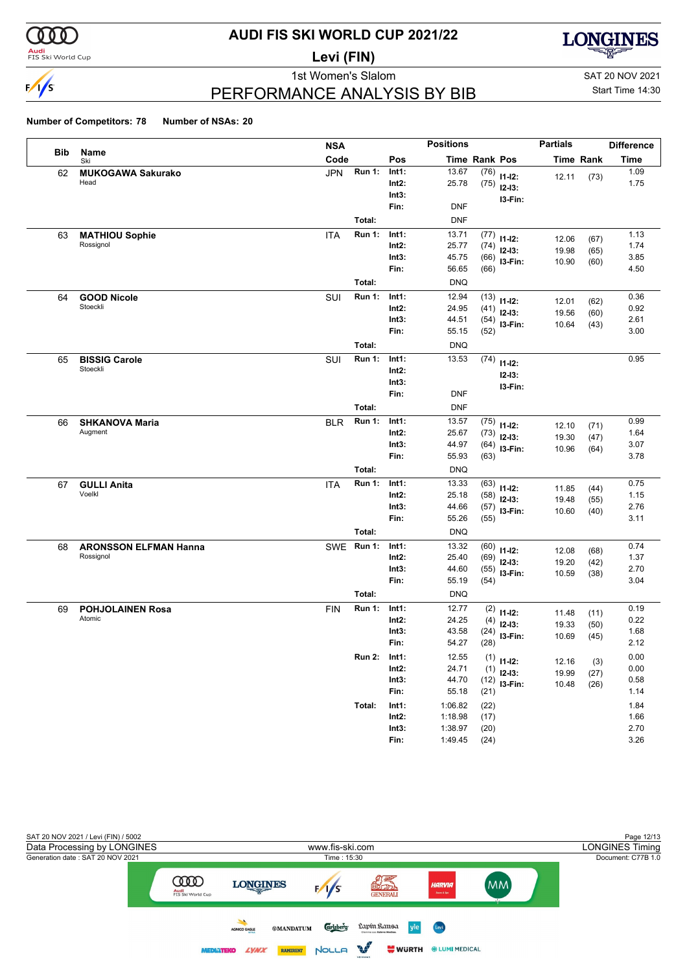

### **Audi**<br>FIS Ski World Cup

# **AUDI FIS SKI WORLD CUP 2021/22**

**Levi (FIN)**



1st Women's Slalom Sattle and SAT 20 NOV 2021

Start Time 14:30

### PERFORMANCE ANALYSIS BY BIB

|            |                                           | <b>NSA</b> |               |                   | <b>Positions</b>   |               |                               | <b>Partials</b> |           | <b>Difference</b> |
|------------|-------------------------------------------|------------|---------------|-------------------|--------------------|---------------|-------------------------------|-----------------|-----------|-------------------|
| <b>Bib</b> | Name<br>Ski                               | Code       |               | Pos               |                    | Time Rank Pos |                               |                 | Time Rank | Time              |
| 62         | <b>MUKOGAWA Sakurako</b>                  | <b>JPN</b> | <b>Run 1:</b> | Int1:             | 13.67              | (76)          | $11 - 12$ :                   | 12.11           | (73)      | 1.09              |
|            | Head                                      |            |               | Int2:             | 25.78              | (75)          | $12 - 13:$                    |                 |           | 1.75              |
|            |                                           |            |               | Int3:             |                    |               | I3-Fin:                       |                 |           |                   |
|            |                                           |            |               | Fin:              | <b>DNF</b>         |               |                               |                 |           |                   |
|            |                                           |            | Total:        |                   | <b>DNF</b>         |               |                               |                 |           |                   |
| 63         | <b>MATHIOU Sophie</b>                     | ITA        | <b>Run 1:</b> | Int1:             | 13.71              | (77)          | $11 - 12$ :                   | 12.06           | (67)      | 1.13              |
|            | Rossignol                                 |            |               | Int2:             | 25.77              | (74)          | $12 - 13:$                    | 19.98           | (65)      | 1.74              |
|            |                                           |            |               | Int3:<br>Fin:     | 45.75<br>56.65     | (66)<br>(66)  | I3-Fin:                       | 10.90           | (60)      | 3.85<br>4.50      |
|            |                                           |            | Total:        |                   | <b>DNQ</b>         |               |                               |                 |           |                   |
|            |                                           |            | <b>Run 1:</b> | Int1:             | 12.94              | (13)          |                               |                 |           | 0.36              |
| 64         | <b>GOOD Nicole</b><br>Stoeckli            | SUI        |               | Int2:             | 24.95              | (41)          | $11 - 12$ :                   | 12.01           | (62)      | 0.92              |
|            |                                           |            |               | Int3:             | 44.51              |               | $12 - 13$ :<br>$(54)$ 13-Fin: | 19.56           | (60)      | 2.61              |
|            |                                           |            |               | Fin:              | 55.15              | (52)          |                               | 10.64           | (43)      | 3.00              |
|            |                                           |            | Total:        |                   | <b>DNQ</b>         |               |                               |                 |           |                   |
| 65         | <b>BISSIG Carole</b>                      | SUI        | <b>Run 1:</b> | Int1:             | 13.53              | (74)          |                               |                 |           | 0.95              |
|            | Stoeckli                                  |            |               | Int2:             |                    |               | $11 - 12$ :<br>$12 - 13:$     |                 |           |                   |
|            |                                           |            |               | Int3:             |                    |               | I3-Fin:                       |                 |           |                   |
|            |                                           |            |               | Fin:              | <b>DNF</b>         |               |                               |                 |           |                   |
|            |                                           |            | Total:        |                   | <b>DNF</b>         |               |                               |                 |           |                   |
| 66         | <b>SHKANOVA Maria</b>                     | <b>BLR</b> | <b>Run 1:</b> | Int1:             | 13.57              | (75)          | $11 - 12$ :                   | 12.10           | (71)      | 0.99              |
|            | Augment                                   |            |               | Int2:             | 25.67              | (73)          | $12-13:$                      | 19.30           | (47)      | 1.64              |
|            |                                           |            |               | Int3:             | 44.97              |               | $(64)$ 13-Fin:                | 10.96           | (64)      | 3.07              |
|            |                                           |            |               | Fin:              | 55.93              | (63)          |                               |                 |           | 3.78              |
|            |                                           |            | Total:        |                   | <b>DNQ</b>         |               |                               |                 |           |                   |
| 67         | <b>GULLI Anita</b><br>Voelkl              | ITA        | <b>Run 1:</b> | Int1:             | 13.33              | (63)          | $11 - 12$ :                   | 11.85           | (44)      | 0.75              |
|            |                                           |            |               | Int2:<br>Int3:    | 25.18<br>44.66     | (58)          | $12 - 13$ :                   | 19.48           | (55)      | 1.15<br>2.76      |
|            |                                           |            |               | Fin:              | 55.26              | (55)          | $(57)$ 13-Fin:                | 10.60           | (40)      | 3.11              |
|            |                                           |            | Total:        |                   | <b>DNQ</b>         |               |                               |                 |           |                   |
|            |                                           | <b>SWE</b> | <b>Run 1:</b> | Int1:             | 13.32              | (60)          |                               |                 |           | 0.74              |
| 68         | <b>ARONSSON ELFMAN Hanna</b><br>Rossignol |            |               | Int2:             | 25.40              | (69)          | $11-12:$                      | 12.08           | (68)      | 1.37              |
|            |                                           |            |               | Int3:             | 44.60              | (55)          | $12-13:$<br>I3-Fin:           | 19.20           | (42)      | 2.70              |
|            |                                           |            |               | Fin:              | 55.19              | (54)          |                               | 10.59           | (38)      | 3.04              |
|            |                                           |            | Total:        |                   | <b>DNQ</b>         |               |                               |                 |           |                   |
| 69         | <b>POHJOLAINEN Rosa</b>                   | <b>FIN</b> | <b>Run 1:</b> | Int1:             | 12.77              | (2)           | $11 - 12$ :                   | 11.48           | (11)      | 0.19              |
|            | Atomic                                    |            |               | Int2:             | 24.25              | (4)           | $12-13:$                      | 19.33           | (50)      | 0.22              |
|            |                                           |            |               | Int3:             | 43.58              | (24)          | I3-Fin:                       | 10.69           | (45)      | 1.68              |
|            |                                           |            |               | Fin:              | 54.27              | (28)          |                               |                 |           | 2.12              |
|            |                                           |            | <b>Run 2:</b> | Int1:             | 12.55              |               | $(1)$ 11-12:                  | 12.16           | (3)       | 0.00              |
|            |                                           |            |               | $Int2$ :          | 24.71              |               | $(1)$ 12-13:                  | 19.99           | (27)      | 0.00              |
|            |                                           |            |               | Int3:             | 44.70              |               | $(12)$ 13-Fin:                | 10.48           | (26)      | 0.58              |
|            |                                           |            |               | Fin:              | 55.18              | (21)          |                               |                 |           | 1.14              |
|            |                                           |            | Total:        | Int1:             | 1:06.82            | (22)          |                               |                 |           | 1.84              |
|            |                                           |            |               | $Int2$ :<br>Int3: | 1:18.98<br>1:38.97 | (17)<br>(20)  |                               |                 |           | 1.66<br>2.70      |
|            |                                           |            |               | Fin:              | 1:49.45            | (24)          |                               |                 |           | 3.26              |
|            |                                           |            |               |                   |                    |               |                               |                 |           |                   |

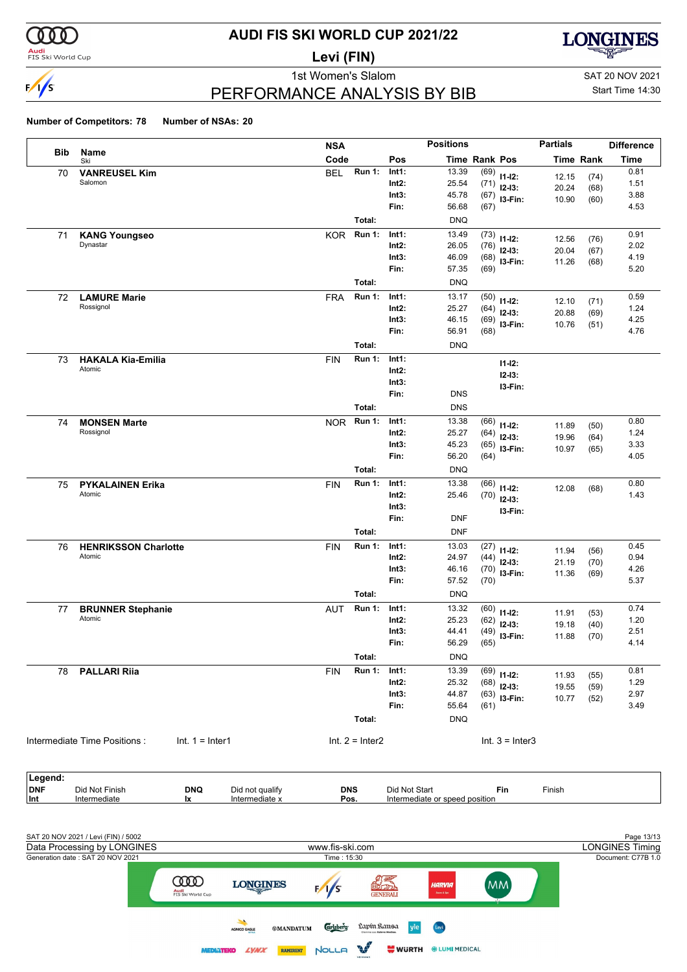

#### **Audi**<br>FIS Ski World Cup

# **AUDI FIS SKI WORLD CUP 2021/22**

**Levi (FIN)**



### PERFORMANCE ANALYSIS BY BIB

1st Women's Slalom Sattle and SAT 20 NOV 2021 Start Time 14:30

|            |                                                   | <b>NSA</b> |                   |          | <b>Positions</b>     |      |                   | <b>Partials</b> |                  | <b>Difference</b> |
|------------|---------------------------------------------------|------------|-------------------|----------|----------------------|------|-------------------|-----------------|------------------|-------------------|
| <b>Bib</b> | Name<br>Ski                                       | Code       |                   | Pos      | <b>Time Rank Pos</b> |      |                   |                 | <b>Time Rank</b> | Time              |
| 70         | <b>VANREUSEL Kim</b>                              | <b>BEL</b> | Run 1:            | Int1:    | 13.39                | (69) | $11 - 12$ :       | 12.15           | (74)             | 0.81              |
|            | Salomon                                           |            |                   | $Int2$ : | 25.54                | (71) | $12-13:$          | 20.24           | (68)             | 1.51              |
|            |                                                   |            |                   | Int3:    | 45.78                | (67) | I3-Fin:           | 10.90           | (60)             | 3.88              |
|            |                                                   |            |                   | Fin:     | 56.68                | (67) |                   |                 |                  | 4.53              |
|            |                                                   |            | Total:            |          | <b>DNQ</b>           |      |                   |                 |                  |                   |
| 71         | <b>KANG Youngseo</b>                              | <b>KOR</b> | <b>Run 1:</b>     | Int1:    | 13.49                | (73) | $11 - 12$ :       | 12.56           | (76)             | 0.91              |
|            | Dynastar                                          |            |                   | $Int2$ : | 26.05                | (76) | $12-13:$          | 20.04           | (67)             | 2.02              |
|            |                                                   |            |                   | Int3:    | 46.09                | (68) | I3-Fin:           | 11.26           | (68)             | 4.19              |
|            |                                                   |            |                   | Fin:     | 57.35                | (69) |                   |                 |                  | 5.20              |
|            |                                                   |            | Total:            |          | <b>DNQ</b>           |      |                   |                 |                  |                   |
| 72         | <b>LAMURE Marie</b>                               | <b>FRA</b> | <b>Run 1:</b>     | Int1:    | 13.17                | (50) | $11 - 12$ :       | 12.10           | (71)             | 0.59              |
|            | Rossignol                                         |            |                   | $Int2$ : | 25.27                | (64) | $12-13:$          | 20.88           | (69)             | 1.24              |
|            |                                                   |            |                   | Int3:    | 46.15                | (69) | I3-Fin:           | 10.76           | (51)             | 4.25              |
|            |                                                   |            |                   | Fin:     | 56.91                | (68) |                   |                 |                  | 4.76              |
|            |                                                   |            | Total:            |          | <b>DNQ</b>           |      |                   |                 |                  |                   |
| 73         | <b>HAKALA Kia-Emilia</b>                          | <b>FIN</b> | <b>Run 1:</b>     | Int1:    |                      |      | $11 - 12$ :       |                 |                  |                   |
|            | Atomic                                            |            |                   | $Int2$ : |                      |      | $12 - 13:$        |                 |                  |                   |
|            |                                                   |            |                   | Int3:    |                      |      | I3-Fin:           |                 |                  |                   |
|            |                                                   |            |                   | Fin:     | <b>DNS</b>           |      |                   |                 |                  |                   |
|            |                                                   |            | Total:            |          | <b>DNS</b>           |      |                   |                 |                  |                   |
| 74         | <b>MONSEN Marte</b>                               | <b>NOR</b> | <b>Run 1:</b>     | Int1:    | 13.38                | (66) | $11 - 12$ :       | 11.89           | (50)             | 0.80              |
|            | Rossignol                                         |            |                   | $Int2$ : | 25.27                | (64) | $12-13:$          | 19.96           | (64)             | 1.24              |
|            |                                                   |            |                   | Int3:    | 45.23                | (65) | I3-Fin:           | 10.97           | (65)             | 3.33              |
|            |                                                   |            |                   | Fin:     | 56.20                | (64) |                   |                 |                  | 4.05              |
|            |                                                   |            | Total:            |          | <b>DNQ</b>           |      |                   |                 |                  |                   |
| 75         | <b>PYKALAINEN Erika</b>                           | <b>FIN</b> | <b>Run 1:</b>     | Int1:    | 13.38                | (66) | $11 - 12$ :       | 12.08           | (68)             | 0.80              |
|            | Atomic                                            |            |                   | $Int2$ : | 25.46                | (70) | $12 - 13:$        |                 |                  | 1.43              |
|            |                                                   |            |                   | Int3:    |                      |      | I3-Fin:           |                 |                  |                   |
|            |                                                   |            |                   | Fin:     | <b>DNF</b>           |      |                   |                 |                  |                   |
|            |                                                   |            | Total:            |          | <b>DNF</b>           |      |                   |                 |                  |                   |
| 76         | <b>HENRIKSSON Charlotte</b>                       | <b>FIN</b> | <b>Run 1:</b>     | Int1:    | 13.03                | (27) | $11 - 12$ :       | 11.94           | (56)             | 0.45              |
|            | Atomic                                            |            |                   | $Int2$ : | 24.97                | (44) | $12-13:$          | 21.19           | (70)             | 0.94              |
|            |                                                   |            |                   | Int3:    | 46.16                | (70) | I3-Fin:           | 11.36           | (69)             | 4.26              |
|            |                                                   |            |                   | Fin:     | 57.52                | (70) |                   |                 |                  | 5.37              |
|            |                                                   |            | Total:            |          | <b>DNQ</b>           |      |                   |                 |                  |                   |
| 77         | <b>BRUNNER Stephanie</b>                          | <b>AUT</b> | <b>Run 1:</b>     | Int1:    | 13.32                | (60) | $11 - 12$ :       | 11.91           | (53)             | 0.74              |
|            | Atomic                                            |            |                   | $Int2$ : | 25.23                | (62) | $12 - 13:$        | 19.18           | (40)             | 1.20              |
|            |                                                   |            |                   | Int3:    | 44.41                | (49) | I3-Fin:           | 11.88           | (70)             | 2.51              |
|            |                                                   |            |                   | Fin:     | 56.29                | (65) |                   |                 |                  | 4.14              |
|            |                                                   |            | Total:            |          | <b>DNQ</b>           |      |                   |                 |                  |                   |
| 78         | <b>PALLARI Riia</b>                               | <b>FIN</b> | <b>Run 1:</b>     | Int1:    | 13.39                | (69) | $11 - 12$ :       | 11.93           | (55)             | 0.81              |
|            |                                                   |            |                   | Int2:    | 25.32                | (68) | $12-13:$          | 19.55           | (59)             | 1.29              |
|            |                                                   |            |                   | Int3:    | 44.87                | (63) | I3-Fin:           | 10.77           | (52)             | 2.97              |
|            |                                                   |            |                   | Fin:     | 55.64                | (61) |                   |                 |                  | 3.49              |
|            |                                                   |            | Total:            |          | <b>DNQ</b>           |      |                   |                 |                  |                   |
|            |                                                   |            |                   |          |                      |      |                   |                 |                  |                   |
|            | Intermediate Time Positions:<br>$Int. 1 = Inter1$ |            | $Int. 2 = Inter2$ |          |                      |      | Int. $3 =$ Inter3 |                 |                  |                   |

| Legend:    |                |            |                 |            |                                |            |        |  |
|------------|----------------|------------|-----------------|------------|--------------------------------|------------|--------|--|
| <b>DNF</b> | Did Not Finish | <b>DNQ</b> | Did not qualify | <b>DNS</b> | Did Not Start                  | <b>Fin</b> | Finish |  |
| $ $ Int    | Intermediate   | IX         | Intermediate x  | Pos.       | Intermediate or speed position |            |        |  |

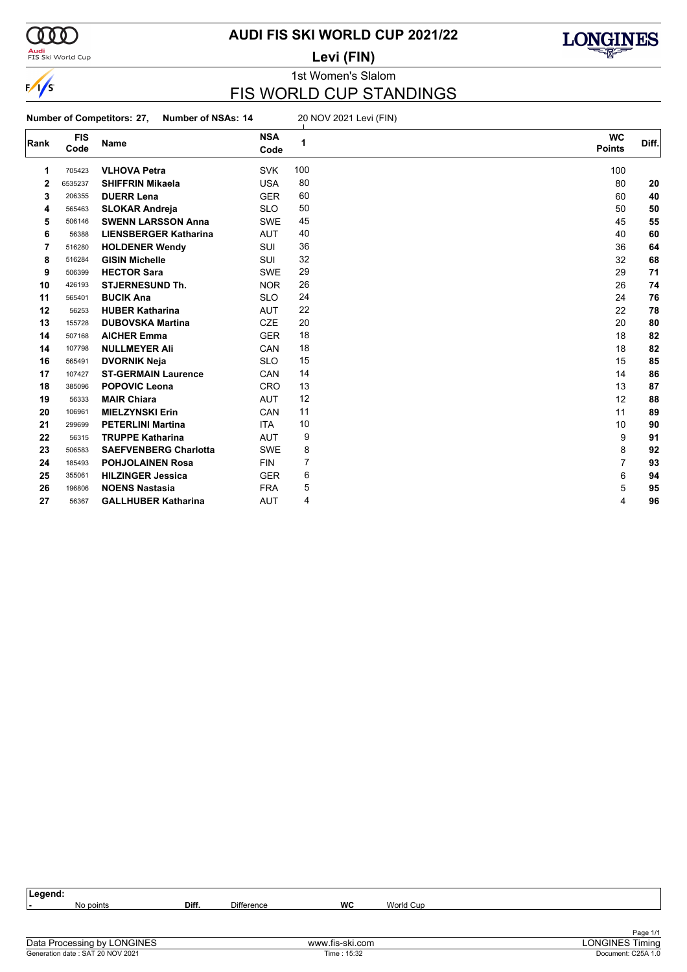

### **Audi**<br>FIS Ski World Cup

### **AUDI FIS SKI WORLD CUP 2021/22**

**Levi (FIN)**



1st Women's Slalom

### FIS WORLD CUP STANDINGS

**Number of Competitors: 27, Number of NSAs: 14** 20 NOV 2021 Levi (FIN)

| Rank | <b>FIS</b><br>Code | <b>Name</b>                  | <b>NSA</b><br>Code | 1   | <b>WC</b><br><b>Points</b> | Diff. |
|------|--------------------|------------------------------|--------------------|-----|----------------------------|-------|
| 1    | 705423             | <b>VLHOVA Petra</b>          | <b>SVK</b>         | 100 | 100                        |       |
| 2    | 6535237            | <b>SHIFFRIN Mikaela</b>      | <b>USA</b>         | 80  | 80                         | 20    |
| 3    | 206355             | <b>DUERR Lena</b>            | <b>GER</b>         | 60  | 60                         | 40    |
| 4    | 565463             | <b>SLOKAR Andreja</b>        | <b>SLO</b>         | 50  | 50                         | 50    |
| 5    | 506146             | <b>SWENN LARSSON Anna</b>    | <b>SWE</b>         | 45  | 45                         | 55    |
| 6    | 56388              | <b>LIENSBERGER Katharina</b> | <b>AUT</b>         | 40  | 40                         | 60    |
| 7    | 516280             | <b>HOLDENER Wendy</b>        | SUI                | 36  | 36                         | 64    |
| 8    | 516284             | <b>GISIN Michelle</b>        | <b>SUI</b>         | 32  | 32                         | 68    |
| 9    | 506399             | <b>HECTOR Sara</b>           | <b>SWE</b>         | 29  | 29                         | 71    |
| 10   | 426193             | <b>STJERNESUND Th.</b>       | <b>NOR</b>         | 26  | 26                         | 74    |
| 11   | 565401             | <b>BUCIK Ana</b>             | <b>SLO</b>         | 24  | 24                         | 76    |
| 12   | 56253              | <b>HUBER Katharina</b>       | <b>AUT</b>         | 22  | 22                         | 78    |
| 13   | 155728             | <b>DUBOVSKA Martina</b>      | <b>CZE</b>         | 20  | 20                         | 80    |
| 14   | 507168             | <b>AICHER Emma</b>           | <b>GER</b>         | 18  | 18                         | 82    |
| 14   | 107798             | <b>NULLMEYER Ali</b>         | <b>CAN</b>         | 18  | 18                         | 82    |
| 16   | 565491             | <b>DVORNIK Neja</b>          | <b>SLO</b>         | 15  | 15                         | 85    |
| 17   | 107427             | <b>ST-GERMAIN Laurence</b>   | CAN                | 14  | 14                         | 86    |
| 18   | 385096             | <b>POPOVIC Leona</b>         | <b>CRO</b>         | 13  | 13                         | 87    |
| 19   | 56333              | <b>MAIR Chiara</b>           | <b>AUT</b>         | 12  | 12                         | 88    |
| 20   | 106961             | <b>MIELZYNSKI Erin</b>       | <b>CAN</b>         | 11  | 11                         | 89    |
| 21   | 299699             | <b>PETERLINI Martina</b>     | <b>ITA</b>         | 10  | 10                         | 90    |
| 22   | 56315              | <b>TRUPPE Katharina</b>      | <b>AUT</b>         | 9   | 9                          | 91    |
| 23   | 506583             | <b>SAEFVENBERG Charlotta</b> | <b>SWE</b>         | 8   | 8                          | 92    |
| 24   | 185493             | <b>POHJOLAINEN Rosa</b>      | <b>FIN</b>         | 7   | 7                          | 93    |
| 25   | 355061             | <b>HILZINGER Jessica</b>     | <b>GER</b>         | 6   | 6                          | 94    |
| 26   | 196806             | <b>NOENS Nastasia</b>        | <b>FRA</b>         | 5   | 5                          | 95    |
| 27   | 56367              | <b>GALLHUBER Katharina</b>   | <b>AUT</b>         | 4   | 4                          | 96    |

| ∣Legend: |           |       |                   |    |           |          |
|----------|-----------|-------|-------------------|----|-----------|----------|
| . .      | No points | Diff. | <b>Difference</b> | WC | World Cup |          |
|          |           |       |                   |    |           |          |
|          |           |       |                   |    |           |          |
|          |           |       |                   |    |           | Page 1/1 |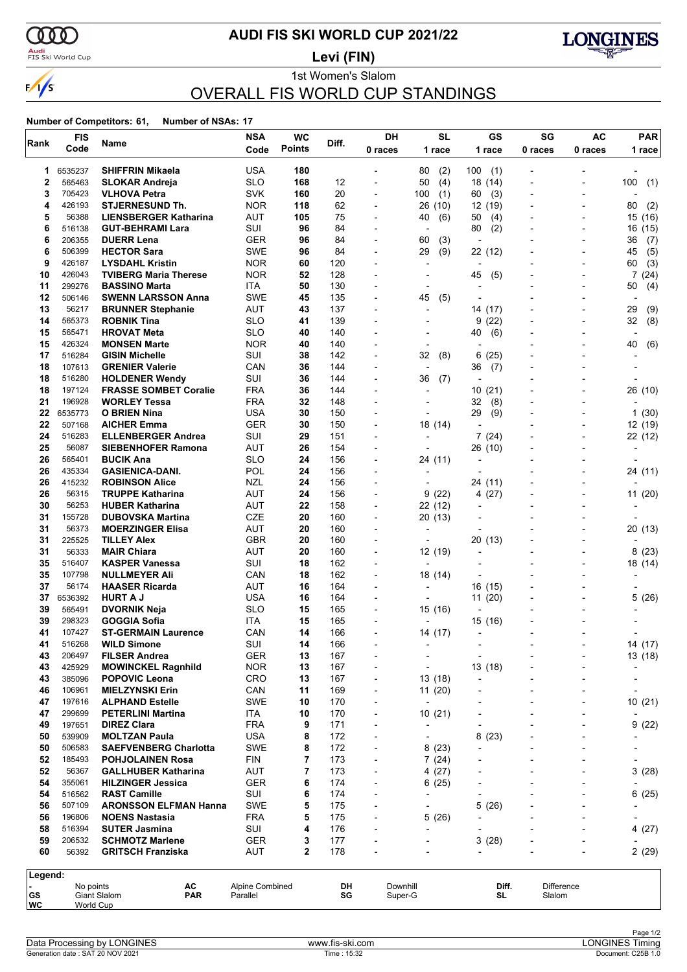

### <mark>Audi</mark><br>FIS Ski World Cup

### **AUDI FIS SKI WORLD CUP 2021/22**

**Levi (FIN)**



### 1st Women's Slalom OVERALL FIS WORLD CUP STANDINGS

|          | <b>FIS</b>      |                                             | <b>NSA</b>        | <b>WC</b>     | Diff.      | DH                                                   | <b>SL</b>                           | GS                                                   | SG                       | <b>AC</b>                                            | <b>PAR</b>               |
|----------|-----------------|---------------------------------------------|-------------------|---------------|------------|------------------------------------------------------|-------------------------------------|------------------------------------------------------|--------------------------|------------------------------------------------------|--------------------------|
| Rank     | Code            | Name                                        | Code              | <b>Points</b> |            | 0 races                                              | 1 race                              | 1 race                                               | 0 races                  | 0 races                                              | 1 race                   |
| 1        | 6535237         | <b>SHIFFRIN Mikaela</b>                     | <b>USA</b>        | 180           |            | $\overline{\phantom{a}}$                             | 80<br>(2)                           | 100<br>(1)                                           |                          | $\qquad \qquad \blacksquare$                         |                          |
| 2        | 565463          | <b>SLOKAR Andreja</b>                       | <b>SLO</b>        | 168           | 12         | $\blacksquare$                                       | (4)<br>50                           | 18<br>(14)                                           | $\overline{\phantom{a}}$ | $\blacksquare$                                       | 100<br>(1)               |
| 3        | 705423          | <b>VLHOVA Petra</b>                         | <b>SVK</b>        | 160           | 20         | $\overline{\phantom{a}}$                             | 100<br>(1)                          | (3)<br>60                                            |                          | $\overline{\phantom{0}}$                             |                          |
| 4        | 426193          | <b>STJERNESUND Th.</b>                      | <b>NOR</b>        | 118           | 62         | $\overline{\phantom{0}}$                             | 26 (10)                             | 12 (19)                                              |                          | $\overline{\phantom{0}}$                             | 80<br>(2)                |
| 5        | 56388           | <b>LIENSBERGER Katharina</b>                | AUT               | 105           | 75         | $\overline{\phantom{a}}$                             | 40<br>(6)                           | (4)<br>50                                            | $\overline{\phantom{a}}$ | $\blacksquare$                                       | 15<br>(16)               |
| 6        | 516138          | <b>GUT-BEHRAMI Lara</b>                     | SUI               | 96            | 84         | $\overline{\phantom{a}}$                             |                                     | 80<br>(2)                                            |                          |                                                      | 16<br>(15)               |
| 6        | 206355          | <b>DUERR Lena</b>                           | <b>GER</b>        | 96            | 84         | $\overline{\phantom{0}}$                             | 60<br>(3)                           | $\overline{a}$                                       |                          | $\overline{\phantom{0}}$                             | 36<br>(7)                |
| 6        | 506399          | <b>HECTOR Sara</b>                          | <b>SWE</b>        | 96            | 84         | $\overline{\phantom{a}}$                             | 29<br>(9)                           | 22 (12)                                              | $\overline{\phantom{a}}$ | $\blacksquare$                                       | 45<br>(5)                |
| 9        | 426187          | <b>LYSDAHL Kristin</b>                      | <b>NOR</b>        | 60            | 120        |                                                      |                                     |                                                      |                          |                                                      | (3)<br>60                |
| 10       | 426043          | <b>TVIBERG Maria Therese</b>                | <b>NOR</b>        | 52            | 128        | $\overline{\phantom{a}}$                             |                                     | (5)<br>45                                            |                          | $\overline{\phantom{a}}$                             | 7(24)                    |
| 11       | 299276          | <b>BASSINO Marta</b>                        | ITA               | 50            | 130        | $\blacksquare$                                       | $\overline{\phantom{a}}$            | $\overline{\phantom{a}}$                             | $\overline{\phantom{a}}$ | $\blacksquare$                                       | (4)<br>50                |
| 12       | 506146          | <b>SWENN LARSSON Anna</b>                   | <b>SWE</b>        | 45            | 135        |                                                      | 45<br>(5)                           | $\overline{\phantom{a}}$                             |                          |                                                      | $\overline{\phantom{a}}$ |
| 13       | 56217           | <b>BRUNNER Stephanie</b>                    | <b>AUT</b>        | 43            | 137        | $\overline{\phantom{0}}$                             |                                     | 14 (17)                                              |                          | $\overline{\phantom{0}}$                             | 29<br>(9)                |
| 14       | 565373          | <b>ROBNIK Tina</b>                          | <b>SLO</b>        | 41            | 139        | $\blacksquare$                                       | $\overline{\phantom{a}}$            | 9<br>(22)                                            | $\overline{\phantom{a}}$ | $\blacksquare$                                       | (8)<br>32                |
| 15       | 565471          | <b>HROVAT Meta</b>                          | <b>SLO</b>        | 40            | 140        |                                                      |                                     | 40<br>(6)                                            |                          |                                                      |                          |
| 15       | 426324          | <b>MONSEN Marte</b>                         | <b>NOR</b>        | 40            | 140        | $\overline{\phantom{0}}$                             | $\overline{\phantom{a}}$            | $\overline{a}$                                       |                          | $\overline{\phantom{0}}$                             | 40<br>(6)                |
| 17       | 516284          | <b>GISIN Michelle</b>                       | SUI               | 38            | 142        | $\overline{\phantom{a}}$                             | 32<br>(8)                           | 6<br>(25)                                            |                          | $\overline{\phantom{a}}$                             | $\overline{\phantom{a}}$ |
| 18       | 107613          | <b>GRENIER Valerie</b>                      | CAN               | 36            | 144        |                                                      | $\overline{\phantom{a}}$            | 36<br>(7)                                            |                          |                                                      |                          |
| 18       | 516280          | <b>HOLDENER Wendy</b>                       | SUI               | 36            | 144        | $\overline{\phantom{0}}$                             | 36<br>(7)                           | ٠                                                    |                          | $\overline{\phantom{0}}$                             |                          |
| 18       | 197124          | <b>FRASSE SOMBET Coralie</b>                | <b>FRA</b>        | 36            | 144        | $\blacksquare$                                       | $\overline{\phantom{a}}$            | 10(21)                                               | $\overline{\phantom{a}}$ | $\overline{\phantom{a}}$                             | 26 (10)                  |
| 21       | 196928          | <b>WORLEY Tessa</b>                         | <b>FRA</b>        | 32            | 148        |                                                      |                                     | 32<br>(8)                                            |                          |                                                      |                          |
| 22       | 6535773         | <b>O BRIEN Nina</b>                         | <b>USA</b>        | 30            | 150        | $\overline{\phantom{0}}$                             |                                     | 29<br>(9)                                            |                          | $\overline{\phantom{0}}$                             | 1(30)                    |
| 22       | 507168          | <b>AICHER Emma</b>                          | <b>GER</b>        | 30            | 150        | $\overline{\phantom{a}}$                             | 18 (14)                             | $\overline{\phantom{a}}$                             | $\overline{\phantom{a}}$ | $\overline{\phantom{a}}$                             | 12 (19)                  |
| 24       | 516283          | <b>ELLENBERGER Andrea</b>                   | SUI               | 29            | 151        |                                                      | $\overline{\phantom{a}}$            | 7(24)                                                |                          |                                                      | 22 (12)                  |
| 25       | 56087           | <b>SIEBENHOFER Ramona</b>                   | AUT               | 26            | 154        | $\overline{\phantom{0}}$                             |                                     | 26 (10)                                              |                          | $\overline{a}$                                       |                          |
| 26       | 565401          | <b>BUCIK Ana</b>                            | <b>SLO</b>        | 24            | 156        | $\overline{\phantom{a}}$                             | 24 (11)                             | $\overline{\phantom{a}}$                             | $\blacksquare$           | $\blacksquare$                                       |                          |
| 26       | 435334          | <b>GASIENICA-DANI.</b>                      | POL               | 24            | 156        |                                                      |                                     |                                                      |                          |                                                      | 24 (11)                  |
| 26       | 415232          | <b>ROBINSON Alice</b>                       | NZL               | 24            | 156        | $\overline{\phantom{0}}$                             |                                     | 24 (11)                                              |                          | $\overline{\phantom{0}}$                             |                          |
| 26       | 56315           | <b>TRUPPE Katharina</b>                     | AUT               | 24            | 156        | $\blacksquare$                                       | 9(22)                               | 4 (27)                                               | $\blacksquare$           | $\overline{a}$                                       | 11(20)                   |
| 30       | 56253           | <b>HUBER Katharina</b>                      | <b>AUT</b>        | 22            | 158        | $\overline{\phantom{0}}$                             | 22 (12)                             | $\overline{\phantom{0}}$                             |                          |                                                      |                          |
| 31       | 155728          | <b>DUBOVSKA Martina</b>                     | CZE               | 20            | 160        | $\overline{\phantom{0}}$                             | 20 (13)                             |                                                      |                          |                                                      |                          |
| 31       | 56373           | <b>MOERZINGER Elisa</b>                     | AUT               | 20            | 160        | $\blacksquare$                                       | $\overline{\phantom{a}}$            | $\overline{\phantom{a}}$                             |                          | $\overline{\phantom{a}}$                             | 20 (13)                  |
| 31<br>31 | 225525<br>56333 | <b>TILLEY Alex</b>                          | <b>GBR</b>        | 20            | 160<br>160 |                                                      |                                     | 20 (13)                                              |                          |                                                      |                          |
| 35       | 516407          | <b>MAIR Chiara</b><br><b>KASPER Vanessa</b> | <b>AUT</b><br>SUI | 20<br>18      | 162        | $\overline{\phantom{0}}$<br>$\overline{\phantom{a}}$ | 12 (19)<br>$\overline{\phantom{a}}$ | $\overline{\phantom{0}}$<br>$\overline{\phantom{0}}$ | $\overline{\phantom{a}}$ | $\overline{\phantom{0}}$<br>$\overline{\phantom{a}}$ | 8(23)                    |
| 35       | 107798          | <b>NULLMEYER Ali</b>                        | CAN               | 18            | 162        |                                                      | 18 (14)                             | $\overline{\phantom{a}}$                             |                          |                                                      | 18 (14)                  |
| 37       | 56174           | <b>HAASER Ricarda</b>                       | AUT               | 16            | 164        | $\overline{\phantom{0}}$                             | $\overline{\phantom{a}}$            | 16 (15)                                              |                          | $\overline{\phantom{0}}$                             |                          |
| 37       | 6536392         | <b>HURT A J</b>                             | USA               | 16            | 164        | $\blacksquare$                                       | $\overline{\phantom{a}}$            | 11(20)                                               | $\overline{\phantom{a}}$ | $\blacksquare$                                       | 5(26)                    |
| 39       | 565491          | <b>DVORNIK Neja</b>                         | <b>SLO</b>        | 15            | 165        |                                                      | 15 (16)                             | $\blacksquare$                                       |                          |                                                      |                          |
| 39       | 298323          | <b>GOGGIA Sofia</b>                         | ITA               | 15            | 165        | $\overline{\phantom{0}}$                             |                                     | 15 (16)                                              |                          |                                                      |                          |
| 41       | 107427          | <b>ST-GERMAIN Laurence</b>                  | CAN               | 14            | 166        | $\overline{a}$                                       | 14 (17)                             | $\overline{\phantom{a}}$                             |                          |                                                      |                          |
| 41       | 516268          | <b>WILD Simone</b>                          | SUI               | 14            | 166        | $\overline{a}$                                       | $\blacksquare$                      | $\blacksquare$                                       |                          |                                                      | 14 (17)                  |
| 43       | 206497          | <b>FILSER Andrea</b>                        | <b>GER</b>        | 13            | 167        |                                                      |                                     | ٠                                                    |                          |                                                      | 13(18)                   |
| 43       | 425929          | <b>MOWINCKEL Ragnhild</b>                   | <b>NOR</b>        | 13            | 167        |                                                      |                                     | 13 (18)                                              |                          |                                                      |                          |
| 43       | 385096          | <b>POPOVIC Leona</b>                        | CRO               | 13            | 167        |                                                      | 13 (18)                             | $\overline{a}$                                       |                          |                                                      |                          |
| 46       | 106961          | <b>MIELZYNSKI Erin</b>                      | CAN               | 11            | 169        | ٠                                                    | 11(20)                              |                                                      |                          | ۰                                                    |                          |
| 47       | 197616          | <b>ALPHAND Estelle</b>                      | <b>SWE</b>        | 10            | 170        | ٠                                                    |                                     |                                                      |                          |                                                      | 10(21)                   |
| 47       | 299699          | <b>PETERLINI Martina</b>                    | <b>ITA</b>        | 10            | 170        |                                                      | 10(21)                              |                                                      |                          |                                                      |                          |
| 49       | 197651          | <b>DIREZ Clara</b>                          | <b>FRA</b>        | 9             | 171        | $\overline{\phantom{0}}$                             |                                     |                                                      |                          | $\overline{\phantom{a}}$                             | 9(22)                    |
| 50       | 539909          | <b>MOLTZAN Paula</b>                        | <b>USA</b>        | 8             | 172        | $\overline{\phantom{a}}$                             |                                     | 8<br>(23)                                            |                          | Ĭ.                                                   |                          |
| 50       | 506583          | <b>SAEFVENBERG Charlotta</b>                | <b>SWE</b>        | 8             | 172        |                                                      | 8(23)                               |                                                      |                          |                                                      |                          |
| 52       | 185493          | <b>POHJOLAINEN Rosa</b>                     | <b>FIN</b>        | 7             | 173        | ٠                                                    | 7(24)                               |                                                      |                          | ۰                                                    |                          |
| 52       | 56367           | <b>GALLHUBER Katharina</b>                  | <b>AUT</b>        | 7             | 173        |                                                      | 4(27)                               |                                                      |                          |                                                      | 3(28)                    |
| 54       | 355061          | <b>HILZINGER Jessica</b>                    | <b>GER</b>        | 6             | 174        |                                                      | 6(25)                               |                                                      |                          |                                                      |                          |
| 54       | 516562          | <b>RAST Camille</b>                         | SUI               | 6             | 174        | $\overline{\phantom{a}}$                             |                                     |                                                      |                          | $\overline{a}$                                       | 6(25)                    |
| 56       | 507109          | <b>ARONSSON ELFMAN Hanna</b>                | <b>SWE</b>        | 5             | 175        |                                                      |                                     | 5<br>(26)                                            |                          | ۰                                                    |                          |
| 56       | 196806          | <b>NOENS Nastasia</b>                       | <b>FRA</b>        | 5             | 175        |                                                      | 5(26)                               |                                                      |                          |                                                      |                          |
| 58       | 516394          | <b>SUTER Jasmina</b>                        | SUI               | 4             | 176        | $\overline{\phantom{a}}$                             |                                     |                                                      |                          | $\overline{\phantom{a}}$                             | 4(27)                    |
| 59       | 206532          | <b>SCHMOTZ Marlene</b>                      | <b>GER</b>        | 3             | 177        |                                                      |                                     | 3<br>(28)                                            |                          |                                                      |                          |
| 60       | 56392           | <b>GRITSCH Franziska</b>                    | <b>AUT</b>        | $\mathbf{2}$  | 178        |                                                      |                                     |                                                      |                          |                                                      | 2(29)                    |
| Legend:  |                 |                                             |                   |               |            |                                                      |                                     |                                                      |                          |                                                      |                          |
|          | No points       | АC                                          | Alpine Combined   |               | DH         | Downhill                                             |                                     | Diff.                                                |                          | Difference                                           |                          |
| GS       |                 | Giant Slalom<br><b>PAR</b>                  | Parallel          |               | SG         | Super-G                                              |                                     | SL                                                   | Slalom                   |                                                      |                          |
| WC       | World Cup       |                                             |                   |               |            |                                                      |                                     |                                                      |                          |                                                      |                          |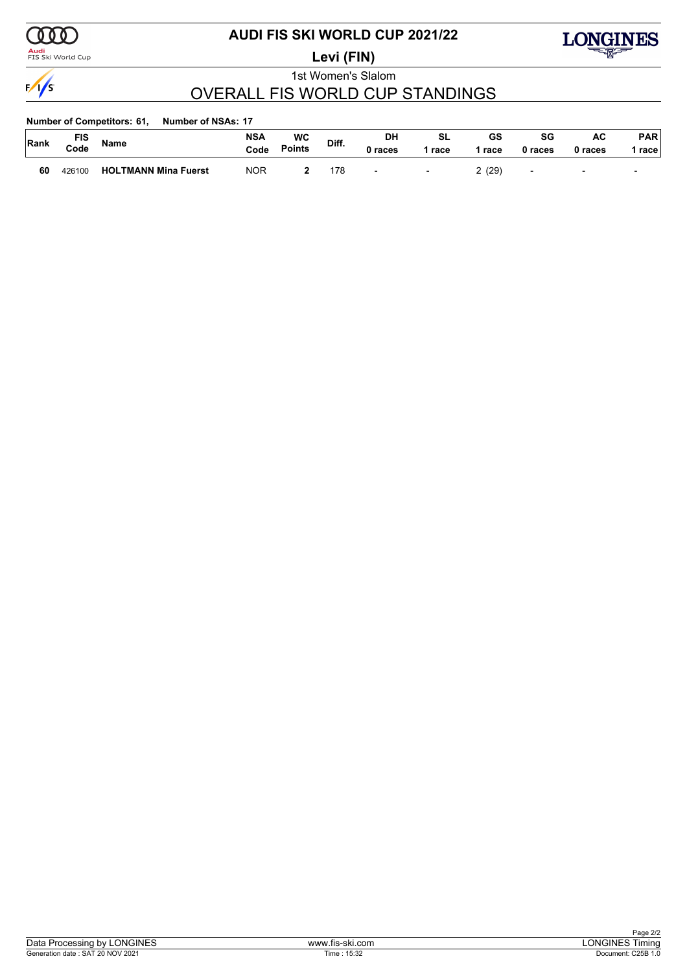

### <mark>Audi</mark><br>FIS Ski World Cup

## **AUDI FIS SKI WORLD CUP 2021/22**

**Levi (FIN)**



1st Women's Slalom

### OVERALL FIS WORLD CUP STANDINGS

| <b>Number of Competitors: 61,</b> | <b>Number of NSAs: 17</b> |
|-----------------------------------|---------------------------|
|                                   |                           |

| Rank | טוח<br>Code | <b>Name</b>                 | <b>NSA</b><br>Code | WC<br><b>Points</b> | Diff. | DH<br>races              | SL<br>race               | GS<br>race | SG<br>0 races            | AC<br>0 races            | PAR<br>race l |
|------|-------------|-----------------------------|--------------------|---------------------|-------|--------------------------|--------------------------|------------|--------------------------|--------------------------|---------------|
| 60   | 426100      | <b>HOLTMANN Mina Fuerst</b> | <b>NOR</b>         |                     | 178   | $\overline{\phantom{0}}$ | $\overline{\phantom{a}}$ | (29)       | $\overline{\phantom{0}}$ | $\overline{\phantom{0}}$ |               |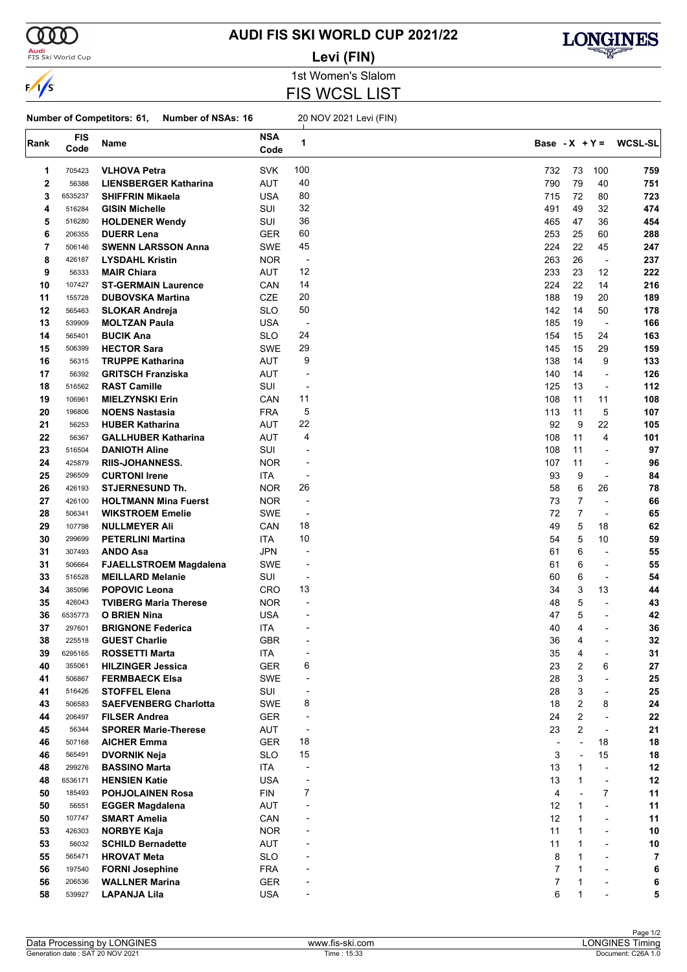

<mark>Audi</mark><br>FIS Ski World Cup

### **AUDI FIS SKI WORLD CUP 2021/22 Levi (FIN)**



1st Women's Slalom

FIS WCSL LIST

#### **Number of Competitors: 61, Number of NSAs: 16** 20 NOV 2021 Levi (FIN)

| Rank     | <b>FIS</b><br>Code | Name                                            | <b>NSA</b><br>Code | 1                        |           | Base - $X + Y =$ |                          | <b>WCSL-SL</b> |
|----------|--------------------|-------------------------------------------------|--------------------|--------------------------|-----------|------------------|--------------------------|----------------|
| 1        | 705423             | <b>VLHOVA Petra</b>                             | <b>SVK</b>         | 100                      | 732       | 73               | 100                      | 759            |
| 2        | 56388              | <b>LIENSBERGER Katharina</b>                    | AUT                | 40                       | 790       | 79               | 40                       | 751            |
| 3        | 6535237            | <b>SHIFFRIN Mikaela</b>                         | <b>USA</b>         | 80                       | 715       | 72               | 80                       | 723            |
| 4        | 516284             | <b>GISIN Michelle</b>                           | SUI                | 32                       | 491       | 49               | 32                       | 474            |
| 5        | 516280             | <b>HOLDENER Wendy</b>                           | SUI                | 36                       | 465       | 47               | 36                       | 454            |
| 6        | 206355             | <b>DUERR Lena</b>                               | <b>GER</b>         | 60                       | 253       | 25               | 60                       | 288            |
| 7        | 506146             | <b>SWENN LARSSON Anna</b>                       | SWE                | 45                       | 224       | 22               | 45                       | 247            |
| 8        | 426187             | <b>LYSDAHL Kristin</b>                          | <b>NOR</b>         | $\overline{a}$           | 263       | 26               | $\overline{\phantom{a}}$ | 237            |
| 9        | 56333              | <b>MAIR Chiara</b>                              | <b>AUT</b>         | 12                       | 233       | 23               | 12                       | 222            |
| 10       | 107427             | <b>ST-GERMAIN Laurence</b>                      | CAN                | 14                       | 224       | 22               | 14                       | 216            |
| 11       | 155728             | <b>DUBOVSKA Martina</b>                         | CZE                | 20                       | 188       | 19               | 20                       | 189            |
| 12       | 565463             | <b>SLOKAR Andreja</b>                           | <b>SLO</b>         | 50                       | 142       | 14               | 50                       | 178            |
| 13       | 539909             | <b>MOLTZAN Paula</b>                            | <b>USA</b>         | $\overline{a}$           | 185       | 19               | $\overline{\phantom{a}}$ | 166            |
| 14       | 565401             | <b>BUCIK Ana</b>                                | <b>SLO</b>         | 24                       | 154       | 15               | 24                       | 163            |
| 15       | 506399             | <b>HECTOR Sara</b>                              | SWE                | 29                       | 145       | 15               | 29                       | 159            |
| 16       | 56315              | <b>TRUPPE Katharina</b>                         | <b>AUT</b>         | 9                        | 138       | 14               | 9                        | 133            |
| 17       | 56392              | <b>GRITSCH Franziska</b>                        | AUT                | ÷,                       | 140       | 14               | $\overline{a}$           | 126            |
| 18       | 516562             | <b>RAST Camille</b>                             | SUI                | $\overline{\phantom{a}}$ | 125       | 13               | ÷,                       | 112            |
|          |                    | <b>MIELZYNSKI Erin</b>                          |                    | 11                       |           | 11               |                          |                |
| 19       | 106961             |                                                 | CAN                | 5                        | 108       | 11               | 11                       | 108            |
| 20<br>21 | 196806<br>56253    | <b>NOENS Nastasia</b><br><b>HUBER Katharina</b> | <b>FRA</b>         | 22                       | 113<br>92 | 9                | 5                        | 107<br>105     |
|          |                    |                                                 | <b>AUT</b>         | 4                        |           |                  | 22                       |                |
| 22       | 56367              | <b>GALLHUBER Katharina</b>                      | AUT                |                          | 108       | 11               | 4                        | 101            |
| 23       | 516504             | <b>DANIOTH Aline</b>                            | SUI                | $\overline{a}$           | 108       | 11               | $\overline{\phantom{a}}$ | 97             |
| 24       | 425879             | <b>RIIS-JOHANNESS.</b>                          | <b>NOR</b>         | $\overline{a}$           | 107       | 11               | $\overline{\phantom{a}}$ | 96             |
| 25       | 296509             | <b>CURTONI Irene</b>                            | ITA.               | $\overline{\phantom{a}}$ | 93        | 9                | $\overline{\phantom{a}}$ | 84             |
| 26       | 426193             | <b>STJERNESUND Th.</b>                          | <b>NOR</b>         | 26                       | 58        | 6                | 26                       | 78             |
| 27       | 426100             | <b>HOLTMANN Mina Fuerst</b>                     | <b>NOR</b>         | $\overline{\phantom{a}}$ | 73        | $\overline{7}$   |                          | 66             |
| 28       | 506341             | <b>WIKSTROEM Emelie</b>                         | SWE                | $\overline{a}$           | 72        | $\overline{7}$   | $\overline{\phantom{a}}$ | 65             |
| 29       | 107798             | <b>NULLMEYER Ali</b>                            | CAN                | 18                       | 49        | 5                | 18                       | 62             |
| 30       | 299699             | <b>PETERLINI Martina</b>                        | ITA                | 10                       | 54        | 5                | 10                       | 59             |
| 31       | 307493             | <b>ANDO Asa</b>                                 | <b>JPN</b>         | $\overline{a}$           | 61        | 6                | $\blacksquare$           | 55             |
| 31       | 506664             | <b>FJAELLSTROEM Magdalena</b>                   | SWE                | $\overline{a}$           | 61        | 6                | $\overline{\phantom{a}}$ | 55             |
| 33       | 516528             | <b>MEILLARD Melanie</b>                         | SUI                | $\overline{a}$           | 60        | 6                |                          | 54             |
| 34       | 385096             | <b>POPOVIC Leona</b>                            | CRO                | 13                       | 34        | 3                | 13                       | 44             |
| 35       | 426043             | <b>TVIBERG Maria Therese</b>                    | <b>NOR</b>         | $\overline{a}$           | 48        | 5                | $\overline{\phantom{a}}$ | 43             |
| 36       | 6535773            | <b>O BRIEN Nina</b>                             | <b>USA</b>         |                          | 47        | 5                | $\blacksquare$           | 42             |
| 37       | 297601             | <b>BRIGNONE Federica</b>                        | ITA                |                          | 40        | 4                |                          | 36             |
| 38       | 225518             | <b>GUEST Charlie</b>                            | <b>GBR</b>         |                          | 36        | 4                |                          | 32             |
| 39       | 6295165            | <b>ROSSETTI Marta</b>                           | <b>ITA</b>         |                          | 35        | 4                |                          | 31             |
| 40       | 355061             | <b>HILZINGER Jessica</b>                        | <b>GER</b>         | 6                        | 23        | $\boldsymbol{2}$ | 6                        | 27             |
| 41       | 506867             | <b>FERMBAECK Elsa</b>                           | SWE                | ÷,                       | 28        | 3                | ÷,                       | 25             |
| 41       | 516426             | <b>STOFFEL Elena</b>                            | SUI                | ÷                        | 28        | 3                | $\overline{\phantom{a}}$ | 25             |
| 43       | 506583             | <b>SAEFVENBERG Charlotta</b>                    | SWE                | 8                        | 18        | 2                | 8                        | 24             |
| 44       | 206497             | <b>FILSER Andrea</b>                            | <b>GER</b>         | $\overline{a}$           | 24        | 2                | ÷,                       | ${\bf 22}$     |
| 45       | 56344              | <b>SPORER Marie-Therese</b>                     | AUT                | $\overline{\phantom{a}}$ | 23        | 2                |                          | 21             |
| 46       | 507168             | <b>AICHER Emma</b>                              | <b>GER</b>         | 18                       |           |                  | 18                       | 18             |
| 46       | 565491             | <b>DVORNIK Neja</b>                             | <b>SLO</b>         | 15                       | 3         | $\overline{a}$   | 15                       | 18             |
| 48       | 299276             | <b>BASSINO Marta</b>                            | ITA                | ÷                        | 13        | $\mathbf{1}$     | $\overline{a}$           | 12             |
| 48       | 6536171            | <b>HENSIEN Katie</b>                            | <b>USA</b>         | ÷,                       | 13        | $\mathbf 1$      | ÷,                       | 12             |
| 50       | 185493             | POHJOLAINEN Rosa                                | <b>FIN</b>         | 7                        | 4         |                  | $\overline{7}$           | 11             |
| 50       | 56551              | <b>EGGER Magdalena</b>                          | <b>AUT</b>         |                          | 12        | 1                | ÷,                       | 11             |
| 50       | 107747             | <b>SMART Amelia</b>                             | CAN                |                          | 12        | $\mathbf{1}$     | $\overline{a}$           | 11             |
| 53       | 426303             | <b>NORBYE Kaja</b>                              | <b>NOR</b>         |                          | 11        | $\mathbf{1}$     | $\overline{\phantom{0}}$ | 10             |
| 53       | 56032              | <b>SCHILD Bernadette</b>                        | AUT                |                          | 11        | 1                | $\overline{\phantom{a}}$ | 10             |
| 55       | 565471             | <b>HROVAT Meta</b>                              | <b>SLO</b>         |                          | 8         | 1                |                          | 7              |
| 56       | 197540             | <b>FORNI Josephine</b>                          | <b>FRA</b>         |                          | 7         | $\mathbf 1$      |                          | 6              |
| 56       | 206536             | <b>WALLNER Marina</b>                           | <b>GER</b>         |                          | 7         | 1                |                          | 6              |
| 58       | 539927             | <b>LAPANJA Lila</b>                             | <b>USA</b>         |                          | 6         | $\mathbf{1}$     |                          | 5              |
|          |                    |                                                 |                    |                          |           |                  |                          |                |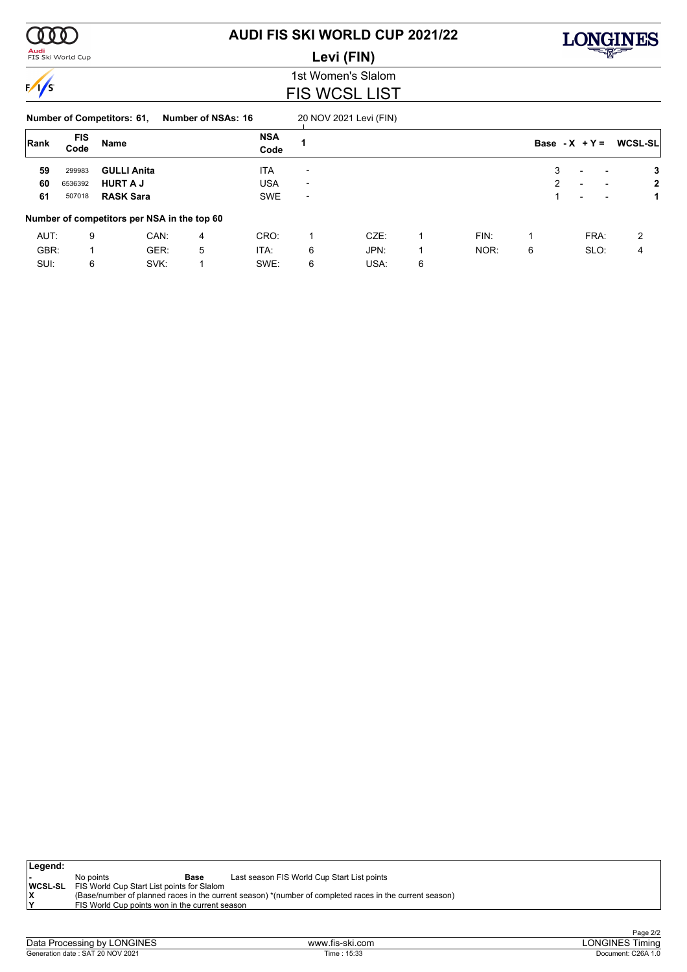<mark>Audi</mark><br>FIS Ski World Cup

# **AUDI FIS SKI WORLD CUP 2021/22**

**Levi (FIN)**



1st Women's Slalom FIS WCSL LIST

#### **Number of Competitors: 61, Number of NSAs: 16** 20 NOV 2021 Levi (FIN)

| Rank | <b>FIS</b><br>Code | Name               |                                             |   | <b>NSA</b><br>Code |                          |      |   |      |   | Base - $X + Y =$                                     | <b>WCSL-SL</b> |
|------|--------------------|--------------------|---------------------------------------------|---|--------------------|--------------------------|------|---|------|---|------------------------------------------------------|----------------|
| 59   | 299983             | <b>GULLI Anita</b> |                                             |   | <b>ITA</b>         | $\overline{\phantom{0}}$ |      |   |      | 3 | $\overline{\phantom{0}}$<br>$\overline{\phantom{a}}$ | 3              |
| 60   | 6536392            | <b>HURT A J</b>    |                                             |   | <b>USA</b>         | $\overline{\phantom{a}}$ |      |   |      | 2 | $\overline{\phantom{0}}$<br>$\overline{\phantom{a}}$ | 2              |
| 61   | 507018             | <b>RASK Sara</b>   |                                             |   | <b>SWE</b>         | $\overline{\phantom{0}}$ |      |   |      |   | $\overline{\phantom{0}}$<br>$\overline{\phantom{a}}$ |                |
|      |                    |                    | Number of competitors per NSA in the top 60 |   |                    |                          |      |   |      |   |                                                      |                |
| AUT: | 9                  |                    | CAN:                                        | 4 | CRO:               |                          | CZE: |   | FIN: |   | FRA:                                                 | 2              |
| GBR: |                    |                    | GER:                                        | 5 | ITA:               | 6                        | JPN: |   | NOR: | 6 | SLO:                                                 | 4              |
| SUI: | 6                  |                    | SVK:                                        |   | SWE:               | 6                        | USA: | 6 |      |   |                                                      |                |

| Legend: |                                                           |                                                |                                                                                                         |
|---------|-----------------------------------------------------------|------------------------------------------------|---------------------------------------------------------------------------------------------------------|
|         | No points                                                 | Base                                           | Last season FIS World Cup Start List points                                                             |
|         | <b>WCSL-SL</b> FIS World Cup Start List points for Slalom |                                                |                                                                                                         |
| X       |                                                           |                                                | (Base/number of planned races in the current season) *(number of completed races in the current season) |
| ١Y      |                                                           | FIS World Cup points won in the current season |                                                                                                         |
|         |                                                           |                                                |                                                                                                         |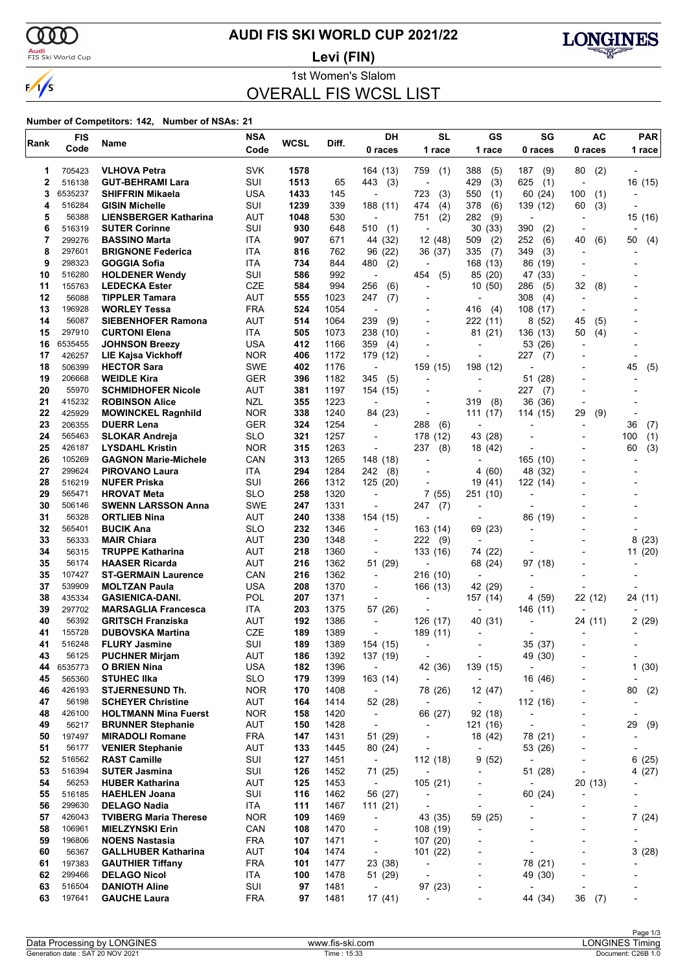$\alpha\sigma$ <mark>Audi</mark><br>FIS Ski World Cup

 $\sqrt{s}$ 

# **AUDI FIS SKI WORLD CUP 2021/22**



1st Women's Slalom OVERALL FIS WCSL LIST **Levi (FIN)**

| Rank        | <b>FIS</b>       | Name                                                   | <b>NSA</b>               | WCSL       | Diff.        | DH                                  | <b>SL</b>                           | GS                                  | SG                                  | AC                           | <b>PAR</b>                   |
|-------------|------------------|--------------------------------------------------------|--------------------------|------------|--------------|-------------------------------------|-------------------------------------|-------------------------------------|-------------------------------------|------------------------------|------------------------------|
|             | Code             |                                                        | Code                     |            |              | 0 races                             | 1 race                              | 1 race                              | 0 races                             | 0 races                      | 1 race                       |
| 1           | 705423           | <b>VLHOVA Petra</b>                                    | <b>SVK</b>               | 1578       |              | 164 (13)                            | 759<br>(1)                          | 388<br>(5)                          | 187<br>(9)                          | 80<br>(2)                    |                              |
| $\mathbf 2$ | 516138           | <b>GUT-BEHRAMI Lara</b>                                | SUI                      | 1513       | 65           | 443<br>(3)                          | $\overline{\phantom{a}}$            | 429<br>(3)                          | 625<br>(1)                          | $\overline{\phantom{a}}$     | 16 (15)                      |
| 3           | 6535237          | <b>SHIFFRIN Mikaela</b>                                | <b>USA</b>               | 1433       | 145          |                                     | 723<br>(3)                          | 550<br>(1)                          | 60 (24)                             | 100<br>(1)                   |                              |
| 4           | 516284           | <b>GISIN Michelle</b>                                  | SUI                      | 1239       | 339          | 188 (11)                            | 474<br>(4)                          | 378<br>(6)                          | 139 (12)                            | (3)<br>60                    |                              |
| 5           | 56388            | <b>LIENSBERGER Katharina</b>                           | AUT                      | 1048       | 530          | $\overline{a}$                      | (2)<br>751                          | 282<br>(9)                          | $\overline{\phantom{a}}$            |                              | 15 (16)                      |
| 6           | 516319           | <b>SUTER Corinne</b>                                   | SUI                      | 930        | 648          | 510<br>(1)                          | $\overline{\phantom{a}}$            | 30(33)                              | 390<br>(2)                          |                              |                              |
| 7<br>8      | 299276<br>297601 | <b>BASSINO Marta</b><br><b>BRIGNONE Federica</b>       | ITA<br>ITA               | 907<br>816 | 671<br>762   | 44 (32)<br>96 (22)                  | 12 (48)<br>36 (37)                  | 509<br>(2)<br>335<br>(7)            | 252<br>(6)<br>349<br>(3)            | 40<br>(6)                    | 50<br>(4)                    |
| 9           | 298323           | GOGGIA Sofia                                           | ITA                      | 734        | 844          | 480<br>(2)                          | $\overline{a}$                      | 168 (13)                            | 86 (19)                             |                              |                              |
| 10          | 516280           | <b>HOLDENER Wendy</b>                                  | SUI                      | 586        | 992          |                                     | (5)<br>454                          | 85 (20)                             | 47 (33)                             |                              |                              |
| 11          | 155763           | <b>LEDECKA Ester</b>                                   | <b>CZE</b>               | 584        | 994          | 256<br>(6)                          | L,                                  | 10(50)                              | 286<br>(5)                          | 32<br>(8)                    |                              |
| 12          | 56088            | <b>TIPPLER Tamara</b>                                  | <b>AUT</b>               | 555        | 1023         | 247<br>(7)                          | ۰                                   | $\overline{a}$                      | 308<br>(4)                          | ٠                            |                              |
| 13          | 196928           | <b>WORLEY Tessa</b>                                    | <b>FRA</b>               | 524        | 1054         | $\overline{\phantom{a}}$            |                                     | 416<br>(4)                          | 108 (17)                            | $\overline{\phantom{a}}$     |                              |
| 14          | 56087            | <b>SIEBENHOFER Ramona</b>                              | <b>AUT</b>               | 514        | 1064         | 239<br>(9)                          |                                     | 222 (11)                            | 8(52)                               | 45<br>(5)                    |                              |
| 15          | 297910           | <b>CURTONI Elena</b>                                   | ITA                      | 505        | 1073         | 238 (10)                            | ٠                                   | 81 (21)                             | 136 (13)                            | (4)<br>50                    |                              |
| 16          | 6535455          | <b>JOHNSON Breezy</b>                                  | <b>USA</b>               | 412        | 1166         | 359<br>(4)                          |                                     |                                     | 53 (26)                             |                              |                              |
| 17<br>18    | 426257<br>506399 | <b>LIE Kajsa Vickhoff</b><br><b>HECTOR Sara</b>        | <b>NOR</b><br><b>SWE</b> | 406<br>402 | 1172<br>1176 | 179 (12)                            |                                     | 198 (12)                            | 227<br>(7)                          |                              |                              |
| 19          | 206668           | <b>WEIDLE Kira</b>                                     | GER                      | 396        | 1182         | $\overline{a}$<br>345<br>(5)        | 159 (15)<br>٠                       |                                     | 51<br>(28)                          |                              | 45<br>(5)                    |
| 20          | 55970            | <b>SCHMIDHOFER Nicole</b>                              | AUT                      | 381        | 1197         | 154 (15)                            |                                     | $\overline{\phantom{a}}$            | 227<br>(7)                          |                              |                              |
| 21          | 415232           | <b>ROBINSON Alice</b>                                  | <b>NZL</b>               | 355        | 1223         |                                     | ٠                                   | 319<br>(8)                          | 36 (36)                             |                              |                              |
| 22          | 425929           | <b>MOWINCKEL Ragnhild</b>                              | <b>NOR</b>               | 338        | 1240         | 84 (23)                             | ٠                                   | 111(17)                             | 114 (15)                            | (9)<br>29                    |                              |
| 23          | 206355           | <b>DUERR Lena</b>                                      | <b>GER</b>               | 324        | 1254         | $\blacksquare$                      | 288<br>(6)                          |                                     |                                     |                              | 36<br>(7)                    |
| 24          | 565463           | <b>SLOKAR Andreja</b>                                  | <b>SLO</b>               | 321        | 1257         |                                     | 178<br>(12)                         | 43 (28)                             |                                     |                              | 100<br>(1)                   |
| 25          | 426187           | <b>LYSDAHL Kristin</b>                                 | <b>NOR</b>               | 315        | 1263         |                                     | 237<br>(8)                          | 18 (42)                             |                                     |                              | (3)<br>60                    |
| 26          | 105269           | <b>GAGNON Marie-Michele</b>                            | CAN                      | 313        | 1265         | 148 (18)                            |                                     |                                     | 165 (10)                            |                              |                              |
| 27          | 299624           | <b>PIROVANO Laura</b>                                  | ITA                      | 294        | 1284         | 242<br>(8)                          | ٠                                   | 4 (60)                              | 48 (32)                             |                              |                              |
| 28          | 516219           | <b>NUFER Priska</b>                                    | SUI                      | 266        | 1312         | 125(20)                             |                                     | 19<br>(41)                          | 122 (14)                            |                              |                              |
| 29<br>30    | 565471<br>506146 | <b>HROVAT Meta</b><br><b>SWENN LARSSON Anna</b>        | <b>SLO</b><br><b>SWE</b> | 258<br>247 | 1320<br>1331 | $\blacksquare$                      | 7 (55)<br>247<br>(7)                | 251 (10)<br>$\overline{a}$          |                                     |                              |                              |
| 31          | 56328            | <b>ORTLIEB Nina</b>                                    | AUT                      | 240        | 1338         | 154 (15)                            | $\overline{\phantom{a}}$            |                                     | 86 (19)                             |                              |                              |
| 32          | 565401           | <b>BUCIK Ana</b>                                       | <b>SLO</b>               | 232        | 1346         | $\overline{\phantom{a}}$            | 163 (14)                            | 69 (23)                             |                                     |                              |                              |
| 33          | 56333            | <b>MAIR Chiara</b>                                     | <b>AUT</b>               | 230        | 1348         | $\overline{\phantom{a}}$            | 222<br>(9)                          | $\overline{a}$                      |                                     |                              | 8(23)                        |
| 34          | 56315            | <b>TRUPPE Katharina</b>                                | AUT                      | 218        | 1360         |                                     | 133 (16)                            | 74 (22)                             |                                     |                              | 11 (20)                      |
| 35          | 56174            | <b>HAASER Ricarda</b>                                  | <b>AUT</b>               | 216        | 1362         | 51 (29)                             |                                     | 68 (24)                             | 97 (18)                             |                              |                              |
| 35          | 107427           | <b>ST-GERMAIN Laurence</b>                             | CAN                      | 216        | 1362         | $\overline{\phantom{a}}$            | 216 (10)                            | ÷,                                  |                                     |                              |                              |
| 37          | 539909           | <b>MOLTZAN Paula</b>                                   | <b>USA</b>               | 208        | 1370         | $\overline{\phantom{a}}$            | 166 (13)                            | 42 (29)                             |                                     |                              |                              |
| 38          | 435334           | <b>GASIENICA-DANI.</b>                                 | <b>POL</b>               | 207        | 1371         |                                     | $\blacksquare$                      | 157 (14)                            | 4 (59)                              | 22 (12)                      | 24 (11)                      |
| 39<br>40    | 297702           | <b>MARSAGLIA Francesca</b><br><b>GRITSCH Franziska</b> | ITA                      | 203        | 1375         | 57 (26)                             | ٠                                   | $\overline{a}$                      | 146 (11)                            |                              |                              |
| 41          | 56392<br>155728  | <b>DUBOVSKA Martina</b>                                | AUT<br><b>CZE</b>        | 192<br>189 | 1386<br>1389 |                                     | 126 (17)<br>189 (11)                | 40 (31)<br>$\overline{\phantom{a}}$ |                                     | 24 (11)                      | 2(29)                        |
| 41          | 516248           | <b>FLURY Jasmine</b>                                   | SUI                      | 189        | 1389         | 154 (15)                            |                                     |                                     | 35 (37)                             |                              |                              |
| 43          | 56125            | <b>PUCHNER Mirjam</b>                                  | <b>AUT</b>               | 186        | 1392         | 137 (19)                            | $\overline{\phantom{a}}$            | $\overline{\phantom{a}}$            | 49 (30)                             |                              |                              |
| 44          | 6535773          | <b>O BRIEN Nina</b>                                    | <b>USA</b>               | 182        | 1396         | $\overline{\phantom{a}}$            | 42 (36)                             | 139 (15)                            | $\sim$                              |                              | 1(30)                        |
| 45          | 565360           | <b>STUHEC IIka</b>                                     | <b>SLO</b>               | 179        | 1399         | 163 (14)                            | $\overline{\phantom{a}}$            | $\overline{\phantom{a}}$            | 16 (46)                             | -                            | $\qquad \qquad \blacksquare$ |
| 46          | 426193           | <b>STJERNESUND Th.</b>                                 | <b>NOR</b>               | 170        | 1408         | $\blacksquare$                      | 78 (26)                             | 12 (47)                             | $\overline{\phantom{a}}$            |                              | 80<br>(2)                    |
| 47          | 56198            | <b>SCHEYER Christine</b>                               | <b>AUT</b>               | 164        | 1414         | 52 (28)                             | $\overline{\phantom{a}}$            | $\overline{\phantom{a}}$            | 112 (16)                            |                              |                              |
| 48          | 426100           | <b>HOLTMANN Mina Fuerst</b>                            | <b>NOR</b>               | 158        | 1420         | $\blacksquare$                      | 66 (27)                             | 92 (18)                             | $\overline{\phantom{a}}$            |                              | $\overline{\phantom{a}}$     |
| 49          | 56217            | <b>BRUNNER Stephanie</b>                               | AUT                      | 150        | 1428         | $\overline{\phantom{a}}$            | $\overline{\phantom{a}}$            | 121 (16)                            | $\overline{\phantom{a}}$            |                              | 29<br>(9)                    |
| 50<br>51    | 197497<br>56177  | <b>MIRADOLI Romane</b><br><b>VENIER Stephanie</b>      | <b>FRA</b><br><b>AUT</b> | 147<br>133 | 1431<br>1445 | 51 (29)<br>80 (24)                  | $\overline{\phantom{a}}$<br>-       | 18 (42)<br>$\overline{\phantom{a}}$ | 78 (21)<br>53 (26)                  | $\qquad \qquad \blacksquare$ |                              |
| 52          | 516562           | <b>RAST Camille</b>                                    | SUI                      | 127        | 1451         | $\blacksquare$                      | 112(18)                             | 9(52)                               | $\blacksquare$                      |                              | 6(25)                        |
| 53          | 516394           | <b>SUTER Jasmina</b>                                   | SUI                      | 126        | 1452         | 71 (25)                             | $\overline{\phantom{a}}$            | $\overline{\phantom{a}}$            | 51 (28)                             | $\blacksquare$               | 4(27)                        |
| 54          | 56253            | <b>HUBER Katharina</b>                                 | <b>AUT</b>               | 125        | 1453         | $\blacksquare$                      | 105(21)                             | $\overline{\phantom{a}}$            | $\overline{\phantom{a}}$            | 20 (13)                      |                              |
| 55          | 516185           | <b>HAEHLEN Joana</b>                                   | SUI                      | 116        | 1462         | 56 (27)                             | $\qquad \qquad \blacksquare$        | -                                   | 60 (24)                             |                              |                              |
| 56          | 299630           | <b>DELAGO Nadia</b>                                    | ITA                      | 111        | 1467         | 111(21)                             | $\overline{\phantom{a}}$            | $\overline{\phantom{a}}$            |                                     |                              |                              |
| 57          | 426043           | <b>TVIBERG Maria Therese</b>                           | <b>NOR</b>               | 109        | 1469         | $\overline{\phantom{a}}$            | 43 (35)                             | 59 (25)                             |                                     |                              | 7(24)                        |
| 58          | 106961           | <b>MIELZYNSKI Erin</b>                                 | CAN                      | 108        | 1470         | $\overline{\phantom{a}}$            | 108 (19)                            | $\overline{\phantom{a}}$            |                                     |                              |                              |
| 59          | 196806           | <b>NOENS Nastasia</b>                                  | <b>FRA</b>               | 107        | 1471         | $\overline{\phantom{a}}$            | 107(20)                             | -                                   |                                     |                              |                              |
| 60          | 56367            | <b>GALLHUBER Katharina</b>                             | AUT                      | 104        | 1474         | $\overline{\phantom{a}}$            | 101(22)                             | -                                   | $\overline{a}$                      |                              | 3(28)                        |
| 61          | 197383           | <b>GAUTHIER Tiffany</b>                                | <b>FRA</b>               | 101        | 1477         | 23 (38)                             | $\overline{\phantom{a}}$            |                                     | 78 (21)                             |                              |                              |
| 62<br>63    | 299466<br>516504 | <b>DELAGO Nicol</b><br><b>DANIOTH Aline</b>            | ITA<br>SUI               | 100<br>97  | 1478<br>1481 | 51 (29)<br>$\overline{\phantom{a}}$ | $\overline{\phantom{a}}$<br>97 (23) | -<br>-                              | 49 (30)<br>$\overline{\phantom{a}}$ |                              |                              |
| 63          | 197641           | <b>GAUCHE Laura</b>                                    | <b>FRA</b>               | 97         | 1481         | 17 (41)                             | $\overline{\phantom{a}}$            |                                     | 44 (34)                             | 36(7)                        |                              |
|             |                  |                                                        |                          |            |              |                                     |                                     |                                     |                                     |                              |                              |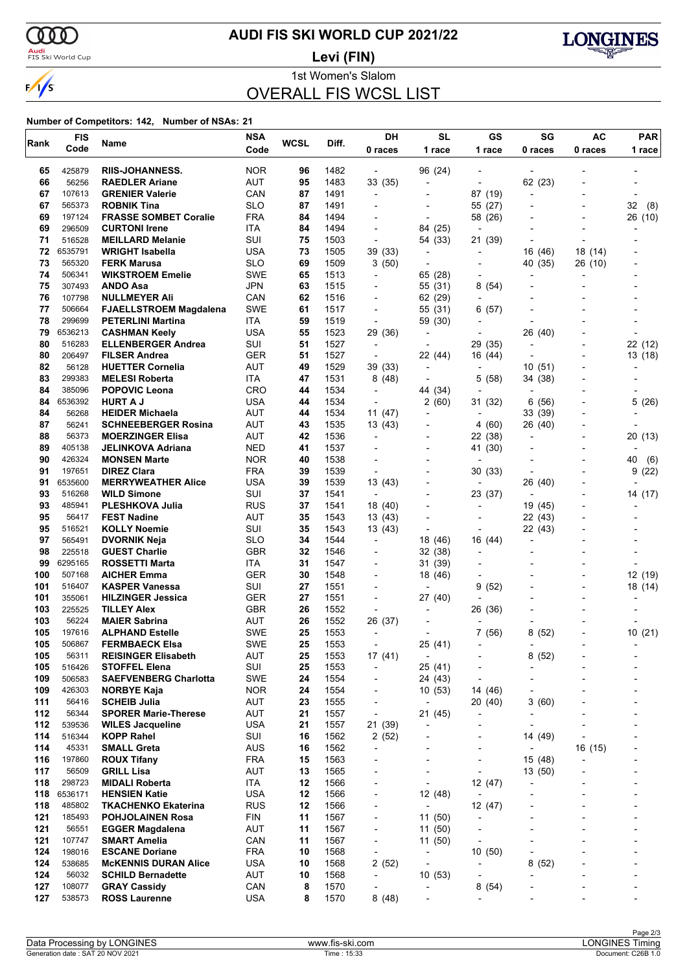

### **AUDI FIS SKI WORLD CUP 2021/22**

<mark>Audi</mark><br>FIS Ski World Cup

**Levi (FIN)**



1st Women's Slalom

### OVERALL FIS WCSL LIST

| Rank       | <b>FIS</b>        | Name                                                  | <b>NSA</b>        | <b>WCSL</b> | Diff.        | <b>DH</b>                                  | <b>SL</b>                           | GS                        | SG                                  | AC      | <b>PAR</b>               |
|------------|-------------------|-------------------------------------------------------|-------------------|-------------|--------------|--------------------------------------------|-------------------------------------|---------------------------|-------------------------------------|---------|--------------------------|
|            | Code              | <b>RIIS-JOHANNESS.</b>                                |                   |             |              | 0 races                                    | 1 race                              | 1 race                    | 0 races                             | 0 races | 1 race                   |
| 65         | 425879            |                                                       | <b>NOR</b>        | 96          | 1482         | $\overline{\phantom{a}}$                   | 96 (24)                             |                           |                                     |         |                          |
| 66         | 56256             | <b>RAEDLER Ariane</b>                                 | AUT               | 95          | 1483         | 33 (35)                                    | $\overline{\phantom{a}}$            | ÷,                        | 62 (23)                             |         |                          |
| 67         | 107613            | <b>GRENIER Valerie</b>                                | CAN               | 87          | 1491         | $\overline{\phantom{a}}$                   | ÷                                   | 87 (19)                   |                                     |         |                          |
| 67         | 565373            | <b>ROBNIK Tina</b>                                    | <b>SLO</b>        | 87          | 1491         |                                            |                                     | 55 (27)                   |                                     |         | 32<br>(8)                |
| 69         | 197124            | <b>FRASSE SOMBET Coralie</b>                          | <b>FRA</b>        | 84          | 1494         | $\overline{\phantom{0}}$                   | $\overline{\phantom{a}}$            | 58 (26)                   |                                     |         | 26 (10)                  |
| 69         | 296509            | <b>CURTONI Irene</b>                                  | ITA               | 84          | 1494         | $\overline{\phantom{a}}$                   | 84 (25)                             | $\overline{a}$            |                                     |         |                          |
| 71         | 516528            | <b>MEILLARD Melanie</b>                               | SUI               | 75          | 1503         | $\overline{\phantom{a}}$                   | 54 (33)                             | 21 (39)                   |                                     |         |                          |
| 72         | 6535791           | <b>WRIGHT Isabella</b>                                | USA               | 73          | 1505         | 39 (33)                                    | $\overline{a}$                      | ٠                         | 16 (46)                             | 18 (14) |                          |
| 73         | 565320            | <b>FERK Marusa</b>                                    | <b>SLO</b>        | 69          | 1509         | 3 (50)                                     | $\overline{\phantom{a}}$            | ٠                         | 40 (35)                             | 26 (10) |                          |
| 74         | 506341            | <b>WIKSTROEM Emelie</b>                               | <b>SWE</b>        | 65          | 1513         | $\overline{\phantom{a}}$                   | 65 (28)                             |                           |                                     |         |                          |
| 75         | 307493            | <b>ANDO Asa</b>                                       | JPN               | 63          | 1515         | $\overline{\phantom{0}}$                   | 55 (31)                             | 8<br>(54)                 |                                     |         |                          |
| 76         | 107798            | <b>NULLMEYER Ali</b>                                  | CAN               | 62          | 1516         |                                            | 62 (29)                             | $\overline{a}$            |                                     |         |                          |
| 77         | 506664<br>299699  | <b>FJAELLSTROEM Magdalena</b>                         | <b>SWE</b>        | 61          | 1517         | $\overline{\phantom{a}}$                   | 55 (31)                             | (57)<br>6                 |                                     |         |                          |
| 78<br>79   | 6536213           | <b>PETERLINI Martina</b>                              | <b>ITA</b><br>USA | 59<br>55    | 1519         | $\overline{\phantom{a}}$                   | 59 (30)<br>÷                        | ٠                         |                                     |         |                          |
| 80         | 516283            | <b>CASHMAN Keely</b><br><b>ELLENBERGER Andrea</b>     | SUI               | 51          | 1523<br>1527 | 29 (36)<br>$\overline{\phantom{a}}$        |                                     | 29 (35)                   | 26 (40)<br>$\overline{\phantom{a}}$ |         | 22 (12)                  |
| 80         | 206497            | <b>FILSER Andrea</b>                                  | <b>GER</b>        | 51          | 1527         | $\overline{\phantom{a}}$                   | 22 (44)                             | 16 (44)                   |                                     |         | 13 (18)                  |
| 82         | 56128             | <b>HUETTER Cornelia</b>                               | AUT               | 49          | 1529         | 39 (33)                                    | $\overline{\phantom{a}}$            | $\overline{\phantom{a}}$  | 10 (51)                             |         |                          |
| 83         | 299383            | <b>MELESI Roberta</b>                                 | ITA               | 47          | 1531         | 8(48)                                      |                                     | 5<br>(58)                 | 34 (38)                             |         |                          |
| 84         | 385096            | <b>POPOVIC Leona</b>                                  | <b>CRO</b>        | 44          | 1534         | $\overline{\phantom{a}}$                   | 44 (34)                             |                           |                                     |         |                          |
| 84         | 6536392           | <b>HURT A J</b>                                       | USA               | 44          | 1534         | $\overline{\phantom{a}}$                   | 2(60)                               | 31 (32)                   | 6(56)                               |         | 5 (26)                   |
| 84         | 56268             | <b>HEIDER Michaela</b>                                | <b>AUT</b>        | 44          | 1534         | 11(47)                                     | $\overline{\phantom{a}}$            |                           | 33 (39)                             |         |                          |
| 87         | 56241             | <b>SCHNEEBERGER Rosina</b>                            | <b>AUT</b>        | 43          | 1535         | 13 (43)                                    |                                     | 4(60)                     | 26 (40)                             |         |                          |
| 88         | 56373             | <b>MOERZINGER Elisa</b>                               | AUT               | 42          | 1536         | $\overline{\phantom{0}}$                   | $\overline{a}$                      | 22 (38)                   | ÷                                   |         | 20 (13)                  |
| 89         | 405138            | <b>JELINKOVA Adriana</b>                              | <b>NED</b>        | 41          | 1537         |                                            |                                     | 41 (30)                   |                                     |         |                          |
| 90         | 426324            | <b>MONSEN Marte</b>                                   | <b>NOR</b>        | 40          | 1538         | $\blacksquare$                             |                                     | $\blacksquare$            |                                     |         | 40<br>(6)                |
| 91         | 197651            | <b>DIREZ Clara</b>                                    | <b>FRA</b>        | 39          | 1539         | $\overline{\phantom{a}}$                   |                                     | 30(33)                    |                                     |         | 9<br>(22)                |
| 91         | 6535600           | <b>MERRYWEATHER Alice</b>                             | USA               | 39          | 1539         | 13 (43)                                    |                                     |                           | 26 (40)                             |         |                          |
| 93         | 516268            | <b>WILD Simone</b>                                    | SUI               | 37          | 1541         | $\overline{\phantom{a}}$                   |                                     | 23 (37)                   | $\overline{a}$                      |         | 14 (17)                  |
| 93         | 485941            | <b>PLESHKOVA Julia</b>                                | <b>RUS</b>        | 37          | 1541         | 18 (40)                                    | $\overline{a}$                      | $\overline{\phantom{a}}$  | 19 (45)                             |         |                          |
| 95         | 56417             | <b>FEST Nadine</b>                                    | AUT               | 35          | 1543         | 13 (43)                                    | $\overline{\phantom{0}}$            |                           | 22 (43)                             |         |                          |
| 95         | 516521            | <b>KOLLY Noemie</b>                                   | SUI               | 35          | 1543         | 13 (43)                                    | $\overline{\phantom{a}}$            |                           | 22 (43)                             |         |                          |
| 97         | 565491            | <b>DVORNIK Neja</b>                                   | SLO               | 34          | 1544         | $\overline{\phantom{a}}$                   | 18 (46)                             | 16 (44)                   | $\overline{\phantom{a}}$            |         |                          |
| 98         | 225518            | <b>GUEST Charlie</b>                                  | <b>GBR</b>        | 32          | 1546         | $\blacksquare$                             | 32 (38)                             |                           |                                     |         |                          |
| 99<br>100  | 6295165<br>507168 | ROSSETTI Marta                                        | ITA<br><b>GER</b> | 31<br>30    | 1547<br>1548 | $\overline{\phantom{0}}$                   | 31 (39)                             |                           |                                     |         |                          |
| 101        | 516407            | <b>AICHER Emma</b><br><b>KASPER Vanessa</b>           | SUI               | 27          | 1551         | $\overline{\phantom{a}}$                   | 18 (46)                             | 9<br>(52)                 |                                     |         | 12 (19)<br>18 (14)       |
| 101        | 355061            | <b>HILZINGER Jessica</b>                              | <b>GER</b>        | 27          | 1551         | $\overline{\phantom{a}}$                   | 27 (40)                             |                           |                                     |         |                          |
| 103        | 225525            | <b>TILLEY Alex</b>                                    | <b>GBR</b>        | 26          | 1552         | $\overline{\phantom{a}}$                   |                                     | 26 (36)                   |                                     |         |                          |
| 103        | 56224             | <b>MAIER Sabrina</b>                                  | AUT               | 26          | 1552         | 26 (37)                                    |                                     |                           |                                     |         |                          |
| 105        | 197616            | <b>ALPHAND Estelle</b>                                | <b>SWE</b>        | 25          | 1553         | $\overline{\phantom{a}}$                   |                                     | 7<br>(56)                 | 8<br>(52)                           |         | 10(21)                   |
| 105        | 506867            | <b>FERMBAECK Elsa</b>                                 | <b>SWE</b>        | 25          | 1553         |                                            | 25 (41)                             | $\overline{\phantom{0}}$  |                                     |         |                          |
| 105        | 56311             | <b>REISINGER Elisabeth</b>                            | AUT               | 25          | 1553         | 17(41)                                     | $\overline{\phantom{a}}$            | $\overline{\phantom{0}}$  | 8<br>(52)                           |         |                          |
| 105        | 516426            | <b>STOFFEL Elena</b>                                  | SUI               | 25          | 1553         | $\overline{\phantom{a}}$                   | 25 (41)                             | $\overline{a}$            | L,                                  |         |                          |
| 109        | 506583            | <b>SAEFVENBERG Charlotta</b>                          | SWE               | 24          | 1554         | $\overline{\phantom{0}}$                   | 24 (43)                             | $\overline{\phantom{a}}$  |                                     |         |                          |
| 109        | 426303            | <b>NORBYE Kaja</b>                                    | <b>NOR</b>        | 24          | 1554         | $\overline{\phantom{0}}$                   | 10(53)                              | 14 (46)                   | $\overline{a}$                      |         |                          |
| 111        | 56416             | <b>SCHEIB Julia</b>                                   | AUT               | 23          | 1555         | $\overline{\phantom{a}}$                   | $\overline{\phantom{a}}$            | 20 (40)                   | 3(60)                               |         |                          |
| 112        | 56344             | <b>SPORER Marie-Therese</b>                           | AUT               | 21          | 1557         | $\overline{\phantom{a}}$                   | 21 (45)                             | $\overline{a}$            |                                     |         | -                        |
| 112        | 539536            | <b>WILES Jacqueline</b>                               | <b>USA</b>        | 21          | 1557         | 21 (39)                                    | $\blacksquare$                      | $\overline{a}$            | $\overline{\phantom{a}}$            |         |                          |
| 114        | 516344            | <b>KOPP Rahel</b>                                     | SUI               | 16          | 1562         | 2(52)                                      |                                     | $\overline{\phantom{0}}$  | 14 (49)                             |         |                          |
| 114        | 45331             | <b>SMALL Greta</b>                                    | <b>AUS</b>        | 16          | 1562         | $\overline{\phantom{a}}$                   |                                     | $\overline{\phantom{0}}$  | $\overline{a}$                      | 16 (15) |                          |
| 116        | 197860            | <b>ROUX Tifany</b>                                    | <b>FRA</b>        | 15          | 1563         | $\overline{\phantom{a}}$                   |                                     | $\overline{a}$            | 15 (48)                             |         |                          |
| 117        | 56509             | <b>GRILL Lisa</b>                                     | <b>AUT</b>        | 13          | 1565         | $\overline{\phantom{0}}$                   | $\overline{a}$                      | $\overline{\phantom{a}}$  | 13 (50)                             |         |                          |
| 118<br>118 | 298723<br>6536171 | <b>MIDALI Roberta</b>                                 | ITA<br><b>USA</b> | 12<br>12    | 1566<br>1566 | $\overline{\phantom{0}}$                   | $\overline{\phantom{a}}$            | 12 (47)<br>$\blacksquare$ |                                     |         |                          |
| 118        | 485802            | <b>HENSIEN Katie</b>                                  | <b>RUS</b>        | 12          | 1566         | $\overline{\phantom{0}}$<br>$\overline{a}$ | 12 (48)                             |                           |                                     |         |                          |
| 121        | 185493            | <b>TKACHENKO Ekaterina</b><br><b>POHJOLAINEN Rosa</b> | <b>FIN</b>        | 11          | 1567         | $\overline{\phantom{0}}$                   | $\overline{\phantom{a}}$<br>11 (50) | 12 (47)<br>$\overline{a}$ |                                     |         |                          |
| 121        | 56551             | <b>EGGER Magdalena</b>                                | AUT               | 11          | 1567         | $\overline{\phantom{a}}$                   | 11 (50)                             | $\overline{\phantom{a}}$  |                                     |         |                          |
| 121        | 107747            | <b>SMART Amelia</b>                                   | CAN               | 11          | 1567         | $\overline{\phantom{a}}$                   | 11(50)                              | ÷,                        |                                     |         | $\overline{\phantom{a}}$ |
| 124        | 198016            | <b>ESCANE Doriane</b>                                 | <b>FRA</b>        | 10          | 1568         | $\overline{\phantom{a}}$                   | $\overline{\phantom{a}}$            | 10(50)                    | ÷                                   |         |                          |
| 124        | 538685            | <b>McKENNIS DURAN Alice</b>                           | <b>USA</b>        | 10          | 1568         | 2(52)                                      | $\overline{\phantom{a}}$            | ٠                         | 8<br>(52)                           |         |                          |
| 124        | 56032             | <b>SCHILD Bernadette</b>                              | AUT               | 10          | 1568         | $\overline{\phantom{a}}$                   | 10(53)                              | ٠                         | $\overline{a}$                      |         |                          |
| 127        | 108077            | <b>GRAY Cassidy</b>                                   | CAN               | 8           | 1570         | $\overline{\phantom{a}}$                   | $\overline{a}$                      | 8(54)                     |                                     |         |                          |
| 127        | 538573            | <b>ROSS Laurenne</b>                                  | USA               | 8           | 1570         | 8(48)                                      | ÷,                                  | ٠                         | $\overline{a}$                      |         |                          |
|            |                   |                                                       |                   |             |              |                                            |                                     |                           |                                     |         |                          |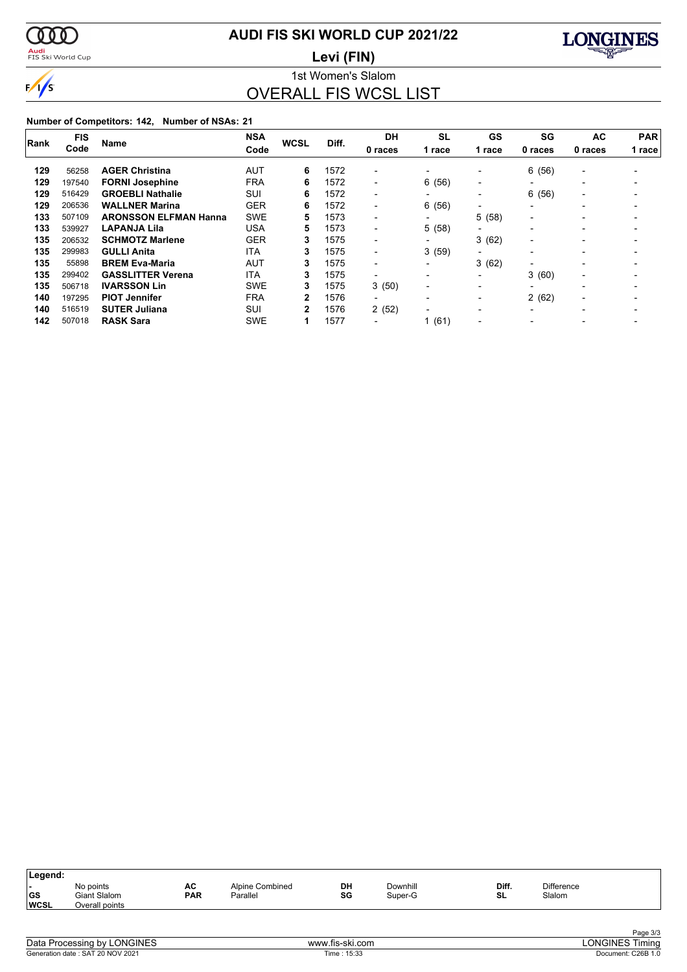

### **AUDI FIS SKI WORLD CUP 2021/22**

<mark>Audi</mark><br>FIS Ski World Cup

1st Women's Slalom **Levi (FIN)**



OVERALL FIS WCSL LIST

| <b>FIS</b><br>Rank<br>Code |        | <b>NSA</b>                   | <b>WCSL</b> | Diff. | <b>DH</b> | <b>SL</b>                | GS                       | SG                       | AC                       | <b>PAR</b>               |        |
|----------------------------|--------|------------------------------|-------------|-------|-----------|--------------------------|--------------------------|--------------------------|--------------------------|--------------------------|--------|
|                            |        | <b>Name</b>                  | Code        |       |           | 0 races                  | 1 race                   | 1 race                   | 0 races                  | 0 races                  | 1 race |
| 129                        | 56258  | <b>AGER Christina</b>        | AUT         | 6     | 1572      | $\overline{\phantom{0}}$ |                          | $\overline{\phantom{a}}$ | 6(56)                    | $\overline{\phantom{a}}$ |        |
| 129                        | 197540 | <b>FORNI Josephine</b>       | <b>FRA</b>  | 6     | 1572      | $\overline{\phantom{0}}$ | 6(56)                    | $\overline{\phantom{0}}$ | $\overline{\phantom{0}}$ |                          |        |
| 129                        | 516429 | <b>GROEBLI Nathalie</b>      | SUI         | 6     | 1572      | $\blacksquare$           | $\blacksquare$           | $\overline{\phantom{a}}$ | 6(56)                    | $\overline{\phantom{0}}$ |        |
| 129                        | 206536 | <b>WALLNER Marina</b>        | <b>GER</b>  | 6     | 1572      | $\blacksquare$           | 6(56)                    | $\overline{\phantom{0}}$ | $\overline{\phantom{0}}$ | $\overline{\phantom{0}}$ |        |
| 133                        | 507109 | <b>ARONSSON ELFMAN Hanna</b> | <b>SWE</b>  | 5     | 1573      | -                        | $\overline{\phantom{0}}$ | 5(58)                    | $\overline{\phantom{0}}$ |                          |        |
| 133                        | 539927 | <b>LAPANJA Lila</b>          | <b>USA</b>  | 5     | 1573      | -                        | 5(58)                    | $\overline{\phantom{a}}$ |                          |                          |        |
| 135                        | 206532 | <b>SCHMOTZ Marlene</b>       | <b>GER</b>  | 3     | 1575      | $\overline{\phantom{0}}$ | $\blacksquare$           | 3(62)                    | $\overline{\phantom{0}}$ | $\overline{\phantom{0}}$ |        |
| 135                        | 299983 | <b>GULLI Anita</b>           | <b>ITA</b>  | 3     | 1575      | $\blacksquare$           | 3(59)                    | $\overline{\phantom{0}}$ |                          | $\overline{\phantom{0}}$ |        |
| 135                        | 55898  | <b>BREM Eva-Maria</b>        | AUT         | 3     | 1575      | $\blacksquare$           | $\blacksquare$           | 3(62)                    | $\overline{\phantom{0}}$ |                          |        |
| 135                        | 299402 | <b>GASSLITTER Verena</b>     | <b>ITA</b>  | 3     | 1575      | $\blacksquare$           |                          | $\blacksquare$           | 3(60)                    | $\overline{\phantom{0}}$ |        |
| 135                        | 506718 | <b>IVARSSON Lin</b>          | <b>SWE</b>  | 3     | 1575      | 3(50)                    | $\blacksquare$           | $\overline{\phantom{a}}$ |                          |                          |        |
| 140                        | 197295 | <b>PIOT Jennifer</b>         | <b>FRA</b>  | 2     | 1576      | $\overline{\phantom{0}}$ | $\overline{\phantom{a}}$ | $\blacksquare$           | 2(62)                    | $\overline{\phantom{0}}$ |        |
| 140                        | 516519 | <b>SUTER Juliana</b>         | SUI         | 2     | 1576      | 2(52)                    | $\overline{\phantom{0}}$ | $\overline{\phantom{0}}$ | $\overline{\phantom{0}}$ |                          |        |
| 142                        | 507018 | <b>RASK Sara</b>             | <b>SWE</b>  |       | 1577      |                          | 1(61)                    |                          |                          |                          |        |

| Diff.<br><b>Difference</b><br>DH<br>Downhill<br>AC<br>Alpine Combined<br>No points | Legend:   |                     |            |          |    |         |    |        |  |
|------------------------------------------------------------------------------------|-----------|---------------------|------------|----------|----|---------|----|--------|--|
| <b>WCSL</b><br>Overall points                                                      | <b>GS</b> | <b>Giant Slalom</b> | <b>PAR</b> | Parallel | SG | Super-G | SL | Slalom |  |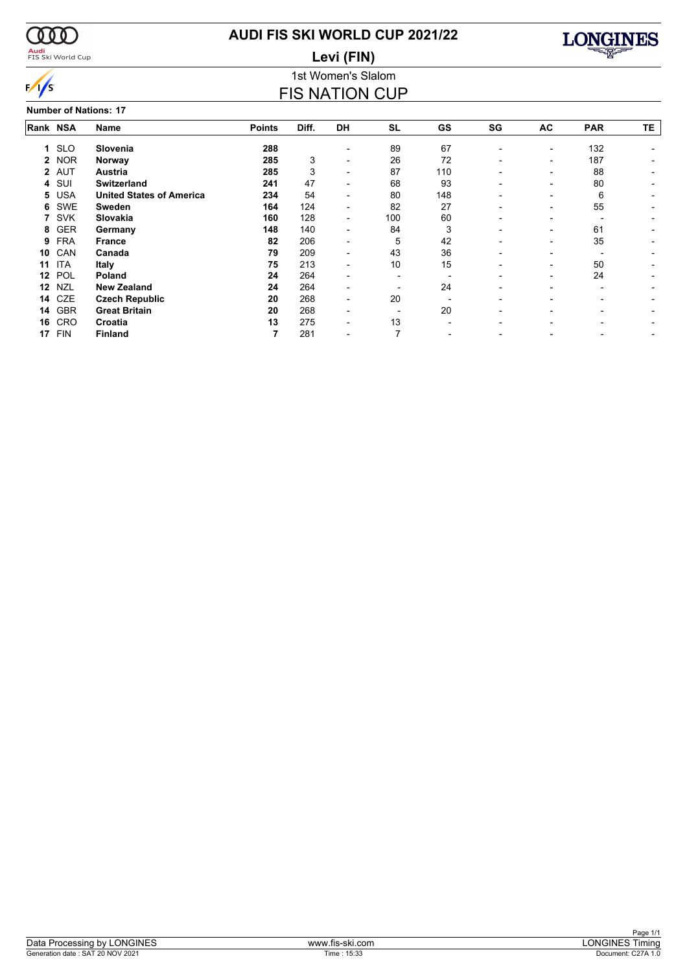

### <mark>Audi</mark><br>FIS Ski World Cup

### **AUDI FIS SKI WORLD CUP 2021/22 Levi (FIN)**



1st Women's Slalom FIS NATION CUP

**Number of Nations: 17**

|          |            | 191111961 61 119616119. 17      |               |       |    |           |     |    |                          |            |    |
|----------|------------|---------------------------------|---------------|-------|----|-----------|-----|----|--------------------------|------------|----|
| Rank NSA |            | Name                            | <b>Points</b> | Diff. | DH | <b>SL</b> | GS  | SG | AC                       | <b>PAR</b> | TE |
|          | 1 SLO      | Slovenia                        | 288           |       |    | 89        | 67  |    | ۰                        | 132        |    |
|          | 2 NOR      | Norway                          | 285           | 3     |    | 26        | 72  |    |                          | 187        |    |
|          | 2 AUT      | Austria                         | 285           | 3     |    | 87        | 110 |    |                          | 88         |    |
| 4        | SUI        | <b>Switzerland</b>              | 241           | 47    |    | 68        | 93  |    |                          | 80         |    |
| 5.       | <b>USA</b> | <b>United States of America</b> | 234           | 54    |    | 80        | 148 |    |                          | 6          |    |
| 6        | SWE        | <b>Sweden</b>                   | 164           | 124   |    | 82        | 27  |    |                          | 55         |    |
|          | <b>SVK</b> | Slovakia                        | 160           | 128   |    | 100       | 60  |    |                          |            |    |
| 8        | <b>GER</b> | Germany                         | 148           | 140   |    | 84        | 3   |    |                          | 61         |    |
| 9        | <b>FRA</b> | <b>France</b>                   | 82            | 206   |    | 5         | 42  |    | -                        | 35         |    |
| 10       | CAN        | Canada                          | 79            | 209   |    | 43        | 36  |    |                          |            |    |
| 11       | <b>ITA</b> | <b>Italy</b>                    | 75            | 213   |    | 10        | 15  |    |                          | 50         |    |
| 12       | POL        | Poland                          | 24            | 264   |    |           |     |    | $\overline{\phantom{0}}$ | 24         |    |
| 12       | NZL        | <b>New Zealand</b>              | 24            | 264   |    |           | 24  |    |                          |            |    |
| 14       | CZE        | <b>Czech Republic</b>           | 20            | 268   |    | 20        |     |    |                          |            |    |
| 14       | GBR        | <b>Great Britain</b>            | 20            | 268   |    |           | 20  |    |                          |            |    |
| 16       | CRO        | Croatia                         | 13            | 275   |    | 13        |     |    |                          |            |    |
| 17       | <b>FIN</b> | <b>Finland</b>                  |               | 281   |    |           |     |    |                          |            |    |
|          |            |                                 |               |       |    |           |     |    |                          |            |    |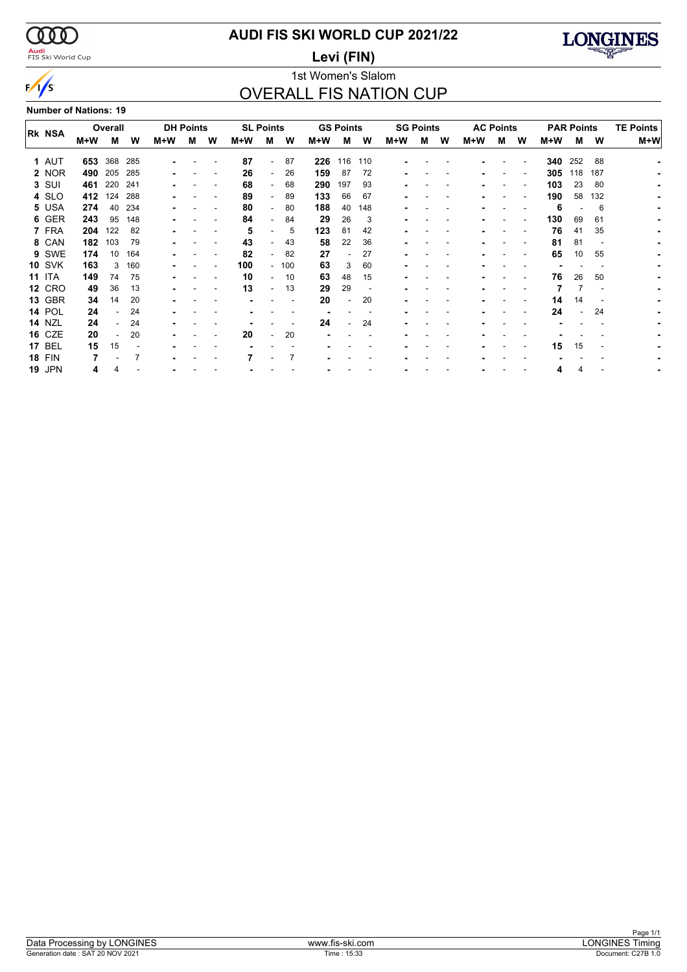$\alpha\alpha$ 

 $\sqrt{s}$ 

### <mark>Audi</mark><br>FIS Ski World Cup

### **AUDI FIS SKI WORLD CUP 2021/22**

**Levi (FIN)**



### 1st Women's Slalom OVERALL FIS NATION CUP

**Number of Nations: 19**

|               | <b>DH Points</b><br>Overall |     |     |     | <b>SL Points</b> |   | <b>GS Points</b> |                          | <b>SG Points</b> |     |     | <b>AC Points</b> |     |   |   | <b>PAR Points</b> |   | <b>TE Points</b> |     |                |     |     |
|---------------|-----------------------------|-----|-----|-----|------------------|---|------------------|--------------------------|------------------|-----|-----|------------------|-----|---|---|-------------------|---|------------------|-----|----------------|-----|-----|
| <b>RK NSA</b> | M+W                         | M   | w   | M+W | м                | W | M+W              | м                        | W                | M+W | м   | W                | M+W | м | w | M+W               | м | W                | M+W | м              | W   | M+W |
|               |                             |     |     |     |                  |   |                  |                          |                  |     |     |                  |     |   |   |                   |   |                  |     |                |     |     |
| 1 AUT         | 653                         | 368 | 285 |     |                  |   | 87               | $\overline{\phantom{0}}$ | 87               | 226 | 116 | 110              |     |   |   |                   |   |                  | 340 | 252            | 88  |     |
| 2 NOR         | 490                         | 205 | 285 |     |                  |   | 26               | $\sim$                   | 26               | 159 | 87  | 72               |     |   |   |                   |   |                  | 305 | 118            | 187 |     |
| 3 SUI         | 461                         | 220 | 241 |     |                  |   | 68               |                          | 68               | 290 | 197 | 93               |     |   |   |                   |   |                  | 103 | 23             | 80  |     |
| 4 SLO         | 412                         | 124 | 288 |     |                  |   | 89               | $\overline{\phantom{a}}$ | 89               | 133 | 66  | 67               |     |   |   |                   |   |                  | 190 | 58             | 132 |     |
| 5 USA         | 274                         | 40  | 234 |     |                  |   | 80               | $\sim$                   | 80               | 188 | 40  | 148              |     |   |   |                   |   |                  | 6   |                | 6   |     |
| 6 GER         | 243                         | 95  | 148 |     |                  |   | 84               |                          | 84               | 29  | 26  | 3                |     |   |   |                   |   |                  | 130 | 69             | 61  |     |
| 7 FRA         | 204                         | 122 | 82  |     |                  |   | 5                | ۰.                       | 5                | 123 | 81  | 42               |     |   |   |                   |   |                  | 76  | 41             | 35  |     |
| 8 CAN         | 182                         | 103 | 79  |     |                  |   | 43               | -                        | 43               | 58  | 22  | 36               |     |   |   |                   |   |                  | 81  | 81             |     |     |
| 9 SWE         | 174                         | 10  | 164 |     |                  |   | 82               |                          | 82               | 27  |     | 27               |     |   |   |                   |   |                  | 65  | 10             | 55  |     |
| <b>10 SVK</b> | 163                         | 3   | 160 |     |                  |   | 100              |                          | $-100$           | 63  | 3   | 60               |     |   |   |                   |   |                  |     |                |     |     |
| <b>11 ITA</b> | 149                         | 74  | 75  |     |                  |   | 10               | $\overline{\phantom{0}}$ | 10               | 63  | 48  | 15               |     |   |   |                   |   |                  | 76  | 26             | 50  |     |
| <b>12 CRO</b> | 49                          | 36  | 13  |     |                  |   | 13               |                          | 13               | 29  | 29  |                  |     |   |   |                   |   |                  |     |                |     |     |
| 13 GBR        | 34                          | 14  | 20  |     |                  |   |                  |                          |                  | 20  |     | 20               |     |   |   |                   |   |                  | 14  | 14             |     |     |
| <b>14 POL</b> | 24                          |     | 24  |     |                  |   |                  |                          |                  |     |     |                  |     |   |   |                   |   |                  | 24  | $\blacksquare$ | 24  |     |
| <b>14 NZL</b> | 24                          |     | 24  |     |                  |   |                  |                          |                  | 24  |     | 24               |     |   |   |                   |   |                  |     |                |     |     |
| <b>16 CZE</b> | 20                          |     | 20  |     |                  |   | 20               |                          | 20               |     |     |                  |     |   |   |                   |   |                  |     |                |     |     |
| <b>17 BEL</b> | 15                          | 15  |     |     |                  |   |                  |                          |                  |     |     |                  |     |   |   |                   |   |                  | 15  | 15             |     |     |
| <b>18 FIN</b> |                             |     | 7   |     |                  |   |                  |                          |                  |     |     |                  |     |   |   |                   |   |                  |     |                |     |     |
| <b>19 JPN</b> | 4                           |     |     |     |                  |   |                  |                          |                  |     |     |                  |     |   |   |                   |   |                  | 4   | 4              |     |     |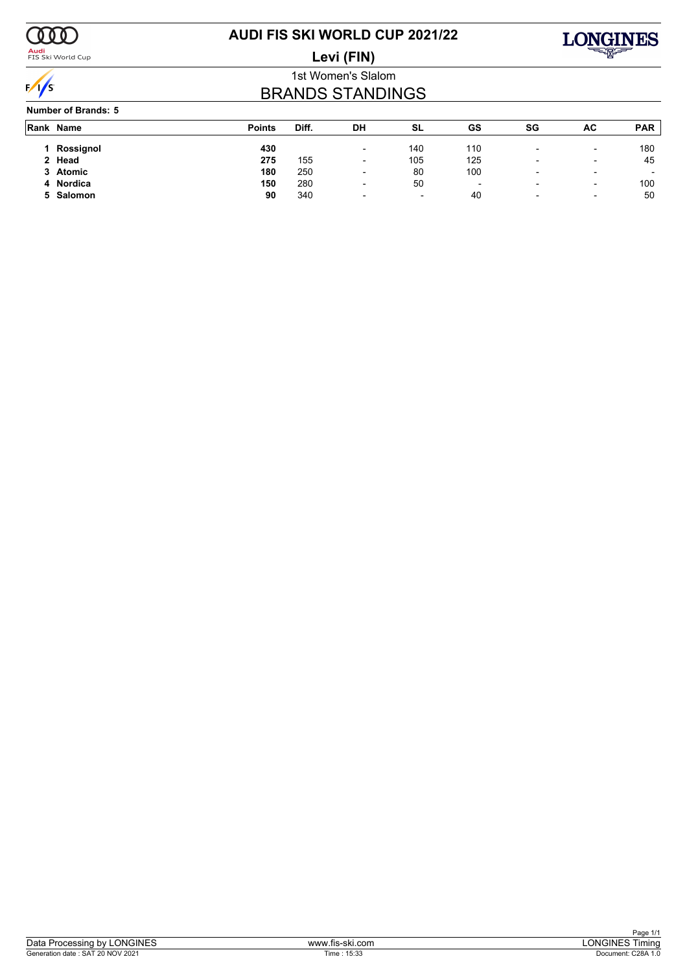

<mark>Audi</mark><br>FIS Ski World Cup

### **AUDI FIS SKI WORLD CUP 2021/22 Levi (FIN)**



1st Women's Slalom

## BRANDS STANDINGS

### **Number of Brands: 5**

| Rank Name | <b>Points</b> | Diff. | DH                       | SL                       | GS  | SG                       | AC                       | <b>PAR</b>               |
|-----------|---------------|-------|--------------------------|--------------------------|-----|--------------------------|--------------------------|--------------------------|
| Rossignol | 430           |       | $\overline{\phantom{a}}$ | 140                      | 110 | $\overline{\phantom{a}}$ | $\overline{\phantom{0}}$ | 180                      |
| 2 Head    | 275           | 155   | $\overline{\phantom{0}}$ | 105                      | 125 |                          | -                        | 45                       |
| 3 Atomic  | 180           | 250   | $\overline{\phantom{a}}$ | 80                       | 100 | $\overline{\phantom{a}}$ | -                        | $\overline{\phantom{0}}$ |
| 4 Nordica | 150           | 280   | $\overline{\phantom{0}}$ | 50                       |     |                          | ۰                        | 100                      |
| 5 Salomon | 90            | 340   | $\overline{\phantom{a}}$ | $\overline{\phantom{0}}$ | 40  | $\overline{\phantom{0}}$ | $\overline{\phantom{0}}$ | 50                       |